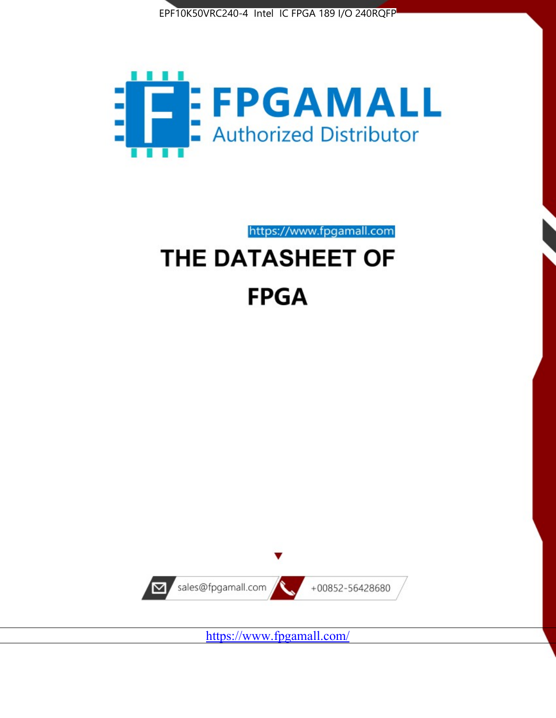



https://www.fpgamall.com

# THE DATASHEET OF **FPGA**



<https://www.fpgamall.com/>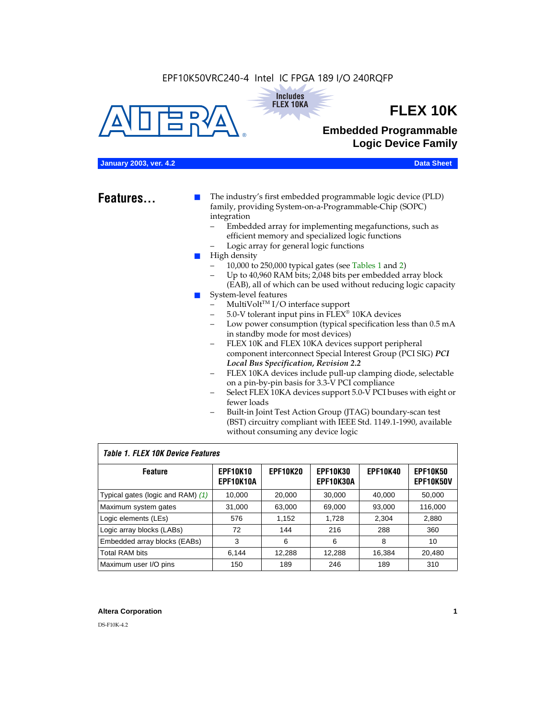#### EPF10K50VRC240-4 Intel IC FPGA 189 I/O 240RQFP





## **FLEX 10K**

### **Embedded Programmable Logic Device Family**

#### **January 2003, ver. 4.2 Data Sheet**

**Features...** ■ The industry's first embedded programmable logic device (PLD) family, providing System-on-a-Programmable-Chip (SOPC) integration

- Embedded array for implementing megafunctions, such as efficient memory and specialized logic functions
- Logic array for general logic functions
- High density
	- 10,000 to 250,000 typical gates (see Tables 1 and 2)
	- Up to 40,960 RAM bits; 2,048 bits per embedded array block (EAB), all of which can be used without reducing logic capacity
- System-level features
	- $MultiVolt<sup>TM</sup> I/O interface support$
	- 5.0-V tolerant input pins in FLEX® 10KA devices
	- Low power consumption (typical specification less than 0.5 mA in standby mode for most devices)
	- FLEX 10K and FLEX 10KA devices support peripheral component interconnect Special Interest Group (PCI SIG) *PCI Local Bus Specification, Revision 2.2*
	- FLEX 10KA devices include pull-up clamping diode, selectable on a pin-by-pin basis for 3.3-V PCI compliance
	- Select FLEX 10KA devices support 5.0-V PCI buses with eight or fewer loads
	- Built-in Joint Test Action Group (JTAG) boundary-scan test (BST) circuitry compliant with IEEE Std. 1149.1-1990, available without consuming any device logic

#### *Table 1. FLEX 10K Device Features*

| <b>Feature</b>                    | <b>EPF10K10</b><br>EPF10K10A | <b>EPF10K20</b> | <b>EPF10K30</b><br><b>EPF10K30A</b> | <b>EPF10K40</b> | <b>EPF10K50</b><br><b>EPF10K50V</b> |
|-----------------------------------|------------------------------|-----------------|-------------------------------------|-----------------|-------------------------------------|
| Typical gates (logic and RAM) (1) | 10,000                       | 20,000          | 30,000                              | 40,000          | 50,000                              |
| Maximum system gates              | 31,000                       | 63,000          | 69,000                              | 93,000          | 116,000                             |
| Logic elements (LEs)              | 576                          | 1,152           | 1.728                               | 2.304           | 2,880                               |
| Logic array blocks (LABs)         | 72                           | 144             | 216                                 | 288             | 360                                 |
| Embedded array blocks (EABs)      | 3                            | 6               | 6                                   | 8               | 10                                  |
| <b>Total RAM bits</b>             | 6.144                        | 12,288          | 12,288                              | 16,384          | 20,480                              |
| Maximum user I/O pins             | 150                          | 189             | 246                                 | 189             | 310                                 |

#### **Altera Corporation 1**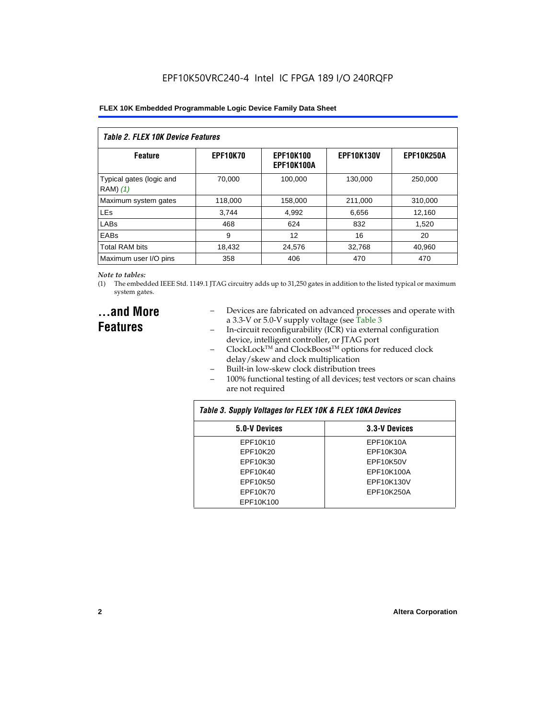| Table 2. FLEX 10K Device Features    |                 |                                |                   |                   |  |
|--------------------------------------|-----------------|--------------------------------|-------------------|-------------------|--|
| <b>Feature</b>                       | <b>EPF10K70</b> | <b>EPF10K100</b><br>EPF10K100A | <b>EPF10K130V</b> | <b>EPF10K250A</b> |  |
| Typical gates (logic and<br>RAM) (1) | 70.000          | 100.000                        | 130,000           | 250,000           |  |
| Maximum system gates                 | 118,000         | 158,000                        | 211,000           | 310,000           |  |
| <b>LEs</b>                           | 3.744           | 4,992                          | 6,656             | 12,160            |  |
| LABs                                 | 468             | 624                            | 832               | 1,520             |  |
| EABs                                 | 9               | 12                             | 16                | 20                |  |
| <b>Total RAM bits</b>                | 18,432          | 24.576                         | 32.768            | 40,960            |  |
| Maximum user I/O pins                | 358             | 406                            | 470               | 470               |  |

#### *Note to tables:*

(1) The embedded IEEE Std. 1149.1 JTAG circuitry adds up to 31,250 gates in addition to the listed typical or maximum system gates.

### **...and More Features**

- Devices are fabricated on advanced processes and operate with a 3.3-V or 5.0-V supply voltage (see Table 3
- In-circuit reconfigurability (ICR) via external configuration device, intelligent controller, or JTAG port
- $ClockLock^{TM}$  and  $ClockBoost^{TM}$  options for reduced clock delay/skew and clock multiplication
- Built-in low-skew clock distribution trees
- 100% functional testing of all devices; test vectors or scan chains are not required

| Table 3. Supply Voltages for FLEX 10K & FLEX 10KA Devices |               |  |  |  |
|-----------------------------------------------------------|---------------|--|--|--|
| 5.0-V Devices                                             | 3.3-V Devices |  |  |  |
| EPF10K10                                                  | EPF10K10A     |  |  |  |
| EPF10K20                                                  | EPF10K30A     |  |  |  |
| EPF10K30                                                  | EPF10K50V     |  |  |  |
| EPF10K40                                                  | EPF10K100A    |  |  |  |
| EPF10K50                                                  | EPF10K130V    |  |  |  |
| EPF10K70                                                  | EPF10K250A    |  |  |  |
| EPF10K100                                                 |               |  |  |  |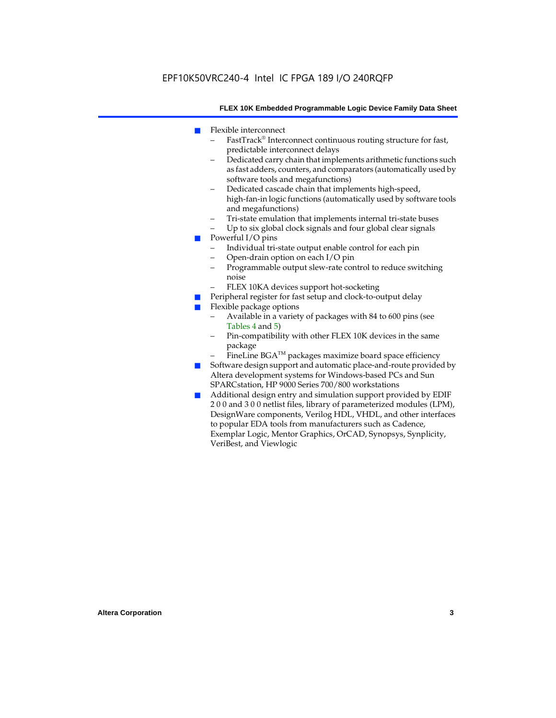- Flexible interconnect
	- FastTrack<sup>®</sup> Interconnect continuous routing structure for fast, predictable interconnect delays
	- Dedicated carry chain that implements arithmetic functions such as fast adders, counters, and comparators (automatically used by software tools and megafunctions)
	- Dedicated cascade chain that implements high-speed, high-fan-in logic functions (automatically used by software tools and megafunctions)
	- Tri-state emulation that implements internal tri-state buses
	- Up to six global clock signals and four global clear signals
- Powerful I/O pins
	- Individual tri-state output enable control for each pin
	- Open-drain option on each I/O pin
	- Programmable output slew-rate control to reduce switching noise
	- FLEX 10KA devices support hot-socketing
- Peripheral register for fast setup and clock-to-output delay
- Flexible package options
	- Available in a variety of packages with 84 to 600 pins (see Tables 4 and 5)
	- Pin-compatibility with other FLEX 10K devices in the same package
	- FineLine BGA<sup>TM</sup> packages maximize board space efficiency
- Software design support and automatic place-and-route provided by Altera development systems for Windows-based PCs and Sun SPARCstation, HP 9000 Series 700/800 workstations
- Additional design entry and simulation support provided by EDIF 2 0 0 and 3 0 0 netlist files, library of parameterized modules (LPM), DesignWare components, Verilog HDL, VHDL, and other interfaces to popular EDA tools from manufacturers such as Cadence, Exemplar Logic, Mentor Graphics, OrCAD, Synopsys, Synplicity, VeriBest, and Viewlogic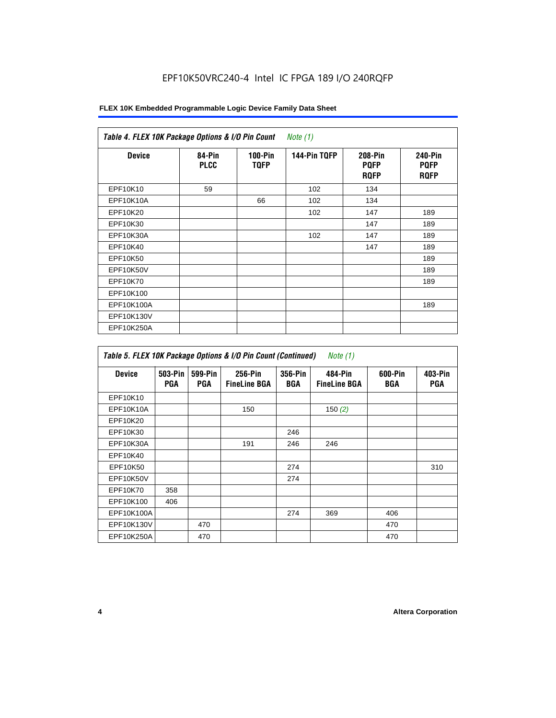### EPF10K50VRC240-4 Intel IC FPGA 189 I/O 240RQFP

#### **FLEX 10K Embedded Programmable Logic Device Family Data Sheet**

| <b>Device</b> | 84-Pin<br><b>PLCC</b> | $100-Pin$<br><b>TQFP</b> | 144-Pin TQFP | 208-Pin<br><b>PQFP</b><br><b>ROFP</b> | <b>240-Pin</b><br><b>PQFP</b><br><b>RQFP</b> |
|---------------|-----------------------|--------------------------|--------------|---------------------------------------|----------------------------------------------|
| EPF10K10      | 59                    |                          | 102          | 134                                   |                                              |
| EPF10K10A     |                       | 66                       | 102          | 134                                   |                                              |
| EPF10K20      |                       |                          | 102          | 147                                   | 189                                          |
| EPF10K30      |                       |                          |              | 147                                   | 189                                          |
| EPF10K30A     |                       |                          | 102          | 147                                   | 189                                          |
| EPF10K40      |                       |                          |              | 147                                   | 189                                          |
| EPF10K50      |                       |                          |              |                                       | 189                                          |
| EPF10K50V     |                       |                          |              |                                       | 189                                          |
| EPF10K70      |                       |                          |              |                                       | 189                                          |
| EPF10K100     |                       |                          |              |                                       |                                              |
| EPF10K100A    |                       |                          |              |                                       | 189                                          |
| EPF10K130V    |                       |                          |              |                                       |                                              |
| EPF10K250A    |                       |                          |              |                                       |                                              |

| Table 5. FLEX 10K Package Options & I/O Pin Count (Continued)<br>Note $(1)$ |                       |                |                                |                |                                |                |                       |
|-----------------------------------------------------------------------------|-----------------------|----------------|--------------------------------|----------------|--------------------------------|----------------|-----------------------|
| Device                                                                      | 503-Pin<br><b>PGA</b> | 599-Pin<br>PGA | 256-Pin<br><b>FineLine BGA</b> | 356-Pin<br>BGA | 484-Pin<br><b>FineLine BGA</b> | 600-Pin<br>BGA | 403-Pin<br><b>PGA</b> |
| EPF10K10                                                                    |                       |                |                                |                |                                |                |                       |
| EPF10K10A                                                                   |                       |                | 150                            |                | 150 $(2)$                      |                |                       |
| EPF10K20                                                                    |                       |                |                                |                |                                |                |                       |
| EPF10K30                                                                    |                       |                |                                | 246            |                                |                |                       |
| EPF10K30A                                                                   |                       |                | 191                            | 246            | 246                            |                |                       |
| EPF10K40                                                                    |                       |                |                                |                |                                |                |                       |
| EPF10K50                                                                    |                       |                |                                | 274            |                                |                | 310                   |
| EPF10K50V                                                                   |                       |                |                                | 274            |                                |                |                       |
| EPF10K70                                                                    | 358                   |                |                                |                |                                |                |                       |
| EPF10K100                                                                   | 406                   |                |                                |                |                                |                |                       |
| EPF10K100A                                                                  |                       |                |                                | 274            | 369                            | 406            |                       |
| EPF10K130V                                                                  |                       | 470            |                                |                |                                | 470            |                       |
| EPF10K250A                                                                  |                       | 470            |                                |                |                                | 470            |                       |

 $\mathbf{r}$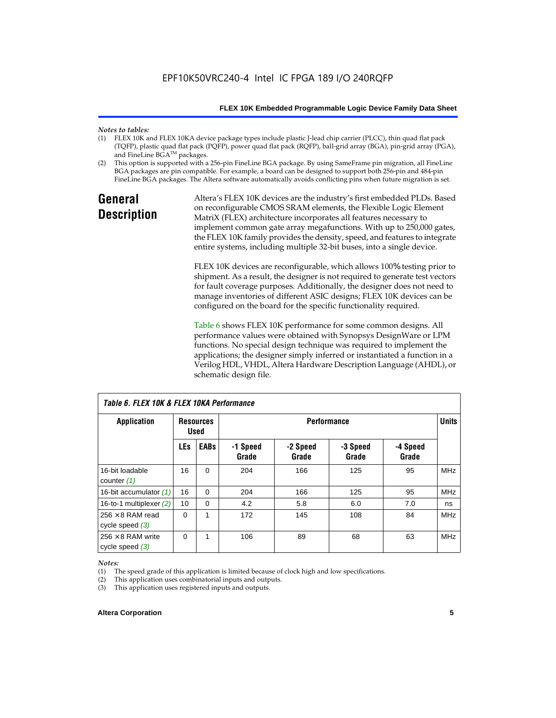### *Notes to tables:*

- FLEX 10K and FLEX 10KA device package types include plastic J-lead chip carrier (PLCC), thin quad flat pack (TQFP), plastic quad flat pack (PQFP), power quad flat pack (RQFP), ball-grid array (BGA), pin-grid array (PGA), and FineLine BGA™ packages.
- (2) This option is supported with a 256-pin FineLine BGA package. By using SameFrame pin migration, all FineLine BGA packages are pin compatible. For example, a board can be designed to support both 256-pin and 484-pin FineLine BGA packages. The Altera software automatically avoids conflicting pins when future migration is set.

### **General Description**

Altera's FLEX 10K devices are the industry's first embedded PLDs. Based on reconfigurable CMOS SRAM elements, the Flexible Logic Element MatriX (FLEX) architecture incorporates all features necessary to implement common gate array megafunctions. With up to 250,000 gates, the FLEX 10K family provides the density, speed, and features to integrate entire systems, including multiple 32-bit buses, into a single device.

FLEX 10K devices are reconfigurable, which allows 100% testing prior to shipment. As a result, the designer is not required to generate test vectors for fault coverage purposes. Additionally, the designer does not need to manage inventories of different ASIC designs; FLEX 10K devices can be configured on the board for the specific functionality required.

Table 6 shows FLEX 10K performance for some common designs. All performance values were obtained with Synopsys DesignWare or LPM functions. No special design technique was required to implement the applications; the designer simply inferred or instantiated a function in a Verilog HDL, VHDL, Altera Hardware Description Language (AHDL), or schematic design file.

| TADIE D. FLEA TUN & FLEA TUNA FEITUITUAILLE   |                          |             |                    |                   |                   |                   |            |
|-----------------------------------------------|--------------------------|-------------|--------------------|-------------------|-------------------|-------------------|------------|
| <b>Application</b>                            | <b>Resources</b><br>Used |             | <b>Performance</b> |                   |                   | <b>Units</b>      |            |
|                                               | <b>LEs</b>               | <b>EABs</b> | -1 Speed<br>Grade  | -2 Speed<br>Grade | -3 Speed<br>Grade | -4 Speed<br>Grade |            |
| 16-bit loadable<br>counter $(1)$              | 16                       | $\Omega$    | 204                | 166               | 125               | 95                | <b>MHz</b> |
| 16-bit accumulator (1)                        | 16                       | $\Omega$    | 204                | 166               | 125               | 95                | <b>MHz</b> |
| 16-to-1 multiplexer $(2)$                     | 10                       | $\Omega$    | 4.2                | 5.8               | 6.0               | 7.0               | ns         |
| $256 \times 8$ RAM read<br>cycle speed $(3)$  | $\Omega$                 | 1           | 172                | 145               | 108               | 84                | <b>MHz</b> |
| 256 $\times$ 8 RAM write<br>cycle speed $(3)$ | 0                        | 1           | 106                | 89                | 68                | 63                | <b>MHz</b> |

*Table 6. FLEX 10K & FLEX 10KA Performance*

#### *Notes:*

(1) The speed grade of this application is limited because of clock high and low specifications.

(2) This application uses combinatorial inputs and outputs.

(3) This application uses registered inputs and outputs.

#### **Altera Corporation 5**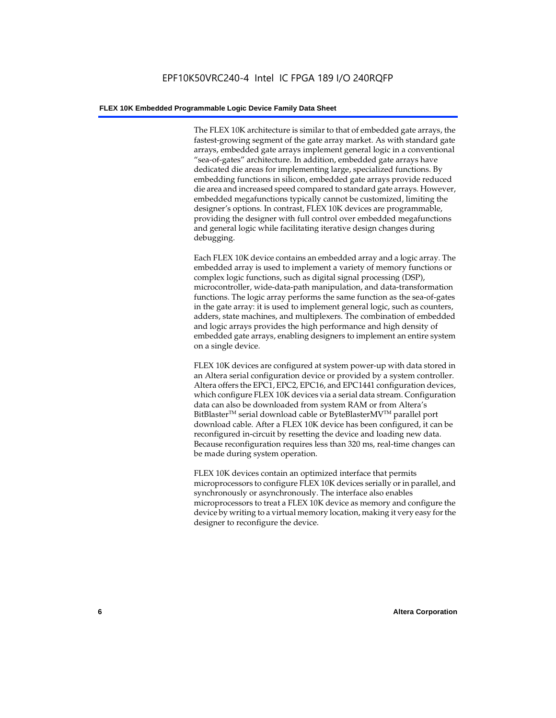The FLEX 10K architecture is similar to that of embedded gate arrays, the fastest-growing segment of the gate array market. As with standard gate arrays, embedded gate arrays implement general logic in a conventional "sea-of-gates" architecture. In addition, embedded gate arrays have dedicated die areas for implementing large, specialized functions. By embedding functions in silicon, embedded gate arrays provide reduced die area and increased speed compared to standard gate arrays. However, embedded megafunctions typically cannot be customized, limiting the designer's options. In contrast, FLEX 10K devices are programmable, providing the designer with full control over embedded megafunctions and general logic while facilitating iterative design changes during debugging.

Each FLEX 10K device contains an embedded array and a logic array. The embedded array is used to implement a variety of memory functions or complex logic functions, such as digital signal processing (DSP), microcontroller, wide-data-path manipulation, and data-transformation functions. The logic array performs the same function as the sea-of-gates in the gate array: it is used to implement general logic, such as counters, adders, state machines, and multiplexers. The combination of embedded and logic arrays provides the high performance and high density of embedded gate arrays, enabling designers to implement an entire system on a single device.

FLEX 10K devices are configured at system power-up with data stored in an Altera serial configuration device or provided by a system controller. Altera offers the EPC1, EPC2, EPC16, and EPC1441 configuration devices, which configure FLEX 10K devices via a serial data stream. Configuration data can also be downloaded from system RAM or from Altera's BitBlaster<sup>™</sup> serial download cable or ByteBlasterMV<sup>™</sup> parallel port download cable. After a FLEX 10K device has been configured, it can be reconfigured in-circuit by resetting the device and loading new data. Because reconfiguration requires less than 320 ms, real-time changes can be made during system operation.

FLEX 10K devices contain an optimized interface that permits microprocessors to configure FLEX 10K devices serially or in parallel, and synchronously or asynchronously. The interface also enables microprocessors to treat a FLEX 10K device as memory and configure the device by writing to a virtual memory location, making it very easy for the designer to reconfigure the device.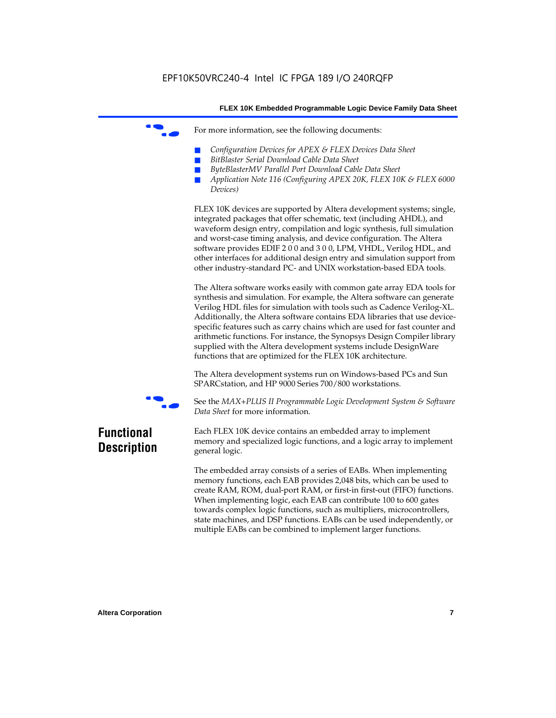For more information, see the following documents:

- *Configuration Devices for APEX & FLEX Devices Data Sheet*
- $BitBlaster$  Serial Download Cable Data Sheet
- *ByteBlasterMV Parallel Port Download Cable Data Sheet*
- *Application Note 116 (Configuring APEX 20K, FLEX 10K & FLEX 6000 Devices)*

FLEX 10K devices are supported by Altera development systems; single, integrated packages that offer schematic, text (including AHDL), and waveform design entry, compilation and logic synthesis, full simulation and worst-case timing analysis, and device configuration. The Altera software provides EDIF 2 0 0 and 3 0 0, LPM, VHDL, Verilog HDL, and other interfaces for additional design entry and simulation support from other industry-standard PC- and UNIX workstation-based EDA tools.

The Altera software works easily with common gate array EDA tools for synthesis and simulation. For example, the Altera software can generate Verilog HDL files for simulation with tools such as Cadence Verilog-XL. Additionally, the Altera software contains EDA libraries that use devicespecific features such as carry chains which are used for fast counter and arithmetic functions. For instance, the Synopsys Design Compiler library supplied with the Altera development systems include DesignWare functions that are optimized for the FLEX 10K architecture.

The Altera development systems run on Windows-based PCs and Sun SPARCstation, and HP 9000 Series 700/800 workstations.



f See the *MAX+PLUS II Programmable Logic Development System & Software Data Sheet* for more information.

### **Functional Description**

Each FLEX 10K device contains an embedded array to implement memory and specialized logic functions, and a logic array to implement general logic.

The embedded array consists of a series of EABs. When implementing memory functions, each EAB provides 2,048 bits, which can be used to create RAM, ROM, dual-port RAM, or first-in first-out (FIFO) functions. When implementing logic, each EAB can contribute 100 to 600 gates towards complex logic functions, such as multipliers, microcontrollers, state machines, and DSP functions. EABs can be used independently, or multiple EABs can be combined to implement larger functions.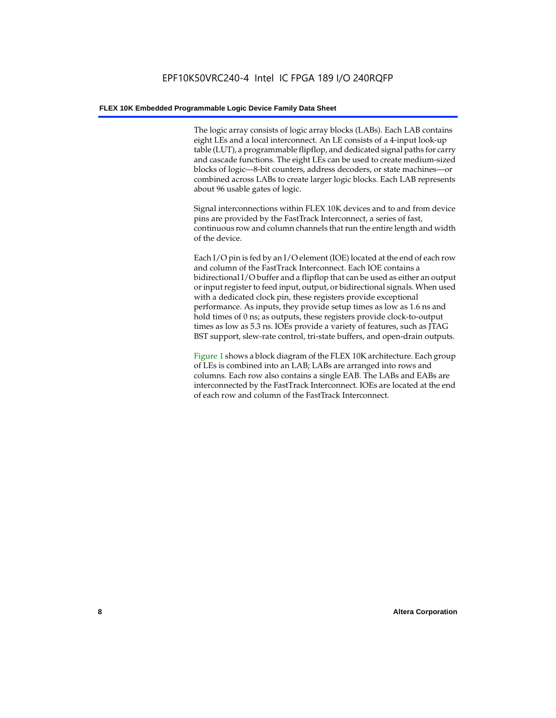The logic array consists of logic array blocks (LABs). Each LAB contains eight LEs and a local interconnect. An LE consists of a 4-input look-up table (LUT), a programmable flipflop, and dedicated signal paths for carry and cascade functions. The eight LEs can be used to create medium-sized blocks of logic—8-bit counters, address decoders, or state machines—or combined across LABs to create larger logic blocks. Each LAB represents about 96 usable gates of logic.

Signal interconnections within FLEX 10K devices and to and from device pins are provided by the FastTrack Interconnect, a series of fast, continuous row and column channels that run the entire length and width of the device.

Each I/O pin is fed by an I/O element (IOE) located at the end of each row and column of the FastTrack Interconnect. Each IOE contains a bidirectional I/O buffer and a flipflop that can be used as either an output or input register to feed input, output, or bidirectional signals. When used with a dedicated clock pin, these registers provide exceptional performance. As inputs, they provide setup times as low as 1.6 ns and hold times of 0 ns; as outputs, these registers provide clock-to-output times as low as 5.3 ns. IOEs provide a variety of features, such as JTAG BST support, slew-rate control, tri-state buffers, and open-drain outputs.

Figure 1 shows a block diagram of the FLEX 10K architecture. Each group of LEs is combined into an LAB; LABs are arranged into rows and columns. Each row also contains a single EAB. The LABs and EABs are interconnected by the FastTrack Interconnect. IOEs are located at the end of each row and column of the FastTrack Interconnect.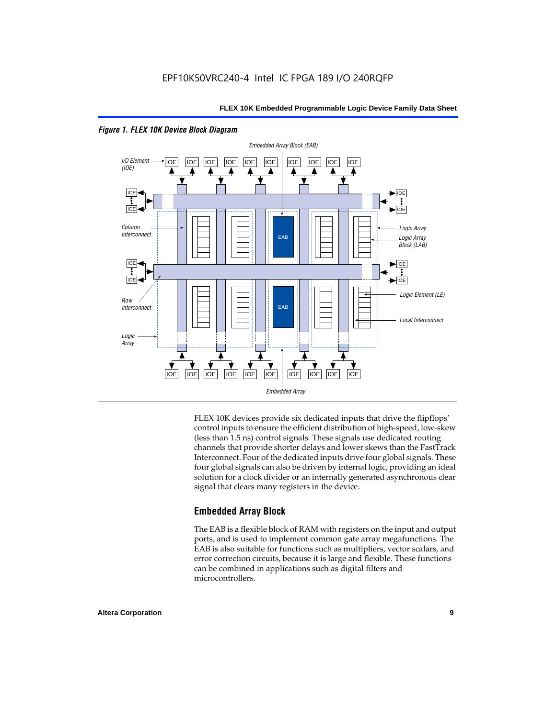



FLEX 10K devices provide six dedicated inputs that drive the flipflops' control inputs to ensure the efficient distribution of high-speed, low-skew (less than 1.5 ns) control signals. These signals use dedicated routing channels that provide shorter delays and lower skews than the FastTrack Interconnect. Four of the dedicated inputs drive four global signals. These four global signals can also be driven by internal logic, providing an ideal solution for a clock divider or an internally generated asynchronous clear signal that clears many registers in the device.

#### **Embedded Array Block**

The EAB is a flexible block of RAM with registers on the input and output ports, and is used to implement common gate array megafunctions. The EAB is also suitable for functions such as multipliers, vector scalars, and error correction circuits, because it is large and flexible. These functions can be combined in applications such as digital filters and microcontrollers.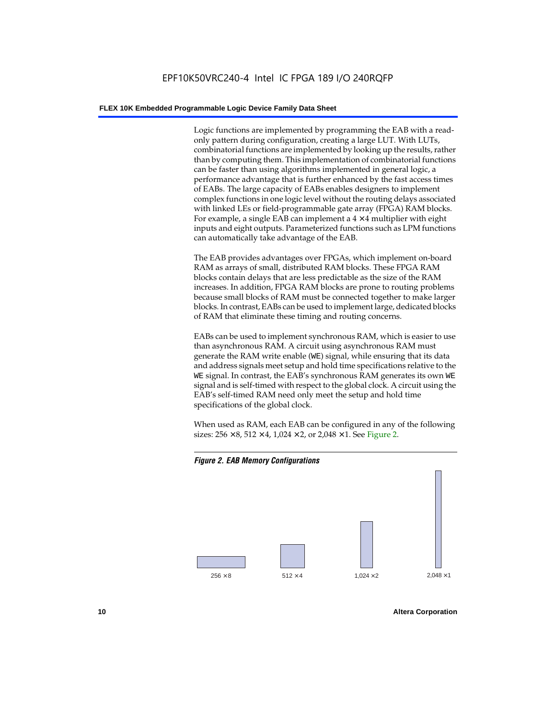Logic functions are implemented by programming the EAB with a readonly pattern during configuration, creating a large LUT. With LUTs, combinatorial functions are implemented by looking up the results, rather than by computing them. This implementation of combinatorial functions can be faster than using algorithms implemented in general logic, a performance advantage that is further enhanced by the fast access times of EABs. The large capacity of EABs enables designers to implement complex functions in one logic level without the routing delays associated with linked LEs or field-programmable gate array (FPGA) RAM blocks. For example, a single EAB can implement a  $4 \times 4$  multiplier with eight inputs and eight outputs. Parameterized functions such as LPM functions can automatically take advantage of the EAB.

The EAB provides advantages over FPGAs, which implement on-board RAM as arrays of small, distributed RAM blocks. These FPGA RAM blocks contain delays that are less predictable as the size of the RAM increases. In addition, FPGA RAM blocks are prone to routing problems because small blocks of RAM must be connected together to make larger blocks. In contrast, EABs can be used to implement large, dedicated blocks of RAM that eliminate these timing and routing concerns.

EABs can be used to implement synchronous RAM, which is easier to use than asynchronous RAM. A circuit using asynchronous RAM must generate the RAM write enable (WE) signal, while ensuring that its data and address signals meet setup and hold time specifications relative to the WE signal. In contrast, the EAB's synchronous RAM generates its own WE signal and is self-timed with respect to the global clock. A circuit using the EAB's self-timed RAM need only meet the setup and hold time specifications of the global clock.

When used as RAM, each EAB can be configured in any of the following sizes:  $256 \times 8$ ,  $512 \times 4$ ,  $1,024 \times 2$ , or  $2,048 \times 1$ . See Figure 2.



**10 Altera Corporation**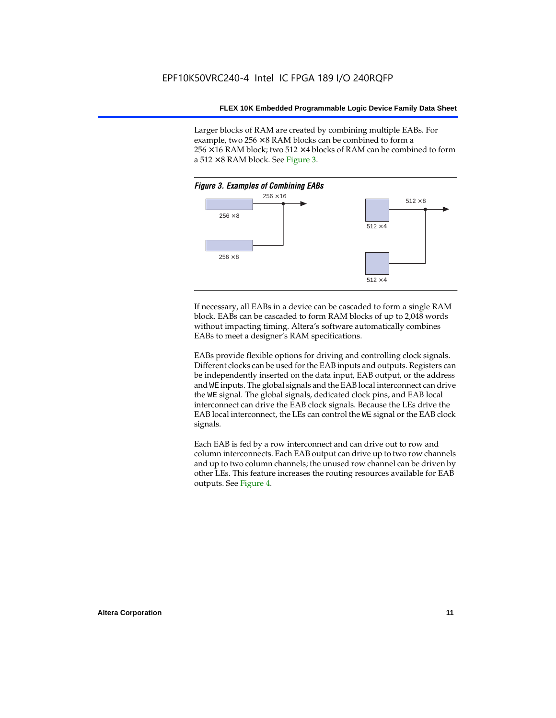Larger blocks of RAM are created by combining multiple EABs. For example, two  $256 \times 8$  RAM blocks can be combined to form a  $256 \times 16$  RAM block; two 512  $\times$  4 blocks of RAM can be combined to form a  $512 \times 8$  RAM block. See Figure 3.



If necessary, all EABs in a device can be cascaded to form a single RAM block. EABs can be cascaded to form RAM blocks of up to 2,048 words without impacting timing. Altera's software automatically combines EABs to meet a designer's RAM specifications.

EABs provide flexible options for driving and controlling clock signals. Different clocks can be used for the EAB inputs and outputs. Registers can be independently inserted on the data input, EAB output, or the address and WE inputs. The global signals and the EAB local interconnect can drive the WE signal. The global signals, dedicated clock pins, and EAB local interconnect can drive the EAB clock signals. Because the LEs drive the EAB local interconnect, the LEs can control the WE signal or the EAB clock signals.

Each EAB is fed by a row interconnect and can drive out to row and column interconnects. Each EAB output can drive up to two row channels and up to two column channels; the unused row channel can be driven by other LEs. This feature increases the routing resources available for EAB outputs. See Figure 4.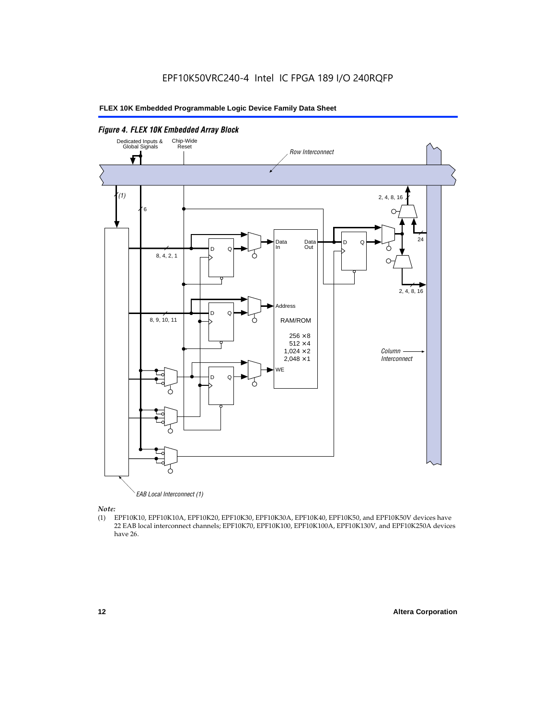

EAB Local Interconnect (1)

*Note:*<br>(1) **H** 

(1) EPF10K10, EPF10K10A, EPF10K20, EPF10K30, EPF10K30A, EPF10K40, EPF10K50, and EPF10K50V devices have 22 EAB local interconnect channels; EPF10K70, EPF10K100, EPF10K100A, EPF10K130V, and EPF10K250A devices have 26.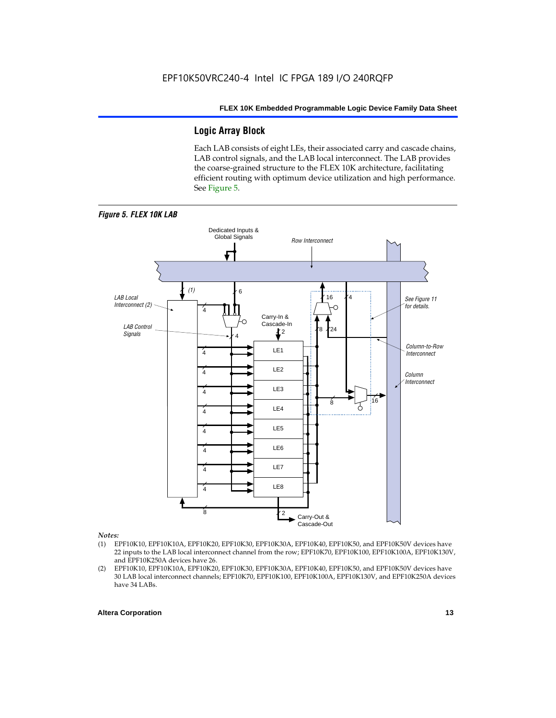#### **Logic Array Block**

Each LAB consists of eight LEs, their associated carry and cascade chains, LAB control signals, and the LAB local interconnect. The LAB provides the coarse-grained structure to the FLEX 10K architecture, facilitating efficient routing with optimum device utilization and high performance. See Figure 5.



#### *Notes:*

- (1) EPF10K10, EPF10K10A, EPF10K20, EPF10K30, EPF10K30A, EPF10K40, EPF10K50, and EPF10K50V devices have 22 inputs to the LAB local interconnect channel from the row; EPF10K70, EPF10K100, EPF10K100A, EPF10K130V, and EPF10K250A devices have 26.
- (2) EPF10K10, EPF10K10A, EPF10K20, EPF10K30, EPF10K30A, EPF10K40, EPF10K50, and EPF10K50V devices have 30 LAB local interconnect channels; EPF10K70, EPF10K100, EPF10K100A, EPF10K130V, and EPF10K250A devices have 34 LABs.

#### **Altera Corporation 13 13**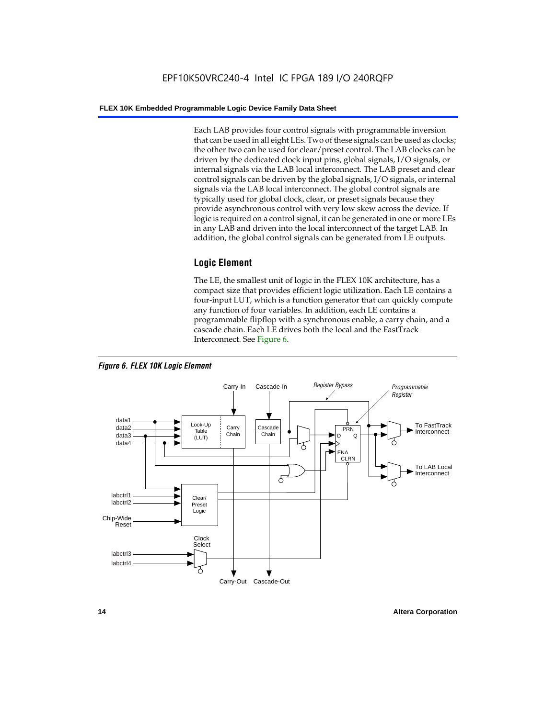Each LAB provides four control signals with programmable inversion that can be used in all eight LEs. Two of these signals can be used as clocks; the other two can be used for clear/preset control. The LAB clocks can be driven by the dedicated clock input pins, global signals, I/O signals, or internal signals via the LAB local interconnect. The LAB preset and clear control signals can be driven by the global signals, I/O signals, or internal signals via the LAB local interconnect. The global control signals are typically used for global clock, clear, or preset signals because they provide asynchronous control with very low skew across the device. If logic is required on a control signal, it can be generated in one or more LEs in any LAB and driven into the local interconnect of the target LAB. In addition, the global control signals can be generated from LE outputs.

#### **Logic Element**

The LE, the smallest unit of logic in the FLEX 10K architecture, has a compact size that provides efficient logic utilization. Each LE contains a four-input LUT, which is a function generator that can quickly compute any function of four variables. In addition, each LE contains a programmable flipflop with a synchronous enable, a carry chain, and a cascade chain. Each LE drives both the local and the FastTrack Interconnect. See Figure 6.



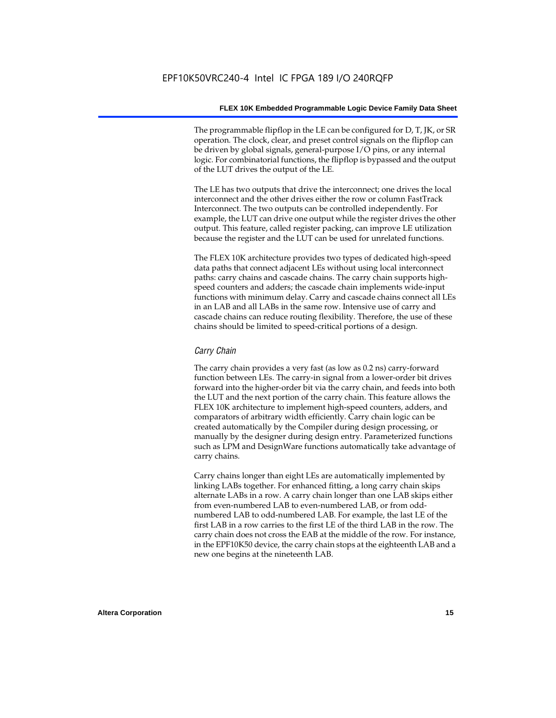The programmable flipflop in the LE can be configured for D, T, JK, or SR operation. The clock, clear, and preset control signals on the flipflop can be driven by global signals, general-purpose I/O pins, or any internal logic. For combinatorial functions, the flipflop is bypassed and the output of the LUT drives the output of the LE.

The LE has two outputs that drive the interconnect; one drives the local interconnect and the other drives either the row or column FastTrack Interconnect. The two outputs can be controlled independently. For example, the LUT can drive one output while the register drives the other output. This feature, called register packing, can improve LE utilization because the register and the LUT can be used for unrelated functions.

The FLEX 10K architecture provides two types of dedicated high-speed data paths that connect adjacent LEs without using local interconnect paths: carry chains and cascade chains. The carry chain supports highspeed counters and adders; the cascade chain implements wide-input functions with minimum delay. Carry and cascade chains connect all LEs in an LAB and all LABs in the same row. Intensive use of carry and cascade chains can reduce routing flexibility. Therefore, the use of these chains should be limited to speed-critical portions of a design.

#### *Carry Chain*

The carry chain provides a very fast (as low as 0.2 ns) carry-forward function between LEs. The carry-in signal from a lower-order bit drives forward into the higher-order bit via the carry chain, and feeds into both the LUT and the next portion of the carry chain. This feature allows the FLEX 10K architecture to implement high-speed counters, adders, and comparators of arbitrary width efficiently. Carry chain logic can be created automatically by the Compiler during design processing, or manually by the designer during design entry. Parameterized functions such as LPM and DesignWare functions automatically take advantage of carry chains.

Carry chains longer than eight LEs are automatically implemented by linking LABs together. For enhanced fitting, a long carry chain skips alternate LABs in a row. A carry chain longer than one LAB skips either from even-numbered LAB to even-numbered LAB, or from oddnumbered LAB to odd-numbered LAB. For example, the last LE of the first LAB in a row carries to the first LE of the third LAB in the row. The carry chain does not cross the EAB at the middle of the row. For instance, in the EPF10K50 device, the carry chain stops at the eighteenth LAB and a new one begins at the nineteenth LAB.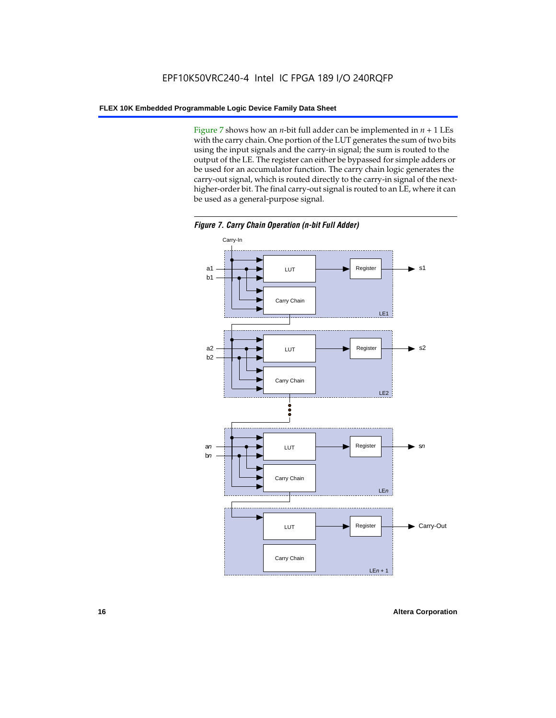Figure 7 shows how an *n*-bit full adder can be implemented in  $n + 1$  LEs with the carry chain. One portion of the LUT generates the sum of two bits using the input signals and the carry-in signal; the sum is routed to the output of the LE. The register can either be bypassed for simple adders or be used for an accumulator function. The carry chain logic generates the carry-out signal, which is routed directly to the carry-in signal of the nexthigher-order bit. The final carry-out signal is routed to an LE, where it can be used as a general-purpose signal.



*Figure 7. Carry Chain Operation (n-bit Full Adder)*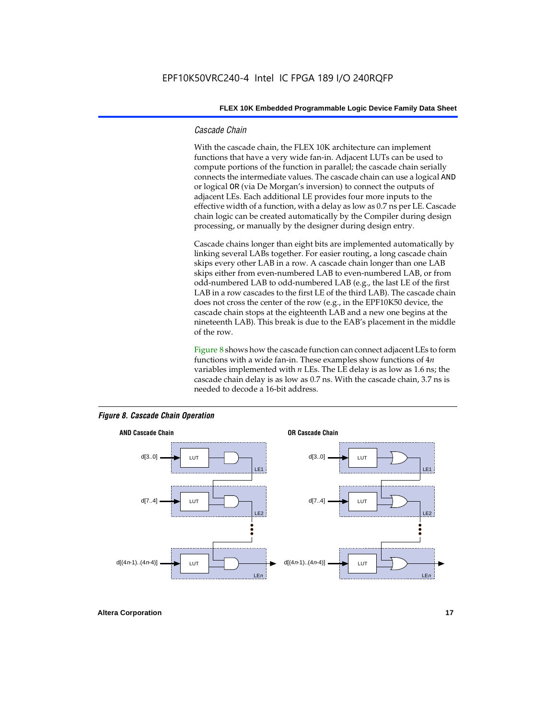#### *Cascade Chain*

With the cascade chain, the FLEX 10K architecture can implement functions that have a very wide fan-in. Adjacent LUTs can be used to compute portions of the function in parallel; the cascade chain serially connects the intermediate values. The cascade chain can use a logical AND or logical OR (via De Morgan's inversion) to connect the outputs of adjacent LEs. Each additional LE provides four more inputs to the effective width of a function, with a delay as low as 0.7 ns per LE. Cascade chain logic can be created automatically by the Compiler during design processing, or manually by the designer during design entry.

Cascade chains longer than eight bits are implemented automatically by linking several LABs together. For easier routing, a long cascade chain skips every other LAB in a row. A cascade chain longer than one LAB skips either from even-numbered LAB to even-numbered LAB, or from odd-numbered LAB to odd-numbered LAB (e.g., the last LE of the first LAB in a row cascades to the first LE of the third LAB). The cascade chain does not cross the center of the row (e.g., in the EPF10K50 device, the cascade chain stops at the eighteenth LAB and a new one begins at the nineteenth LAB). This break is due to the EAB's placement in the middle of the row.

Figure 8 shows how the cascade function can connect adjacent LEs to form functions with a wide fan-in. These examples show functions of 4*n* variables implemented with *n* LEs. The LE delay is as low as 1.6 ns; the cascade chain delay is as low as 0.7 ns. With the cascade chain, 3.7 ns is needed to decode a 16-bit address.



#### *Figure 8. Cascade Chain Operation*

**Altera Corporation 17 17**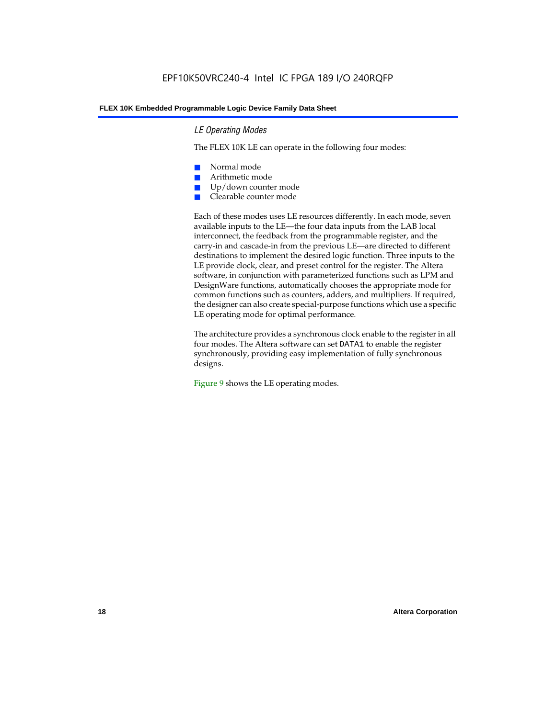#### *LE Operating Modes*

The FLEX 10K LE can operate in the following four modes:

- Normal mode
- Arithmetic mode
- Up/down counter mode
- Clearable counter mode

Each of these modes uses LE resources differently. In each mode, seven available inputs to the LE—the four data inputs from the LAB local interconnect, the feedback from the programmable register, and the carry-in and cascade-in from the previous LE—are directed to different destinations to implement the desired logic function. Three inputs to the LE provide clock, clear, and preset control for the register. The Altera software, in conjunction with parameterized functions such as LPM and DesignWare functions, automatically chooses the appropriate mode for common functions such as counters, adders, and multipliers. If required, the designer can also create special-purpose functions which use a specific LE operating mode for optimal performance.

The architecture provides a synchronous clock enable to the register in all four modes. The Altera software can set DATA1 to enable the register synchronously, providing easy implementation of fully synchronous designs.

Figure 9 shows the LE operating modes.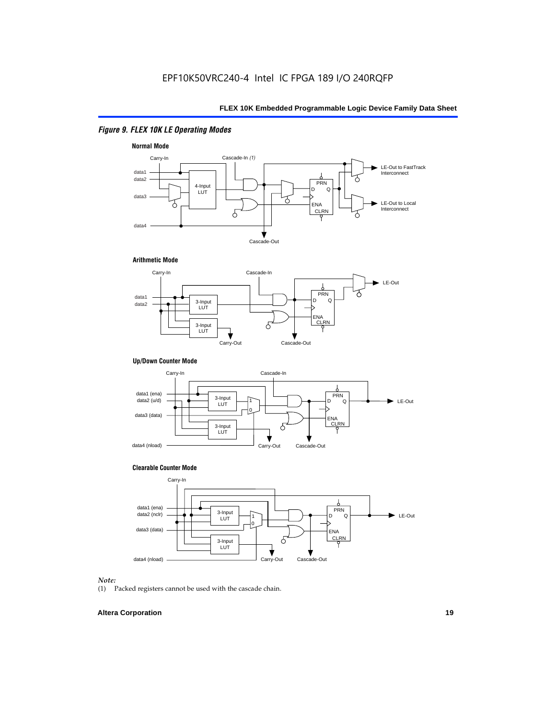#### *Figure 9. FLEX 10K LE Operating Modes*







#### **Up/Down Counter Mode**



#### **Clearable Counter Mode**



#### *Note:*

(1) Packed registers cannot be used with the cascade chain.

#### **Altera Corporation 19**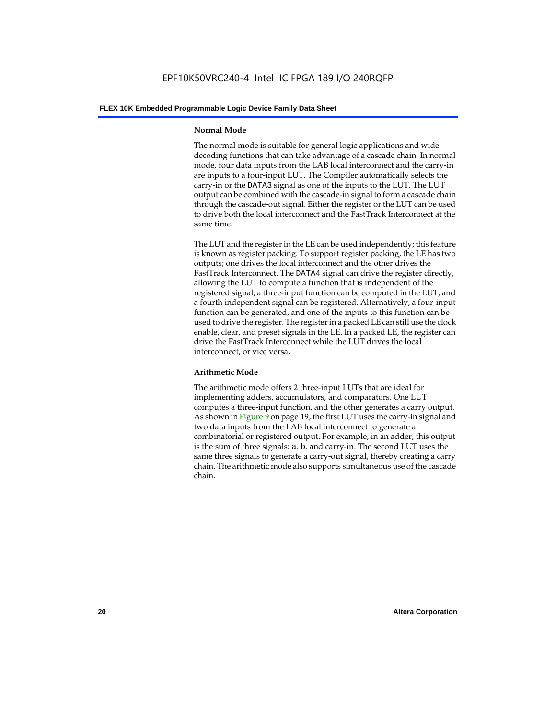#### **Normal Mode**

The normal mode is suitable for general logic applications and wide decoding functions that can take advantage of a cascade chain. In normal mode, four data inputs from the LAB local interconnect and the carry-in are inputs to a four-input LUT. The Compiler automatically selects the carry-in or the DATA3 signal as one of the inputs to the LUT. The LUT output can be combined with the cascade-in signal to form a cascade chain through the cascade-out signal. Either the register or the LUT can be used to drive both the local interconnect and the FastTrack Interconnect at the same time.

The LUT and the register in the LE can be used independently; this feature is known as register packing. To support register packing, the LE has two outputs; one drives the local interconnect and the other drives the FastTrack Interconnect. The DATA4 signal can drive the register directly, allowing the LUT to compute a function that is independent of the registered signal; a three-input function can be computed in the LUT, and a fourth independent signal can be registered. Alternatively, a four-input function can be generated, and one of the inputs to this function can be used to drive the register. The register in a packed LE can still use the clock enable, clear, and preset signals in the LE. In a packed LE, the register can drive the FastTrack Interconnect while the LUT drives the local interconnect, or vice versa.

#### **Arithmetic Mode**

The arithmetic mode offers 2 three-input LUTs that are ideal for implementing adders, accumulators, and comparators. One LUT computes a three-input function, and the other generates a carry output. As shown in Figure 9 on page 19, the first LUT uses the carry-in signal and two data inputs from the LAB local interconnect to generate a combinatorial or registered output. For example, in an adder, this output is the sum of three signals: a, b, and carry-in. The second LUT uses the same three signals to generate a carry-out signal, thereby creating a carry chain. The arithmetic mode also supports simultaneous use of the cascade chain.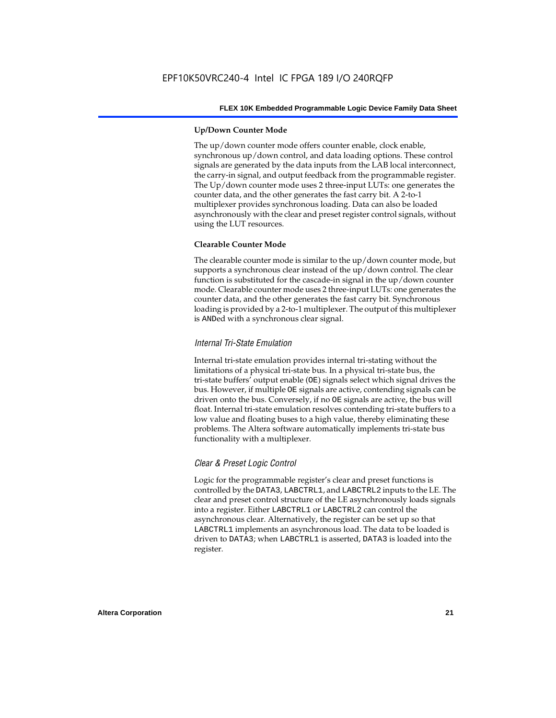#### **Up/Down Counter Mode**

The up/down counter mode offers counter enable, clock enable, synchronous up/down control, and data loading options. These control signals are generated by the data inputs from the LAB local interconnect, the carry-in signal, and output feedback from the programmable register. The Up/down counter mode uses 2 three-input LUTs: one generates the counter data, and the other generates the fast carry bit. A 2-to-1 multiplexer provides synchronous loading. Data can also be loaded asynchronously with the clear and preset register control signals, without using the LUT resources.

#### **Clearable Counter Mode**

The clearable counter mode is similar to the up/down counter mode, but supports a synchronous clear instead of the up/down control. The clear function is substituted for the cascade-in signal in the up/down counter mode. Clearable counter mode uses 2 three-input LUTs: one generates the counter data, and the other generates the fast carry bit. Synchronous loading is provided by a 2-to-1 multiplexer. The output of this multiplexer is ANDed with a synchronous clear signal.

#### *Internal Tri-State Emulation*

Internal tri-state emulation provides internal tri-stating without the limitations of a physical tri-state bus. In a physical tri-state bus, the tri-state buffers' output enable (OE) signals select which signal drives the bus. However, if multiple OE signals are active, contending signals can be driven onto the bus. Conversely, if no OE signals are active, the bus will float. Internal tri-state emulation resolves contending tri-state buffers to a low value and floating buses to a high value, thereby eliminating these problems. The Altera software automatically implements tri-state bus functionality with a multiplexer.

#### *Clear & Preset Logic Control*

Logic for the programmable register's clear and preset functions is controlled by the DATA3, LABCTRL1, and LABCTRL2 inputs to the LE. The clear and preset control structure of the LE asynchronously loads signals into a register. Either LABCTRL1 or LABCTRL2 can control the asynchronous clear. Alternatively, the register can be set up so that LABCTRL1 implements an asynchronous load. The data to be loaded is driven to DATA3; when LABCTRL1 is asserted, DATA3 is loaded into the register.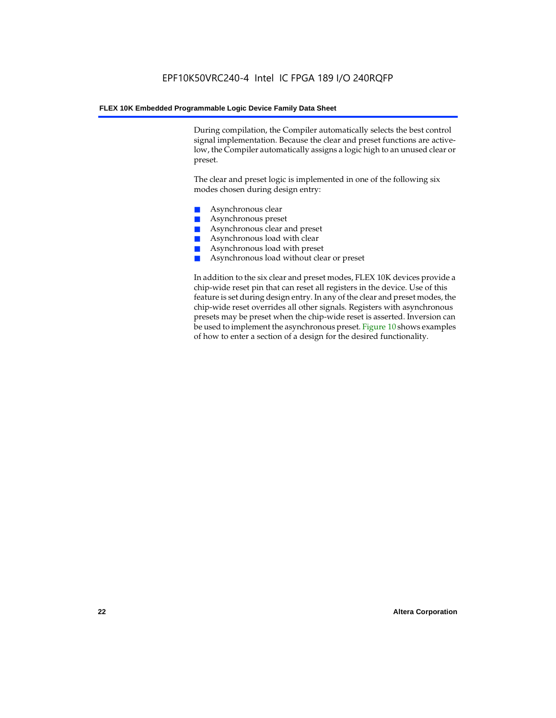During compilation, the Compiler automatically selects the best control signal implementation. Because the clear and preset functions are activelow, the Compiler automatically assigns a logic high to an unused clear or preset.

The clear and preset logic is implemented in one of the following six modes chosen during design entry:

- Asynchronous clear
- Asynchronous preset
- Asynchronous clear and preset
- Asynchronous load with clear
- Asynchronous load with preset
- Asynchronous load without clear or preset

In addition to the six clear and preset modes, FLEX 10K devices provide a chip-wide reset pin that can reset all registers in the device. Use of this feature is set during design entry. In any of the clear and preset modes, the chip-wide reset overrides all other signals. Registers with asynchronous presets may be preset when the chip-wide reset is asserted. Inversion can be used to implement the asynchronous preset. Figure 10 shows examples of how to enter a section of a design for the desired functionality.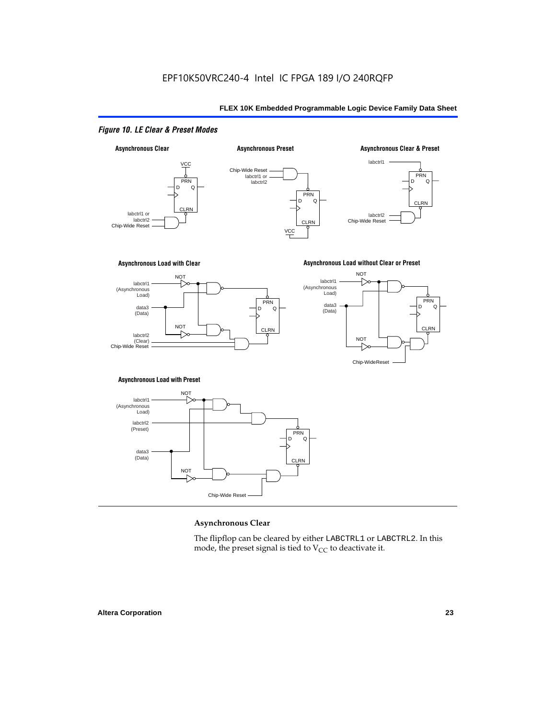### *Figure 10. LE Clear & Preset Modes*



#### **Asynchronous Clear**

The flipflop can be cleared by either LABCTRL1 or LABCTRL2. In this mode, the preset signal is tied to  $V_{CC}$  to deactivate it.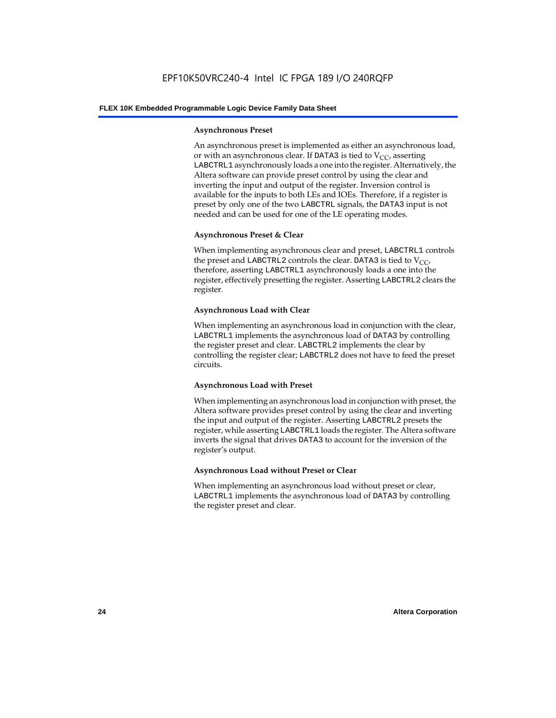#### **Asynchronous Preset**

An asynchronous preset is implemented as either an asynchronous load, or with an asynchronous clear. If DATA3 is tied to  $V_{CC}$ , asserting LABCTRL1 asynchronously loads a one into the register. Alternatively, the Altera software can provide preset control by using the clear and inverting the input and output of the register. Inversion control is available for the inputs to both LEs and IOEs. Therefore, if a register is preset by only one of the two LABCTRL signals, the DATA3 input is not needed and can be used for one of the LE operating modes.

#### **Asynchronous Preset & Clear**

When implementing asynchronous clear and preset, LABCTRL1 controls the preset and LABCTRL2 controls the clear. DATA3 is tied to  $V_{CC}$ , therefore, asserting LABCTRL1 asynchronously loads a one into the register, effectively presetting the register. Asserting LABCTRL2 clears the register.

#### **Asynchronous Load with Clear**

When implementing an asynchronous load in conjunction with the clear, LABCTRL1 implements the asynchronous load of DATA3 by controlling the register preset and clear. LABCTRL2 implements the clear by controlling the register clear; LABCTRL2 does not have to feed the preset circuits.

#### **Asynchronous Load with Preset**

When implementing an asynchronous load in conjunction with preset, the Altera software provides preset control by using the clear and inverting the input and output of the register. Asserting LABCTRL2 presets the register, while asserting LABCTRL1 loads the register. The Altera software inverts the signal that drives DATA3 to account for the inversion of the register's output.

#### **Asynchronous Load without Preset or Clear**

When implementing an asynchronous load without preset or clear, LABCTRL1 implements the asynchronous load of DATA3 by controlling the register preset and clear.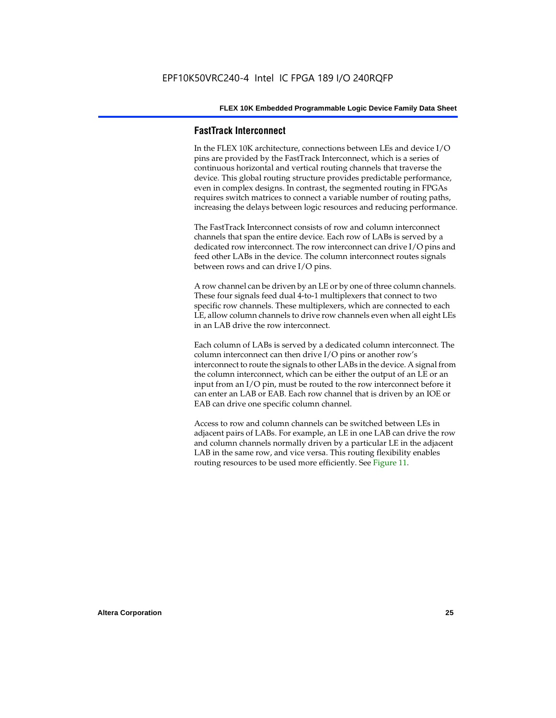#### **FastTrack Interconnect**

In the FLEX 10K architecture, connections between LEs and device I/O pins are provided by the FastTrack Interconnect, which is a series of continuous horizontal and vertical routing channels that traverse the device. This global routing structure provides predictable performance, even in complex designs. In contrast, the segmented routing in FPGAs requires switch matrices to connect a variable number of routing paths, increasing the delays between logic resources and reducing performance.

The FastTrack Interconnect consists of row and column interconnect channels that span the entire device. Each row of LABs is served by a dedicated row interconnect. The row interconnect can drive I/O pins and feed other LABs in the device. The column interconnect routes signals between rows and can drive I/O pins.

A row channel can be driven by an LE or by one of three column channels. These four signals feed dual 4-to-1 multiplexers that connect to two specific row channels. These multiplexers, which are connected to each LE, allow column channels to drive row channels even when all eight LEs in an LAB drive the row interconnect.

Each column of LABs is served by a dedicated column interconnect. The column interconnect can then drive I/O pins or another row's interconnect to route the signals to other LABs in the device. A signal from the column interconnect, which can be either the output of an LE or an input from an I/O pin, must be routed to the row interconnect before it can enter an LAB or EAB. Each row channel that is driven by an IOE or EAB can drive one specific column channel.

Access to row and column channels can be switched between LEs in adjacent pairs of LABs. For example, an LE in one LAB can drive the row and column channels normally driven by a particular LE in the adjacent LAB in the same row, and vice versa. This routing flexibility enables routing resources to be used more efficiently. See Figure 11.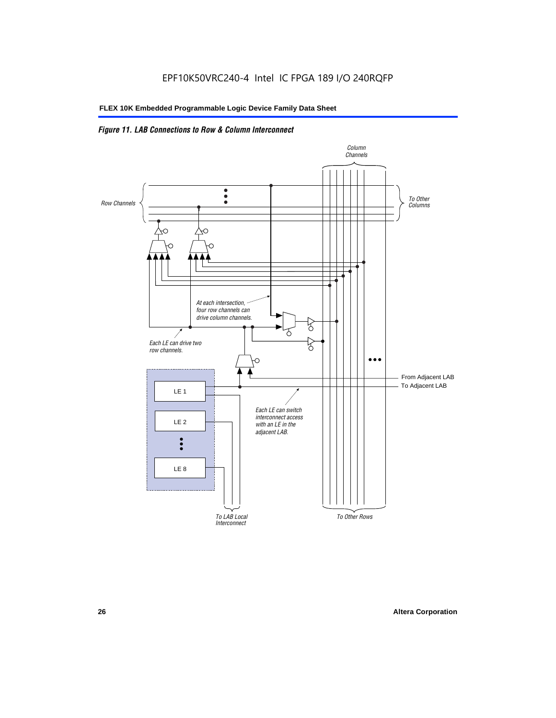#### *Figure 11. LAB Connections to Row & Column Interconnect*

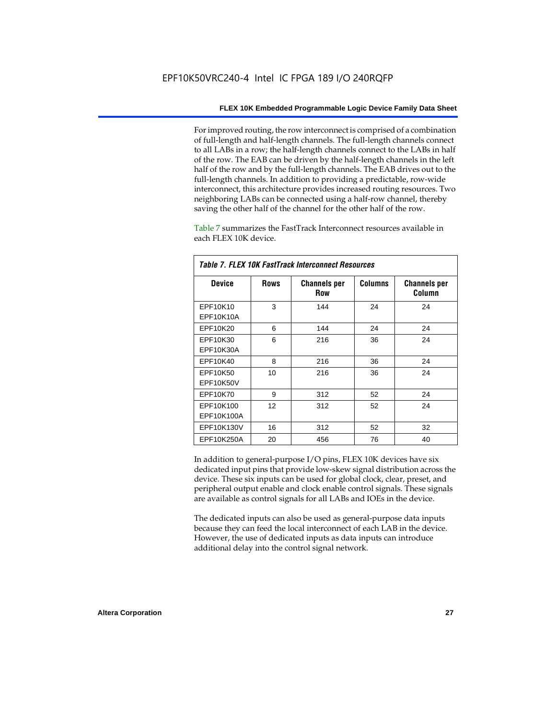For improved routing, the row interconnect is comprised of a combination of full-length and half-length channels. The full-length channels connect to all LABs in a row; the half-length channels connect to the LABs in half of the row. The EAB can be driven by the half-length channels in the left half of the row and by the full-length channels. The EAB drives out to the full-length channels. In addition to providing a predictable, row-wide interconnect, this architecture provides increased routing resources. Two neighboring LABs can be connected using a half-row channel, thereby saving the other half of the channel for the other half of the row.

Table 7 summarizes the FastTrack Interconnect resources available in each FLEX 10K device.

| Table 7. FLEX 10K FastTrack Interconnect Resources |             |                            |                |                               |  |
|----------------------------------------------------|-------------|----------------------------|----------------|-------------------------------|--|
| <b>Device</b>                                      | <b>Rows</b> | <b>Channels per</b><br>Row | <b>Columns</b> | <b>Channels per</b><br>Column |  |
| EPF10K10                                           | 3           | 144                        | 24             | 24                            |  |
| EPF10K10A                                          |             |                            |                |                               |  |
| EPF10K20                                           | 6           | 144                        | 24             | 24                            |  |
| EPF10K30                                           | 6           | 216                        | 36             | 24                            |  |
| EPF10K30A                                          |             |                            |                |                               |  |
| EPF10K40                                           | 8           | 216                        | 36             | 24                            |  |
| EPF10K50                                           | 10          | 216                        | 36             | 24                            |  |
| <b>EPF10K50V</b>                                   |             |                            |                |                               |  |
| EPF10K70                                           | 9           | 312                        | 52             | 24                            |  |
| EPF10K100                                          | 12          | 312                        | 52             | 24                            |  |
| EPF10K100A                                         |             |                            |                |                               |  |
| EPF10K130V                                         | 16          | 312                        | 52             | 32                            |  |
| EPF10K250A                                         | 20          | 456                        | 76             | 40                            |  |

In addition to general-purpose I/O pins, FLEX 10K devices have six dedicated input pins that provide low-skew signal distribution across the device. These six inputs can be used for global clock, clear, preset, and peripheral output enable and clock enable control signals. These signals are available as control signals for all LABs and IOEs in the device.

The dedicated inputs can also be used as general-purpose data inputs because they can feed the local interconnect of each LAB in the device. However, the use of dedicated inputs as data inputs can introduce additional delay into the control signal network.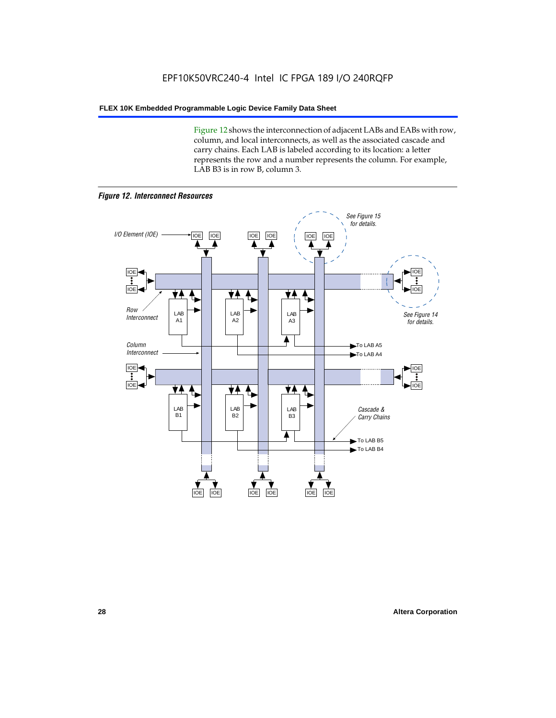Figure 12 shows the interconnection of adjacent LABs and EABs with row, column, and local interconnects, as well as the associated cascade and carry chains. Each LAB is labeled according to its location: a letter represents the row and a number represents the column. For example, LAB B3 is in row B, column 3.



*Figure 12. Interconnect Resources*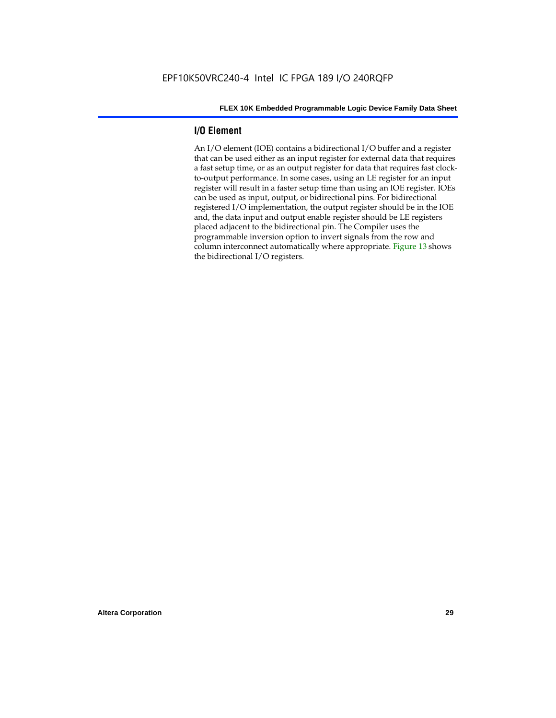#### **I/O Element**

An I/O element (IOE) contains a bidirectional I/O buffer and a register that can be used either as an input register for external data that requires a fast setup time, or as an output register for data that requires fast clockto-output performance. In some cases, using an LE register for an input register will result in a faster setup time than using an IOE register. IOEs can be used as input, output, or bidirectional pins. For bidirectional registered I/O implementation, the output register should be in the IOE and, the data input and output enable register should be LE registers placed adjacent to the bidirectional pin. The Compiler uses the programmable inversion option to invert signals from the row and column interconnect automatically where appropriate. Figure 13 shows the bidirectional I/O registers.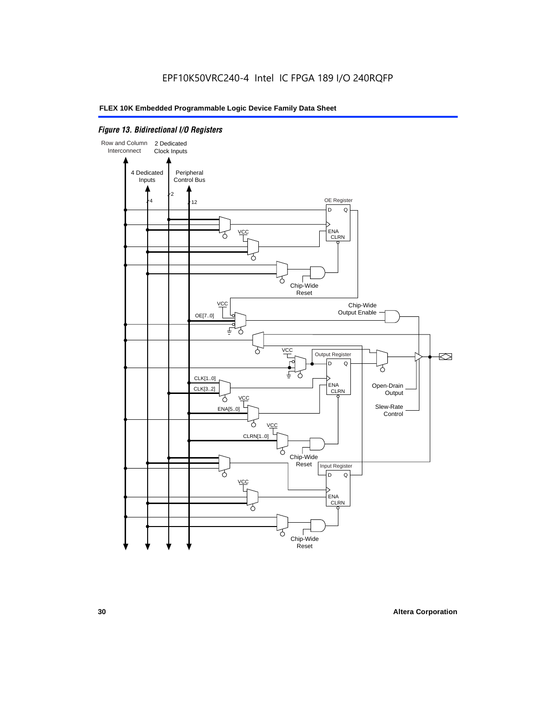#### *Figure 13. Bidirectional I/O Registers*

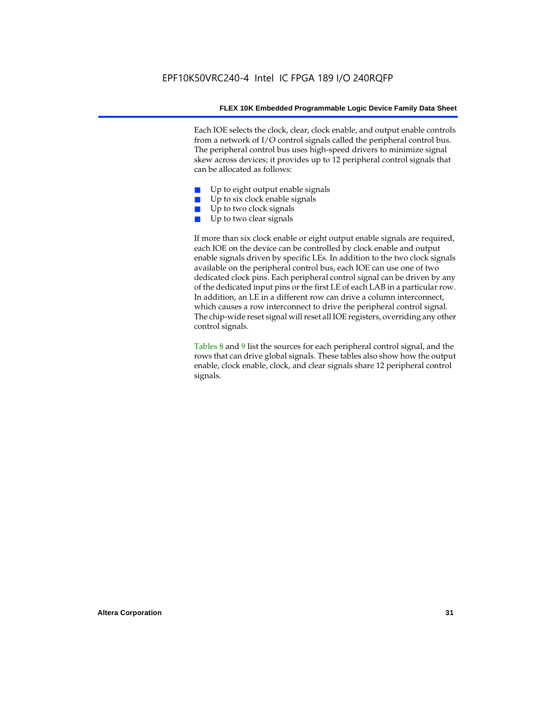Each IOE selects the clock, clear, clock enable, and output enable controls from a network of I/O control signals called the peripheral control bus. The peripheral control bus uses high-speed drivers to minimize signal skew across devices; it provides up to 12 peripheral control signals that can be allocated as follows:

- Up to eight output enable signals
- Up to six clock enable signals
- Up to two clock signals
- Up to two clear signals

If more than six clock enable or eight output enable signals are required, each IOE on the device can be controlled by clock enable and output enable signals driven by specific LEs. In addition to the two clock signals available on the peripheral control bus, each IOE can use one of two dedicated clock pins. Each peripheral control signal can be driven by any of the dedicated input pins or the first LE of each LAB in a particular row. In addition, an LE in a different row can drive a column interconnect, which causes a row interconnect to drive the peripheral control signal. The chip-wide reset signal will reset all IOE registers, overriding any other control signals.

Tables 8 and 9 list the sources for each peripheral control signal, and the rows that can drive global signals. These tables also show how the output enable, clock enable, clock, and clear signals share 12 peripheral control signals.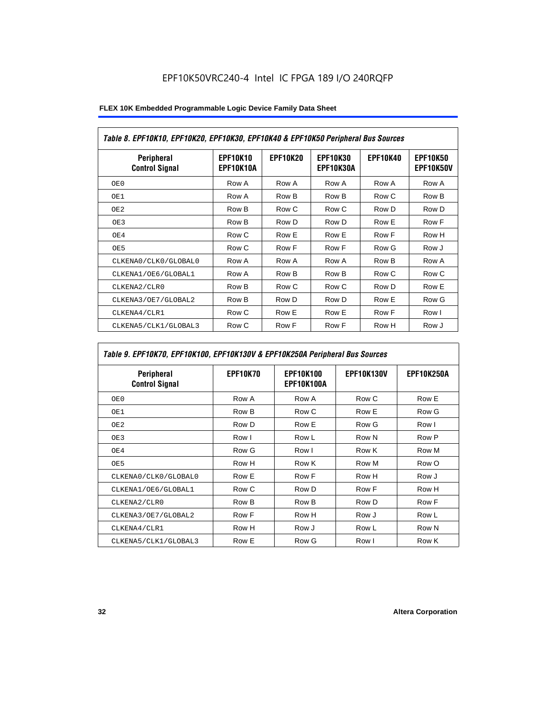| Table 8. EPF10K10, EPF10K20, EPF10K30, EPF10K40 & EPF10K50 Peripheral Bus Sources |                              |                 |                              |                 |                              |
|-----------------------------------------------------------------------------------|------------------------------|-----------------|------------------------------|-----------------|------------------------------|
| <b>Peripheral</b><br><b>Control Signal</b>                                        | <b>EPF10K10</b><br>EPF10K10A | <b>EPF10K20</b> | <b>EPF10K30</b><br>EPF10K30A | <b>EPF10K40</b> | <b>EPF10K50</b><br>EPF10K50V |
| OE0                                                                               | Row A                        | Row A           | Row A                        | Row A           | Row A                        |
| OE1                                                                               | Row A                        | Row B           | Row B                        | Row C           | Row B                        |
| OE2                                                                               | Row B                        | Row C           | Row C                        | Row D           | Row D                        |
| OE3                                                                               | Row B                        | Row D           | Row D                        | Row E           | Row F                        |
| OE4                                                                               | Row C                        | Row E           | Row E                        | Row F           | Row H                        |
| OE5                                                                               | Row C                        | Row F           | Row F                        | Row G           | Row J                        |
| CLKENA0/CLK0/GLOBAL0                                                              | Row A                        | Row A           | Row A                        | Row B           | Row A                        |
| CLKENA1/OE6/GLOBAL1                                                               | Row A                        | Row B           | Row B                        | Row C           | Row C                        |
| CLKENA2/CLR0                                                                      | Row B                        | Row C           | Row C                        | Row D           | Row E                        |
| CLKENA3/OE7/GLOBAL2                                                               | Row B                        | Row D           | Row D                        | Row E           | Row G                        |
| CLKENA4/CLR1                                                                      | Row C                        | Row E           | Row E                        | Row F           | Row I                        |
| CLKENA5/CLK1/GLOBAL3                                                              | Row C                        | Row F           | Row F                        | Row H           | Row J                        |

#### *Table 9. EPF10K70, EPF10K100, EPF10K130V & EPF10K250A Peripheral Bus Sources*

| Peripheral<br><b>Control Signal</b> | <b>EPF10K70</b> | <b>EPF10K100</b><br>EPF10K100A | <b>EPF10K130V</b> | <b>EPF10K250A</b> |
|-------------------------------------|-----------------|--------------------------------|-------------------|-------------------|
| OE0                                 | Row A           | Row A                          | Row C             | Row E             |
| OE1                                 | Row B           | Row C                          | Row E             | Row G             |
| OE <sub>2</sub>                     | Row D           | Row E                          | Row G             | Row I             |
| OE3                                 | Row I           | Row L                          | Row N             | Row P             |
| OE4                                 | Row G           | Row I                          | Row K             | Row M             |
| OE5                                 | Row H           | Row K                          | Row M             | Row O             |
| CLKENA0/CLK0/GLOBAL0                | Row E           | Row F                          | Row H             | Row J             |
| CLKENA1/OE6/GLOBAL1                 | Row C           | Row D                          | Row F             | Row H             |
| CLKENA2/CLR0                        | Row B           | Row B                          | Row D             | Row F             |
| CLKENA3/OE7/GLOBAL2                 | Row F           | Row H                          | Row J             | Row L             |
| CLKENA4/CLR1                        | Row H           | Row J                          | Row L             | Row N             |
| CLKENA5/CLK1/GLOBAL3                | Row E           | Row G                          | Row I             | Row K             |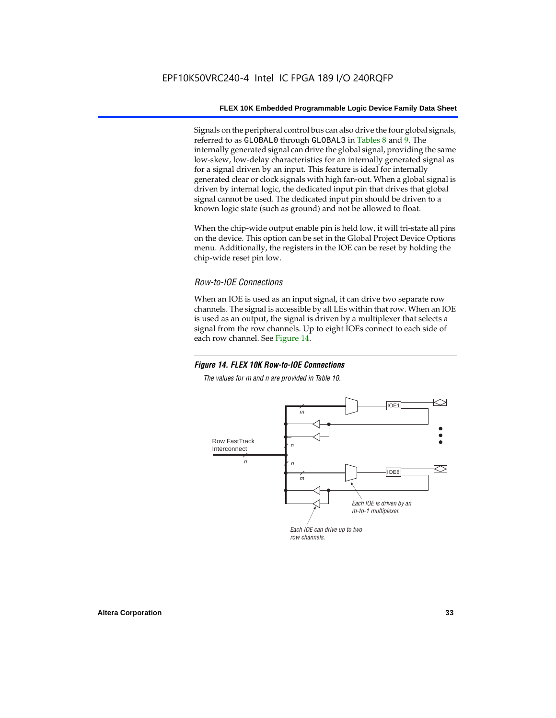Signals on the peripheral control bus can also drive the four global signals, referred to as GLOBAL0 through GLOBAL3 in Tables 8 and 9. The internally generated signal can drive the global signal, providing the same low-skew, low-delay characteristics for an internally generated signal as for a signal driven by an input. This feature is ideal for internally generated clear or clock signals with high fan-out. When a global signal is driven by internal logic, the dedicated input pin that drives that global signal cannot be used. The dedicated input pin should be driven to a known logic state (such as ground) and not be allowed to float.

When the chip-wide output enable pin is held low, it will tri-state all pins on the device. This option can be set in the Global Project Device Options menu. Additionally, the registers in the IOE can be reset by holding the chip-wide reset pin low.

#### *Row-to-IOE Connections*

When an IOE is used as an input signal, it can drive two separate row channels. The signal is accessible by all LEs within that row. When an IOE is used as an output, the signal is driven by a multiplexer that selects a signal from the row channels. Up to eight IOEs connect to each side of each row channel. See Figure 14.

#### *Figure 14. FLEX 10K Row-to-IOE Connections*

*The values for m and n are provided in Table 10.*

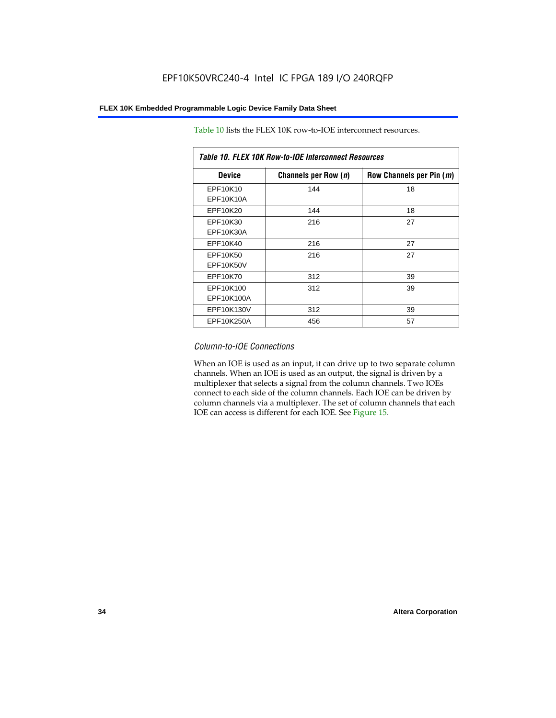| Table 10. FLEX 10K Row-to-IOE Interconnect Resources |                      |                          |  |  |  |
|------------------------------------------------------|----------------------|--------------------------|--|--|--|
| <b>Device</b>                                        | Channels per Row (n) | Row Channels per Pin (m) |  |  |  |
| EPF10K10<br>EPF10K10A                                | 144                  | 18                       |  |  |  |
| EPF10K20                                             | 144                  | 18                       |  |  |  |
| EPF10K30<br>EPF10K30A                                | 216                  | 27                       |  |  |  |
| EPF10K40                                             | 216                  | 27                       |  |  |  |
| EPF10K50<br>EPF10K50V                                | 216                  | 27                       |  |  |  |
| EPF10K70                                             | 312                  | 39                       |  |  |  |
| EPF10K100<br>EPF10K100A                              | 312                  | 39                       |  |  |  |
| EPF10K130V                                           | 312                  | 39                       |  |  |  |
| EPF10K250A                                           | 456                  | 57                       |  |  |  |

Table 10 lists the FLEX 10K row-to-IOE interconnect resources.

#### *Column-to-IOE Connections*

When an IOE is used as an input, it can drive up to two separate column channels. When an IOE is used as an output, the signal is driven by a multiplexer that selects a signal from the column channels. Two IOEs connect to each side of the column channels. Each IOE can be driven by column channels via a multiplexer. The set of column channels that each IOE can access is different for each IOE. See Figure 15.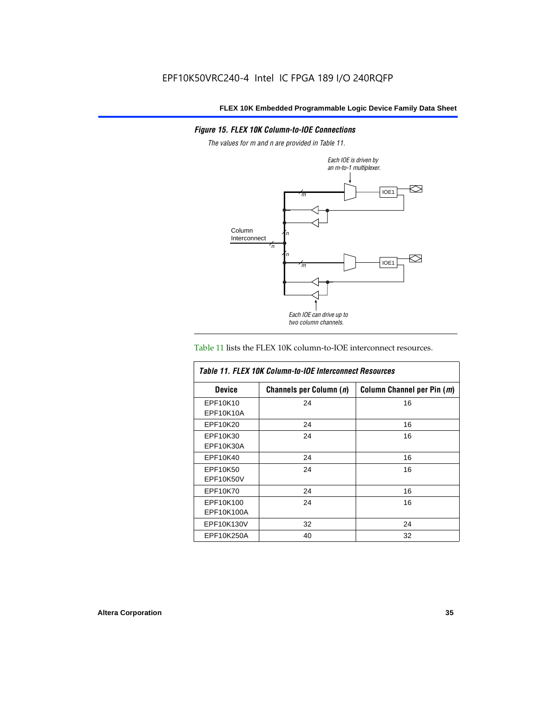#### *Figure 15. FLEX 10K Column-to-IOE Connections*

*The values for m and n are provided in Table 11.*



#### Table 11 lists the FLEX 10K column-to-IOE interconnect resources.

| Table 11, FLEX 10K Column-to-IOE Interconnect Resources |                         |                            |  |  |  |
|---------------------------------------------------------|-------------------------|----------------------------|--|--|--|
| <b>Device</b>                                           | Channels per Column (n) | Column Channel per Pin (m) |  |  |  |
| EPF10K10<br>EPF10K10A                                   | 24                      | 16                         |  |  |  |
| EPF10K20                                                | 24                      | 16                         |  |  |  |
| EPF10K30<br>EPF10K30A                                   | 24                      | 16                         |  |  |  |
| EPF10K40                                                | 24                      | 16                         |  |  |  |
| EPF10K50<br>EPF10K50V                                   | 24                      | 16                         |  |  |  |
| EPF10K70                                                | 24                      | 16                         |  |  |  |
| EPF10K100<br>EPF10K100A                                 | 24                      | 16                         |  |  |  |
| EPF10K130V                                              | 32                      | 24                         |  |  |  |
| EPF10K250A                                              | 40                      | 32                         |  |  |  |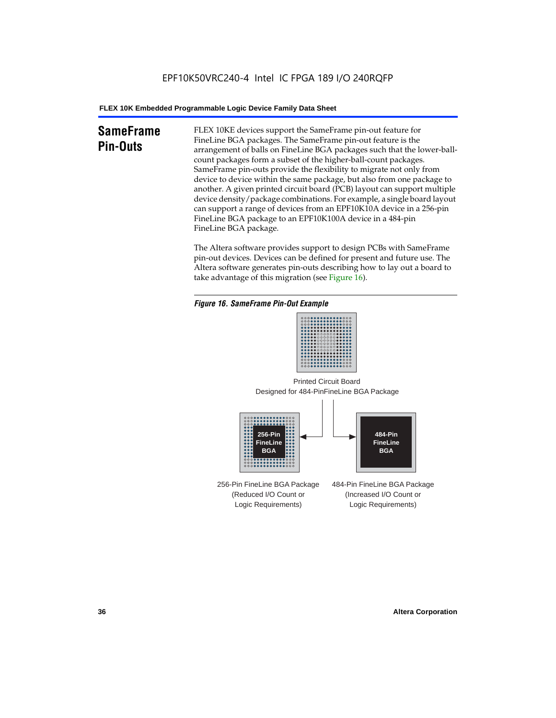# **SameFrame Pin-Outs**

FLEX 10KE devices support the SameFrame pin-out feature for FineLine BGA packages. The SameFrame pin-out feature is the arrangement of balls on FineLine BGA packages such that the lower-ballcount packages form a subset of the higher-ball-count packages. SameFrame pin-outs provide the flexibility to migrate not only from device to device within the same package, but also from one package to another. A given printed circuit board (PCB) layout can support multiple device density/package combinations. For example, a single board layout can support a range of devices from an EPF10K10A device in a 256-pin FineLine BGA package to an EPF10K100A device in a 484-pin FineLine BGA package.

The Altera software provides support to design PCBs with SameFrame pin-out devices. Devices can be defined for present and future use. The Altera software generates pin-outs describing how to lay out a board to take advantage of this migration (see Figure 16).







256-Pin FineLine BGA Package (Reduced I/O Count or Logic Requirements) 484-Pin FineLine BGA Package (Increased I/O Count or Logic Requirements)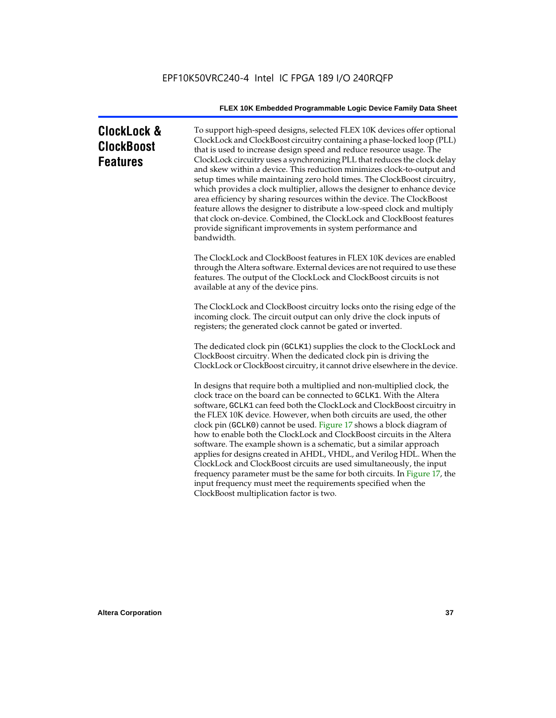| <b>ClockLock &amp;</b><br><b>ClockBoost</b><br><b>Features</b> | To support high-speed designs, selected FLEX 10K devices offer optional<br>ClockLock and ClockBoost circuitry containing a phase-locked loop (PLL)<br>that is used to increase design speed and reduce resource usage. The<br>ClockLock circuitry uses a synchronizing PLL that reduces the clock delay<br>and skew within a device. This reduction minimizes clock-to-output and<br>setup times while maintaining zero hold times. The ClockBoost circuitry,<br>which provides a clock multiplier, allows the designer to enhance device<br>area efficiency by sharing resources within the device. The ClockBoost<br>feature allows the designer to distribute a low-speed clock and multiply<br>that clock on-device. Combined, the ClockLock and ClockBoost features<br>provide significant improvements in system performance and<br>bandwidth. |
|----------------------------------------------------------------|------------------------------------------------------------------------------------------------------------------------------------------------------------------------------------------------------------------------------------------------------------------------------------------------------------------------------------------------------------------------------------------------------------------------------------------------------------------------------------------------------------------------------------------------------------------------------------------------------------------------------------------------------------------------------------------------------------------------------------------------------------------------------------------------------------------------------------------------------|
|                                                                | The ClockLock and ClockBoost features in FLEX 10K devices are enabled<br>through the Altera software. External devices are not required to use these<br>features. The output of the ClockLock and ClockBoost circuits is not<br>available at any of the device pins.                                                                                                                                                                                                                                                                                                                                                                                                                                                                                                                                                                                 |
|                                                                | The ClockLock and ClockBoost circuitry locks onto the rising edge of the<br>incoming clock. The circuit output can only drive the clock inputs of<br>registers; the generated clock cannot be gated or inverted.                                                                                                                                                                                                                                                                                                                                                                                                                                                                                                                                                                                                                                     |

The dedicated clock pin (GCLK1) supplies the clock to the ClockLock and ClockBoost circuitry. When the dedicated clock pin is driving the ClockLock or ClockBoost circuitry, it cannot drive elsewhere in the device.

In designs that require both a multiplied and non-multiplied clock, the clock trace on the board can be connected to GCLK1. With the Altera software, GCLK1 can feed both the ClockLock and ClockBoost circuitry in the FLEX 10K device. However, when both circuits are used, the other clock pin (GCLK0) cannot be used. Figure 17 shows a block diagram of how to enable both the ClockLock and ClockBoost circuits in the Altera software. The example shown is a schematic, but a similar approach applies for designs created in AHDL, VHDL, and Verilog HDL. When the ClockLock and ClockBoost circuits are used simultaneously, the input frequency parameter must be the same for both circuits. In Figure 17, the input frequency must meet the requirements specified when the ClockBoost multiplication factor is two.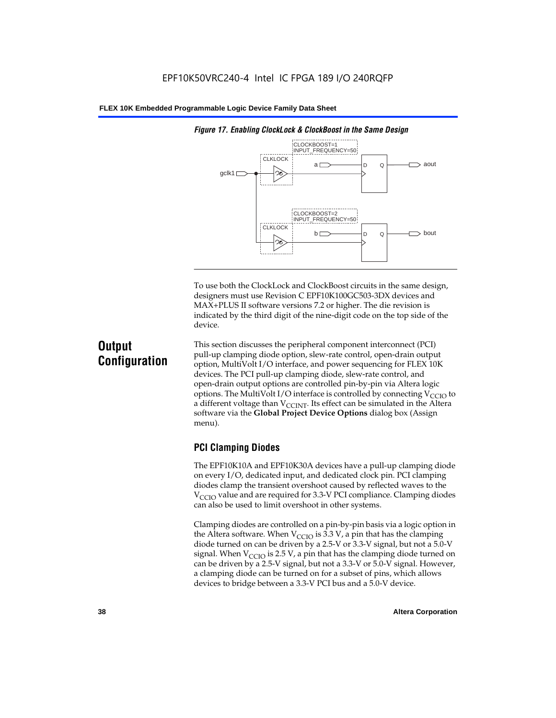

*Figure 17. Enabling ClockLock & ClockBoost in the Same Design*

To use both the ClockLock and ClockBoost circuits in the same design, designers must use Revision C EPF10K100GC503-3DX devices and MAX+PLUS II software versions 7.2 or higher. The die revision is indicated by the third digit of the nine-digit code on the top side of the device.

# **Output Configuration**

This section discusses the peripheral component interconnect (PCI) pull-up clamping diode option, slew-rate control, open-drain output option, MultiVolt I/O interface, and power sequencing for FLEX 10K devices. The PCI pull-up clamping diode, slew-rate control, and open-drain output options are controlled pin-by-pin via Altera logic options. The MultiVolt I/O interface is controlled by connecting  $V_{\text{CCIO}}$  to a different voltage than  $V_{\text{CCINT}}$ . Its effect can be simulated in the Altera software via the **Global Project Device Options** dialog box (Assign menu).

## **PCI Clamping Diodes**

The EPF10K10A and EPF10K30A devices have a pull-up clamping diode on every I/O, dedicated input, and dedicated clock pin. PCI clamping diodes clamp the transient overshoot caused by reflected waves to the  $V_{\text{CCIO}}$  value and are required for 3.3-V PCI compliance. Clamping diodes can also be used to limit overshoot in other systems.

Clamping diodes are controlled on a pin-by-pin basis via a logic option in the Altera software. When  $V_{\text{CCIO}}$  is 3.3 V, a pin that has the clamping diode turned on can be driven by a 2.5-V or 3.3-V signal, but not a 5.0-V signal. When  $V_{\text{CCIO}}$  is 2.5 V, a pin that has the clamping diode turned on can be driven by a 2.5-V signal, but not a 3.3-V or 5.0-V signal. However, a clamping diode can be turned on for a subset of pins, which allows devices to bridge between a 3.3-V PCI bus and a 5.0-V device.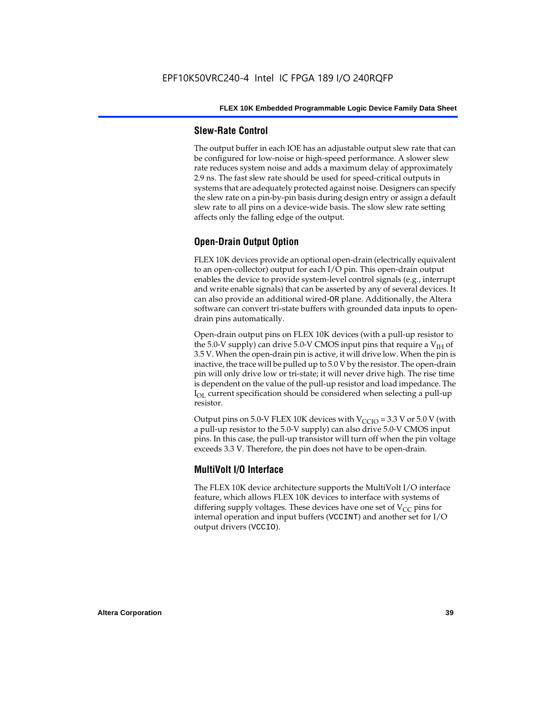### **Slew-Rate Control**

The output buffer in each IOE has an adjustable output slew rate that can be configured for low-noise or high-speed performance. A slower slew rate reduces system noise and adds a maximum delay of approximately 2.9 ns. The fast slew rate should be used for speed-critical outputs in systems that are adequately protected against noise. Designers can specify the slew rate on a pin-by-pin basis during design entry or assign a default slew rate to all pins on a device-wide basis. The slow slew rate setting affects only the falling edge of the output.

## **Open-Drain Output Option**

FLEX 10K devices provide an optional open-drain (electrically equivalent to an open-collector) output for each I/O pin. This open-drain output enables the device to provide system-level control signals (e.g., interrupt and write enable signals) that can be asserted by any of several devices. It can also provide an additional wired-OR plane. Additionally, the Altera software can convert tri-state buffers with grounded data inputs to opendrain pins automatically.

Open-drain output pins on FLEX 10K devices (with a pull-up resistor to the 5.0-V supply) can drive 5.0-V CMOS input pins that require a  $V<sub>IH</sub>$  of 3.5 V. When the open-drain pin is active, it will drive low. When the pin is inactive, the trace will be pulled up to 5.0 V by the resistor. The open-drain pin will only drive low or tri-state; it will never drive high. The rise time is dependent on the value of the pull-up resistor and load impedance. The  $I_{\text{OL}}$  current specification should be considered when selecting a pull-up resistor.

Output pins on 5.0-V FLEX 10K devices with  $V_{\text{CCIO}} = 3.3$  V or 5.0 V (with a pull-up resistor to the 5.0-V supply) can also drive 5.0-V CMOS input pins. In this case, the pull-up transistor will turn off when the pin voltage exceeds 3.3 V. Therefore, the pin does not have to be open-drain.

## **MultiVolt I/O Interface**

The FLEX 10K device architecture supports the MultiVolt I/O interface feature, which allows FLEX 10K devices to interface with systems of differing supply voltages. These devices have one set of  $V_{CC}$  pins for internal operation and input buffers (VCCINT) and another set for I/O output drivers (VCCIO).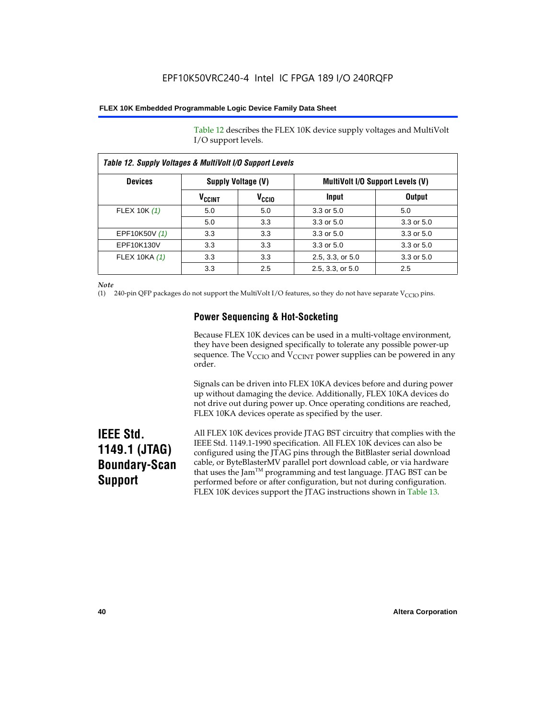Table 12 describes the FLEX 10K device supply voltages and MultiVolt I/O support levels.

| Table 12. Supply Voltages & MultiVolt I/O Support Levels |                          |                   |                  |                                         |  |  |
|----------------------------------------------------------|--------------------------|-------------------|------------------|-----------------------------------------|--|--|
| <b>Devices</b>                                           | Supply Voltage (V)       |                   |                  | <b>MultiVolt I/O Support Levels (V)</b> |  |  |
|                                                          | <b>V<sub>CCINT</sub></b> | V <sub>CCIO</sub> | Input            | <b>Output</b>                           |  |  |
| FLEX 10K (1)                                             | 5.0                      | 5.0               | 3.3 or 5.0       | 5.0                                     |  |  |
|                                                          | 5.0                      | 3.3               | 3.3 or 5.0       | 3.3 or 5.0                              |  |  |
| EPF10K50V (1)                                            | 3.3                      | 3.3               | $3.3$ or $5.0$   | 3.3 or 5.0                              |  |  |
| EPF10K130V                                               | 3.3                      | 3.3               | 3.3 or 5.0       | 3.3 or 5.0                              |  |  |
| FLEX 10KA (1)                                            | 3.3                      | 3.3               | 2.5, 3.3, or 5.0 | 3.3 or 5.0                              |  |  |
|                                                          | 3.3                      | 2.5               | 2.5, 3.3, or 5.0 | 2.5                                     |  |  |

*Note*

(1) 240-pin QFP packages do not support the MultiVolt I/O features, so they do not have separate V<sub>CCIO</sub> pins.

## **Power Sequencing & Hot-Socketing**

Because FLEX 10K devices can be used in a multi-voltage environment, they have been designed specifically to tolerate any possible power-up sequence. The  $V_{\text{CCIO}}$  and  $V_{\text{CCINT}}$  power supplies can be powered in any order.

Signals can be driven into FLEX 10KA devices before and during power up without damaging the device. Additionally, FLEX 10KA devices do not drive out during power up. Once operating conditions are reached, FLEX 10KA devices operate as specified by the user.

# **IEEE Std. 1149.1 (JTAG) Boundary-Scan Support**

All FLEX 10K devices provide JTAG BST circuitry that complies with the IEEE Std. 1149.1-1990 specification. All FLEX 10K devices can also be configured using the JTAG pins through the BitBlaster serial download cable, or ByteBlasterMV parallel port download cable, or via hardware that uses the Jam<sup>TM</sup> programming and test language. JTAG BST can be performed before or after configuration, but not during configuration. FLEX 10K devices support the JTAG instructions shown in Table 13.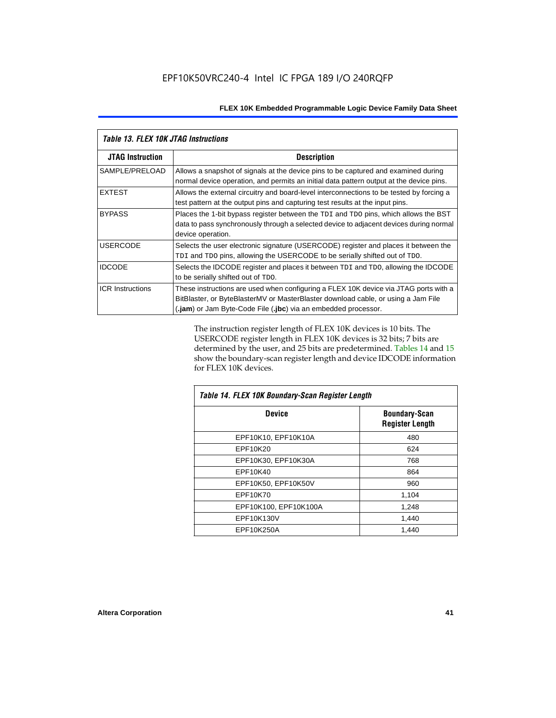|                         | Table 13. FLEX 10K JTAG Instructions                                                                                                                                                                                                        |  |  |  |  |
|-------------------------|---------------------------------------------------------------------------------------------------------------------------------------------------------------------------------------------------------------------------------------------|--|--|--|--|
| <b>JTAG Instruction</b> | <b>Description</b>                                                                                                                                                                                                                          |  |  |  |  |
| SAMPLE/PRELOAD          | Allows a snapshot of signals at the device pins to be captured and examined during<br>normal device operation, and permits an initial data pattern output at the device pins.                                                               |  |  |  |  |
| <b>EXTEST</b>           | Allows the external circuitry and board-level interconnections to be tested by forcing a<br>test pattern at the output pins and capturing test results at the input pins.                                                                   |  |  |  |  |
| <b>BYPASS</b>           | Places the 1-bit bypass register between the TDI and TDO pins, which allows the BST<br>data to pass synchronously through a selected device to adjacent devices during normal<br>device operation.                                          |  |  |  |  |
| <b>USERCODE</b>         | Selects the user electronic signature (USERCODE) register and places it between the<br>TDI and TDO pins, allowing the USERCODE to be serially shifted out of TDO.                                                                           |  |  |  |  |
| <b>IDCODE</b>           | Selects the IDCODE register and places it between $TDI$ and $TDO$ , allowing the IDCODE<br>to be serially shifted out of TDO.                                                                                                               |  |  |  |  |
| <b>ICR Instructions</b> | These instructions are used when configuring a FLEX 10K device via JTAG ports with a<br>BitBlaster, or ByteBlasterMV or MasterBlaster download cable, or using a Jam File<br>(.jam) or Jam Byte-Code File (.jbc) via an embedded processor. |  |  |  |  |

The instruction register length of FLEX 10K devices is 10 bits. The USERCODE register length in FLEX 10K devices is 32 bits; 7 bits are determined by the user, and 25 bits are predetermined. Tables 14 and 15 show the boundary-scan register length and device IDCODE information for FLEX 10K devices.

| Table 14. FLEX 10K Boundary-Scan Register Length |                                                |  |  |  |
|--------------------------------------------------|------------------------------------------------|--|--|--|
| <b>Device</b>                                    | <b>Boundary-Scan</b><br><b>Register Length</b> |  |  |  |
| EPF10K10, EPF10K10A                              | 480                                            |  |  |  |
| EPF10K20                                         | 624                                            |  |  |  |
| EPF10K30, EPF10K30A                              | 768                                            |  |  |  |
| EPF10K40                                         | 864                                            |  |  |  |
| EPF10K50, EPF10K50V                              | 960                                            |  |  |  |
| EPF10K70                                         | 1,104                                          |  |  |  |
| EPF10K100, EPF10K100A                            | 1,248                                          |  |  |  |
| EPF10K130V                                       | 1,440                                          |  |  |  |
| EPF10K250A                                       | 1,440                                          |  |  |  |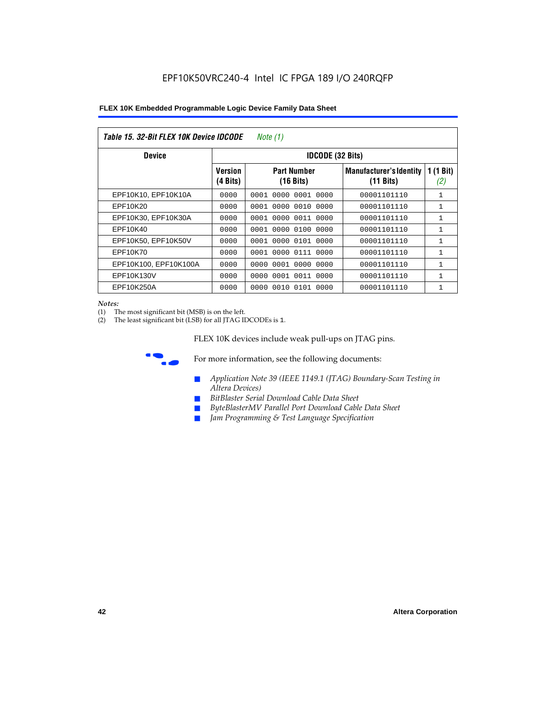| Table 15. 32-Bit FLEX 10K Device IDCODE<br>Note (1) |                            |                                           |                                                       |                    |  |  |  |  |
|-----------------------------------------------------|----------------------------|-------------------------------------------|-------------------------------------------------------|--------------------|--|--|--|--|
| <b>Device</b>                                       | <b>IDCODE (32 Bits)</b>    |                                           |                                                       |                    |  |  |  |  |
|                                                     | <b>Version</b><br>(4 Bits) | <b>Part Number</b><br>$(16 \text{ bits})$ | <b>Manufacturer's Identity</b><br>$(11 \text{ bits})$ | 1 $(1$ Bit)<br>(2) |  |  |  |  |
| EPF10K10, EPF10K10A                                 | 0000                       | 0001<br>0000<br>0001 0000                 | 00001101110                                           | $\mathbf{1}$       |  |  |  |  |
| EPF10K20                                            | 0000                       | 0000 0010 0000<br>0001                    | 00001101110                                           | 1                  |  |  |  |  |
| EPF10K30, EPF10K30A                                 | 0000                       | 0001 0000 0011 0000                       | 00001101110                                           | 1                  |  |  |  |  |
| EPF10K40                                            | 0000                       | 0000<br>0100<br>0001<br>0000              | 00001101110                                           | $\mathbf{1}$       |  |  |  |  |
| EPF10K50, EPF10K50V                                 | 0000                       | 0001 0000 0101 0000                       | 00001101110                                           | 1                  |  |  |  |  |
| EPF10K70                                            | 0000                       | 0000 0111 0000<br>0001                    | 00001101110                                           | $\mathbf{1}$       |  |  |  |  |
| EPF10K100, EPF10K100A                               | 0000                       | 0001 0000 0000<br>0000                    | 00001101110                                           | 1                  |  |  |  |  |
| EPF10K130V                                          | 0000                       | 0000<br>0001 0011 0000                    | 00001101110                                           | 1                  |  |  |  |  |
| EPF10K250A                                          | 0000                       | 0000<br>0010 0101 0000                    | 00001101110                                           | $\mathbf{1}$       |  |  |  |  |

#### *Notes:*

(1) The most significant bit (MSB) is on the left.

(2) The least significant bit (LSB) for all JTAG IDCODEs is 1.

FLEX 10K devices include weak pull-ups on JTAG pins.



**for more information, see the following documents:** 

- *Application Note 39 (IEEE 1149.1 (JTAG) Boundary-Scan Testing in Altera Devices)*
- *BitBlaster Serial Download Cable Data Sheet*
- *ByteBlasterMV Parallel Port Download Cable Data Sheet*
- *Jam Programming & Test Language Specification*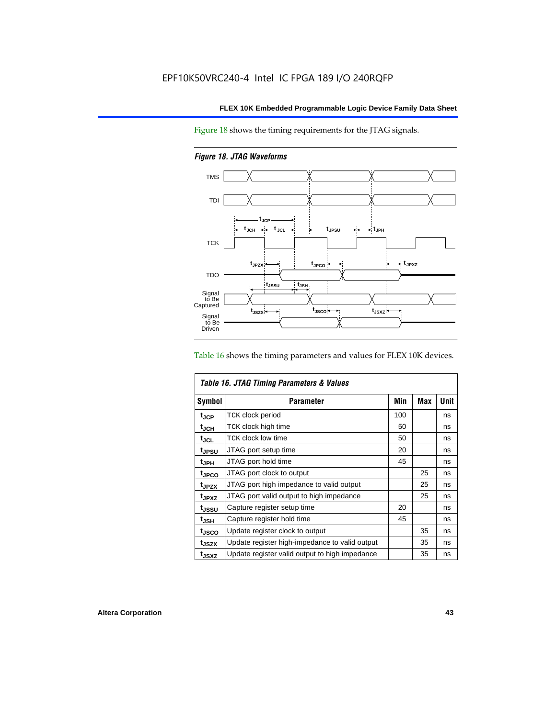Figure 18 shows the timing requirements for the JTAG signals.

*Figure 18. JTAG Waveforms*



Table 16 shows the timing parameters and values for FLEX 10K devices.

| Table 16. JTAG Timing Parameters & Values |                                                |     |            |      |  |
|-------------------------------------------|------------------------------------------------|-----|------------|------|--|
| <b>Symbol</b>                             | <b>Parameter</b>                               | Min | <b>Max</b> | Unit |  |
| t <sub>JCP</sub>                          | <b>TCK clock period</b>                        | 100 |            | ns   |  |
| t <sub>JCH</sub>                          | TCK clock high time                            | 50  |            | ns   |  |
| $t_{JCL}$                                 | TCK clock low time                             | 50  |            | ns   |  |
| tjpsu                                     | JTAG port setup time                           | 20  |            | ns   |  |
| t <sub>JPH</sub>                          | JTAG port hold time                            | 45  |            | ns   |  |
| <sup>t</sup> JPCO                         | JTAG port clock to output                      |     | 25         | ns   |  |
| t <sub>JPZX</sub>                         | JTAG port high impedance to valid output       |     | 25         | ns   |  |
| t <sub>JPXZ</sub>                         | JTAG port valid output to high impedance       |     | 25         | ns   |  |
| tussu                                     | Capture register setup time                    | 20  |            | ns   |  |
| $t_{JSH}$                                 | Capture register hold time                     | 45  |            | ns   |  |
| tjsco                                     | Update register clock to output                |     | 35         | ns   |  |
| t <sub>JSZX</sub>                         | Update register high-impedance to valid output |     | 35         | ns   |  |
| t <sub>JSXZ</sub>                         | Update register valid output to high impedance |     | 35         | ns   |  |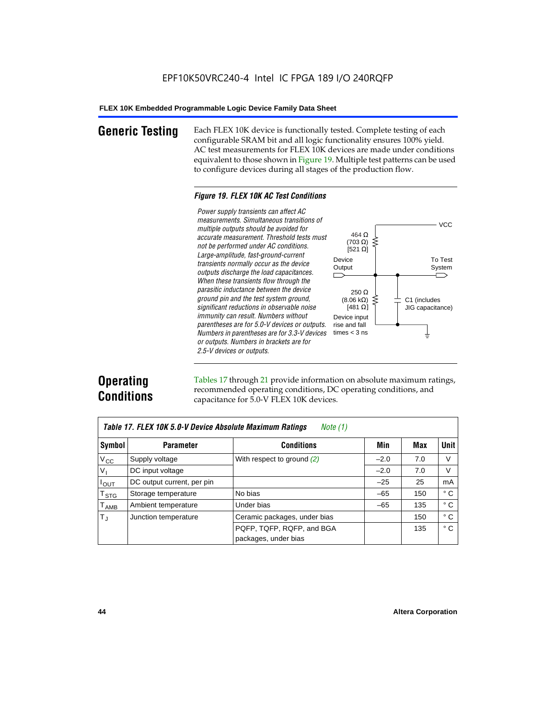**Generic Testing** Each FLEX 10K device is functionally tested. Complete testing of each configurable SRAM bit and all logic functionality ensures 100% yield. AC test measurements for FLEX 10K devices are made under conditions equivalent to those shown in Figure 19. Multiple test patterns can be used to configure devices during all stages of the production flow.

#### *Figure 19. FLEX 10K AC Test Conditions*

*Power supply transients can affect AC measurements. Simultaneous transitions of*  $V<sub>CC</sub>$ *multiple outputs should be avoided for* 464 Ω *accurate measurement. Threshold tests must* (703 Ω) ξ *not be performed under AC conditions.*  $[521 \Omega]$ *Large-amplitude, fast-ground-current* To Test Device *transients normally occur as the device* Output System *outputs discharge the load capacitances. When these transients flow through the parasitic inductance between the device* 250 Ω *ground pin and the test system ground,*  $(8.06 \text{ k}\Omega)$ C1 (includes *significant reductions in observable noise* [481 $\Omega$ ] JIG capacitance) *immunity can result. Numbers without*  Device input *parentheses are for 5.0-V devices or outputs.*  rise and fall *Numbers in parentheses are for 3.3-V devices*  times  $<$  3 ns ╧ *or outputs. Numbers in brackets are for 2.5-V devices or outputs.*

# **Operating Conditions**

Tables 17 through 21 provide information on absolute maximum ratings, recommended operating conditions, DC operating conditions, and capacitance for 5.0-V FLEX 10K devices.

| Table 17. FLEX 10K 5.0-V Device Absolute Maximum Ratings<br>Note (1) |                            |                              |        |     |              |  |
|----------------------------------------------------------------------|----------------------------|------------------------------|--------|-----|--------------|--|
| Symbol                                                               | <b>Parameter</b>           | <b>Conditions</b>            | Min    | Max | <b>Unit</b>  |  |
| $V_{\rm CC}$                                                         | Supply voltage             | With respect to ground $(2)$ | $-2.0$ | 7.0 | V            |  |
| $V_{I}$                                                              | DC input voltage           |                              | $-2.0$ | 7.0 | V            |  |
| $I_{\text{OUT}}$                                                     | DC output current, per pin |                              | $-25$  | 25  | mA           |  |
| $\mathsf{T}_{\texttt{STG}}$                                          | Storage temperature        | No bias                      | $-65$  | 150 | ° C          |  |
| $\mathsf{T}_{\mathsf{AMB}}$                                          | Ambient temperature        | Under bias                   | $-65$  | 135 | $^{\circ}$ C |  |
| $T_{\rm J}$                                                          | Junction temperature       | Ceramic packages, under bias |        | 150 | ° C          |  |
|                                                                      |                            | PQFP, TQFP, RQFP, and BGA    |        | 135 | $^{\circ}$ C |  |
|                                                                      |                            | packages, under bias         |        |     |              |  |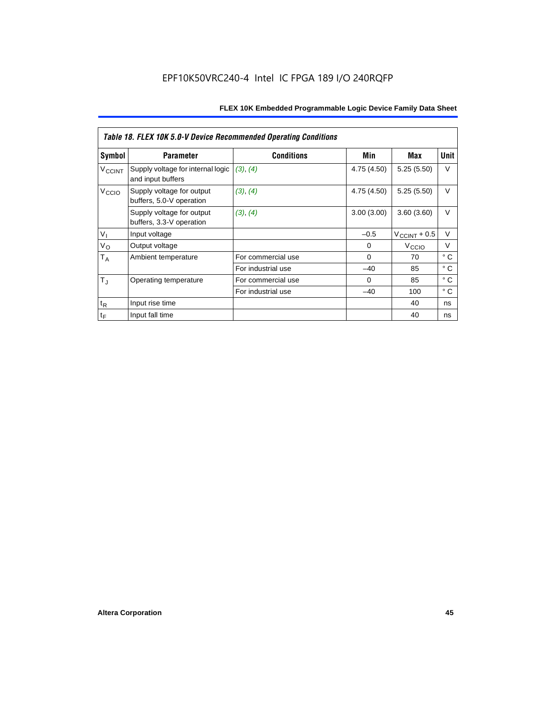|                          | Table 18. FLEX 10K 5.0-V Device Recommended Operating Conditions |                    |             |                          |              |  |  |
|--------------------------|------------------------------------------------------------------|--------------------|-------------|--------------------------|--------------|--|--|
| Symbol                   | <b>Parameter</b>                                                 | <b>Conditions</b>  | Min         | Max                      | <b>Unit</b>  |  |  |
| <b>V<sub>CCINT</sub></b> | Supply voltage for internal logic<br>and input buffers           | (3), (4)           | 4.75 (4.50) | 5.25(5.50)               | $\vee$       |  |  |
| V <sub>CCIO</sub>        | Supply voltage for output<br>buffers, 5.0-V operation            | (3), (4)           | 4.75 (4.50) | 5.25(5.50)               | $\vee$       |  |  |
|                          | Supply voltage for output<br>buffers, 3.3-V operation            | (3), (4)           | 3.00(3.00)  | 3.60(3.60)               | $\vee$       |  |  |
| $V_{I}$                  | Input voltage                                                    |                    | $-0.5$      | $V_{\text{CCINT}} + 0.5$ | V            |  |  |
| $V_{\rm O}$              | Output voltage                                                   |                    | 0           | V <sub>ccio</sub>        | $\vee$       |  |  |
| $T_A$                    | Ambient temperature                                              | For commercial use | $\Omega$    | 70                       | $^{\circ}$ C |  |  |
|                          |                                                                  | For industrial use | $-40$       | 85                       | $^{\circ}$ C |  |  |
| $T_{\rm J}$              | Operating temperature                                            | For commercial use | $\Omega$    | 85                       | °C           |  |  |
|                          |                                                                  | For industrial use | $-40$       | 100                      | $^{\circ}$ C |  |  |
| $t_{R}$                  | Input rise time                                                  |                    |             | 40                       | ns           |  |  |
| $t_F$                    | Input fall time                                                  |                    |             | 40                       | ns           |  |  |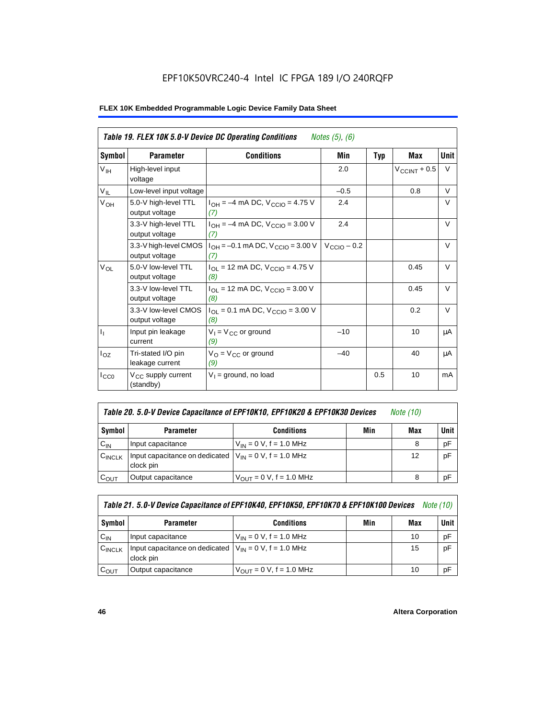## EPF10K50VRC240-4 Intel IC FPGA 189 I/O 240RQFP

|                           | Table 19. FLEX 10K 5.0-V Device DC Operating Conditions<br><i>Notes</i> $(5)$ , $(6)$ |                                                   |                         |            |                   |             |  |  |
|---------------------------|---------------------------------------------------------------------------------------|---------------------------------------------------|-------------------------|------------|-------------------|-------------|--|--|
| Symbol                    | <b>Parameter</b>                                                                      | <b>Conditions</b>                                 | Min                     | <b>Typ</b> | <b>Max</b>        | <b>Unit</b> |  |  |
| $V_{\text{IH}}$           | High-level input<br>voltage                                                           |                                                   | 2.0                     |            | $V_{CCINT} + 0.5$ | V           |  |  |
| $V_{IL}$                  | Low-level input voltage                                                               |                                                   | $-0.5$                  |            | 0.8               | V           |  |  |
| V <sub>OH</sub>           | 5.0-V high-level TTL<br>output voltage                                                | $I_{OH} = -4$ mA DC, $V_{CGIO} = 4.75$ V<br>(7)   | 2.4                     |            |                   | V           |  |  |
|                           | 3.3-V high-level TTL<br>output voltage                                                | $I_{OH} = -4$ mA DC, $V_{CGIO} = 3.00$ V<br>(7)   | 2.4                     |            |                   | V           |  |  |
|                           | 3.3-V high-level CMOS<br>output voltage                                               | $I_{OH} = -0.1$ mA DC, $V_{CCIO} = 3.00$ V<br>(7) | $V_{\text{CCIO}} - 0.2$ |            |                   | $\vee$      |  |  |
| $V_{OL}$                  | 5.0-V low-level TTL<br>output voltage                                                 | $I_{OL}$ = 12 mA DC, $V_{CCIO}$ = 4.75 V<br>(8)   |                         |            | 0.45              | $\vee$      |  |  |
|                           | 3.3-V low-level TTL<br>output voltage                                                 | $I_{OL}$ = 12 mA DC, $V_{CCIO}$ = 3.00 V<br>(8)   |                         |            | 0.45              | $\vee$      |  |  |
|                           | 3.3-V low-level CMOS<br>output voltage                                                | $I_{OL}$ = 0.1 mA DC, $V_{CCIO}$ = 3.00 V<br>(8)  |                         |            | 0.2               | $\vee$      |  |  |
| $\mathbf{I}_{\mathbf{I}}$ | Input pin leakage<br>current                                                          | $V_1 = V_{CC}$ or ground<br>(9)                   | $-10$                   |            | 10                | μA          |  |  |
| $I_{OZ}$                  | Tri-stated I/O pin<br>leakage current                                                 | $V_{O} = V_{CC}$ or ground<br>(9)                 | $-40$                   |            | 40                | μA          |  |  |
| $I_{CC0}$                 | V <sub>CC</sub> supply current<br>(standby)                                           | $V_1$ = ground, no load                           |                         | 0.5        | 10                | mA          |  |  |

| Table 20. 5.0-V Device Capacitance of EPF10K10, EPF10K20 & EPF10K30 Devices | Note (10) |  |
|-----------------------------------------------------------------------------|-----------|--|
|-----------------------------------------------------------------------------|-----------|--|

| Symbol             | <b>Parameter</b>                                                        | <b>Conditions</b>                   | Min | Max | <b>Unit</b> |
|--------------------|-------------------------------------------------------------------------|-------------------------------------|-----|-----|-------------|
| $C_{IN}$           | Input capacitance                                                       | $V_{IN} = 0 V$ , f = 1.0 MHz        |     |     | pF          |
| $C_{\text{INCLK}}$ | Input capacitance on dedicated $V_{1N} = 0$ V, f = 1.0 MHz<br>clock pin |                                     |     | 12  | pF          |
| $C_{\text{OUT}}$   | Output capacitance                                                      | $V_{\text{OUT}} = 0$ V, f = 1.0 MHz |     |     | рF          |

| Table 21. 5.0-V Device Capacitance of EPF10K40, EPF10K50, EPF10K70 & EPF10K100 Devices<br><i>Note</i> (10) |                                                                           |                               |     |     |             |  |
|------------------------------------------------------------------------------------------------------------|---------------------------------------------------------------------------|-------------------------------|-----|-----|-------------|--|
| Symbol                                                                                                     | <b>Parameter</b>                                                          | <b>Conditions</b>             | Min | Max | <b>Unit</b> |  |
| $C_{IN}$                                                                                                   | Input capacitance                                                         | $V_{IN} = 0 V$ , f = 1.0 MHz  |     | 10  | рF          |  |
| CINCLK                                                                                                     | Input capacitance on dedicated $ V_{IN} = 0 V$ , f = 1.0 MHz<br>clock pin |                               |     | 15  | pF          |  |
| $C_{OUT}$                                                                                                  | Output capacitance                                                        | $V_{OIII}$ = 0 V, f = 1.0 MHz |     | 10  | рF          |  |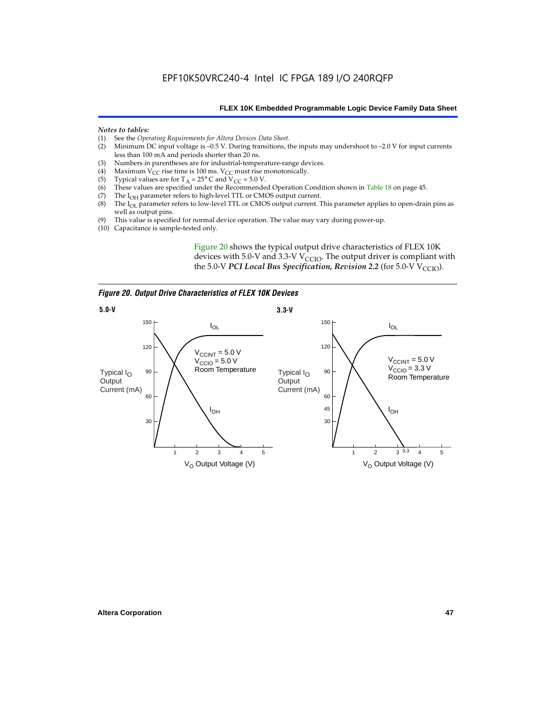#### *Notes to tables:*

- (1) See the *Operating Requirements for Altera Devices Data Sheet*.
- Minimum DC input voltage is  $-0.5$  V. During transitions, the inputs may undershoot to  $-2.0$  V for input currents less than 100 mA and periods shorter than 20 ns.
- (3) Numbers in parentheses are for industrial-temperature-range devices.<br>(4) Maximum  $V_{CC}$  rise time is 100 ms.  $V_{CC}$  must rise monotonically.
- (4) Maximum V<sub>CC</sub> rise time is 100 ms. V<sub>CC</sub> must rise monotonically.<br>(5) Typical values are for T<sub>A</sub> = 25° C and V<sub>CC</sub> = 5.0 V.
- (5) Typical values are for  $T_A = 25^\circ$  C and  $V_{CC} = 5.0$  V.<br>(6) These values are specified under the Recommende
- (6) These values are specified under the Recommended Operation Condition shown in Table 18 on page 45.<br>(7) The  $I_{OH}$  parameter refers to high-level TTL or CMOS output current.
- (7) The  $I_{OH}$  parameter refers to high-level TTL or CMOS output current.<br>(8) The  $I_{OL}$  parameter refers to low-level TTL or CMOS output current. T
- The I<sub>OL</sub> parameter refers to low-level TTL or CMOS output current. This parameter applies to open-drain pins as well as output pins.
- (9) This value is specified for normal device operation. The value may vary during power-up.
- (10) Capacitance is sample-tested only.

Figure 20 shows the typical output drive characteristics of FLEX 10K devices with 5.0-V and 3.3-V  $V_{CCIO}$ . The output driver is compliant with the 5.0-V *PCI Local Bus Specification, Revision 2.2* (for 5.0-V  $V_{\text{CCIO}}$ ).

*Figure 20. Output Drive Characteristics of FLEX 10K Devices*

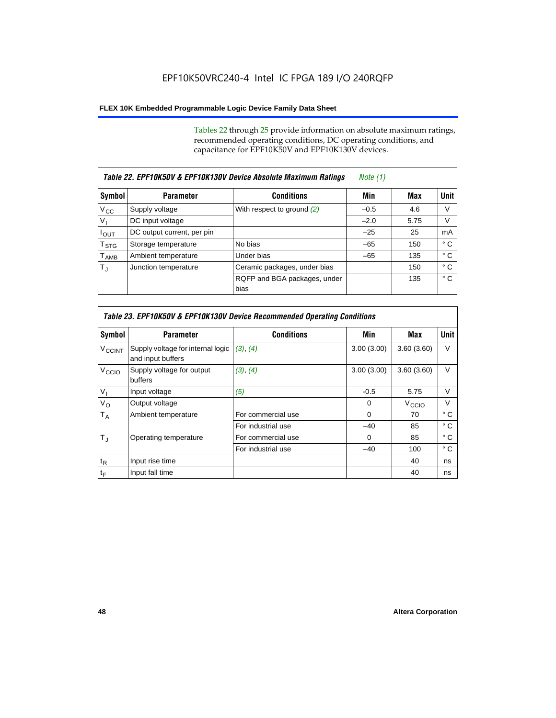Tables 22 through 25 provide information on absolute maximum ratings, recommended operating conditions, DC operating conditions, and capacitance for EPF10K50V and EPF10K130V devices.

|                           | Table 22. EPF10K50V & EPF10K130V Device Absolute Maximum Ratings | Note (1)                             |        |      |             |
|---------------------------|------------------------------------------------------------------|--------------------------------------|--------|------|-------------|
| Symbol                    | <b>Parameter</b>                                                 | <b>Conditions</b>                    | Min    | Max  | <b>Unit</b> |
| $V_{\rm CC}$              | Supply voltage                                                   | With respect to ground $(2)$         | $-0.5$ | 4.6  | V           |
| $V_{I}$                   | DC input voltage                                                 |                                      | $-2.0$ | 5.75 | V           |
| $I_{\text{OUT}}$          | DC output current, per pin                                       |                                      | $-25$  | 25   | mA          |
| $\mathsf{T}_{\text{STG}}$ | Storage temperature                                              | No bias                              | $-65$  | 150  | ° C         |
| $T_{\sf AMB}$             | Ambient temperature                                              | Under bias                           | $-65$  | 135  | ° C         |
| $\mathsf{T}_{\text{d}}$   | Junction temperature                                             | Ceramic packages, under bias         |        | 150  | ° C         |
|                           |                                                                  | RQFP and BGA packages, under<br>bias |        | 135  | ° C         |

| Table 23. EPF10K50V & EPF10K130V Device Recommended Operating Conditions |                                                        |                    |            |                   |              |  |
|--------------------------------------------------------------------------|--------------------------------------------------------|--------------------|------------|-------------------|--------------|--|
| Symbol                                                                   | <b>Parameter</b>                                       | <b>Conditions</b>  | Min        | Max               | Unit         |  |
| <b>V<sub>CCINT</sub></b>                                                 | Supply voltage for internal logic<br>and input buffers | (3), (4)           | 3.00(3.00) | 3.60(3.60)        | $\vee$       |  |
| V <sub>CCIO</sub>                                                        | Supply voltage for output<br>buffers                   | (3), (4)           | 3.00(3.00) | 3.60(3.60)        | V            |  |
| $V_{1}$                                                                  | Input voltage                                          | (5)                | $-0.5$     | 5.75              | $\vee$       |  |
| $V_{\rm O}$                                                              | Output voltage                                         |                    | $\Omega$   | V <sub>CCIO</sub> | $\vee$       |  |
| $T_A$                                                                    | Ambient temperature                                    | For commercial use | $\Omega$   | 70                | $^{\circ}$ C |  |
|                                                                          |                                                        | For industrial use | $-40$      | 85                | ° C          |  |
| $T_{\rm J}$                                                              | Operating temperature                                  | For commercial use | $\Omega$   | 85                | $^{\circ}$ C |  |
|                                                                          |                                                        | For industrial use | $-40$      | 100               | ° C          |  |
| $t_{R}$                                                                  | Input rise time                                        |                    |            | 40                | ns           |  |
| $t_F$                                                                    | Input fall time                                        |                    |            | 40                | ns           |  |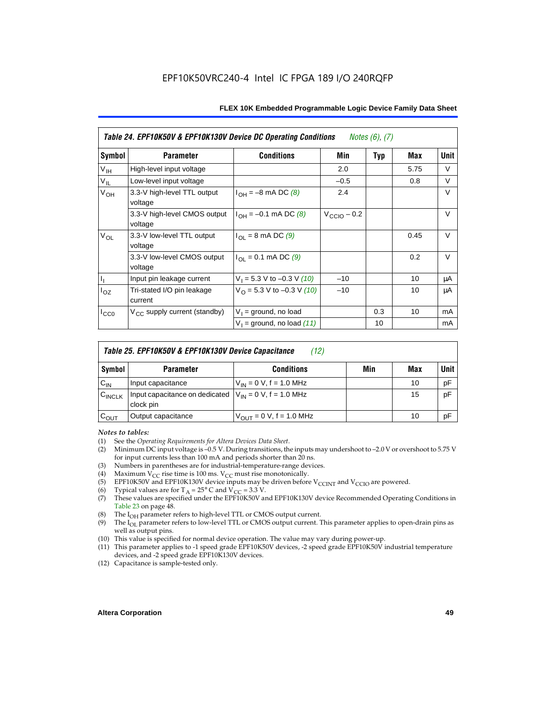| Table 24. EPF10K50V & EPF10K130V Device DC Operating Conditions<br><i>Notes <math>(6)</math>, <math>(7)</math></i> |                                          |                                          |                         |            |      |             |
|--------------------------------------------------------------------------------------------------------------------|------------------------------------------|------------------------------------------|-------------------------|------------|------|-------------|
| Symbol                                                                                                             | <b>Parameter</b>                         | <b>Conditions</b>                        | Min                     | <b>Typ</b> | Max  | <b>Unit</b> |
| V <sub>IH</sub>                                                                                                    | High-level input voltage                 |                                          | 2.0                     |            | 5.75 | V           |
| $V_{IL}$                                                                                                           | Low-level input voltage                  |                                          | $-0.5$                  |            | 0.8  | V           |
| V <sub>OH</sub>                                                                                                    | 3.3-V high-level TTL output<br>voltage   | $I_{OH} = -8$ mA DC (8)                  | 2.4                     |            |      | V           |
|                                                                                                                    | 3.3-V high-level CMOS output<br>voltage  | $I_{OH} = -0.1$ mA DC (8)                | $V_{\text{CCIO}} - 0.2$ |            |      | V           |
| V <sub>OL</sub>                                                                                                    | 3.3-V low-level TTL output<br>voltage    | $I_{\Omega I}$ = 8 mA DC (9)             |                         |            | 0.45 | V           |
|                                                                                                                    | 3.3-V low-level CMOS output<br>voltage   | $I_{\text{OI}} = 0.1 \text{ mA DC } (9)$ |                         |            | 0.2  | $\vee$      |
| $\mathsf{I}_1$                                                                                                     | Input pin leakage current                | $V_1 = 5.3$ V to -0.3 V (10)             | $-10$                   |            | 10   | μA          |
| $I_{OZ}$                                                                                                           | Tri-stated I/O pin leakage<br>current    | $V_O = 5.3 V$ to -0.3 V (10)             | $-10$                   |            | 10   | μA          |
| $I_{CC0}$                                                                                                          | $V_{\text{CC}}$ supply current (standby) | $V_1$ = ground, no load                  |                         | 0.3        | 10   | mA          |
|                                                                                                                    |                                          | $V_1$ = ground, no load (11)             |                         | 10         |      | mA          |

| Table 25. EPF10K50V & EPF10K130V Device Capacitance<br>(12) |                                                                           |                               |     |     |             |  |
|-------------------------------------------------------------|---------------------------------------------------------------------------|-------------------------------|-----|-----|-------------|--|
| Symbol                                                      | <b>Parameter</b>                                                          | <b>Conditions</b>             | Min | Max | <b>Unit</b> |  |
| $C_{IN}$                                                    | Input capacitance                                                         | $V_{IN} = 0$ V, f = 1.0 MHz   |     | 10  | pF          |  |
| CINCLK                                                      | Input capacitance on dedicated $ V_{IN} = 0 V$ , f = 1.0 MHz<br>clock pin |                               |     | 15  | pF          |  |
| $C_{OUT}$                                                   | Output capacitance                                                        | $V_{OUT} = 0 V$ , f = 1.0 MHz |     | 10  | pF          |  |

#### *Notes to tables:*

- (1) See the *Operating Requirements for Altera Devices Data Sheet*.
- Minimum DC input voltage is –0.5 V. During transitions, the inputs may undershoot to –2.0 V or overshoot to 5.75 V for input currents less than 100 mA and periods shorter than 20 ns.
- (3) Numbers in parentheses are for industrial-temperature-range devices.<br>(4) Maximum  $V_{CC}$  rise time is 100 ms.  $V_{CC}$  must rise monotonically.
- (4) Maximum  $V_{CC}$  rise time is 100 ms.  $V_{CC}$  must rise monotonically.<br>(5) EPF10K50V and EPF10K130V device inputs may be driven before
- (5) EPF10K50V and EPF10K130V device inputs may be driven before V<sub>CCINT</sub> and V<sub>CCIO</sub> are powered.<br>(6) Typical values are for T<sub>A</sub> = 25° C and V<sub>CC</sub> = 3.3 V.
- Typical values are for  $T_A = 25^\circ$  C and  $V_{CC} = 3.3$  V.
- (7) These values are specified under the EPF10K50V and EPF10K130V device Recommended Operating Conditions in Table 23 on page 48.
- (8) The  $I<sub>OH</sub>$  parameter refers to high-level TTL or CMOS output current.
- (9) The  $I_{OL}$  parameter refers to low-level TTL or CMOS output current. This parameter applies to open-drain pins as well as output pins.
- (10) This value is specified for normal device operation. The value may vary during power-up.
- (11) This parameter applies to -1 speed grade EPF10K50V devices, -2 speed grade EPF10K50V industrial temperature devices, and -2 speed grade EPF10K130V devices.
- (12) Capacitance is sample-tested only.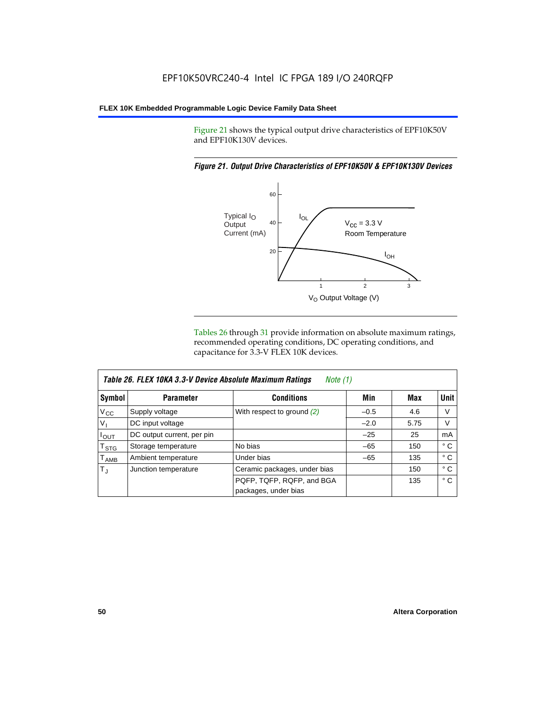Figure 21 shows the typical output drive characteristics of EPF10K50V and EPF10K130V devices.

#### *Figure 21. Output Drive Characteristics of EPF10K50V & EPF10K130V Devices*



Tables 26 through 31 provide information on absolute maximum ratings, recommended operating conditions, DC operating conditions, and capacitance for 3.3-V FLEX 10K devices.

|                  | Table 26. FLEX 10KA 3.3-V Device Absolute Maximum Ratings<br>Note (1) |                              |        |      |              |  |  |
|------------------|-----------------------------------------------------------------------|------------------------------|--------|------|--------------|--|--|
| Symbol           | <b>Parameter</b>                                                      | <b>Conditions</b>            | Min    | Max  | Unit         |  |  |
| $V_{\rm CC}$     | Supply voltage                                                        | With respect to ground $(2)$ | $-0.5$ | 4.6  | V            |  |  |
| $V_{I}$          | DC input voltage                                                      |                              | $-2.0$ | 5.75 | V            |  |  |
| $I_{OUT}$        | DC output current, per pin                                            |                              | $-25$  | 25   | mA           |  |  |
| $T_{\text{STG}}$ | Storage temperature                                                   | No bias                      | $-65$  | 150  | $^{\circ}$ C |  |  |
| $T_{\sf AMB}$    | Ambient temperature                                                   | Under bias                   | $-65$  | 135  | ° C          |  |  |
| $T_{\rm J}$      | Junction temperature                                                  | Ceramic packages, under bias |        | 150  | ° C          |  |  |
|                  |                                                                       | PQFP, TQFP, RQFP, and BGA    |        | 135  | $^{\circ}$ C |  |  |
|                  |                                                                       | packages, under bias         |        |      |              |  |  |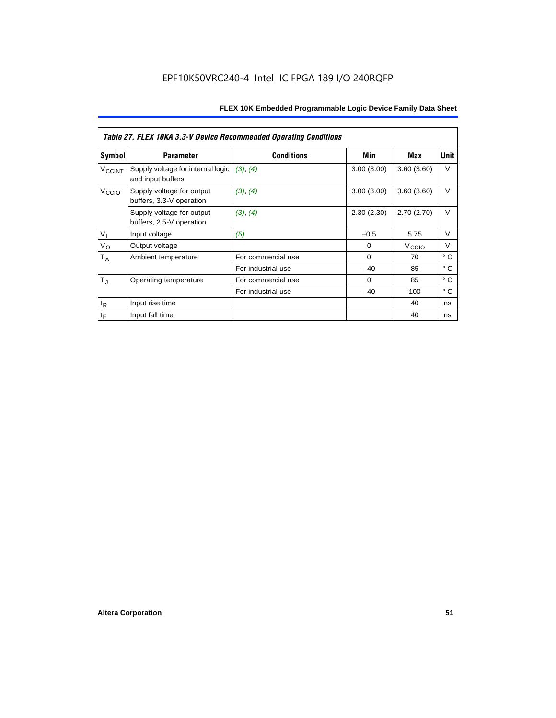| Table 27. FLEX 10KA 3.3-V Device Recommended Operating Conditions |                                                        |                    |            |                   |              |  |  |
|-------------------------------------------------------------------|--------------------------------------------------------|--------------------|------------|-------------------|--------------|--|--|
| Symbol                                                            | <b>Parameter</b>                                       | <b>Conditions</b>  | Min        | Max               | Unit         |  |  |
| VCCINT                                                            | Supply voltage for internal logic<br>and input buffers | (3), (4)           | 3.00(3.00) | 3.60(3.60)        | V            |  |  |
| V <sub>ccio</sub>                                                 | Supply voltage for output<br>buffers, 3.3-V operation  | (3), (4)           | 3.00(3.00) | 3.60(3.60)        | $\vee$       |  |  |
|                                                                   | Supply voltage for output<br>buffers, 2.5-V operation  | (3), (4)           | 2.30(2.30) | 2.70(2.70)        | $\vee$       |  |  |
| $V_{I}$                                                           | Input voltage                                          | (5)                | $-0.5$     | 5.75              | $\vee$       |  |  |
| $V_{\rm O}$                                                       | Output voltage                                         |                    | 0          | V <sub>CCIO</sub> | $\vee$       |  |  |
| $T_A$                                                             | Ambient temperature                                    | For commercial use | $\Omega$   | 70                | $^{\circ}$ C |  |  |
|                                                                   |                                                        | For industrial use | $-40$      | 85                | $^{\circ}$ C |  |  |
| $T_{\rm J}$                                                       | Operating temperature                                  | For commercial use | $\Omega$   | 85                | ° C          |  |  |
|                                                                   |                                                        | For industrial use | $-40$      | 100               | ° C          |  |  |
| $t_{R}$                                                           | Input rise time                                        |                    |            | 40                | ns           |  |  |
| $t_F$                                                             | Input fall time                                        |                    |            | 40                | ns           |  |  |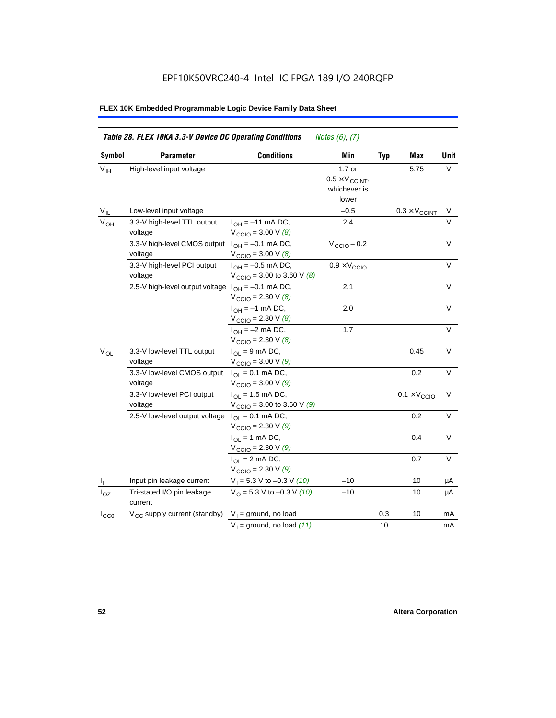## EPF10K50VRC240-4 Intel IC FPGA 189 I/O 240RQFP

| Table 28. FLEX 10KA 3.3-V Device DC Operating Conditions<br>Notes $(6)$ , $(7)$ |                                          |                                                                                        |                                                             |            |                              |        |
|---------------------------------------------------------------------------------|------------------------------------------|----------------------------------------------------------------------------------------|-------------------------------------------------------------|------------|------------------------------|--------|
| Symbol                                                                          | <b>Parameter</b>                         | <b>Conditions</b>                                                                      | Min                                                         | <b>Typ</b> | <b>Max</b>                   | Unit   |
| $V_{\text{IH}}$                                                                 | High-level input voltage                 |                                                                                        | $1.7$ or<br>$0.5 \times V_{CCINT}$<br>whichever is<br>lower |            | 5.75                         | $\vee$ |
| $V_{IL}$                                                                        | Low-level input voltage                  |                                                                                        | $-0.5$                                                      |            | $0.3 \times V_{CCINT}$       | $\vee$ |
| V <sub>OH</sub>                                                                 | 3.3-V high-level TTL output<br>voltage   | $I_{OH} = -11$ mA DC,<br>$V_{\text{CCIO}} = 3.00 V (8)$                                | 2.4                                                         |            |                              | $\vee$ |
|                                                                                 | 3.3-V high-level CMOS output<br>voltage  | $I_{OH} = -0.1$ mA DC,<br>$V_{\text{CCIO}} = 3.00 \text{ V } (8)$                      | $V_{\text{CCIO}} - 0.2$                                     |            |                              | $\vee$ |
|                                                                                 | 3.3-V high-level PCI output<br>voltage   | $I_{OH} = -0.5$ mA DC,<br>$V_{\text{CCIO}} = 3.00$ to 3.60 V (8)                       | $0.9 \times V_{\text{CCIO}}$                                |            |                              | $\vee$ |
|                                                                                 | 2.5-V high-level output voltage          | $I_{OH} = -0.1$ mA DC,<br>$V_{\text{CCIO}} = 2.30 \text{ V } (8)$                      | 2.1                                                         |            |                              | $\vee$ |
|                                                                                 |                                          | $I_{OH} = -1$ mA DC,<br>$V_{\text{CCIO}} = 2.30 \text{ V } (8)$                        | 2.0                                                         |            |                              | $\vee$ |
|                                                                                 |                                          | $I_{OH} = -2$ mA DC,<br>$V_{\text{CCIO}} = 2.30 V (8)$                                 | 1.7                                                         |            |                              | $\vee$ |
| $V_{OL}$                                                                        | 3.3-V low-level TTL output<br>voltage    | $I_{OL}$ = 9 mA DC,<br>$V_{\text{CCIO}} = 3.00 V (9)$                                  |                                                             |            | 0.45                         | $\vee$ |
|                                                                                 | 3.3-V low-level CMOS output<br>voltage   | $I_{\text{OI}} = 0.1 \text{ mA} \text{ DC},$<br>$V_{\text{CCIO}} = 3.00 \text{ V} (9)$ |                                                             |            | 0.2                          | $\vee$ |
|                                                                                 | 3.3-V low-level PCI output<br>voltage    | $I_{OL}$ = 1.5 mA DC,<br>$V_{\text{CCIO}} = 3.00$ to 3.60 V (9)                        |                                                             |            | $0.1 \times V_{\text{CCIO}}$ | $\vee$ |
|                                                                                 | 2.5-V low-level output voltage           | $I_{OL} = 0.1$ mA DC,<br>$V_{\text{CCIO}} = 2.30 \text{ V} (9)$                        |                                                             |            | 0.2                          | $\vee$ |
|                                                                                 |                                          | $I_{\Omega}$ = 1 mA DC,<br>$V_{\text{CCIO}} = 2.30 V (9)$                              |                                                             |            | 0.4                          | $\vee$ |
|                                                                                 |                                          | $I_{OL} = 2$ mA DC,<br>$V_{\text{CCIO}} = 2.30 V (9)$                                  |                                                             |            | 0.7                          | $\vee$ |
| $I_1$                                                                           | Input pin leakage current                | $V_1 = 5.3$ V to -0.3 V (10)                                                           | $-10$                                                       |            | 10                           | μA     |
| $I_{OZ}$                                                                        | Tri-stated I/O pin leakage<br>current    | $V_O = 5.3 V to -0.3 V (10)$                                                           | $-10$                                                       |            | 10                           | μA     |
| $I_{CC0}$                                                                       | V <sub>CC</sub> supply current (standby) | $V_1$ = ground, no load                                                                |                                                             | 0.3        | 10                           | mA     |
|                                                                                 |                                          | $V_1$ = ground, no load (11)                                                           |                                                             | 10         |                              | mA     |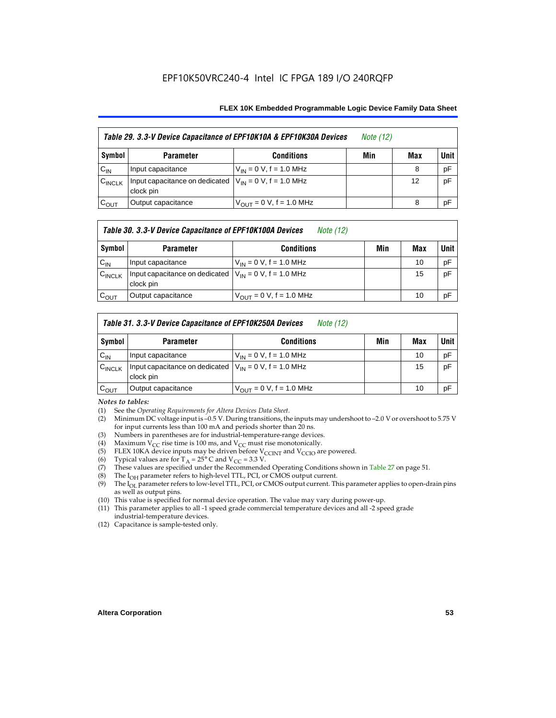## EPF10K50VRC240-4 Intel IC FPGA 189 I/O 240RQFP

#### **FLEX 10K Embedded Programmable Logic Device Family Data Sheet**

| Table 29. 3.3-V Device Capacitance of EPF10K10A & EPF10K30A Devices |                                                                           |                               | <i>Note</i> (12) |     |        |
|---------------------------------------------------------------------|---------------------------------------------------------------------------|-------------------------------|------------------|-----|--------|
| Symbol                                                              | <b>Parameter</b>                                                          | <b>Conditions</b>             | Min              | Max | Unit I |
| $C_{IN}$                                                            | Input capacitance                                                         | $V_{IN} = 0 V$ , f = 1.0 MHz  |                  | 8   | pF     |
| $C_{\text{INCLK}}$                                                  | Input capacitance on dedicated $ V_{IN} = 0 V$ , f = 1.0 MHz<br>clock pin |                               |                  | 12  | pF     |
| $C_{OUT}$                                                           | Output capacitance                                                        | $V_{OUT} = 0 V$ , f = 1.0 MHz |                  | 8   | pF     |

#### *Table 30. 3.3-V Device Capacitance of EPF10K100A Devices Note (12)*

| Symbol    | <b>Parameter</b>                                                          | <b>Conditions</b>                   | Min | Max | <b>Unit</b> |
|-----------|---------------------------------------------------------------------------|-------------------------------------|-----|-----|-------------|
| $C_{IN}$  | Input capacitance                                                         | $V_{IN} = 0 V$ , f = 1.0 MHz        |     | 10  | pF          |
| CINCLK    | Input capacitance on dedicated $ V_{1N}  = 0$ V, f = 1.0 MHz<br>clock pin |                                     |     | 15  | pF          |
| $C_{OUT}$ | Output capacitance                                                        | $V_{\text{OUT}} = 0$ V, f = 1.0 MHz |     | 10  | pF          |

#### *Table 31. 3.3-V Device Capacitance of EPF10K250A Devices Note (12)*

| Symbol             | <b>Parameter</b>                                                         | <b>Conditions</b>                   | Min | Max | <b>Unit</b> |
|--------------------|--------------------------------------------------------------------------|-------------------------------------|-----|-----|-------------|
| $C_{\text{IN}}$    | Input capacitance                                                        | $V_{IN} = 0$ V, f = 1.0 MHz         |     | 10  | pF          |
| $C_{\text{INCLK}}$ | Input capacitance on dedicated $V_{IN} = 0 V$ , f = 1.0 MHz<br>clock pin |                                     |     | 15  | pF          |
| $C_{\text{OUT}}$   | Output capacitance                                                       | $V_{\text{OUT}} = 0$ V, f = 1.0 MHz |     | 10  | pF          |

#### *Notes to tables:*

- (1) See the *Operating Requirements for Altera Devices Data Sheet*.
- (2) Minimum DC voltage input is –0.5 V. During transitions, the inputs may undershoot to –2.0 V or overshoot to 5.75 V for input currents less than 100 mA and periods shorter than 20 ns.
- (3) Numbers in parentheses are for industrial-temperature-range devices.
- (4) Maximum V<sub>CC</sub> rise time is 100 ms, and V<sub>CC</sub> must rise monotonically.<br>(5) ELEX 10KA device inputs may be driven before V<sub>CCINT</sub> and V<sub>CCIO</sub> ar
- (5) FLEX 10KA device inputs may be driven before  $V_{CCTN}$  and  $V_{CCTO}$  are powered.<br>(6) Typical values are for T<sub>A</sub> = 25° C and  $V_{CC}$  = 3.3 V.
- (6) Typical values are for  $T_A = 25^\circ$  C and  $V_{CC} = 3.3$  V.<br>(7) These values are specified under the Recommende
- These values are specified under the Recommended Operating Conditions shown in Table 27 on page 51.
- (8) The  $I_{OH}$  parameter refers to high-level TTL, PCI, or CMOS output current. The  $I_{OH}$  parameter refers to low-level TTL, PCI, or CMOS output current. The
- The I<sub>OL</sub> parameter refers to low-level TTL, PCI, or CMOS output current. This parameter applies to open-drain pins as well as output pins.
- (10) This value is specified for normal device operation. The value may vary during power-up.
- (11) This parameter applies to all -1 speed grade commercial temperature devices and all -2 speed grade industrial-temperature devices.
- (12) Capacitance is sample-tested only.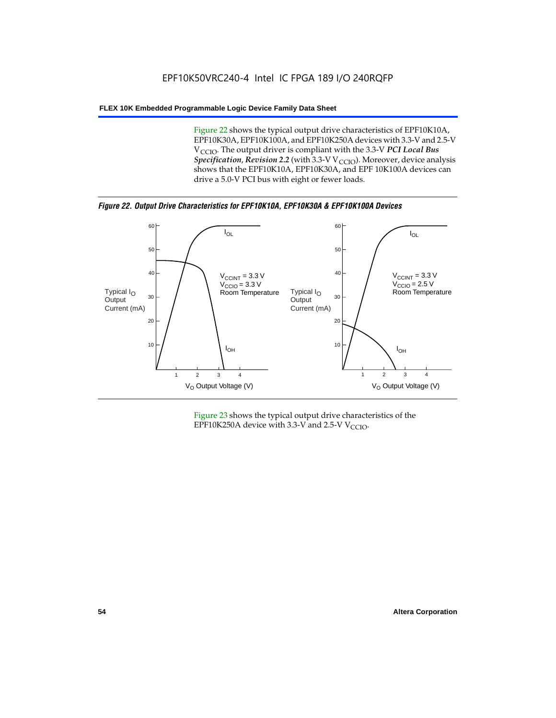Figure 22 shows the typical output drive characteristics of EPF10K10A, EPF10K30A, EPF10K100A, and EPF10K250A devices with 3.3-V and 2.5-V V<sub>CCIO</sub>. The output driver is compliant with the 3.3-V PCI Local Bus *Specification, Revision 2.2* (with 3.3-V V<sub>CCIO</sub>). Moreover, device analysis shows that the EPF10K10A, EPF10K30A, and EPF 10K100A devices can drive a 5.0-V PCI bus with eight or fewer loads.

*Figure 22. Output Drive Characteristics for EPF10K10A, EPF10K30A & EPF10K100A Devices*



Figure 23 shows the typical output drive characteristics of the EPF10K250A device with 3.3-V and 2.5-V  $V_{\text{CCIO}}$ .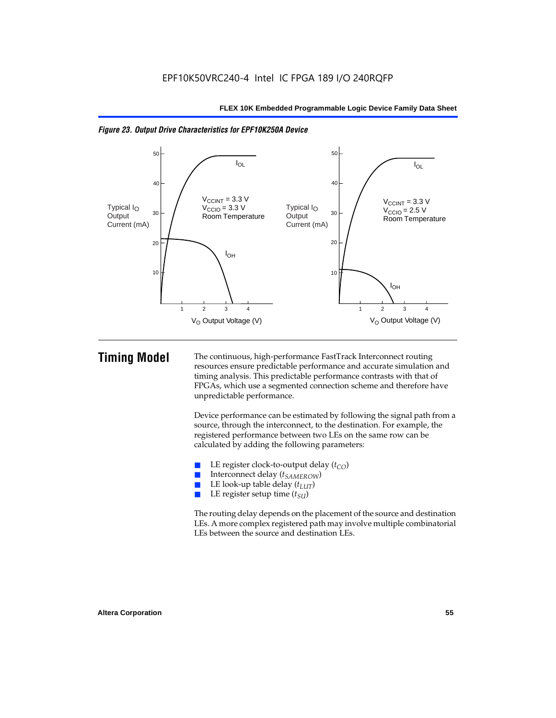



**Timing Model** The continuous, high-performance FastTrack Interconnect routing resources ensure predictable performance and accurate simulation and timing analysis. This predictable performance contrasts with that of FPGAs, which use a segmented connection scheme and therefore have unpredictable performance.

> Device performance can be estimated by following the signal path from a source, through the interconnect, to the destination. For example, the registered performance between two LEs on the same row can be calculated by adding the following parameters:

- **E** LE register clock-to-output delay  $(t_{CO})$ <br> **E** Interconnect delay  $(t_{CMBOW})$
- Interconnect delay (*t<sub>SAMEROW</sub>*)
- LE look-up table delay  $(t_{LUT})$
- LE register setup time ( $t_{SI}$ )

The routing delay depends on the placement of the source and destination LEs. A more complex registered path may involve multiple combinatorial LEs between the source and destination LEs.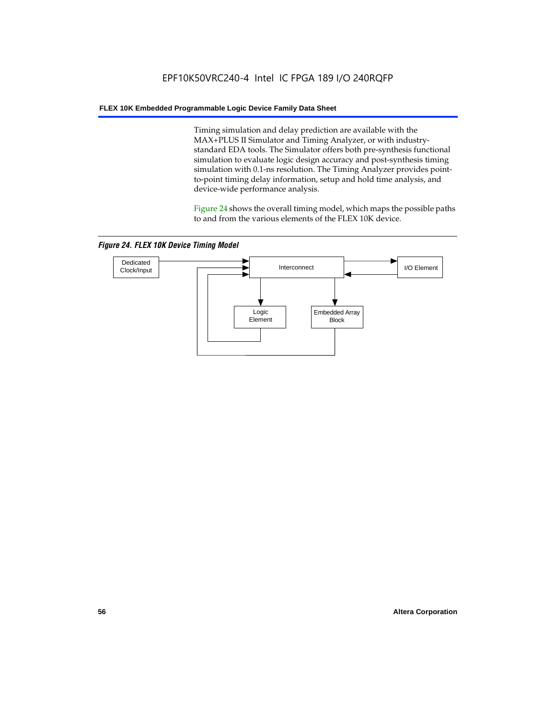Timing simulation and delay prediction are available with the MAX+PLUS II Simulator and Timing Analyzer, or with industrystandard EDA tools. The Simulator offers both pre-synthesis functional simulation to evaluate logic design accuracy and post-synthesis timing simulation with 0.1-ns resolution. The Timing Analyzer provides pointto-point timing delay information, setup and hold time analysis, and device-wide performance analysis.

Figure 24 shows the overall timing model, which maps the possible paths to and from the various elements of the FLEX 10K device.

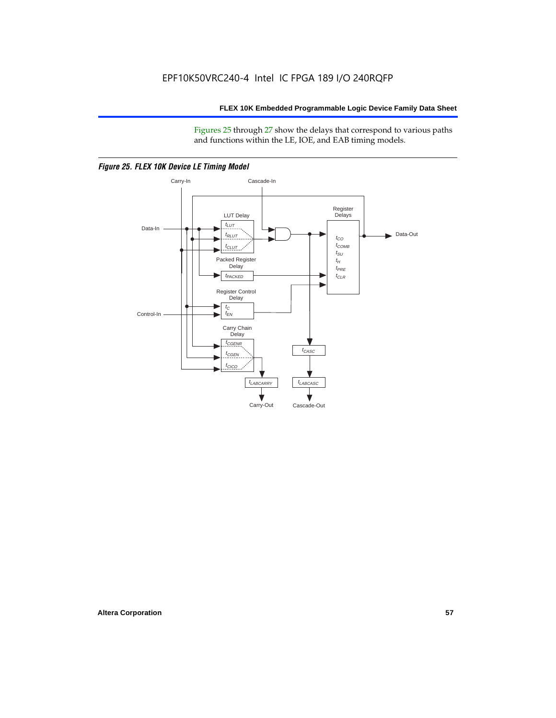Figures 25 through 27 show the delays that correspond to various paths and functions within the LE, IOE, and EAB timing models.



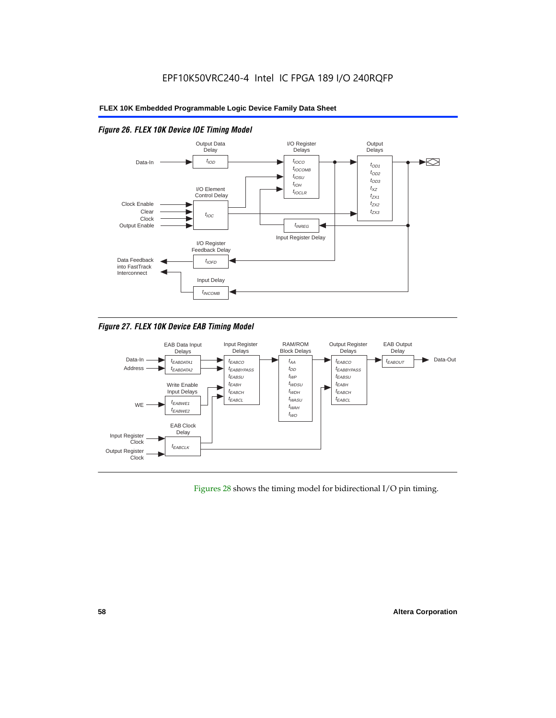

## *Figure 26. FLEX 10K Device IOE Timing Model*

*Figure 27. FLEX 10K Device EAB Timing Model*



Figures 28 shows the timing model for bidirectional I/O pin timing.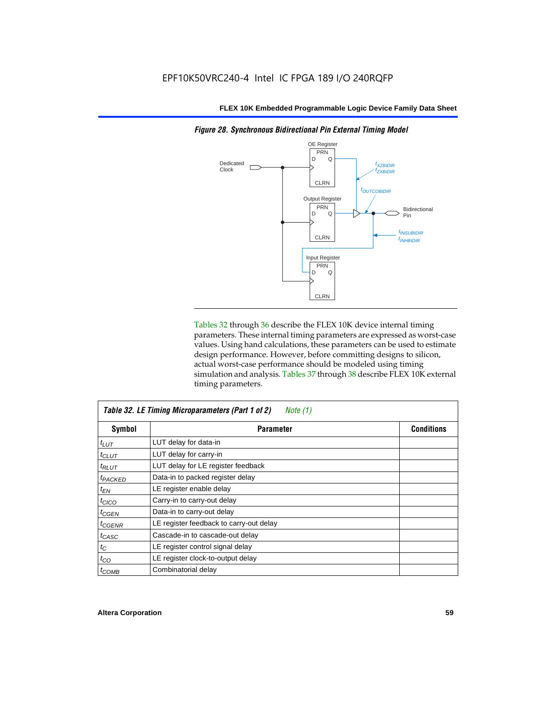

Tables 32 through 36 describe the FLEX 10K device internal timing parameters. These internal timing parameters are expressed as worst-case values. Using hand calculations, these parameters can be used to estimate design performance. However, before committing designs to silicon, actual worst-case performance should be modeled using timing simulation and analysis. Tables 37 through 38 describe FLEX 10K external timing parameters.

| Table JL. LL Thinny Mithopalameters (Fail Tor 2)<br>IVUUU(1) |                                         |                   |  |  |
|--------------------------------------------------------------|-----------------------------------------|-------------------|--|--|
| Symbol                                                       | <b>Parameter</b>                        | <b>Conditions</b> |  |  |
| $t_{LUT}$                                                    | LUT delay for data-in                   |                   |  |  |
| $t_{CLUT}$                                                   | LUT delay for carry-in                  |                   |  |  |
| $t_{RLUT}$                                                   | LUT delay for LE register feedback      |                   |  |  |
| <sup>t</sup> PACKED                                          | Data-in to packed register delay        |                   |  |  |
| $t_{EN}$                                                     | LE register enable delay                |                   |  |  |
| $t_{CICO}$                                                   | Carry-in to carry-out delay             |                   |  |  |
| $t_{CGEN}$                                                   | Data-in to carry-out delay              |                   |  |  |
| $t_{CGENR}$                                                  | LE register feedback to carry-out delay |                   |  |  |
| t <sub>CASC</sub>                                            | Cascade-in to cascade-out delay         |                   |  |  |
| $t_C$                                                        | LE register control signal delay        |                   |  |  |
| $t_{CO}$                                                     | LE register clock-to-output delay       |                   |  |  |
| $t_{COMB}$                                                   | Combinatorial delay                     |                   |  |  |

*Table 32. LE Timing Microparameters (Part 1 of 2) Note (1)*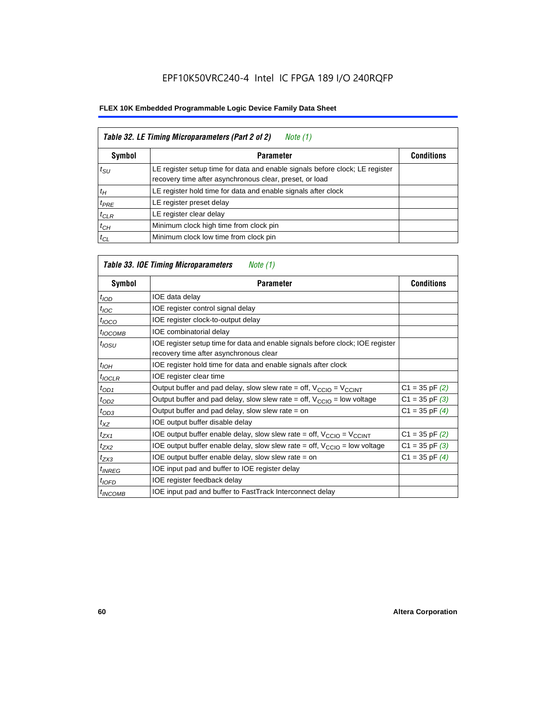| Table 32. LE Timing Microparameters (Part 2 of 2)<br>Note (1) |                                                                                                                                         |                   |  |  |  |
|---------------------------------------------------------------|-----------------------------------------------------------------------------------------------------------------------------------------|-------------------|--|--|--|
| <b>Symbol</b>                                                 | <b>Parameter</b>                                                                                                                        | <b>Conditions</b> |  |  |  |
| $t_{\rm SU}$                                                  | LE register setup time for data and enable signals before clock; LE register<br>recovery time after asynchronous clear, preset, or load |                   |  |  |  |
| $t_H$                                                         | LE register hold time for data and enable signals after clock                                                                           |                   |  |  |  |
| $t_{PRE}$                                                     | LE register preset delay                                                                                                                |                   |  |  |  |
| $t_{CLR}$                                                     | LE register clear delay                                                                                                                 |                   |  |  |  |
| $t_{CH}$                                                      | Minimum clock high time from clock pin                                                                                                  |                   |  |  |  |
| $t_{CL}$                                                      | Minimum clock low time from clock pin                                                                                                   |                   |  |  |  |

# *Table 33. IOE Timing Microparameters Note (1)*

| Symbol              | <b>Parameter</b>                                                                                                         |                    |
|---------------------|--------------------------------------------------------------------------------------------------------------------------|--------------------|
| t <sub>IOD</sub>    | IOE data delay                                                                                                           |                    |
| $t_{\text{IOC}}$    | IOE register control signal delay                                                                                        |                    |
| $t_{IOCO}$          | IOE register clock-to-output delay                                                                                       |                    |
| $t_{IOCOMB}$        | IOE combinatorial delay                                                                                                  |                    |
| $t_{IOSU}$          | IOE register setup time for data and enable signals before clock; IOE register<br>recovery time after asynchronous clear |                    |
| $t_{IOH}$           | IOE register hold time for data and enable signals after clock                                                           |                    |
| $t_{IOCLR}$         | IOE register clear time                                                                                                  |                    |
| $t_{OD1}$           | Output buffer and pad delay, slow slew rate = off, $V_{\text{CCIO}} = V_{\text{CCINT}}$                                  | $C1 = 35$ pF $(2)$ |
| $t_{OD2}$           | Output buffer and pad delay, slow slew rate = off, $V_{CCIO}$ = low voltage                                              | $C1 = 35$ pF $(3)$ |
| $t_{OD3}$           | Output buffer and pad delay, slow slew rate $=$ on                                                                       | $C1 = 35$ pF $(4)$ |
| $t_{XZ}$            | IOE output buffer disable delay                                                                                          |                    |
| $t_{ZX1}$           | IOE output buffer enable delay, slow slew rate = off, $V_{\text{CCIO}} = V_{\text{CCINT}}$                               | $C1 = 35$ pF $(2)$ |
| $t_{ZX2}$           | IOE output buffer enable delay, slow slew rate = off, $V_{\text{CCIO}}$ = low voltage                                    | $C1 = 35$ pF $(3)$ |
| $t_{ZX3}$           | IOE output buffer enable delay, slow slew rate $=$ on                                                                    | $C1 = 35$ pF $(4)$ |
| <sup>t</sup> INREG  | IOE input pad and buffer to IOE register delay                                                                           |                    |
| $t_{IOFD}$          | IOE register feedback delay                                                                                              |                    |
| <sup>t</sup> INCOMB | IOE input pad and buffer to FastTrack Interconnect delay                                                                 |                    |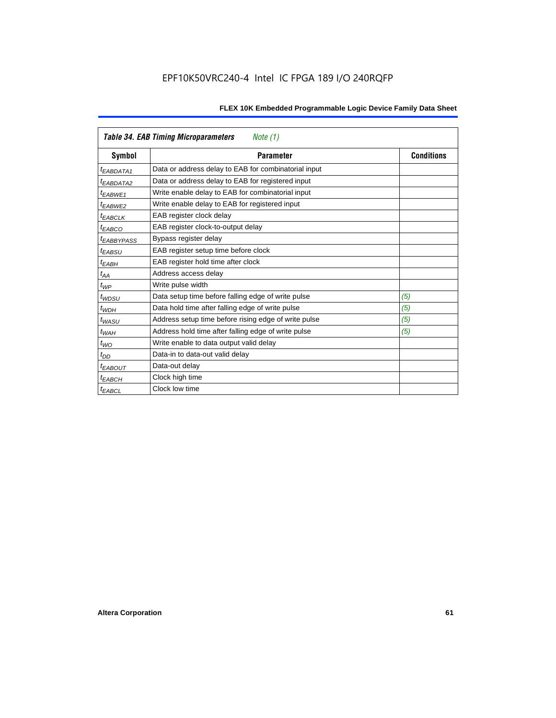|                        | <b>Table 34. EAB Timing Microparameters</b><br>Note (1) |                   |
|------------------------|---------------------------------------------------------|-------------------|
| Symbol                 | <b>Parameter</b>                                        | <b>Conditions</b> |
| $t_{EABDATA1}$         | Data or address delay to EAB for combinatorial input    |                   |
| <sup>t</sup> EABDATA2  | Data or address delay to EAB for registered input       |                   |
| $t_{EABWE1}$           | Write enable delay to EAB for combinatorial input       |                   |
| t <sub>EABWE2</sub>    | Write enable delay to EAB for registered input          |                   |
| <b><i>EABCLK</i></b>   | EAB register clock delay                                |                   |
| $t_{EABCO}$            | EAB register clock-to-output delay                      |                   |
| <sup>t</sup> EABBYPASS | Bypass register delay                                   |                   |
| t <sub>EABSU</sub>     | EAB register setup time before clock                    |                   |
| $t_{EABH}$             | EAB register hold time after clock                      |                   |
| $t_{AA}$               | Address access delay                                    |                   |
| $t_{WP}$               | Write pulse width                                       |                   |
| $t_{WDSU}$             | Data setup time before falling edge of write pulse      | (5)               |
| $t_{WDH}$              | Data hold time after falling edge of write pulse        | (5)               |
| $t_{WASU}$             | Address setup time before rising edge of write pulse    | (5)               |
| $t_{WAH}$              | Address hold time after falling edge of write pulse     | (5)               |
| $t_{WO}$               | Write enable to data output valid delay                 |                   |
| $t_{DD}$               | Data-in to data-out valid delay                         |                   |
| $t_{EABOUT}$           | Data-out delay                                          |                   |
| t <sub>EABCH</sub>     | Clock high time                                         |                   |
| <sup>t</sup> EABCL     | Clock low time                                          |                   |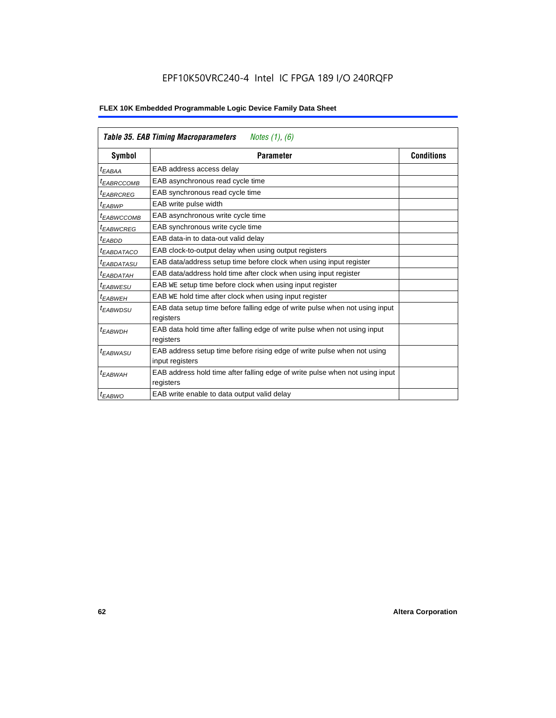|  | FLEX 10K Embedded Programmable Logic Device Family Data Sheet |
|--|---------------------------------------------------------------|
|--|---------------------------------------------------------------|

|                        | <b>Table 35. EAB Timing Macroparameters</b><br>Notes $(1)$ , $(6)$                        |                   |
|------------------------|-------------------------------------------------------------------------------------------|-------------------|
| Symbol                 | <b>Parameter</b>                                                                          | <b>Conditions</b> |
| t <sub>EABAA</sub>     | EAB address access delay                                                                  |                   |
| <sup>t</sup> EABRCCOMB | EAB asynchronous read cycle time                                                          |                   |
| <sup>t</sup> EABRCREG  | EAB synchronous read cycle time                                                           |                   |
| <sup>t</sup> EABWP     | EAB write pulse width                                                                     |                   |
| <sup>t</sup> EABWCCOMB | EAB asynchronous write cycle time                                                         |                   |
| <sup>t</sup> EABWCREG  | EAB synchronous write cycle time                                                          |                   |
| <sup>t</sup> EABDD     | EAB data-in to data-out valid delay                                                       |                   |
| <sup>t</sup> EABDATACO | EAB clock-to-output delay when using output registers                                     |                   |
| <sup>t</sup> EABDATASU | EAB data/address setup time before clock when using input register                        |                   |
| <sup>t</sup> EABDATAH  | EAB data/address hold time after clock when using input register                          |                   |
| <sup>t</sup> EABWESU   | EAB WE setup time before clock when using input register                                  |                   |
| <sup>t</sup> EABWEH    | EAB WE hold time after clock when using input register                                    |                   |
| <sup>t</sup> EABWDSU   | EAB data setup time before falling edge of write pulse when not using input<br>registers  |                   |
| $t_{EABWDH}$           | EAB data hold time after falling edge of write pulse when not using input                 |                   |
|                        | registers                                                                                 |                   |
| <sup>t</sup> EABWASU   | EAB address setup time before rising edge of write pulse when not using                   |                   |
|                        | input registers                                                                           |                   |
| <sup>t</sup> EABWAH    | EAB address hold time after falling edge of write pulse when not using input<br>registers |                   |
| $t_{EABWO}$            | EAB write enable to data output valid delay                                               |                   |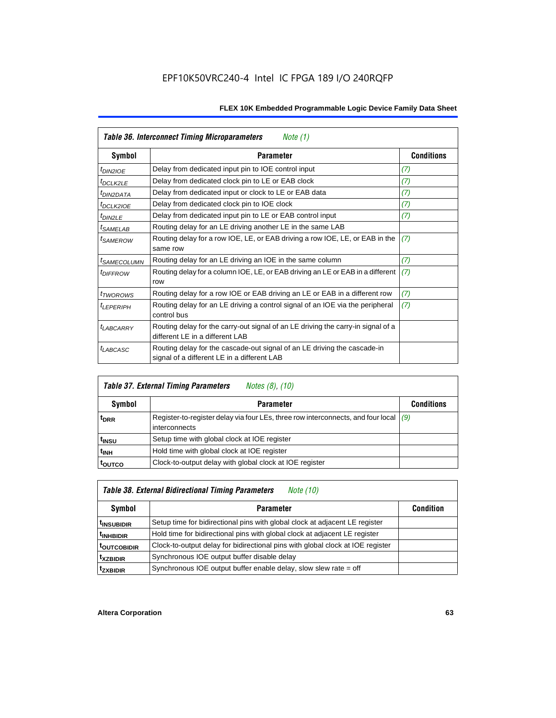|                            | Table 36. Interconnect Timing Microparameters<br>Note (1)                                                               |                   |  |  |  |  |
|----------------------------|-------------------------------------------------------------------------------------------------------------------------|-------------------|--|--|--|--|
| Symbol                     | <b>Parameter</b>                                                                                                        | <b>Conditions</b> |  |  |  |  |
| <sup>t</sup> DIN2IOE       | Delay from dedicated input pin to IOE control input                                                                     | (7)               |  |  |  |  |
| $t_{DCLK2LE}$              | Delay from dedicated clock pin to LE or EAB clock                                                                       | (7)               |  |  |  |  |
| <sup>t</sup> DIN2DATA      | Delay from dedicated input or clock to LE or EAB data                                                                   | (7)               |  |  |  |  |
| <sup>t</sup> DCLK2IOE      | Delay from dedicated clock pin to IOE clock                                                                             | (7)               |  |  |  |  |
| t <sub>DIN2LE</sub>        | Delay from dedicated input pin to LE or EAB control input                                                               | (7)               |  |  |  |  |
| <sup>t</sup> SAMELAB       | Routing delay for an LE driving another LE in the same LAB                                                              |                   |  |  |  |  |
| <sup>t</sup> SAMEROW       | Routing delay for a row IOE, LE, or EAB driving a row IOE, LE, or EAB in the<br>same row                                | (7)               |  |  |  |  |
| <sup>t</sup> SAMECOLUMN    | Routing delay for an LE driving an IOE in the same column                                                               | (7)               |  |  |  |  |
| <i><b>IDIFFROW</b></i>     | Routing delay for a column IOE, LE, or EAB driving an LE or EAB in a different<br>row                                   | (7)               |  |  |  |  |
| <i>t</i> TWOROWS           | Routing delay for a row IOE or EAB driving an LE or EAB in a different row                                              | (7)               |  |  |  |  |
| <sup>t</sup> LEPERIPH      | Routing delay for an LE driving a control signal of an IOE via the peripheral<br>control bus                            | (7)               |  |  |  |  |
| t <sub>LABCARRY</sub>      | Routing delay for the carry-out signal of an LE driving the carry-in signal of a<br>different LE in a different LAB     |                   |  |  |  |  |
| <i>t<sub>LABCASC</sub></i> | Routing delay for the cascade-out signal of an LE driving the cascade-in<br>signal of a different LE in a different LAB |                   |  |  |  |  |

|                    | <b>Table 37. External Timing Parameters</b><br>Notes (8), (10)                                          |                   |  |  |  |
|--------------------|---------------------------------------------------------------------------------------------------------|-------------------|--|--|--|
| Symbol             | <b>Parameter</b>                                                                                        | <b>Conditions</b> |  |  |  |
| <sup>t</sup> DRR   | Register-to-register delay via four LEs, three row interconnects, and four local $(9)$<br>interconnects |                   |  |  |  |
| t <sub>insu</sub>  | Setup time with global clock at IOE register                                                            |                   |  |  |  |
| $t_{\rm INH}$      | Hold time with global clock at IOE register                                                             |                   |  |  |  |
| <sup>I</sup> OUTCO | Clock-to-output delay with global clock at IOE register                                                 |                   |  |  |  |

## *Table 38. External Bidirectional Timing Parameters Note (10)*

| Symbol                  | <b>Parameter</b>                                                               | <b>Condition</b> |
|-------------------------|--------------------------------------------------------------------------------|------------------|
| <sup>t</sup> INSUBIDIR  | Setup time for bidirectional pins with global clock at adjacent LE register    |                  |
| <sup>t</sup> INHBIDIR   | Hold time for bidirectional pins with global clock at adjacent LE register     |                  |
| <sup>t</sup> outcobidir | Clock-to-output delay for bidirectional pins with global clock at IOE register |                  |
| <sup>t</sup> xzbidir    | Synchronous IOE output buffer disable delay                                    |                  |
| <sup>t</sup> zxbidir    | Synchronous IOE output buffer enable delay, slow slew rate = off               |                  |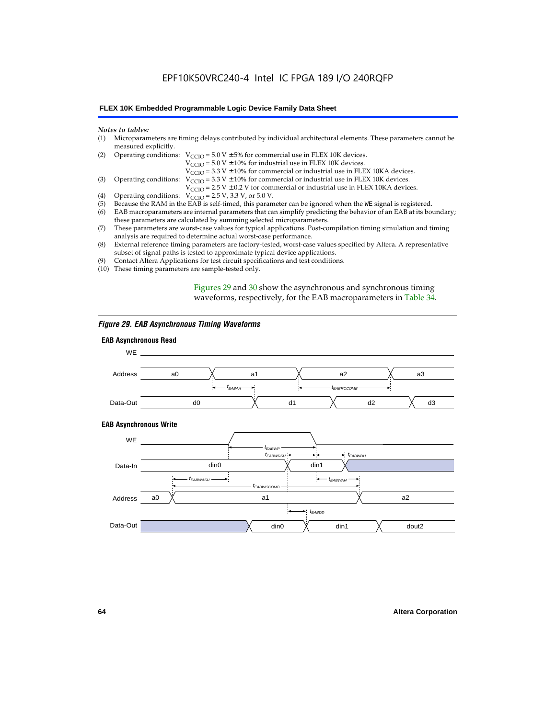## EPF10K50VRC240-4 Intel IC FPGA 189 I/O 240RQFP

#### **FLEX 10K Embedded Programmable Logic Device Family Data Sheet**

#### *Notes to tables:*

| (1) Microparameters are timing delays contributed by individual architectural elements. These parameters cannot be |
|--------------------------------------------------------------------------------------------------------------------|
| measured explicitly.                                                                                               |

| (2) Operating conditions: $V_{CCIO} = 5.0 V \pm 5%$ for commercial use in FLEX 10K devices. |  |  |  |
|---------------------------------------------------------------------------------------------|--|--|--|
|                                                                                             |  |  |  |

 $V<sub>CCIO</sub>$  = 5.0 V  $\pm$  10% for industrial use in FLEX 10K devices.

 $V_{\text{CCIO}} = 3.3 \text{ V} \pm 10\%$  for commercial or industrial use in FLEX 10KA devices.

(3) Operating conditions:  $V_{\text{CCIO}} = 3.3 V \pm 10\%$  for commercial or industrial use in FLEX 10K devices.

 $V_{\text{CCIO}} = 2.5 \text{ V} \pm 0.2 \text{ V}$  for commercial or industrial use in FLEX 10KA devices.

- (4) Operating conditions:  $V_{\text{CCIO}} = 2.5 V$ , 3.3 V, or 5.0 V.<br>(5) Because the RAM in the EAB is self-timed, this param
- (5) Because the RAM in the EAB is self-timed, this parameter can be ignored when the WE signal is registered.<br>(6) EAB macroparameters are internal parameters that can simplify predicting the behavior of an EAB at its bou
- EAB macroparameters are internal parameters that can simplify predicting the behavior of an EAB at its boundary; these parameters are calculated by summing selected microparameters.
- (7) These parameters are worst-case values for typical applications. Post-compilation timing simulation and timing analysis are required to determine actual worst-case performance.
- (8) External reference timing parameters are factory-tested, worst-case values specified by Altera. A representative subset of signal paths is tested to approximate typical device applications.
- (9) Contact Altera Applications for test circuit specifications and test conditions.
- (10) These timing parameters are sample-tested only.

Figures 29 and 30 show the asynchronous and synchronous timing waveforms, respectively, for the EAB macroparameters in Table 34.

#### *Figure 29. EAB Asynchronous Timing Waveforms*

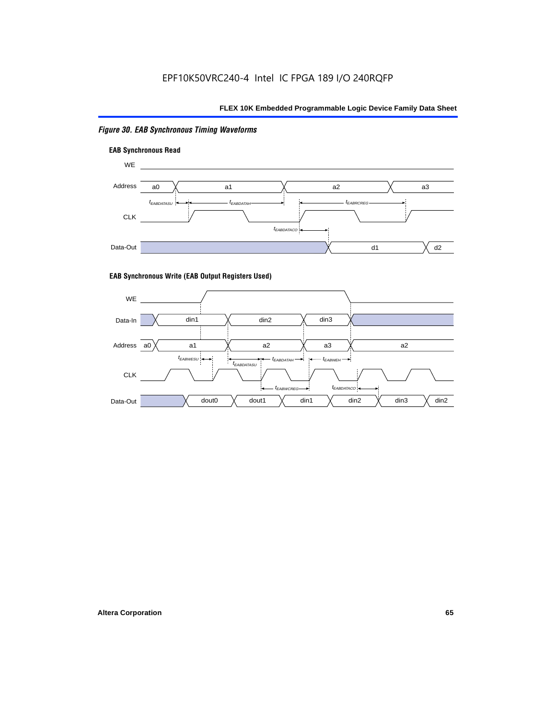## *Figure 30. EAB Synchronous Timing Waveforms*





#### **EAB Synchronous Write (EAB Output Registers Used)**

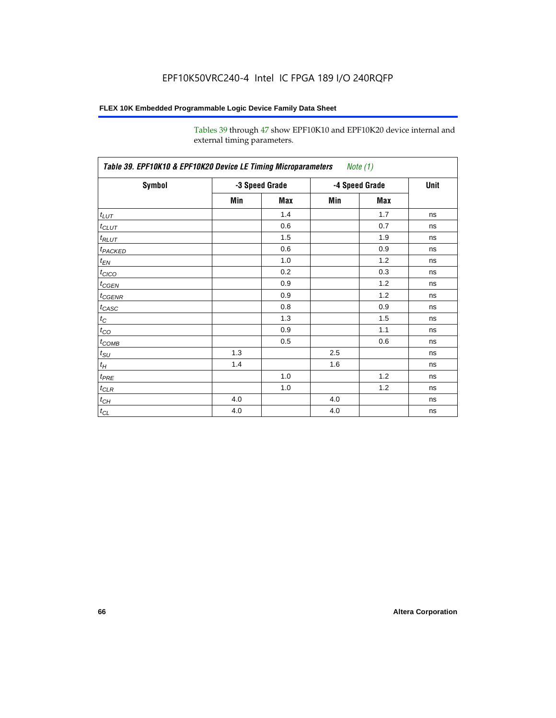Tables 39 through 47 show EPF10K10 and EPF10K20 device internal and external timing parameters.

| Symbol            | -3 Speed Grade |     | -4 Speed Grade |     | <b>Unit</b> |
|-------------------|----------------|-----|----------------|-----|-------------|
|                   | Min            | Max | Min            | Max |             |
| $t_{LUT}$         |                | 1.4 |                | 1.7 | ns          |
| $t_{CLUT}$        |                | 0.6 |                | 0.7 | ns          |
| $t_{RLUT}$        |                | 1.5 |                | 1.9 | ns          |
| <b>t</b> PACKED   |                | 0.6 |                | 0.9 | ns          |
| $t_{EN}$          |                | 1.0 |                | 1.2 | ns          |
| $t_{CICO}$        |                | 0.2 |                | 0.3 | ns          |
| $t_{\text{GEN}}$  |                | 0.9 |                | 1.2 | ns          |
| $t_{GENR}$        |                | 0.9 |                | 1.2 | ns          |
| $t_{CASC}$        |                | 0.8 |                | 0.9 | ns          |
| $t_C$             |                | 1.3 |                | 1.5 | ns          |
| $t_{CO}$          |                | 0.9 |                | 1.1 | ns          |
| $t_{\text{COMB}}$ |                | 0.5 |                | 0.6 | ns          |
| $t_{\text{SU}}$   | 1.3            |     | 2.5            |     | ns          |
| $t_H$             | 1.4            |     | 1.6            |     | ns          |
| $t_{PRE}$         |                | 1.0 |                | 1.2 | ns          |
| $t_{\text{CLR}}$  |                | 1.0 |                | 1.2 | ns          |
| $t_{CH}$          | 4.0            |     | 4.0            |     | ns          |
| $t_{CL}$          | 4.0            |     | 4.0            |     | ns          |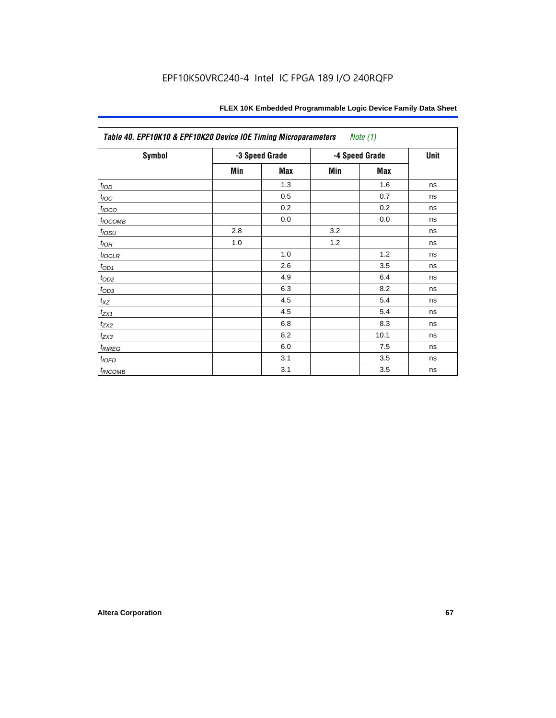| <b>Symbol</b>       | -3 Speed Grade |     | -4 Speed Grade |      | <b>Unit</b> |
|---------------------|----------------|-----|----------------|------|-------------|
|                     | Min            | Max | Min            | Max  |             |
| t <sub>IOD</sub>    |                | 1.3 |                | 1.6  | ns          |
| $t_{\text{IOC}}$    |                | 0.5 |                | 0.7  | ns          |
| $t_{\text{IOCO}}$   |                | 0.2 |                | 0.2  | ns          |
| t <sub>IOCOMB</sub> |                | 0.0 |                | 0.0  | ns          |
| $t_{IOSU}$          | 2.8            |     | 3.2            |      | ns          |
| $t_{IOH}$           | 1.0            |     | 1.2            |      | ns          |
| $t_{IOCLR}$         |                | 1.0 |                | 1.2  | ns          |
| $t_{OD1}$           |                | 2.6 |                | 3.5  | ns          |
| $t_{OD2}$           |                | 4.9 |                | 6.4  | ns          |
| $t_{OD3}$           |                | 6.3 |                | 8.2  | ns          |
| $t_{XZ}$            |                | 4.5 |                | 5.4  | ns          |
| $t_{ZX1}$           |                | 4.5 |                | 5.4  | ns          |
| $t_{ZX2}$           |                | 6.8 |                | 8.3  | ns          |
| $t_{ZX3}$           |                | 8.2 |                | 10.1 | ns          |
| $t_{INREG}$         |                | 6.0 |                | 7.5  | ns          |
| $t_{IOFD}$          |                | 3.1 |                | 3.5  | ns          |
| t <sub>INCOMB</sub> |                | 3.1 |                | 3.5  | ns          |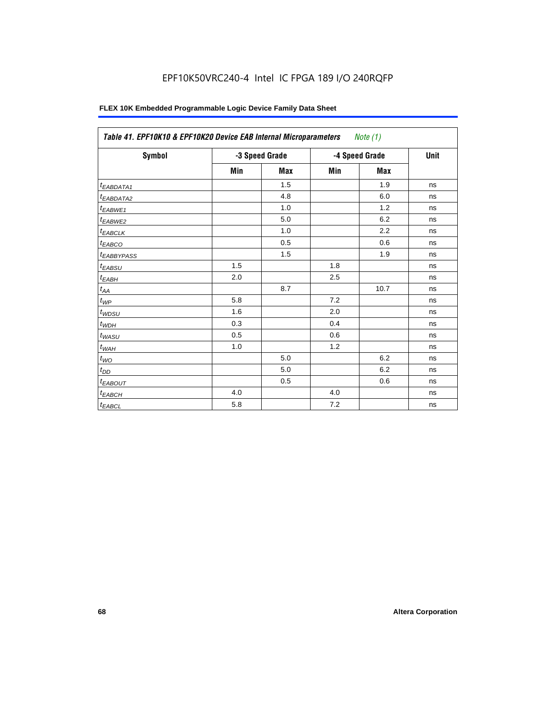## EPF10K50VRC240-4 Intel IC FPGA 189 I/O 240RQFP

| Symbol                 | -3 Speed Grade |            | -4 Speed Grade |            | Unit |
|------------------------|----------------|------------|----------------|------------|------|
|                        | Min            | <b>Max</b> | Min            | <b>Max</b> |      |
| <sup>t</sup> EABDATA1  |                | 1.5        |                | 1.9        | ns   |
| <sup>t</sup> EABDATA2  |                | 4.8        |                | 6.0        | ns   |
| t <sub>EABWE1</sub>    |                | 1.0        |                | 1.2        | ns   |
| <sup>t</sup> EABWE2    |                | 5.0        |                | 6.2        | ns   |
| <sup>t</sup> EABCLK    |                | 1.0        |                | 2.2        | ns   |
| t <sub>EABCO</sub>     |                | 0.5        |                | 0.6        | ns   |
| <sup>t</sup> EABBYPASS |                | 1.5        |                | 1.9        | ns   |
| $t_{EABSU}$            | 1.5            |            | 1.8            |            | ns   |
| $t_{EABH}$             | 2.0            |            | 2.5            |            | ns   |
| $t_{AA}$               |                | 8.7        |                | 10.7       | ns   |
| $t_{\mathit{WP}}$      | 5.8            |            | 7.2            |            | ns   |
| $t_{WDSU}$             | 1.6            |            | 2.0            |            | ns   |
| $t_{WDH}$              | 0.3            |            | 0.4            |            | ns   |
| $t_{WASU}$             | 0.5            |            | 0.6            |            | ns   |
| $t_{W\underline{AH}}$  | 1.0            |            | 1.2            |            | ns   |
| $t_{WO}$               |                | 5.0        |                | 6.2        | ns   |
| $t_{DD}$               |                | 5.0        |                | 6.2        | ns   |
| <sup>t</sup> EABOUT    |                | 0.5        |                | 0.6        | ns   |
| $t_{EABCH}$            | 4.0            |            | 4.0            |            | ns   |
| $t_{EABCL}$            | 5.8            |            | 7.2            |            | ns   |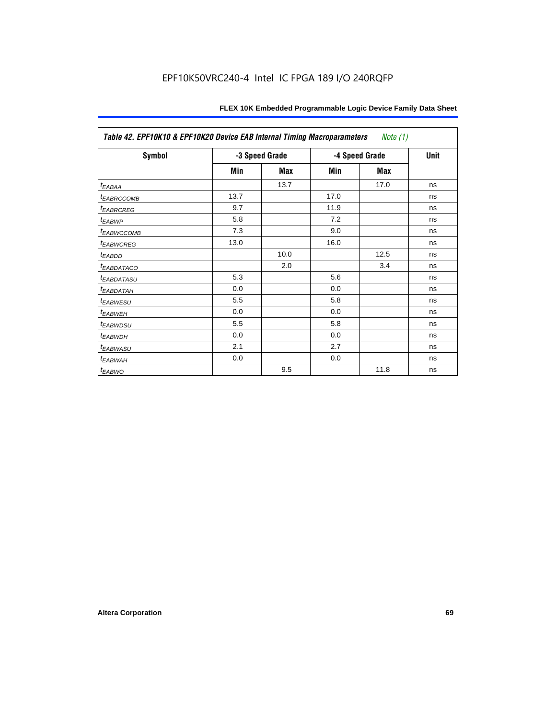| Table 42. EPF10K10 & EPF10K20 Device EAB Internal Timing Macroparameters<br>Note (1) |                |            |                |            |             |
|--------------------------------------------------------------------------------------|----------------|------------|----------------|------------|-------------|
| Symbol                                                                               | -3 Speed Grade |            | -4 Speed Grade |            | <b>Unit</b> |
|                                                                                      | Min            | <b>Max</b> | Min            | <b>Max</b> |             |
| $t_{EABA}$                                                                           |                | 13.7       |                | 17.0       | ns          |
| <sup>t</sup> EABRCCOMB                                                               | 13.7           |            | 17.0           |            | ns          |
| <sup>t</sup> EABRCREG                                                                | 9.7            |            | 11.9           |            | ns          |
| <sup>t</sup> EABWP                                                                   | 5.8            |            | 7.2            |            | ns          |
| <sup>t</sup> EABWCCOMB                                                               | 7.3            |            | 9.0            |            | ns          |
| <sup>t</sup> EABWCREG                                                                | 13.0           |            | 16.0           |            | ns          |
| t <sub>EABDD</sub>                                                                   |                | 10.0       |                | 12.5       | ns          |
| <b><i>EABDATACO</i></b>                                                              |                | 2.0        |                | 3.4        | ns          |
| <sup>t</sup> EABDATASU                                                               | 5.3            |            | 5.6            |            | ns          |
| <sup>t</sup> EABDATAH                                                                | 0.0            |            | 0.0            |            | ns          |
| <sup>t</sup> EABWESU                                                                 | 5.5            |            | 5.8            |            | ns          |
| <sup>t</sup> EABWEH                                                                  | 0.0            |            | 0.0            |            | ns          |
| <sup>t</sup> EABWDSU                                                                 | 5.5            |            | 5.8            |            | ns          |
| <sup>t</sup> EABWDH                                                                  | 0.0            |            | 0.0            |            | ns          |
| t <sub>EABWASU</sub>                                                                 | 2.1            |            | 2.7            |            | ns          |
| <sup>t</sup> EABWAH                                                                  | 0.0            |            | 0.0            |            | ns          |
| <sup>t</sup> EABWO                                                                   |                | 9.5        |                | 11.8       | ns          |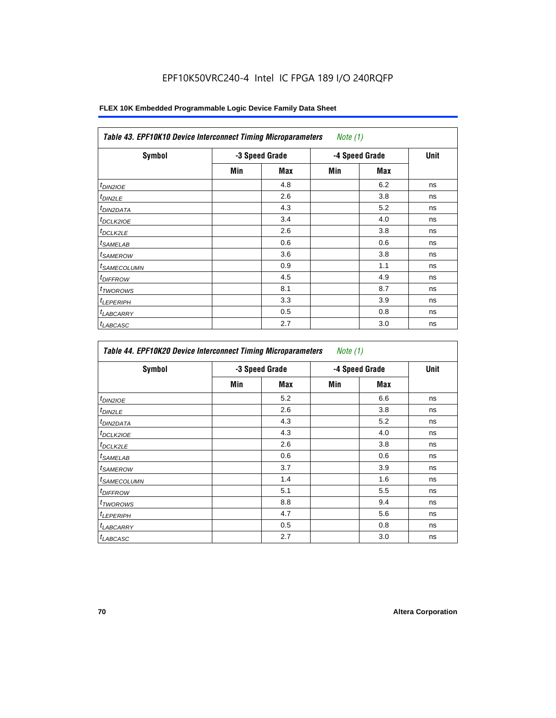| <b>Symbol</b>              | -3 Speed Grade |            | -4 Speed Grade |            | <b>Unit</b> |
|----------------------------|----------------|------------|----------------|------------|-------------|
|                            | Min            | <b>Max</b> | Min            | <b>Max</b> |             |
| <sup>t</sup> DIN2IOE       |                | 4.8        |                | 6.2        | ns          |
| $t_{DIN2LE}$               |                | 2.6        |                | 3.8        | ns          |
| <sup>t</sup> DIN2DATA      |                | 4.3        |                | 5.2        | ns          |
| <sup>t</sup> DCLK2IOE      |                | 3.4        |                | 4.0        | ns          |
| <sup>t</sup> DCLK2LE       |                | 2.6        |                | 3.8        | ns          |
| <sup>t</sup> SAMELAB       |                | 0.6        |                | 0.6        | ns          |
| <sup>t</sup> SAMEROW       |                | 3.6        |                | 3.8        | ns          |
| <sup>t</sup> SAMECOLUMN    |                | 0.9        |                | 1.1        | ns          |
| <i>t<sub>DIFFROW</sub></i> |                | 4.5        |                | 4.9        | ns          |
| <sup>t</sup> TWOROWS       |                | 8.1        |                | 8.7        | ns          |
| <sup>t</sup> LEPERIPH      |                | 3.3        |                | 3.9        | ns          |
| <sup>I</sup> LABCARRY      |                | 0.5        |                | 0.8        | ns          |
| <sup>t</sup> LABCASC       |                | 2.7        |                | 3.0        | ns          |

| Symbol                  | -3 Speed Grade |     | -4 Speed Grade |     | Unit |
|-------------------------|----------------|-----|----------------|-----|------|
|                         | Min            | Max | Min            | Max |      |
| $t_{DIN2IOE}$           |                | 5.2 |                | 6.6 | ns   |
| <sup>t</sup> DIN2LE     |                | 2.6 |                | 3.8 | ns   |
| <sup>I</sup> DIN2DATA   |                | 4.3 |                | 5.2 | ns   |
| <sup>I</sup> DCLK2IOE   |                | 4.3 |                | 4.0 | ns   |
| t <sub>DCLK2LE</sub>    |                | 2.6 |                | 3.8 | ns   |
| <sup>I</sup> SAMELAB    |                | 0.6 |                | 0.6 | ns   |
| <sup>t</sup> SAMEROW    |                | 3.7 |                | 3.9 | ns   |
| <sup>t</sup> SAMECOLUMN |                | 1.4 |                | 1.6 | ns   |
| <sup>t</sup> DIFFROW    |                | 5.1 |                | 5.5 | ns   |
| <sup>t</sup> TWOROWS    |                | 8.8 |                | 9.4 | ns   |
| <sup>t</sup> LEPERIPH   |                | 4.7 |                | 5.6 | ns   |
| <b>LABCARRY</b>         |                | 0.5 |                | 0.8 | ns   |
| <sup>t</sup> LABCASC    |                | 2.7 |                | 3.0 | ns   |

<u> 1980 - Johann Barn, mars ann an t-Amhain Aonaichte ann an t-Aonaichte ann an t-Aonaichte ann an t-Aonaichte a</u>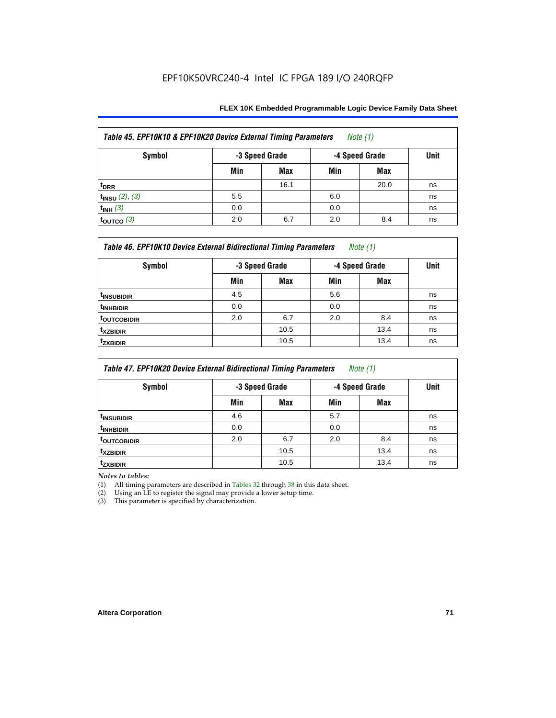| Table 45. EPF10K10 & EPF10K20 Device External Timing Parameters<br>Note $(1)$ |                |            |                |      |             |  |
|-------------------------------------------------------------------------------|----------------|------------|----------------|------|-------------|--|
| Symbol                                                                        | -3 Speed Grade |            | -4 Speed Grade |      | <b>Unit</b> |  |
|                                                                               | Min            | <b>Max</b> | Min            | Max  |             |  |
| t <sub>DRR</sub>                                                              |                | 16.1       |                | 20.0 | ns          |  |
| $t_{INSU}$ (2), (3)                                                           | 5.5            |            | 6.0            |      | ns          |  |
| $t_{INH}$ (3)                                                                 | 0.0            |            | 0.0            |      | ns          |  |
| $\vert$ toutco (3)                                                            | 2.0            | 6.7        | 2.0            | 8.4  | ns          |  |

| Table 46. EPF10K10 Device External Bidirectional Timing Parameters<br>Note $(1)$ |                |            |                |      |             |  |
|----------------------------------------------------------------------------------|----------------|------------|----------------|------|-------------|--|
| Symbol                                                                           | -3 Speed Grade |            | -4 Speed Grade |      | <b>Unit</b> |  |
|                                                                                  | Min            | <b>Max</b> | Min            | Max  |             |  |
| <sup>t</sup> INSUBIDIR                                                           | 4.5            |            | 5.6            |      | ns          |  |
| <sup>t</sup> INHBIDIR                                                            | 0.0            |            | 0.0            |      | ns          |  |
| <sup>t</sup> OUTCOBIDIR                                                          | 2.0            | 6.7        | 2.0            | 8.4  | ns          |  |
| <b>txzbidir</b>                                                                  |                | 10.5       |                | 13.4 | ns          |  |
| <sup>t</sup> zxbidir                                                             |                | 10.5       |                | 13.4 | ns          |  |

| Table 47. EPF10K20 Device External Bidirectional Timing Parameters<br><i>Note</i> $(1)$ |                |      |                |      |             |  |
|-----------------------------------------------------------------------------------------|----------------|------|----------------|------|-------------|--|
| Symbol                                                                                  | -3 Speed Grade |      | -4 Speed Grade |      | <b>Unit</b> |  |
|                                                                                         | Min            | Max  | Min            | Max  |             |  |
| <sup>t</sup> INSUBIDIR                                                                  | 4.6            |      | 5.7            |      | ns          |  |
| <sup>t</sup> INHBIDIR                                                                   | 0.0            |      | 0.0            |      | ns          |  |
| <b>TOUTCOBIDIR</b>                                                                      | 2.0            | 6.7  | 2.0            | 8.4  | ns          |  |
| <sup>t</sup> xzbidir                                                                    |                | 10.5 |                | 13.4 | ns          |  |
| <sup>t</sup> zxbidir                                                                    |                | 10.5 |                | 13.4 | ns          |  |

*Notes to tables:*

(1) All timing parameters are described in Tables 32 through 38 in this data sheet.

(2) Using an LE to register the signal may provide a lower setup time.

(3) This parameter is specified by characterization.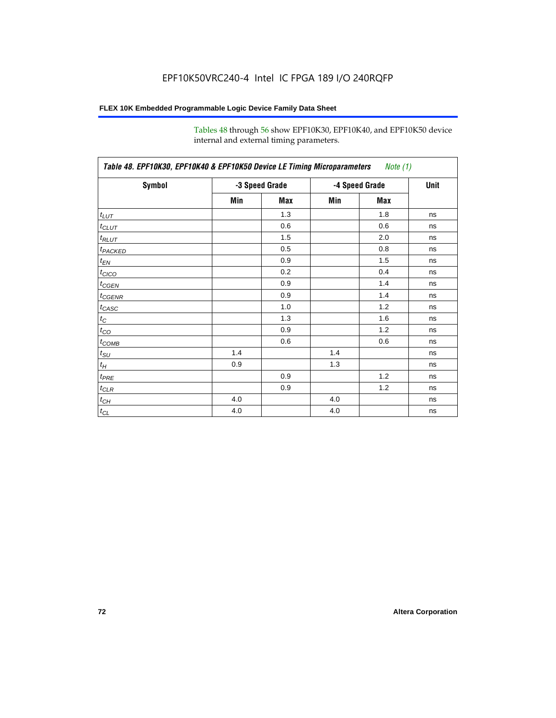Tables 48 through 56 show EPF10K30, EPF10K40, and EPF10K50 device internal and external timing parameters.

| Symbol                     |     | -3 Speed Grade | -4 Speed Grade | <b>Unit</b> |    |
|----------------------------|-----|----------------|----------------|-------------|----|
|                            |     |                |                |             |    |
|                            | Min | Max            | Min            | Max         |    |
| $t_{LUT}$                  |     | 1.3            |                | 1.8         | ns |
| $t_{CLUT}$                 |     | 0.6            |                | 0.6         | ns |
| $t_{RLUT}$                 |     | 1.5            |                | 2.0         | ns |
| <b>t</b> <sub>PACKED</sub> |     | 0.5            |                | 0.8         | ns |
| $t_{EN}$                   |     | 0.9            |                | 1.5         | ns |
| $t_{CICO}$                 |     | 0.2            |                | 0.4         | ns |
| $t_{CGEN}$                 |     | 0.9            |                | 1.4         | ns |
| $t_{\text{GENR}}$          |     | 0.9            |                | 1.4         | ns |
| $t_{CASC}$                 |     | 1.0            |                | 1.2         | ns |
| $t_C$                      |     | 1.3            |                | 1.6         | ns |
| $t_{CO}$                   |     | 0.9            |                | 1.2         | ns |
| $t_{\text{COMB}}$          |     | 0.6            |                | 0.6         | ns |
| $t_{\text{SU}}$            | 1.4 |                | 1.4            |             | ns |
| $t_H$                      | 0.9 |                | 1.3            |             | ns |
| $t_{PRE}$                  |     | 0.9            |                | 1.2         | ns |
| $t_{\text{CLR}}$           |     | 0.9            |                | 1.2         | ns |
| $t_{CH}$                   | 4.0 |                | 4.0            |             | ns |
| $t_{CL}$                   | 4.0 |                | 4.0            |             | ns |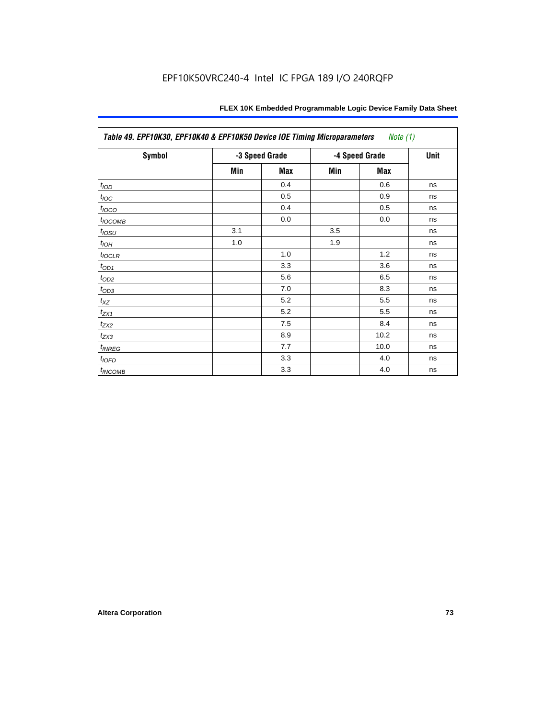| Table 49. EPF10K30, EPF10K40 & EPF10K50 Device IOE Timing Microparameters<br>Note (1) |     |                |     |                |    |  |  |  |
|---------------------------------------------------------------------------------------|-----|----------------|-----|----------------|----|--|--|--|
| <b>Symbol</b>                                                                         |     | -3 Speed Grade |     | -4 Speed Grade |    |  |  |  |
|                                                                                       | Min | <b>Max</b>     | Min | Max            |    |  |  |  |
| t <sub>IOD</sub>                                                                      |     | 0.4            |     | 0.6            | ns |  |  |  |
| $t_{\text{IOC}}$                                                                      |     | 0.5            |     | 0.9            | ns |  |  |  |
| $t_{IOCO}$                                                                            |     | 0.4            |     | 0.5            | ns |  |  |  |
| t <sub>IOCOMB</sub>                                                                   |     | 0.0            |     | 0.0            | ns |  |  |  |
| $t_{IOSU}$                                                                            | 3.1 |                | 3.5 |                | ns |  |  |  |
| $t_{IOH}$                                                                             | 1.0 |                | 1.9 |                | ns |  |  |  |
| $t_{IOCLR}$                                                                           |     | 1.0            |     | 1.2            | ns |  |  |  |
| $t_{OD1}$                                                                             |     | 3.3            |     | 3.6            | ns |  |  |  |
| $t_{OD2}$                                                                             |     | 5.6            |     | 6.5            | ns |  |  |  |
| $t_{OD3}$                                                                             |     | 7.0            |     | 8.3            | ns |  |  |  |
| $t_{\mathsf{XZ}}$                                                                     |     | 5.2            |     | 5.5            | ns |  |  |  |
| $t_{ZX1}$                                                                             |     | 5.2            |     | 5.5            | ns |  |  |  |
| $t_{ZX2}$                                                                             |     | 7.5            |     | 8.4            | ns |  |  |  |
| $t_{ZX3}$                                                                             |     | 8.9            |     | 10.2           | ns |  |  |  |
| $t_{INREG}$                                                                           |     | 7.7            |     | 10.0           | ns |  |  |  |
| $t_{IOFD}$                                                                            |     | 3.3            |     | 4.0            | ns |  |  |  |
| $t_{INCOMB}$                                                                          |     | 3.3            |     | 4.0            | ns |  |  |  |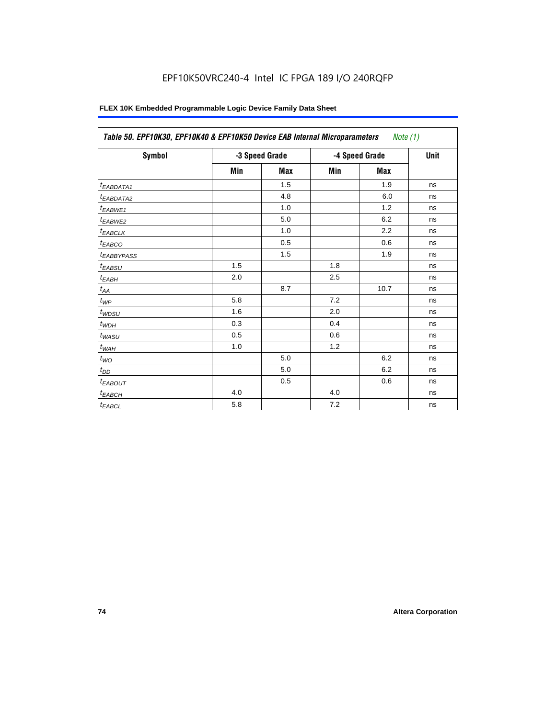| <b>Symbol</b>          |     | -3 Speed Grade |     | -4 Speed Grade | <b>Unit</b> |
|------------------------|-----|----------------|-----|----------------|-------------|
|                        | Min | <b>Max</b>     | Min | <b>Max</b>     |             |
| <sup>t</sup> EABDATA1  |     | 1.5            |     | 1.9            | ns          |
| <sup>t</sup> EABDATA2  |     | 4.8            |     | 6.0            | ns          |
| t <sub>EABWE1</sub>    |     | 1.0            |     | 1.2            | ns          |
| <sup>t</sup> EABWE2    |     | 5.0            |     | 6.2            | ns          |
| <sup>t</sup> EABCLK    |     | 1.0            |     | 2.2            | ns          |
| t <sub>EABCO</sub>     |     | 0.5            |     | 0.6            | ns          |
| <sup>t</sup> EABBYPASS |     | 1.5            |     | 1.9            | ns          |
| t <sub>EABSU</sub>     | 1.5 |                | 1.8 |                | ns          |
| $t_{EABH}$             | 2.0 |                | 2.5 |                | ns          |
| $t_{AA}$               |     | 8.7            |     | 10.7           | ns          |
| $t_{\mathit{WP}}$      | 5.8 |                | 7.2 |                | ns          |
| $t_{WDSU}$             | 1.6 |                | 2.0 |                | ns          |
| $t_{WDH}$              | 0.3 |                | 0.4 |                | ns          |
| $t_{WASU}$             | 0.5 |                | 0.6 |                | ns          |
| $t_{W\underline{AH}}$  | 1.0 |                | 1.2 |                | ns          |
| $t_{WO}$               |     | 5.0            |     | 6.2            | ns          |
| $t_{DD}$               |     | 5.0            |     | 6.2            | ns          |
| <sup>t</sup> EABOUT    |     | 0.5            |     | 0.6            | ns          |
| $t_{EABCH}$            | 4.0 |                | 4.0 |                | ns          |
| $t_{EABCL}$            | 5.8 |                | 7.2 |                | ns          |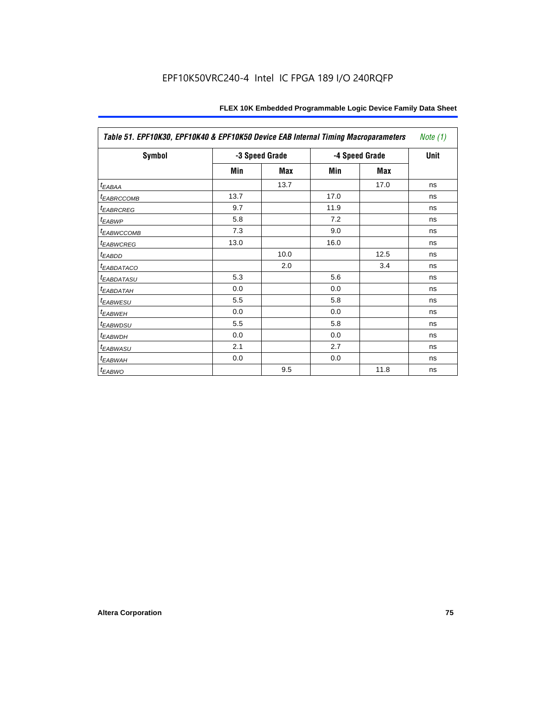| Table 51. EPF10K30, EPF10K40 & EPF10K50 Device EAB Internal Timing Macroparameters |      |                |      |                |             |  |  |
|------------------------------------------------------------------------------------|------|----------------|------|----------------|-------------|--|--|
| <b>Symbol</b>                                                                      |      | -3 Speed Grade |      | -4 Speed Grade | <b>Unit</b> |  |  |
|                                                                                    | Min  | <b>Max</b>     | Min  | Max            |             |  |  |
| $t_{EABA}$                                                                         |      | 13.7           |      | 17.0           | ns          |  |  |
| <b><i>EABRCCOMB</i></b>                                                            | 13.7 |                | 17.0 |                | ns          |  |  |
| <b><i>EABRCREG</i></b>                                                             | 9.7  |                | 11.9 |                | ns          |  |  |
| <sup>t</sup> EABWP                                                                 | 5.8  |                | 7.2  |                | ns          |  |  |
| <b><i>EABWCCOMB</i></b>                                                            | 7.3  |                | 9.0  |                | ns          |  |  |
| <b><i>EABWCREG</i></b>                                                             | 13.0 |                | 16.0 |                | ns          |  |  |
| <sup>t</sup> EABDD                                                                 |      | 10.0           |      | 12.5           | ns          |  |  |
| <i>EABDATACO</i>                                                                   |      | 2.0            |      | 3.4            | ns          |  |  |
| <sup>T</sup> EABDATASU                                                             | 5.3  |                | 5.6  |                | ns          |  |  |
| <sup>t</sup> EABDATAH                                                              | 0.0  |                | 0.0  |                | ns          |  |  |
| <b><i>EABWESU</i></b>                                                              | 5.5  |                | 5.8  |                | ns          |  |  |
| <sup>t</sup> EABWEH                                                                | 0.0  |                | 0.0  |                | ns          |  |  |
| <sup>t</sup> EABWDSU                                                               | 5.5  |                | 5.8  |                | ns          |  |  |
| <sup>t</sup> EABWDH                                                                | 0.0  |                | 0.0  |                | ns          |  |  |
| <sup>t</sup> EABWASU                                                               | 2.1  |                | 2.7  |                | ns          |  |  |
| <sup>t</sup> EABWAH                                                                | 0.0  |                | 0.0  |                | ns          |  |  |
| $t_{EABWO}$                                                                        |      | 9.5            |      | 11.8           | ns          |  |  |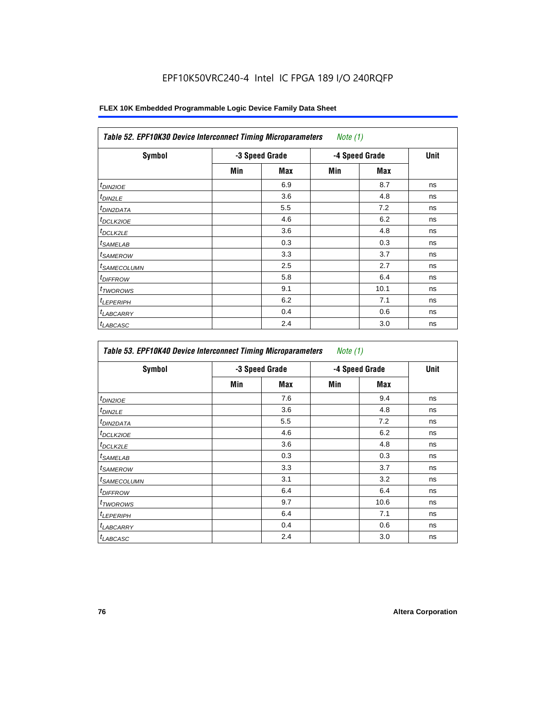| <b>Table 52. EPF10K30 Device Interconnect Timing Microparameters</b><br><i>Note</i> $(1)$ |     |                |     |                |             |  |  |  |
|-------------------------------------------------------------------------------------------|-----|----------------|-----|----------------|-------------|--|--|--|
| Symbol                                                                                    |     | -3 Speed Grade |     | -4 Speed Grade | <b>Unit</b> |  |  |  |
|                                                                                           | Min | Max            | Min | <b>Max</b>     |             |  |  |  |
| $t_{DIN2IOE}$                                                                             |     | 6.9            |     | 8.7            | ns          |  |  |  |
| $t_{DIN2LE}$                                                                              |     | 3.6            |     | 4.8            | ns          |  |  |  |
| <sup>t</sup> DIN2DATA                                                                     |     | 5.5            |     | 7.2            | ns          |  |  |  |
| <sup>t</sup> DCLK2IOE                                                                     |     | 4.6            |     | 6.2            | ns          |  |  |  |
| <sup>t</sup> DCLK2LE                                                                      |     | 3.6            |     | 4.8            | ns          |  |  |  |
| <sup>t</sup> SAMELAB                                                                      |     | 0.3            |     | 0.3            | ns          |  |  |  |
| <sup>t</sup> SAMEROW                                                                      |     | 3.3            |     | 3.7            | ns          |  |  |  |
| <sup>t</sup> SAMECOLUMN                                                                   |     | 2.5            |     | 2.7            | ns          |  |  |  |
| <i><b>IDIFFROW</b></i>                                                                    |     | 5.8            |     | 6.4            | ns          |  |  |  |
| <sup>t</sup> TWOROWS                                                                      |     | 9.1            |     | 10.1           | ns          |  |  |  |
| <sup>t</sup> LEPERIPH                                                                     |     | 6.2            |     | 7.1            | ns          |  |  |  |
| <sup>t</sup> LABCARRY                                                                     |     | 0.4            |     | 0.6            | ns          |  |  |  |
| <sup>t</sup> LABCASC                                                                      |     | 2.4            |     | 3.0            | ns          |  |  |  |

| Symbol                  |     | -3 Speed Grade |     | -4 Speed Grade | Unit |
|-------------------------|-----|----------------|-----|----------------|------|
|                         | Min | Max            | Min | Max            |      |
| $t_{DINZIOE}$           |     | 7.6            |     | 9.4            | ns   |
| <sup>t</sup> DIN2LE     |     | 3.6            |     | 4.8            | ns   |
| <sup>I</sup> DIN2DATA   |     | 5.5            |     | 7.2            | ns   |
| <sup>I</sup> DCLK2IOE   |     | 4.6            |     | 6.2            | ns   |
| t <sub>DCLK2LE</sub>    |     | 3.6            |     | 4.8            | ns   |
| <sup>I</sup> SAMELAB    |     | 0.3            |     | 0.3            | ns   |
| <sup>I</sup> SAMEROW    |     | 3.3            |     | 3.7            | ns   |
| <sup>t</sup> SAMECOLUMN |     | 3.1            |     | 3.2            | ns   |
| <sup>I</sup> DIFFROW    |     | 6.4            |     | 6.4            | ns   |
| <sup>t</sup> TWOROWS    |     | 9.7            |     | 10.6           | ns   |
| <sup>t</sup> LEPERIPH   |     | 6.4            |     | 7.1            | ns   |
| <b>LABCARRY</b>         |     | 0.4            |     | 0.6            | ns   |
| <sup>t</sup> LABCASC    |     | 2.4            |     | 3.0            | ns   |

<u> 1980 - Johann Barn, mars ann an t-Amhain Aonaich an t-Aonaich an t-Aonaich an t-Aonaich an t-Aonaich an t-Aon</u>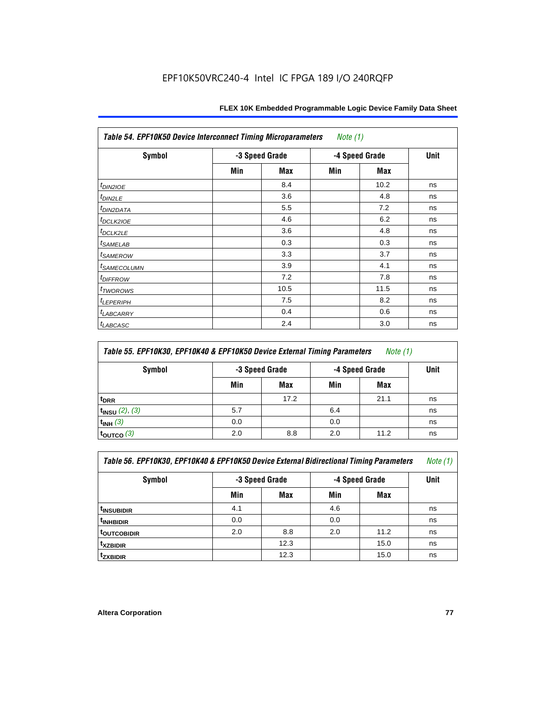| Table 54. EPF10K50 Device Interconnect Timing Microparameters<br>Note $(1)$ |                |      |     |                |             |  |  |  |
|-----------------------------------------------------------------------------|----------------|------|-----|----------------|-------------|--|--|--|
| Symbol                                                                      | -3 Speed Grade |      |     | -4 Speed Grade | <b>Unit</b> |  |  |  |
|                                                                             | Min            | Max  | Min | Max            |             |  |  |  |
| $t_{DIN2IOE}$                                                               |                | 8.4  |     | 10.2           | ns          |  |  |  |
| t <sub>DIN2LE</sub>                                                         |                | 3.6  |     | 4.8            | ns          |  |  |  |
| t <sub>DIN2DATA</sub>                                                       |                | 5.5  |     | 7.2            | ns          |  |  |  |
| t <sub>DCLK2IOE</sub>                                                       |                | 4.6  |     | 6.2            | ns          |  |  |  |
| $t_{DCLK2LE}$                                                               |                | 3.6  |     | 4.8            | ns          |  |  |  |
| <i>t<sub>SAMELAB</sub></i>                                                  |                | 0.3  |     | 0.3            | ns          |  |  |  |
| <i>t<sub>SAMEROW</sub></i>                                                  |                | 3.3  |     | 3.7            | ns          |  |  |  |
| <sup>t</sup> SAMECOLUMN                                                     |                | 3.9  |     | 4.1            | ns          |  |  |  |
| <i>t<sub>DIFFROW</sub></i>                                                  |                | 7.2  |     | 7.8            | ns          |  |  |  |
| <i>t</i> <sub>TWOROWS</sub>                                                 |                | 10.5 |     | 11.5           | ns          |  |  |  |
| <b><i>ILEPERIPH</i></b>                                                     |                | 7.5  |     | 8.2            | ns          |  |  |  |
| t <sub>LABCARRY</sub>                                                       |                | 0.4  |     | 0.6            | ns          |  |  |  |
| $t_{LABCASC}$                                                               |                | 2.4  |     | 3.0            | ns          |  |  |  |

| Table 55. EPF10K30, EPF10K40 & EPF10K50 Device External Timing Parameters<br>Note $(1)$ |                |      |                |      |    |  |  |  |
|-----------------------------------------------------------------------------------------|----------------|------|----------------|------|----|--|--|--|
| <b>Symbol</b>                                                                           | -3 Speed Grade |      | -4 Speed Grade | Unit |    |  |  |  |
|                                                                                         | Min            | Max  | Min            | Max  |    |  |  |  |
| <sup>t</sup> DRR                                                                        |                | 17.2 |                | 21.1 | ns |  |  |  |
| $t_{INSU}$ (2), (3)                                                                     | 5.7            |      | 6.4            |      | ns |  |  |  |
| $t_{INH}$ (3)                                                                           | 0.0            |      | 0.0            |      | ns |  |  |  |
| $t_{\text{OUTCO}}$ (3)                                                                  | 2.0            | 8.8  | 2.0            | 11.2 | ns |  |  |  |

| Table 56. EPF10K30, EPF10K40 & EPF10K50 Device External Bidirectional Timing Parameters<br>Note $(1)$ |                                  |      |     |             |    |  |  |  |  |
|-------------------------------------------------------------------------------------------------------|----------------------------------|------|-----|-------------|----|--|--|--|--|
| Symbol                                                                                                | -3 Speed Grade<br>-4 Speed Grade |      |     | <b>Unit</b> |    |  |  |  |  |
|                                                                                                       | Min                              | Max  | Min | Max         |    |  |  |  |  |
| <sup>t</sup> INSUBIDIR                                                                                | 4.1                              |      | 4.6 |             | ns |  |  |  |  |
| <sup>t</sup> INHBIDIR                                                                                 | 0.0                              |      | 0.0 |             | ns |  |  |  |  |
| t <sub>outcobidir</sub>                                                                               | 2.0                              | 8.8  | 2.0 | 11.2        | ns |  |  |  |  |
| <sup>t</sup> xzbidir                                                                                  |                                  | 12.3 |     | 15.0        | ns |  |  |  |  |
| <sup>t</sup> zxbidir                                                                                  |                                  | 12.3 |     | 15.0        | ns |  |  |  |  |

r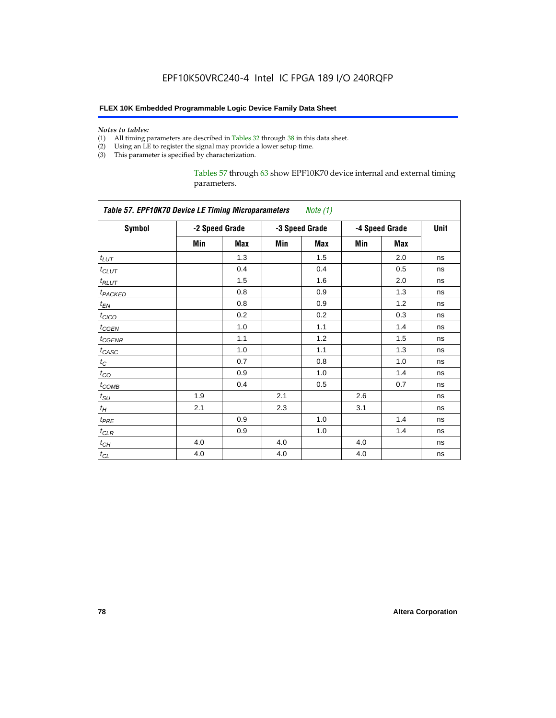#### *Notes to tables:*

- (1) All timing parameters are described in Tables 32 through 38 in this data sheet.
- (2) Using an LE to register the signal may provide a lower setup time.
- (3) This parameter is specified by characterization.

Tables 57 through 63 show EPF10K70 device internal and external timing parameters.

| <b>Table 57. EPF10K70 Device LE Timing Microparameters</b><br>Note (1) |     |                |     |                |     |                |    |  |
|------------------------------------------------------------------------|-----|----------------|-----|----------------|-----|----------------|----|--|
| <b>Symbol</b>                                                          |     | -2 Speed Grade |     | -3 Speed Grade |     | -4 Speed Grade |    |  |
|                                                                        | Min | Max            | Min | <b>Max</b>     | Min | <b>Max</b>     |    |  |
| $t_{LUT}$                                                              |     | 1.3            |     | 1.5            |     | 2.0            | ns |  |
| $t$ CLUT                                                               |     | 0.4            |     | 0.4            |     | 0.5            | ns |  |
| $t_{RLUT}$                                                             |     | 1.5            |     | 1.6            |     | 2.0            | ns |  |
| t <sub>PACKED</sub>                                                    |     | 0.8            |     | 0.9            |     | 1.3            | ns |  |
| $t_{EN}$                                                               |     | 0.8            |     | 0.9            |     | 1.2            | ns |  |
| $t_{CICO}$                                                             |     | 0.2            |     | 0.2            |     | 0.3            | ns |  |
| $t_{GEN}$                                                              |     | 1.0            |     | 1.1            |     | 1.4            | ns |  |
| $t_{\text{GENR}}$                                                      |     | 1.1            |     | 1.2            |     | 1.5            | ns |  |
| $t_{CASC}$                                                             |     | 1.0            |     | 1.1            |     | 1.3            | ns |  |
| $t_C$                                                                  |     | 0.7            |     | 0.8            |     | 1.0            | ns |  |
| $t_{CO}$                                                               |     | 0.9            |     | 1.0            |     | 1.4            | ns |  |
| $t_{COMB}$                                                             |     | 0.4            |     | 0.5            |     | 0.7            | ns |  |
| $t_{\text{SU}}$                                                        | 1.9 |                | 2.1 |                | 2.6 |                | ns |  |
| $t_H$                                                                  | 2.1 |                | 2.3 |                | 3.1 |                | ns |  |
| $t_{PRE}$                                                              |     | 0.9            |     | 1.0            |     | 1.4            | ns |  |
| $t_{CLR}$                                                              |     | 0.9            |     | 1.0            |     | 1.4            | ns |  |
| $t_{CH}$                                                               | 4.0 |                | 4.0 |                | 4.0 |                | ns |  |
| $t_{CL}$                                                               | 4.0 |                | 4.0 |                | 4.0 |                | ns |  |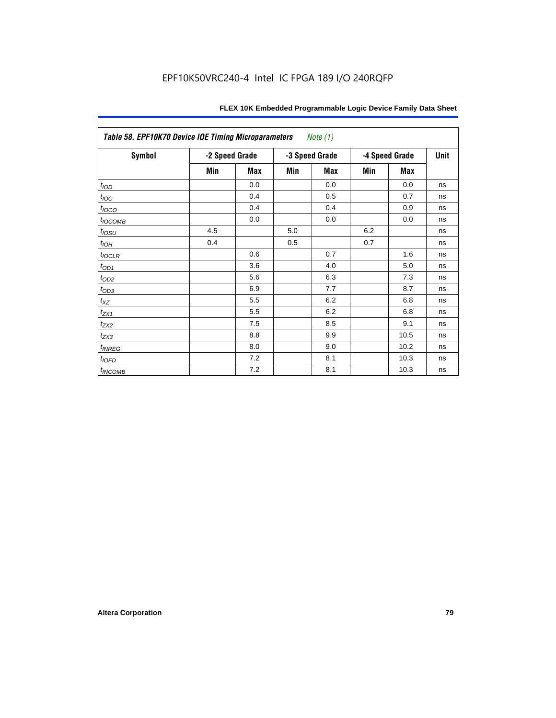| Table 58. EPF10K70 Device IOE Timing Microparameters<br>Note (1) |                |     |     |                |                |      |    |  |  |
|------------------------------------------------------------------|----------------|-----|-----|----------------|----------------|------|----|--|--|
| Symbol                                                           | -2 Speed Grade |     |     | -3 Speed Grade | -4 Speed Grade | Unit |    |  |  |
|                                                                  | Min            | Max | Min | Max            | Min            | Max  |    |  |  |
| t <sub>IOD</sub>                                                 |                | 0.0 |     | 0.0            |                | 0.0  | ns |  |  |
| $t_{\text{loc}}$                                                 |                | 0.4 |     | 0.5            |                | 0.7  | ns |  |  |
| $t_{IOCO}$                                                       |                | 0.4 |     | 0.4            |                | 0.9  | ns |  |  |
| $t_{IOCOMB}$                                                     |                | 0.0 |     | 0.0            |                | 0.0  | ns |  |  |
| $t_{IOSU}$                                                       | 4.5            |     | 5.0 |                | 6.2            |      | ns |  |  |
| $t_{IOH}$                                                        | 0.4            |     | 0.5 |                | 0.7            |      | ns |  |  |
| $t_{IOCLR}$                                                      |                | 0.6 |     | 0.7            |                | 1.6  | ns |  |  |
| $t_{OD1}$                                                        |                | 3.6 |     | 4.0            |                | 5.0  | ns |  |  |
| $t_{OD2}$                                                        |                | 5.6 |     | 6.3            |                | 7.3  | ns |  |  |
| $t_{\rm OD3}$                                                    |                | 6.9 |     | 7.7            |                | 8.7  | ns |  |  |
| $t_{XZ}$                                                         |                | 5.5 |     | 6.2            |                | 6.8  | ns |  |  |
| $t_{ZX1}$                                                        |                | 5.5 |     | 6.2            |                | 6.8  | ns |  |  |
| $t_{ZX2}$                                                        |                | 7.5 |     | 8.5            |                | 9.1  | ns |  |  |
| $t_{ZX3}$                                                        |                | 8.8 |     | 9.9            |                | 10.5 | ns |  |  |
| $t_{INREG}$                                                      |                | 8.0 |     | 9.0            |                | 10.2 | ns |  |  |
| $t_{IOFD}$                                                       |                | 7.2 |     | 8.1            |                | 10.3 | ns |  |  |
| $t_{INCOMB}$                                                     |                | 7.2 |     | 8.1            |                | 10.3 | ns |  |  |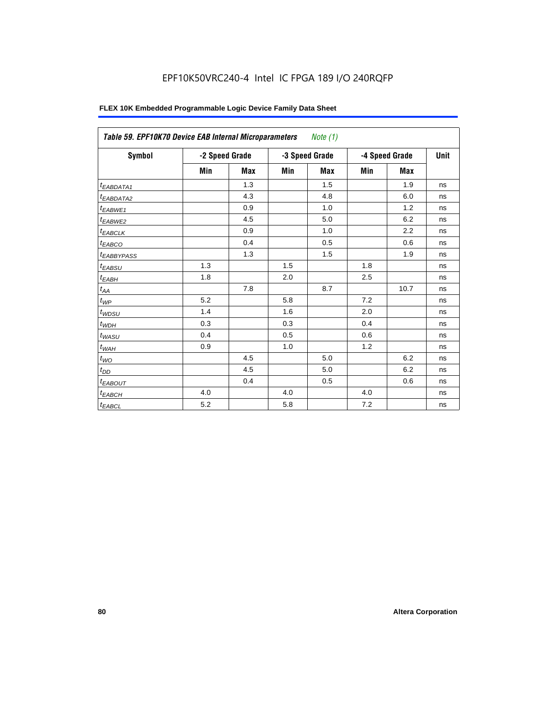| FLEX 10K Embedded Programmable Logic Device Family Data Sheet |  |
|---------------------------------------------------------------|--|
|---------------------------------------------------------------|--|

| Table 59. EPF10K70 Device EAB Internal Microparameters<br>Note $(1)$ |                |            |                |            |                |             |    |  |  |  |
|----------------------------------------------------------------------|----------------|------------|----------------|------------|----------------|-------------|----|--|--|--|
| Symbol                                                               | -2 Speed Grade |            | -3 Speed Grade |            | -4 Speed Grade | <b>Unit</b> |    |  |  |  |
|                                                                      | Min            | <b>Max</b> | Min            | <b>Max</b> | Min            | <b>Max</b>  |    |  |  |  |
| $t_{EABDATA1}$                                                       |                | 1.3        |                | 1.5        |                | 1.9         | ns |  |  |  |
| $t_{EABDATA2}$                                                       |                | 4.3        |                | 4.8        |                | 6.0         | ns |  |  |  |
| t <sub>EABWE1</sub>                                                  |                | 0.9        |                | 1.0        |                | 1.2         | ns |  |  |  |
| t <sub>EABWE2</sub>                                                  |                | 4.5        |                | 5.0        |                | 6.2         | ns |  |  |  |
| $t_{EABCLK}$                                                         |                | 0.9        |                | 1.0        |                | 2.2         | ns |  |  |  |
| $t_{EABCO}$                                                          |                | 0.4        |                | 0.5        |                | 0.6         | ns |  |  |  |
| <b><i>EABBYPASS</i></b>                                              |                | 1.3        |                | 1.5        |                | 1.9         | ns |  |  |  |
| $t_{EABSU}$                                                          | 1.3            |            | 1.5            |            | 1.8            |             | ns |  |  |  |
| $t_{EABH}$                                                           | 1.8            |            | 2.0            |            | 2.5            |             | ns |  |  |  |
| $t_{AA}$                                                             |                | 7.8        |                | 8.7        |                | 10.7        | ns |  |  |  |
| $t_{\mathit{WP}}$                                                    | 5.2            |            | 5.8            |            | 7.2            |             | ns |  |  |  |
| $t_{W\!D\!S\!U}$                                                     | 1.4            |            | 1.6            |            | 2.0            |             | ns |  |  |  |
| $t_{WDH}$                                                            | 0.3            |            | 0.3            |            | 0.4            |             | ns |  |  |  |
| $t_{WASU}$                                                           | 0.4            |            | 0.5            |            | 0.6            |             | ns |  |  |  |
| $t_{W\!A H}$                                                         | 0.9            |            | 1.0            |            | 1.2            |             | ns |  |  |  |
| $t_{WO}$                                                             |                | 4.5        |                | 5.0        |                | 6.2         | ns |  |  |  |
| $t_{DD}$                                                             |                | 4.5        |                | 5.0        |                | 6.2         | ns |  |  |  |
| <sup>t</sup> EABOUT                                                  |                | 0.4        |                | 0.5        |                | 0.6         | ns |  |  |  |
| $t_{EABCH}$                                                          | 4.0            |            | 4.0            |            | 4.0            |             | ns |  |  |  |
| $t_{EABCL}$                                                          | 5.2            |            | 5.8            |            | 7.2            |             | ns |  |  |  |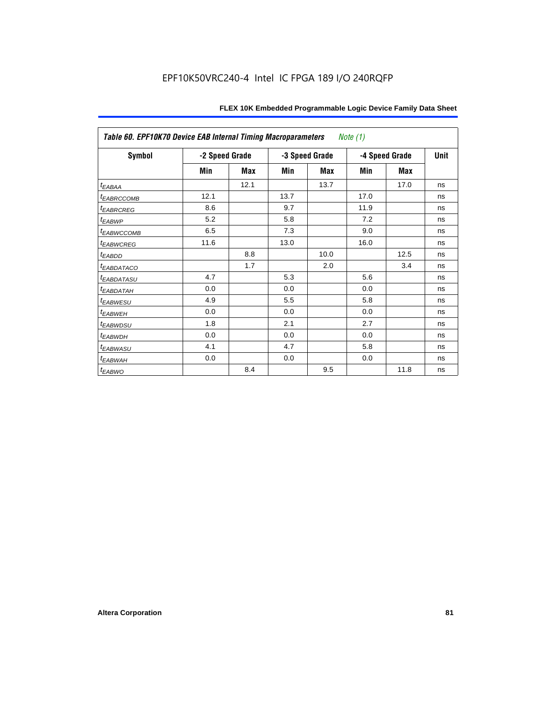|                         | Table 60. EPF10K70 Device EAB Internal Timing Macroparameters<br>Note $(1)$ |                |      |                |                |             |    |  |  |  |  |  |
|-------------------------|-----------------------------------------------------------------------------|----------------|------|----------------|----------------|-------------|----|--|--|--|--|--|
| Symbol                  |                                                                             | -2 Speed Grade |      | -3 Speed Grade | -4 Speed Grade | <b>Unit</b> |    |  |  |  |  |  |
|                         | Min                                                                         | Max            | Min  | Max            | Min            | Max         |    |  |  |  |  |  |
| t <sub>EABAA</sub>      |                                                                             | 12.1           |      | 13.7           |                | 17.0        | ns |  |  |  |  |  |
| <sup>t</sup> EABRCCOMB  | 12.1                                                                        |                | 13.7 |                | 17.0           |             | ns |  |  |  |  |  |
| <sup>t</sup> EABRCREG   | 8.6                                                                         |                | 9.7  |                | 11.9           |             | ns |  |  |  |  |  |
| <sup>t</sup> EABWP      | 5.2                                                                         |                | 5.8  |                | 7.2            |             | ns |  |  |  |  |  |
| <sup>t</sup> EABWCCOMB  | 6.5                                                                         |                | 7.3  |                | 9.0            |             | ns |  |  |  |  |  |
| <sup>t</sup> EABWCREG   | 11.6                                                                        |                | 13.0 |                | 16.0           |             | ns |  |  |  |  |  |
| t <sub>EABDD</sub>      |                                                                             | 8.8            |      | 10.0           |                | 12.5        | ns |  |  |  |  |  |
| <b><i>EABDATACO</i></b> |                                                                             | 1.7            |      | 2.0            |                | 3.4         | ns |  |  |  |  |  |
| <sup>t</sup> EABDATASU  | 4.7                                                                         |                | 5.3  |                | 5.6            |             | ns |  |  |  |  |  |
| <sup>t</sup> EABDATAH   | 0.0                                                                         |                | 0.0  |                | 0.0            |             | ns |  |  |  |  |  |
| <sup>t</sup> EABWESU    | 4.9                                                                         |                | 5.5  |                | 5.8            |             | ns |  |  |  |  |  |
| <sup>t</sup> EABWEH     | 0.0                                                                         |                | 0.0  |                | 0.0            |             | ns |  |  |  |  |  |
| <sup>t</sup> EABWDSU    | 1.8                                                                         |                | 2.1  |                | 2.7            |             | ns |  |  |  |  |  |
| <sup>t</sup> EABWDH     | 0.0                                                                         |                | 0.0  |                | 0.0            |             | ns |  |  |  |  |  |
| <sup>t</sup> EABWASU    | 4.1                                                                         |                | 4.7  |                | 5.8            |             | ns |  |  |  |  |  |
| <sup>t</sup> EABWAH     | 0.0                                                                         |                | 0.0  |                | 0.0            |             | ns |  |  |  |  |  |
| <sup>t</sup> EABWO      |                                                                             | 8.4            |      | 9.5            |                | 11.8        | ns |  |  |  |  |  |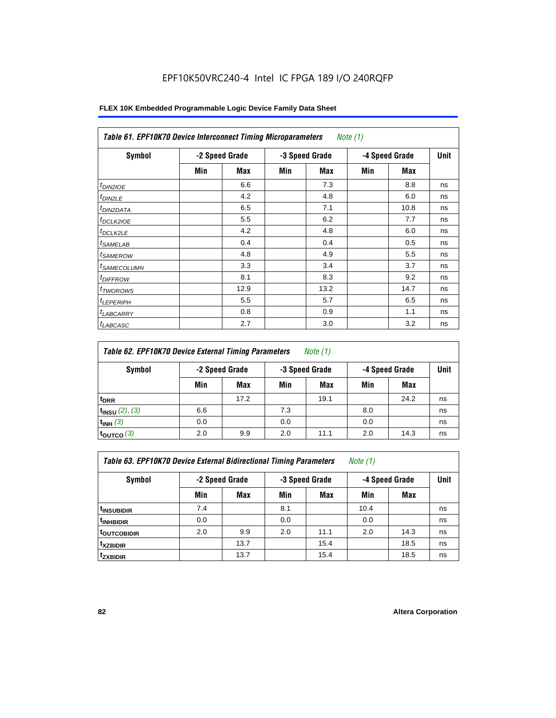| <b>Table 61. EPF10K70 Device Interconnect Timing Microparameters</b><br>Note $(1)$ |                |      |     |                |                |      |    |  |  |  |
|------------------------------------------------------------------------------------|----------------|------|-----|----------------|----------------|------|----|--|--|--|
| Symbol                                                                             | -2 Speed Grade |      |     | -3 Speed Grade | -4 Speed Grade | Unit |    |  |  |  |
|                                                                                    | Min            | Max  | Min | Max            | Min            | Max  |    |  |  |  |
| $t_{DINZIOE}$                                                                      |                | 6.6  |     | 7.3            |                | 8.8  | ns |  |  |  |
| $t_{DIN2LE}$                                                                       |                | 4.2  |     | 4.8            |                | 6.0  | ns |  |  |  |
| <sup>t</sup> DIN2DATA                                                              |                | 6.5  |     | 7.1            |                | 10.8 | ns |  |  |  |
| <sup>t</sup> DCLK2IOE                                                              |                | 5.5  |     | 6.2            |                | 7.7  | ns |  |  |  |
| <sup>t</sup> DCLK2LE                                                               |                | 4.2  |     | 4.8            |                | 6.0  | ns |  |  |  |
| <sup>t</sup> SAMELAB                                                               |                | 0.4  |     | 0.4            |                | 0.5  | ns |  |  |  |
| <sup>t</sup> SAMEROW                                                               |                | 4.8  |     | 4.9            |                | 5.5  | ns |  |  |  |
| <sup>t</sup> SAMECOLUMN                                                            |                | 3.3  |     | 3.4            |                | 3.7  | ns |  |  |  |
| <i><b>IDIFFROW</b></i>                                                             |                | 8.1  |     | 8.3            |                | 9.2  | ns |  |  |  |
| <sup>T</sup> TWOROWS                                                               |                | 12.9 |     | 13.2           |                | 14.7 | ns |  |  |  |
| <sup>t</sup> LEPERIPH                                                              |                | 5.5  |     | 5.7            |                | 6.5  | ns |  |  |  |
| <b>LABCARRY</b>                                                                    |                | 0.8  |     | 0.9            |                | 1.1  | ns |  |  |  |
| <sup>t</sup> LABCASC                                                               |                | 2.7  |     | 3.0            |                | 3.2  | ns |  |  |  |

| Table 62. EPF10K70 Device External Timing Parameters<br><i>Note</i> $(1)$ |     |                |     |                |                |             |    |  |  |
|---------------------------------------------------------------------------|-----|----------------|-----|----------------|----------------|-------------|----|--|--|
| Symbol                                                                    |     | -2 Speed Grade |     | -3 Speed Grade | -4 Speed Grade | <b>Unit</b> |    |  |  |
|                                                                           | Min | Max            | Min | Max            | Min            | Max         |    |  |  |
| t <sub>DRR</sub>                                                          |     | 17.2           |     | 19.1           |                | 24.2        | ns |  |  |
| $t_{INSU}$ (2), (3)                                                       | 6.6 |                | 7.3 |                | 8.0            |             | ns |  |  |
| $t_{INH}$ (3)                                                             | 0.0 |                | 0.0 |                | 0.0            |             | ns |  |  |
| $t_{\text{OUTCO}}(3)$                                                     | 2.0 | 9.9            | 2.0 | 11.1           | 2.0            | 14.3        | ns |  |  |

*Table 63. EPF10K70 Device External Bidirectional Timing Parameters Note (1)*

| Symbol                  | -2 Speed Grade |      |     | -3 Speed Grade | -4 Speed Grade | <b>Unit</b> |    |
|-------------------------|----------------|------|-----|----------------|----------------|-------------|----|
|                         | Min            | Max  | Min | <b>Max</b>     | Min            | <b>Max</b>  |    |
| <sup>t</sup> INSUBIDIR  | 7.4            |      | 8.1 |                | 10.4           |             | ns |
| <sup>T</sup> INHBIDIR   | 0.0            |      | 0.0 |                | 0.0            |             | ns |
| <sup>t</sup> OUTCOBIDIR | 2.0            | 9.9  | 2.0 | 11.1           | 2.0            | 14.3        | ns |
| <sup>t</sup> xzbidir    |                | 13.7 |     | 15.4           |                | 18.5        | ns |
| <sup>t</sup> zxbidir    |                | 13.7 |     | 15.4           |                | 18.5        | ns |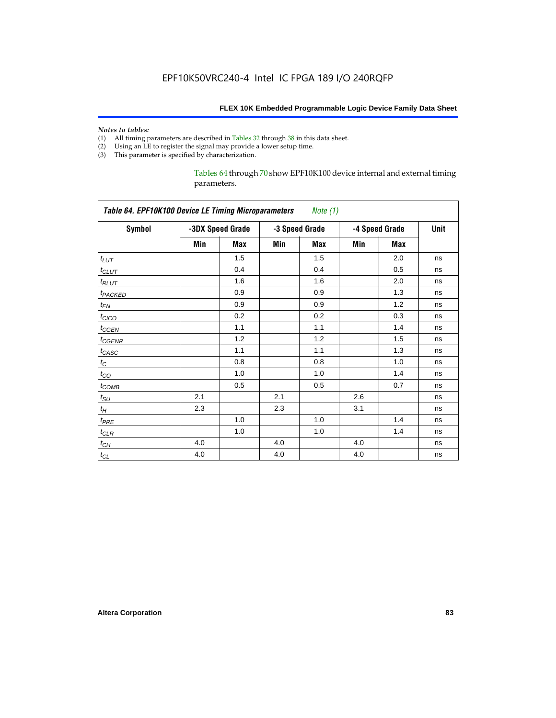#### *Notes to tables:*

- (1) All timing parameters are described in Tables 32 through 38 in this data sheet.
- (2) Using an LE to register the signal may provide a lower setup time.
- (3) This parameter is specified by characterization.

Tables 64 through 70 show EPF10K100 device internal and external timing parameters.

|                     |     |                  |     |                |     | -4 Speed Grade |      |
|---------------------|-----|------------------|-----|----------------|-----|----------------|------|
| <b>Symbol</b>       |     | -3DX Speed Grade |     | -3 Speed Grade |     |                | Unit |
|                     | Min | Max              | Min | Max            | Min | <b>Max</b>     |      |
| $t_{LUT}$           |     | 1.5              |     | 1.5            |     | 2.0            | ns   |
| $t_{CLUT}$          |     | 0.4              |     | 0.4            |     | 0.5            | ns   |
| $t_{RLUT}$          |     | 1.6              |     | 1.6            |     | 2.0            | ns   |
| t <sub>PACKED</sub> |     | 0.9              |     | 0.9            |     | 1.3            | ns   |
| $t_{EN}$            |     | 0.9              |     | 0.9            |     | 1.2            | ns   |
| $t_{CICO}$          |     | 0.2              |     | 0.2            |     | 0.3            | ns   |
| $t_{CSEN}$          |     | 1.1              |     | 1.1            |     | 1.4            | ns   |
| $t_{GENR}$          |     | 1.2              |     | 1.2            |     | 1.5            | ns   |
| $t_{CASC}$          |     | 1.1              |     | 1.1            |     | 1.3            | ns   |
| $t_C$               |     | 0.8              |     | 0.8            |     | 1.0            | ns   |
| $t_{CO}$            |     | 1.0              |     | 1.0            |     | 1.4            | ns   |
| $t_{COMB}$          |     | 0.5              |     | 0.5            |     | 0.7            | ns   |
| $t_{\text{SU}}$     | 2.1 |                  | 2.1 |                | 2.6 |                | ns   |
| $t_H$               | 2.3 |                  | 2.3 |                | 3.1 |                | ns   |
| $t_{PRE}$           |     | 1.0              |     | 1.0            |     | 1.4            | ns   |
| $t_{CLR}$           |     | 1.0              |     | 1.0            |     | 1.4            | ns   |
| $t_{CH}$            | 4.0 |                  | 4.0 |                | 4.0 |                | ns   |
| $t_{CL}$            | 4.0 |                  | 4.0 |                | 4.0 |                | ns   |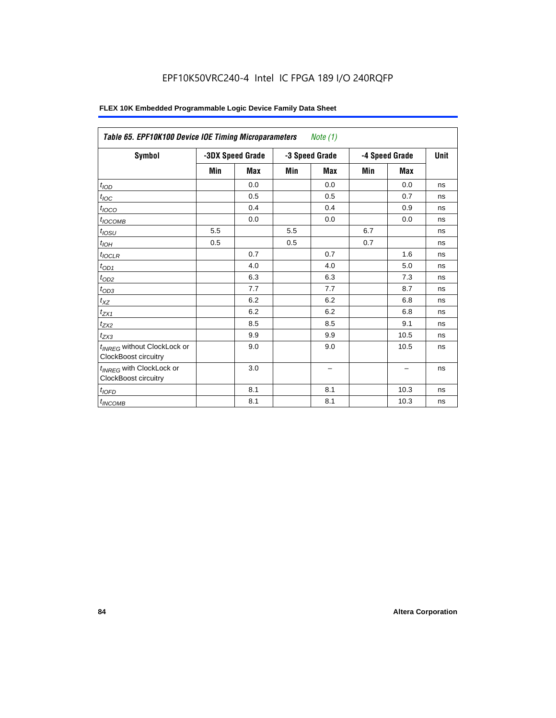| <b>Symbol</b>                                                          | -3DX Speed Grade |     |     | -3 Speed Grade |     | -4 Speed Grade | <b>Unit</b> |
|------------------------------------------------------------------------|------------------|-----|-----|----------------|-----|----------------|-------------|
|                                                                        | Min              | Max | Min | <b>Max</b>     | Min | <b>Max</b>     |             |
| t <sub>IOD</sub>                                                       |                  | 0.0 |     | 0.0            |     | 0.0            | ns          |
| $t_{\text{IOC}}$                                                       |                  | 0.5 |     | 0.5            |     | 0.7            | ns          |
| $t_{IOCO}$                                                             |                  | 0.4 |     | 0.4            |     | 0.9            | ns          |
| $t_{IOCOMB}$                                                           |                  | 0.0 |     | 0.0            |     | 0.0            | ns          |
| $t_{IOSU}$                                                             | 5.5              |     | 5.5 |                | 6.7 |                | ns          |
| $t_{IOH}$                                                              | 0.5              |     | 0.5 |                | 0.7 |                | ns          |
| $t_{IOCLR}$                                                            |                  | 0.7 |     | 0.7            |     | 1.6            | ns          |
| $t_{OD1}$                                                              |                  | 4.0 |     | 4.0            |     | 5.0            | ns          |
| $t_{OD2}$                                                              |                  | 6.3 |     | 6.3            |     | 7.3            | ns          |
| $t_{OD3}$                                                              |                  | 7.7 |     | 7.7            |     | 8.7            | ns          |
| $t_{XZ}$                                                               |                  | 6.2 |     | 6.2            |     | 6.8            | ns          |
| $t_{ZX1}$                                                              |                  | 6.2 |     | 6.2            |     | 6.8            | ns          |
| $t_{ZX2}$                                                              |                  | 8.5 |     | 8.5            |     | 9.1            | ns          |
| $t_{ZX3}$                                                              |                  | 9.9 |     | 9.9            |     | 10.5           | ns          |
| t <sub>INREG</sub> without ClockLock or<br><b>ClockBoost circuitry</b> |                  | 9.0 |     | 9.0            |     | 10.5           | ns          |
| t <sub>INREG</sub> with ClockLock or<br>ClockBoost circuitry           |                  | 3.0 |     | -              |     |                | ns          |
| $t_{IOFD}$                                                             |                  | 8.1 |     | 8.1            |     | 10.3           | ns          |
| <sup>t</sup> INCOMB                                                    |                  | 8.1 |     | 8.1            |     | 10.3           | ns          |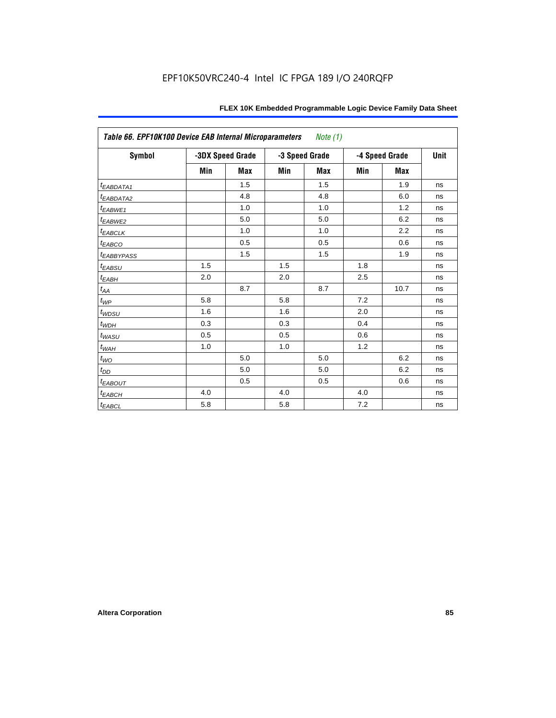| Table 66. EPF10K100 Device EAB Internal Microparameters<br>Note (1) |     |                  |     |                |     |                |      |  |  |  |
|---------------------------------------------------------------------|-----|------------------|-----|----------------|-----|----------------|------|--|--|--|
| Symbol                                                              |     | -3DX Speed Grade |     | -3 Speed Grade |     | -4 Speed Grade | Unit |  |  |  |
|                                                                     | Min | <b>Max</b>       | Min | Max            | Min | <b>Max</b>     |      |  |  |  |
| t <sub>EABDATA1</sub>                                               |     | 1.5              |     | 1.5            |     | 1.9            | ns   |  |  |  |
| t <sub>EABDATA2</sub>                                               |     | 4.8              |     | 4.8            |     | 6.0            | ns   |  |  |  |
| t <sub>EABWE1</sub>                                                 |     | 1.0              |     | 1.0            |     | 1.2            | ns   |  |  |  |
| t <sub>EABWE2</sub>                                                 |     | 5.0              |     | 5.0            |     | 6.2            | ns   |  |  |  |
| $t_{EABCLK}$                                                        |     | 1.0              |     | 1.0            |     | 2.2            | ns   |  |  |  |
| $t_{EABCO}$                                                         |     | 0.5              |     | 0.5            |     | 0.6            | ns   |  |  |  |
| <i><b>EABBYPASS</b></i>                                             |     | 1.5              |     | 1.5            |     | 1.9            | ns   |  |  |  |
| $t_{EABSU}$                                                         | 1.5 |                  | 1.5 |                | 1.8 |                | ns   |  |  |  |
| $t_{EABH}$                                                          | 2.0 |                  | 2.0 |                | 2.5 |                | ns   |  |  |  |
| $t_{\mathit{AA}}$                                                   |     | 8.7              |     | 8.7            |     | 10.7           | ns   |  |  |  |
| $t_{\mathit{WP}}$                                                   | 5.8 |                  | 5.8 |                | 7.2 |                | ns   |  |  |  |
| $t_{\textit{WDSU}}$                                                 | 1.6 |                  | 1.6 |                | 2.0 |                | ns   |  |  |  |
| $t_{WDH}$                                                           | 0.3 |                  | 0.3 |                | 0.4 |                | ns   |  |  |  |
| $t_{WASU}$                                                          | 0.5 |                  | 0.5 |                | 0.6 |                | ns   |  |  |  |
| $t_{WAH}$                                                           | 1.0 |                  | 1.0 |                | 1.2 |                | ns   |  |  |  |
| $t_{WO}$                                                            |     | 5.0              |     | 5.0            |     | 6.2            | ns   |  |  |  |
| $t_{DD}$                                                            |     | 5.0              |     | 5.0            |     | 6.2            | ns   |  |  |  |
| $t_{EABOUT}$                                                        |     | 0.5              |     | 0.5            |     | 0.6            | ns   |  |  |  |
| $t_{EABCH}$                                                         | 4.0 |                  | 4.0 |                | 4.0 |                | ns   |  |  |  |
| $t_{EABCL}$                                                         | 5.8 |                  | 5.8 |                | 7.2 |                | ns   |  |  |  |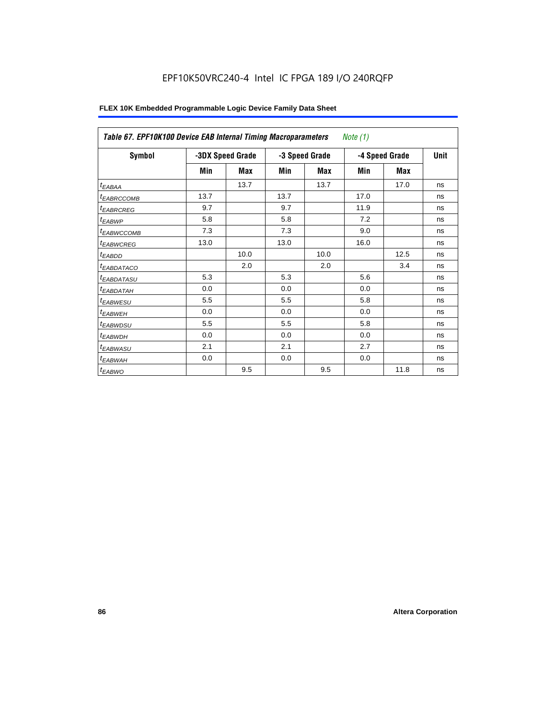|                        | Table 67. EPF10K100 Device EAB Internal Timing Macroparameters<br>Note (1) |                  |      |                |      |                |             |  |  |  |  |
|------------------------|----------------------------------------------------------------------------|------------------|------|----------------|------|----------------|-------------|--|--|--|--|
| Symbol                 |                                                                            | -3DX Speed Grade |      | -3 Speed Grade |      | -4 Speed Grade | <b>Unit</b> |  |  |  |  |
|                        | Min                                                                        | Max              | Min  | Max            | Min  | Max            |             |  |  |  |  |
| t <sub>EABAA</sub>     |                                                                            | 13.7             |      | 13.7           |      | 17.0           | ns          |  |  |  |  |
| <sup>t</sup> EABRCCOMB | 13.7                                                                       |                  | 13.7 |                | 17.0 |                | ns          |  |  |  |  |
| <sup>t</sup> EABRCREG  | 9.7                                                                        |                  | 9.7  |                | 11.9 |                | ns          |  |  |  |  |
| t <sub>EABWP</sub>     | 5.8                                                                        |                  | 5.8  |                | 7.2  |                | ns          |  |  |  |  |
| <sup>t</sup> EABWCCOMB | 7.3                                                                        |                  | 7.3  |                | 9.0  |                | ns          |  |  |  |  |
| <sup>t</sup> EABWCREG  | 13.0                                                                       |                  | 13.0 |                | 16.0 |                | ns          |  |  |  |  |
| <sup>t</sup> EABDD     |                                                                            | 10.0             |      | 10.0           |      | 12.5           | ns          |  |  |  |  |
| <sup>t</sup> EABDATACO |                                                                            | 2.0              |      | 2.0            |      | 3.4            | ns          |  |  |  |  |
| <sup>t</sup> EABDATASU | 5.3                                                                        |                  | 5.3  |                | 5.6  |                | ns          |  |  |  |  |
| <sup>t</sup> EABDATAH  | 0.0                                                                        |                  | 0.0  |                | 0.0  |                | ns          |  |  |  |  |
| <sup>t</sup> EABWESU   | 5.5                                                                        |                  | 5.5  |                | 5.8  |                | ns          |  |  |  |  |
| <sup>t</sup> EABWEH    | 0.0                                                                        |                  | 0.0  |                | 0.0  |                | ns          |  |  |  |  |
| <sup>t</sup> EABWDSU   | 5.5                                                                        |                  | 5.5  |                | 5.8  |                | ns          |  |  |  |  |
| <sup>t</sup> EABWDH    | 0.0                                                                        |                  | 0.0  |                | 0.0  |                | ns          |  |  |  |  |
| <sup>t</sup> EABWASU   | 2.1                                                                        |                  | 2.1  |                | 2.7  |                | ns          |  |  |  |  |
| <sup>t</sup> EABWAH    | 0.0                                                                        |                  | 0.0  |                | 0.0  |                | ns          |  |  |  |  |
| <sup>t</sup> EABWO     |                                                                            | 9.5              |      | 9.5            |      | 11.8           | ns          |  |  |  |  |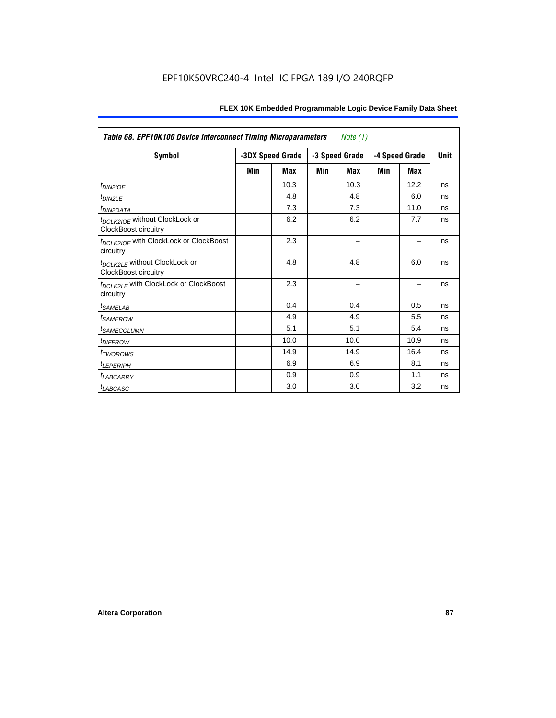| <b>Table 68. EPF10K100 Device Interconnect Timing Microparameters</b><br>Note (1) |                  |      |                |            |                |      |      |  |  |  |  |
|-----------------------------------------------------------------------------------|------------------|------|----------------|------------|----------------|------|------|--|--|--|--|
| <b>Symbol</b>                                                                     | -3DX Speed Grade |      | -3 Speed Grade |            | -4 Speed Grade |      | Unit |  |  |  |  |
|                                                                                   | Min              | Max  | Min            | <b>Max</b> | Min            | Max  |      |  |  |  |  |
| $t_{DINZIOE}$                                                                     |                  | 10.3 |                | 10.3       |                | 12.2 | ns   |  |  |  |  |
| $t_{DIN2LE}$                                                                      |                  | 4.8  |                | 4.8        |                | 6.0  | ns   |  |  |  |  |
| <sup>t</sup> DIN2DATA                                                             |                  | 7.3  |                | 7.3        |                | 11.0 | ns   |  |  |  |  |
| t <sub>DCLK2IOE</sub> without ClockLock or<br><b>ClockBoost circuitry</b>         |                  | 6.2  |                | 6.2        |                | 7.7  | ns   |  |  |  |  |
| t <sub>DCLK2IOE</sub> with ClockLock or ClockBoost<br>circuitry                   |                  | 2.3  |                |            |                |      | ns   |  |  |  |  |
| t <sub>DCLK2LE</sub> without ClockLock or<br><b>ClockBoost circuitry</b>          |                  | 4.8  |                | 4.8        |                | 6.0  | ns   |  |  |  |  |
| t <sub>DCLK2LE</sub> with ClockLock or ClockBoost<br>circuitry                    |                  | 2.3  |                |            |                |      | ns   |  |  |  |  |
| <sup>t</sup> SAMELAB                                                              |                  | 0.4  |                | 0.4        |                | 0.5  | ns   |  |  |  |  |
| <i>t</i> SAMEROW                                                                  |                  | 4.9  |                | 4.9        |                | 5.5  | ns   |  |  |  |  |
| <sup>t</sup> SAMECOLUMN                                                           |                  | 5.1  |                | 5.1        |                | 5.4  | ns   |  |  |  |  |
| <i>t<sub>DIFFROW</sub></i>                                                        |                  | 10.0 |                | 10.0       |                | 10.9 | ns   |  |  |  |  |
| $t_{TWOROWS}$                                                                     |                  | 14.9 |                | 14.9       |                | 16.4 | ns   |  |  |  |  |
| t <sub>LEPERIPH</sub>                                                             |                  | 6.9  |                | 6.9        |                | 8.1  | ns   |  |  |  |  |
| <b><i>LABCARRY</i></b>                                                            |                  | 0.9  |                | 0.9        |                | 1.1  | ns   |  |  |  |  |
| $t_{LABCASC}$                                                                     |                  | 3.0  |                | 3.0        |                | 3.2  | ns   |  |  |  |  |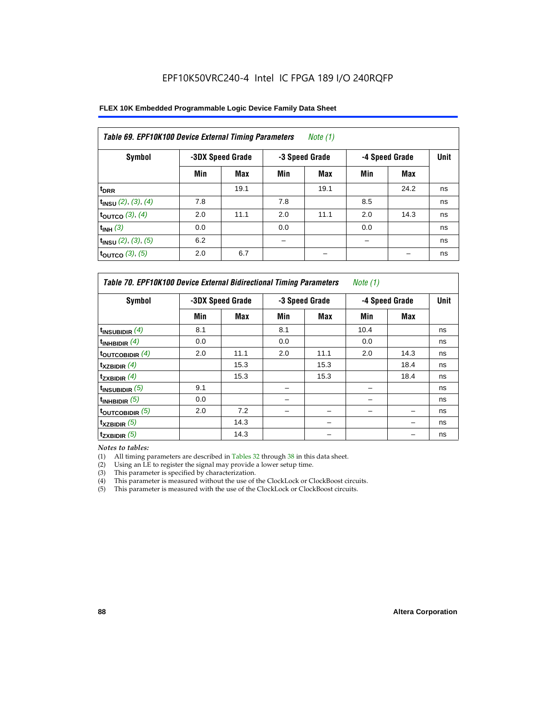| Table 69. EPF10K100 Device External Timing Parameters |     |                  |     | Note (1)       |     |                |    |  |
|-------------------------------------------------------|-----|------------------|-----|----------------|-----|----------------|----|--|
| Symbol                                                |     | -3DX Speed Grade |     | -3 Speed Grade |     | -4 Speed Grade |    |  |
|                                                       | Min | Max              | Min | Max            | Min | Max            |    |  |
| t <sub>DRR</sub>                                      |     | 19.1             |     | 19.1           |     | 24.2           | ns |  |
| $t_{INSU}$ (2), (3), (4)                              | 7.8 |                  | 7.8 |                | 8.5 |                | ns |  |
| toutco $(3)$ , $(4)$                                  | 2.0 | 11.1             | 2.0 | 11.1           | 2.0 | 14.3           | ns |  |
| $t_{INH}$ (3)                                         | 0.0 |                  | 0.0 |                | 0.0 |                | ns |  |
| $t_{INSU}$ (2), (3), (5)                              | 6.2 |                  |     |                |     |                | ns |  |
| toutco $(3)$ , $(5)$                                  | 2.0 | 6.7              |     |                |     |                | ns |  |

| Table 70. EPF10K100 Device External Bidirectional Timing Parameters<br><i>Note</i> $(1)$ |     |                  |     |                |                |             |    |
|------------------------------------------------------------------------------------------|-----|------------------|-----|----------------|----------------|-------------|----|
| <b>Symbol</b>                                                                            |     | -3DX Speed Grade |     | -3 Speed Grade | -4 Speed Grade | <b>Unit</b> |    |
|                                                                                          | Min | Max              | Min | Max            | Min            | Max         |    |
| $t_{INSUBIDIR}$ (4)                                                                      | 8.1 |                  | 8.1 |                | 10.4           |             | ns |
| $t_{INHBIDIR}$ (4)                                                                       | 0.0 |                  | 0.0 |                | 0.0            |             | ns |
| toutcobidir $(4)$                                                                        | 2.0 | 11.1             | 2.0 | 11.1           | 2.0            | 14.3        | ns |
| $t_{XZBIDIR}$ (4)                                                                        |     | 15.3             |     | 15.3           |                | 18.4        | ns |
| $t_{ZXBIDIR}$ $(4)$                                                                      |     | 15.3             |     | 15.3           |                | 18.4        | ns |
| $t_{INSUBIDIR}$ (5)                                                                      | 9.1 |                  |     |                |                |             | ns |
| $t_{INHBIDIR}$ (5)                                                                       | 0.0 |                  |     |                |                |             | ns |
| toutcobidir $(5)$                                                                        | 2.0 | 7.2              |     |                |                |             | ns |
| $t_{XZBIDIR}$ (5)                                                                        |     | 14.3             |     |                |                |             | ns |
| $t_{ZXBIDIR}$ (5)                                                                        |     | 14.3             |     |                |                |             | ns |

*Notes to tables:*

(1) All timing parameters are described in Tables 32 through 38 in this data sheet.

(2) Using an LE to register the signal may provide a lower setup time.

(3) This parameter is specified by characterization.

(4) This parameter is measured without the use of the ClockLock or ClockBoost circuits.

(5) This parameter is measured with the use of the ClockLock or ClockBoost circuits.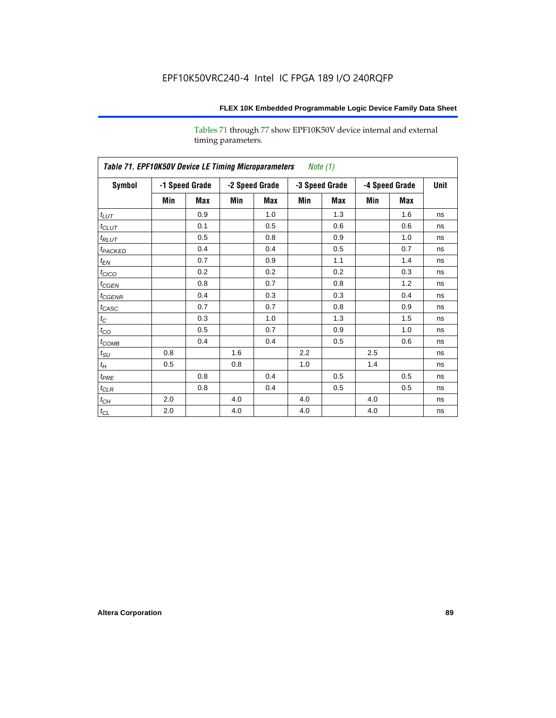Tables 71 through 77 show EPF10K50V device internal and external timing parameters.

| Table 71. EPF10K50V Device LE Timing Microparameters Note (1) |     |                |     |                |     |                |     |                |             |
|---------------------------------------------------------------|-----|----------------|-----|----------------|-----|----------------|-----|----------------|-------------|
| Symbol                                                        |     | -1 Speed Grade |     | -2 Speed Grade |     | -3 Speed Grade |     | -4 Speed Grade | <b>Unit</b> |
|                                                               | Min | Max            | Min | Max            | Min | Max            | Min | Max            |             |
| $t_{LUT}$                                                     |     | 0.9            |     | 1.0            |     | 1.3            |     | 1.6            | ns          |
| $t_{CLUT}$                                                    |     | 0.1            |     | 0.5            |     | 0.6            |     | 0.6            | ns          |
| $t_{RLUT}$                                                    |     | 0.5            |     | 0.8            |     | 0.9            |     | 1.0            | ns          |
| t <sub>PACKED</sub>                                           |     | 0.4            |     | 0.4            |     | 0.5            |     | 0.7            | ns          |
| $t_{EN}$                                                      |     | 0.7            |     | 0.9            |     | 1.1            |     | 1.4            | ns          |
| t <sub>CICO</sub>                                             |     | 0.2            |     | 0.2            |     | 0.2            |     | 0.3            | ns          |
| $t_{CGEN}$                                                    |     | 0.8            |     | 0.7            |     | 0.8            |     | 1.2            | ns          |
| $t_{\text{GENR}}$                                             |     | 0.4            |     | 0.3            |     | 0.3            |     | 0.4            | ns          |
| $t_{CASC}$                                                    |     | 0.7            |     | 0.7            |     | 0.8            |     | 0.9            | ns          |
| $t_{\rm C}$                                                   |     | 0.3            |     | 1.0            |     | 1.3            |     | 1.5            | ns          |
| $t_{CO}$                                                      |     | 0.5            |     | 0.7            |     | 0.9            |     | 1.0            | ns          |
| $t_{COMB}$                                                    |     | 0.4            |     | 0.4            |     | 0.5            |     | 0.6            | ns          |
| $t_{\rm SU}$                                                  | 0.8 |                | 1.6 |                | 2.2 |                | 2.5 |                | ns          |
| $t_{\!H}$                                                     | 0.5 |                | 0.8 |                | 1.0 |                | 1.4 |                | ns          |
| $t_{PRE}$                                                     |     | 0.8            |     | 0.4            |     | 0.5            |     | 0.5            | ns          |
| $t_{CLR}$                                                     |     | 0.8            |     | 0.4            |     | 0.5            |     | 0.5            | ns          |
| $t_{\mathbb{C} H}$                                            | 2.0 |                | 4.0 |                | 4.0 |                | 4.0 |                | ns          |
| $t_{CL}$                                                      | 2.0 |                | 4.0 |                | 4.0 |                | 4.0 |                | ns          |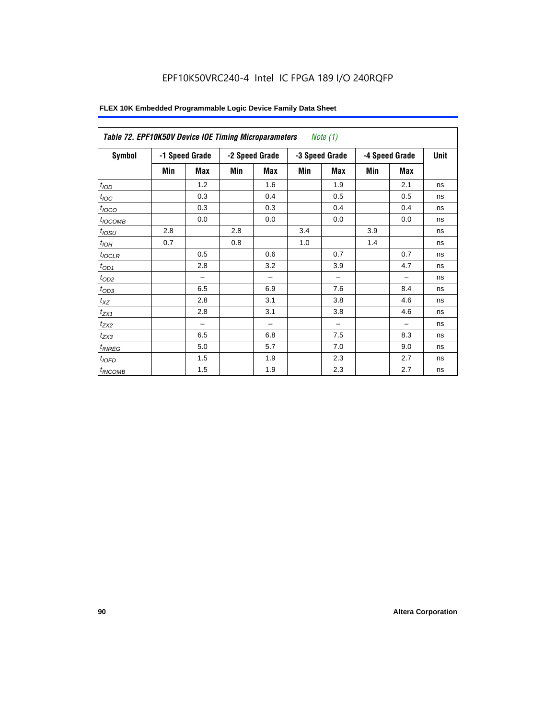| <b>Symbol</b>    |     | -1 Speed Grade |     | -2 Speed Grade | -3 Speed Grade |     | -4 Speed Grade |                          | <b>Unit</b> |
|------------------|-----|----------------|-----|----------------|----------------|-----|----------------|--------------------------|-------------|
|                  | Min | <b>Max</b>     | Min | <b>Max</b>     | Min            | Max | Min            | <b>Max</b>               |             |
| t <sub>IOD</sub> |     | 1.2            |     | 1.6            |                | 1.9 |                | 2.1                      | ns          |
| $t_{\text{IOC}}$ |     | 0.3            |     | 0.4            |                | 0.5 |                | 0.5                      | ns          |
| $t_{IOCO}$       |     | 0.3            |     | 0.3            |                | 0.4 |                | 0.4                      | ns          |
| $t_{IOCOMB}$     |     | 0.0            |     | 0.0            |                | 0.0 |                | 0.0                      | ns          |
| $t_{IOSU}$       | 2.8 |                | 2.8 |                | 3.4            |     | 3.9            |                          | ns          |
| $t_{IOH}$        | 0.7 |                | 0.8 |                | 1.0            |     | 1.4            |                          | ns          |
| $t_{IOCLR}$      |     | 0.5            |     | 0.6            |                | 0.7 |                | 0.7                      | ns          |
| $t_{OD1}$        |     | 2.8            |     | 3.2            |                | 3.9 |                | 4.7                      | ns          |
| $t_{OD2}$        |     |                |     |                |                |     |                | $\overline{\phantom{0}}$ | ns          |
| $t_{OD3}$        |     | 6.5            |     | 6.9            |                | 7.6 |                | 8.4                      | ns          |
| $t_{XZ}$         |     | 2.8            |     | 3.1            |                | 3.8 |                | 4.6                      | ns          |
| $t_{ZX1}$        |     | 2.8            |     | 3.1            |                | 3.8 |                | 4.6                      | ns          |
| $t_{ZX2}$        |     |                |     |                |                | -   |                |                          | ns          |
| $t_{ZX3}$        |     | 6.5            |     | 6.8            |                | 7.5 |                | 8.3                      | ns          |
| $t_{INREG}$      |     | 5.0            |     | 5.7            |                | 7.0 |                | 9.0                      | ns          |
| $t_{IOFD}$       |     | 1.5            |     | 1.9            |                | 2.3 |                | 2.7                      | ns          |
| $t_{INCOMB}$     |     | 1.5            |     | 1.9            |                | 2.3 |                | 2.7                      | ns          |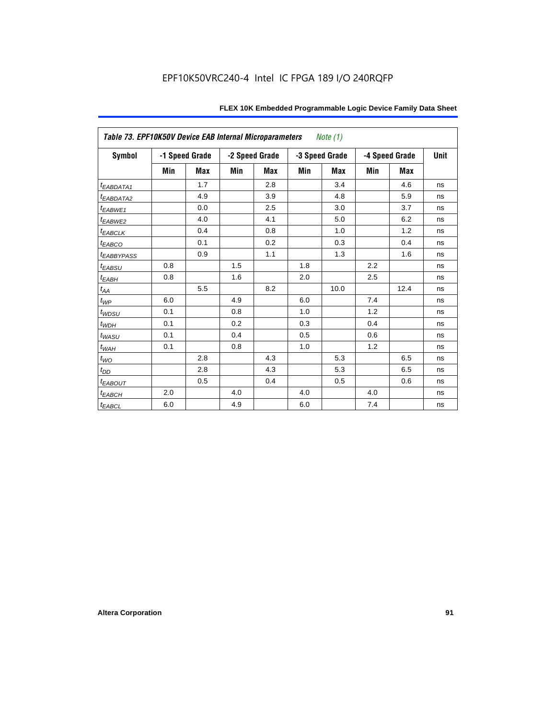|                         | Table 73. EPF10K50V Device EAB Internal Microparameters<br>Note (1) |                |     |                |            |                |     |                |             |
|-------------------------|---------------------------------------------------------------------|----------------|-----|----------------|------------|----------------|-----|----------------|-------------|
| <b>Symbol</b>           |                                                                     | -1 Speed Grade |     | -2 Speed Grade |            | -3 Speed Grade |     | -4 Speed Grade | <b>Unit</b> |
|                         | Min                                                                 | <b>Max</b>     | Min | <b>Max</b>     | <b>Min</b> | <b>Max</b>     | Min | <b>Max</b>     |             |
| $t_{EABDATA1}$          |                                                                     | 1.7            |     | 2.8            |            | 3.4            |     | 4.6            | ns          |
| t <sub>EABDATA2</sub>   |                                                                     | 4.9            |     | 3.9            |            | 4.8            |     | 5.9            | ns          |
| t <sub>EABWE1</sub>     |                                                                     | 0.0            |     | 2.5            |            | 3.0            |     | 3.7            | ns          |
| t <sub>EABWE2</sub>     |                                                                     | 4.0            |     | 4.1            |            | 5.0            |     | 6.2            | ns          |
| $t_{EABCLK}$            |                                                                     | 0.4            |     | 0.8            |            | 1.0            |     | 1.2            | ns          |
| $t_{EABCO}$             |                                                                     | 0.1            |     | 0.2            |            | 0.3            |     | 0.4            | ns          |
| <i><b>EABBYPASS</b></i> |                                                                     | 0.9            |     | 1.1            |            | 1.3            |     | 1.6            | ns          |
| $t_{EABSU}$             | 0.8                                                                 |                | 1.5 |                | 1.8        |                | 2.2 |                | ns          |
| $t_{EABH}$              | 0.8                                                                 |                | 1.6 |                | 2.0        |                | 2.5 |                | ns          |
| $t_{AA}$                |                                                                     | 5.5            |     | 8.2            |            | 10.0           |     | 12.4           | ns          |
| $t_{WP}$                | 6.0                                                                 |                | 4.9 |                | 6.0        |                | 7.4 |                | ns          |
| $t_{WDSU}$              | 0.1                                                                 |                | 0.8 |                | 1.0        |                | 1.2 |                | ns          |
| $t_{WDH}$               | 0.1                                                                 |                | 0.2 |                | 0.3        |                | 0.4 |                | ns          |
| $t_{WASU}$              | 0.1                                                                 |                | 0.4 |                | 0.5        |                | 0.6 |                | ns          |
| $t_{WAH}$               | 0.1                                                                 |                | 0.8 |                | 1.0        |                | 1.2 |                | ns          |
| $t_{WO}$                |                                                                     | 2.8            |     | 4.3            |            | 5.3            |     | 6.5            | ns          |
| $t_{DD}$                |                                                                     | 2.8            |     | 4.3            |            | 5.3            |     | 6.5            | ns          |
| $t_{EABOUT}$            |                                                                     | 0.5            |     | 0.4            |            | 0.5            |     | 0.6            | ns          |
| $t_{EABCH}$             | 2.0                                                                 |                | 4.0 |                | 4.0        |                | 4.0 |                | ns          |
| $t_{EABCL}$             | 6.0                                                                 |                | 4.9 |                | 6.0        |                | 7.4 |                | ns          |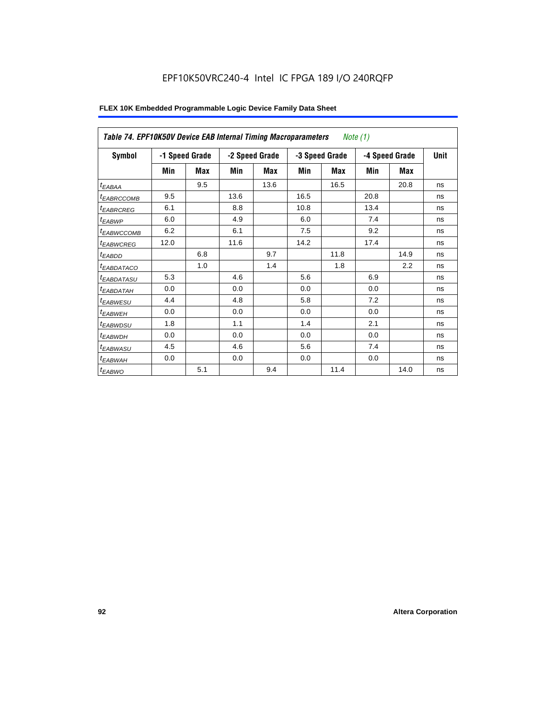| Table 74. EPF10K50V Device EAB Internal Timing Macroparameters |      |                |      |                |      | Note (1)       |      |                |    |
|----------------------------------------------------------------|------|----------------|------|----------------|------|----------------|------|----------------|----|
| <b>Symbol</b>                                                  |      | -1 Speed Grade |      | -2 Speed Grade |      | -3 Speed Grade |      | -4 Speed Grade |    |
|                                                                | Min  | Max            | Min  | <b>Max</b>     | Min  | <b>Max</b>     | Min  | Max            |    |
| $t_{EABA\underline{A}}$                                        |      | 9.5            |      | 13.6           |      | 16.5           |      | 20.8           | ns |
| <sup>t</sup> EABRCCOMB                                         | 9.5  |                | 13.6 |                | 16.5 |                | 20.8 |                | ns |
| <sup>t</sup> EABRCREG                                          | 6.1  |                | 8.8  |                | 10.8 |                | 13.4 |                | ns |
| <sup>t</sup> EABWP                                             | 6.0  |                | 4.9  |                | 6.0  |                | 7.4  |                | ns |
| <sup>t</sup> EABWCCOMB                                         | 6.2  |                | 6.1  |                | 7.5  |                | 9.2  |                | ns |
| <sup>t</sup> EABWCREG                                          | 12.0 |                | 11.6 |                | 14.2 |                | 17.4 |                | ns |
| <sup>t</sup> EABDD                                             |      | 6.8            |      | 9.7            |      | 11.8           |      | 14.9           | ns |
| <sup>t</sup> EABDATACO                                         |      | 1.0            |      | 1.4            |      | 1.8            |      | 2.2            | ns |
| <sup>t</sup> EABDATASU                                         | 5.3  |                | 4.6  |                | 5.6  |                | 6.9  |                | ns |
| <sup>t</sup> EABDATAH                                          | 0.0  |                | 0.0  |                | 0.0  |                | 0.0  |                | ns |
| <sup>t</sup> EABWESU                                           | 4.4  |                | 4.8  |                | 5.8  |                | 7.2  |                | ns |
| <sup>t</sup> EABWEH                                            | 0.0  |                | 0.0  |                | 0.0  |                | 0.0  |                | ns |
| <sup>t</sup> EABWDSU                                           | 1.8  |                | 1.1  |                | 1.4  |                | 2.1  |                | ns |
| <sup>t</sup> EABWDH                                            | 0.0  |                | 0.0  |                | 0.0  |                | 0.0  |                | ns |
| <sup>t</sup> EABWASU                                           | 4.5  |                | 4.6  |                | 5.6  |                | 7.4  |                | ns |
| <sup>t</sup> EABWAH                                            | 0.0  |                | 0.0  |                | 0.0  |                | 0.0  |                | ns |
| $t_{EABWO}$                                                    |      | 5.1            |      | 9.4            |      | 11.4           |      | 14.0           | ns |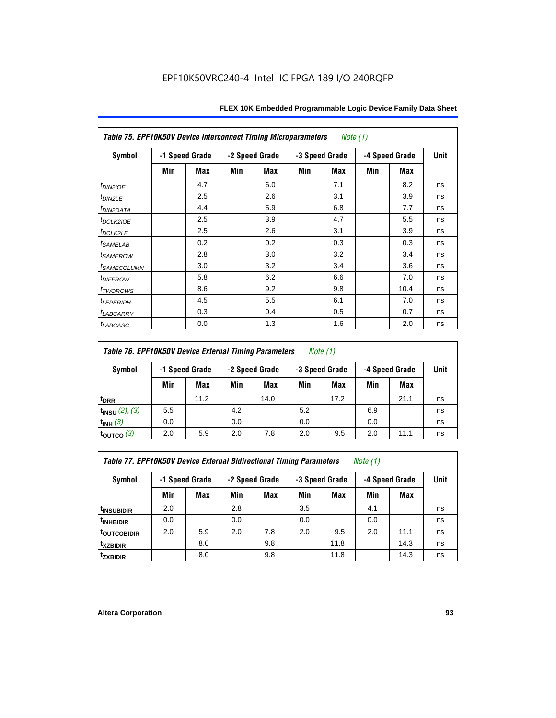| <b>Table 75. EPF10K50V Device Interconnect Timing Microparameters</b><br>Note (1) |     |                |     |                |                |     |     |                |             |
|-----------------------------------------------------------------------------------|-----|----------------|-----|----------------|----------------|-----|-----|----------------|-------------|
| Symbol                                                                            |     | -1 Speed Grade |     | -2 Speed Grade | -3 Speed Grade |     |     | -4 Speed Grade | <b>Unit</b> |
|                                                                                   | Min | Max            | Min | Max            | Min            | Max | Min | Max            |             |
| $t_{DINZIOE}$                                                                     |     | 4.7            |     | 6.0            |                | 7.1 |     | 8.2            | ns          |
| t <sub>DIN2LE</sub>                                                               |     | 2.5            |     | 2.6            |                | 3.1 |     | 3.9            | ns          |
| <sup>t</sup> DIN2DATA                                                             |     | 4.4            |     | 5.9            |                | 6.8 |     | 7.7            | ns          |
| t <sub>DCLK2IOE</sub>                                                             |     | 2.5            |     | 3.9            |                | 4.7 |     | 5.5            | ns          |
| t <sub>DCLK2LE</sub>                                                              |     | 2.5            |     | 2.6            |                | 3.1 |     | 3.9            | ns          |
| <sup>t</sup> SAMELAB                                                              |     | 0.2            |     | 0.2            |                | 0.3 |     | 0.3            | ns          |
| <i>t<sub>SAMEROW</sub></i>                                                        |     | 2.8            |     | 3.0            |                | 3.2 |     | 3.4            | ns          |
| <sup>t</sup> SAMECOLUMN                                                           |     | 3.0            |     | 3.2            |                | 3.4 |     | 3.6            | ns          |
| <i>t<sub>DIFFROW</sub></i>                                                        |     | 5.8            |     | 6.2            |                | 6.6 |     | 7.0            | ns          |
| t <sub>TWOROWS</sub>                                                              |     | 8.6            |     | 9.2            |                | 9.8 |     | 10.4           | ns          |
| $t_{LEPERIPH}$                                                                    |     | 4.5            |     | 5.5            |                | 6.1 |     | 7.0            | ns          |
| t <sub>LABCARRY</sub>                                                             |     | 0.3            |     | 0.4            |                | 0.5 |     | 0.7            | ns          |
| <i>t<sub>LABCASC</sub></i>                                                        |     | 0.0            |     | 1.3            |                | 1.6 |     | 2.0            | ns          |

# *Table 76. EPF10K50V Device External Timing Parameters Note (1)*

| Symbol                   |     | -1 Speed Grade | -2 Speed Grade |      | -3 Speed Grade |      | -4 Speed Grade |      | <b>Unit</b> |
|--------------------------|-----|----------------|----------------|------|----------------|------|----------------|------|-------------|
|                          | Min | Max            | Min            | Max  | Min            | Max  | Min            | Max  |             |
| t <sub>DRR</sub>         |     | 11.2           |                | 14.0 |                | 17.2 |                | 21.1 | ns          |
| $t_{INSU}$ (2), (3)      | 5.5 |                | 4.2            |      | 5.2            |      | 6.9            |      | ns          |
| $t_{INH}$ (3)            | 0.0 |                | 0.0            |      | 0.0            |      | 0.0            |      | ns          |
| $\tt_{\text{OUTCO}}$ (3) | 2.0 | 5.9            | 2.0            | 7.8  | 2.0            | 9.5  | 2.0            | 11.1 | ns          |

*Table 77. EPF10K50V Device External Bidirectional Timing Parameters Note (1)*

| <b>Symbol</b>           |     | -1 Speed Grade | -2 Speed Grade |     |     | -3 Speed Grade | -4 Speed Grade |            | Unit |
|-------------------------|-----|----------------|----------------|-----|-----|----------------|----------------|------------|------|
|                         | Min | Max            | Min            | Max | Min | <b>Max</b>     | Min            | <b>Max</b> |      |
| <sup>t</sup> INSUBIDIR  | 2.0 |                | 2.8            |     | 3.5 |                | 4.1            |            | ns   |
| <sup>t</sup> INHBIDIR   | 0.0 |                | 0.0            |     | 0.0 |                | 0.0            |            | ns   |
| <sup>t</sup> outcobidir | 2.0 | 5.9            | 2.0            | 7.8 | 2.0 | 9.5            | 2.0            | 11.1       | ns   |
| <sup>t</sup> xzbidir    |     | 8.0            |                | 9.8 |     | 11.8           |                | 14.3       | ns   |
| <sup>t</sup> zxbidir    |     | 8.0            |                | 9.8 |     | 11.8           |                | 14.3       | ns   |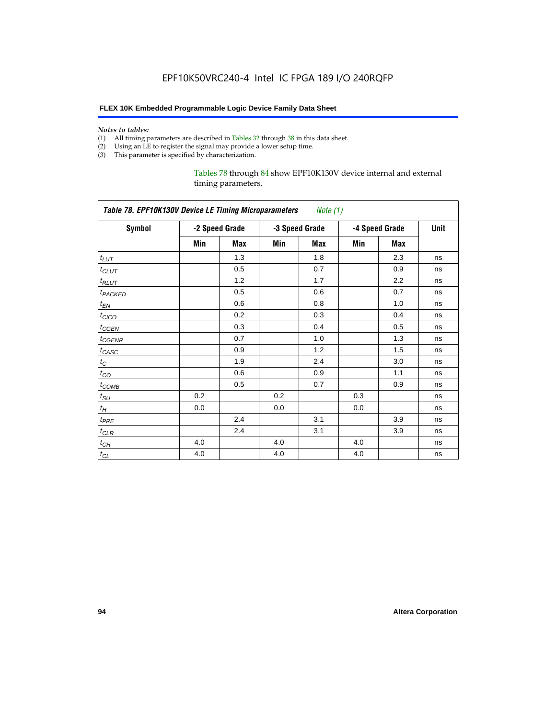#### *Notes to tables:*

- (1) All timing parameters are described in Tables 32 through 38 in this data sheet.
- (2) Using an LE to register the signal may provide a lower setup time.
- (3) This parameter is specified by characterization.

## Tables 78 through 84 show EPF10K130V device internal and external timing parameters.

| Table 78. EPF10K130V Device LE Timing Microparameters Note (1) |     |                |     |                |     |                |      |
|----------------------------------------------------------------|-----|----------------|-----|----------------|-----|----------------|------|
| <b>Symbol</b>                                                  |     | -2 Speed Grade |     | -3 Speed Grade |     | -4 Speed Grade | Unit |
|                                                                | Min | Max            | Min | Max            | Min | Max            |      |
| $t_{LUT}$                                                      |     | 1.3            |     | 1.8            |     | 2.3            | ns   |
| $t_{CLUT}$                                                     |     | 0.5            |     | 0.7            |     | 0.9            | ns   |
| $t_{RLUT}$                                                     |     | 1.2            |     | 1.7            |     | 2.2            | ns   |
| t <sub>PACKED</sub>                                            |     | 0.5            |     | 0.6            |     | 0.7            | ns   |
| $t_{EN}$                                                       |     | 0.6            |     | 0.8            |     | 1.0            | ns   |
| $t_{CICO}$                                                     |     | 0.2            |     | 0.3            |     | 0.4            | ns   |
| $t_{GEN}$                                                      |     | 0.3            |     | 0.4            |     | 0.5            | ns   |
| t <sub>CGENR</sub>                                             |     | 0.7            |     | 1.0            |     | 1.3            | ns   |
| $t_{CASC}$                                                     |     | 0.9            |     | 1.2            |     | 1.5            | ns   |
| $t_C$                                                          |     | 1.9            |     | 2.4            |     | 3.0            | ns   |
| $t_{CO}$                                                       |     | 0.6            |     | 0.9            |     | 1.1            | ns   |
| $t_{COMB}$                                                     |     | 0.5            |     | 0.7            |     | 0.9            | ns   |
| $t_{\rm SU}$                                                   | 0.2 |                | 0.2 |                | 0.3 |                | ns   |
| $t_H$                                                          | 0.0 |                | 0.0 |                | 0.0 |                | ns   |
| $t_{PRE}$                                                      |     | 2.4            |     | 3.1            |     | 3.9            | ns   |
| $t_{CLR}$                                                      |     | 2.4            |     | 3.1            |     | 3.9            | ns   |
| $t_{CH}$                                                       | 4.0 |                | 4.0 |                | 4.0 |                | ns   |
| $t_{CL}$                                                       | 4.0 |                | 4.0 |                | 4.0 |                | ns   |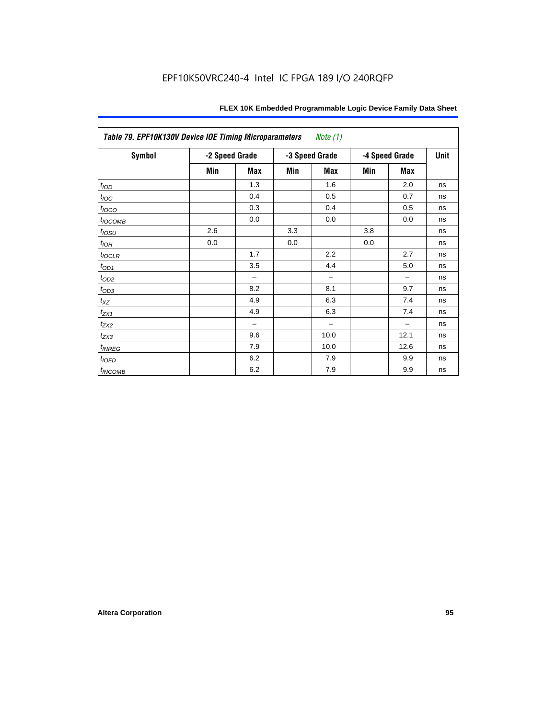| Table 79. EPF10K130V Device IOE Timing Microparameters<br><i>Note</i> $(1)$ |                |            |     |                |     |                |      |  |
|-----------------------------------------------------------------------------|----------------|------------|-----|----------------|-----|----------------|------|--|
| <b>Symbol</b>                                                               | -2 Speed Grade |            |     | -3 Speed Grade |     | -4 Speed Grade | Unit |  |
|                                                                             | Min            | <b>Max</b> | Min | <b>Max</b>     | Min | <b>Max</b>     |      |  |
| t <sub>IOD</sub>                                                            |                | 1.3        |     | 1.6            |     | 2.0            | ns   |  |
| $t_{\text{loc}}$                                                            |                | 0.4        |     | 0.5            |     | 0.7            | ns   |  |
| $t_{IOCO}$                                                                  |                | 0.3        |     | 0.4            |     | 0.5            | ns   |  |
| $t_{IOCOMB}$                                                                |                | 0.0        |     | 0.0            |     | 0.0            | ns   |  |
| $t_{IOSU}$                                                                  | 2.6            |            | 3.3 |                | 3.8 |                | ns   |  |
| $t_{IOH}$                                                                   | 0.0            |            | 0.0 |                | 0.0 |                | ns   |  |
| $t_{IOCLR}$                                                                 |                | 1.7        |     | 2.2            |     | 2.7            | ns   |  |
| $t_{OD1}$                                                                   |                | 3.5        |     | 4.4            |     | 5.0            | ns   |  |
| $t_{OD2}$                                                                   |                |            |     |                |     |                | ns   |  |
| $t_{OD3}$                                                                   |                | 8.2        |     | 8.1            |     | 9.7            | ns   |  |
| $t_{XZ}$                                                                    |                | 4.9        |     | 6.3            |     | 7.4            | ns   |  |
| $t_{ZX1}$                                                                   |                | 4.9        |     | 6.3            |     | 7.4            | ns   |  |
| $t_{ZX2}$                                                                   |                | -          |     |                |     |                | ns   |  |
| $t_{ZX3}$                                                                   |                | 9.6        |     | 10.0           |     | 12.1           | ns   |  |
| $t_{INREG}$                                                                 |                | 7.9        |     | 10.0           |     | 12.6           | ns   |  |
| $t_{IOFD}$                                                                  |                | 6.2        |     | 7.9            |     | 9.9            | ns   |  |
| $t_{INCOMB}$                                                                |                | 6.2        |     | 7.9            |     | 9.9            | ns   |  |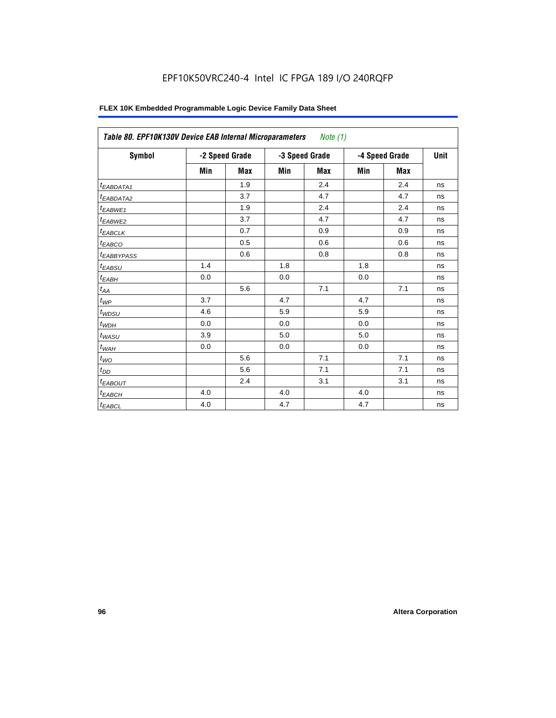| FLEX 10K Embedded Programmable Logic Device Family Data Sheet |  |
|---------------------------------------------------------------|--|
|---------------------------------------------------------------|--|

| Note $(1)$<br>Table 80. EPF10K130V Device EAB Internal Microparameters |     |                |     |                |     |                |    |  |  |  |  |
|------------------------------------------------------------------------|-----|----------------|-----|----------------|-----|----------------|----|--|--|--|--|
| Symbol                                                                 |     | -2 Speed Grade |     | -3 Speed Grade |     | -4 Speed Grade |    |  |  |  |  |
|                                                                        | Min | <b>Max</b>     | Min | Max            | Min | Max            |    |  |  |  |  |
| t <sub>EABDATA1</sub>                                                  |     | 1.9            |     | 2.4            |     | 2.4            | ns |  |  |  |  |
| t <sub>EABDATA2</sub>                                                  |     | 3.7            |     | 4.7            |     | 4.7            | ns |  |  |  |  |
| $t_{EABWE1}$                                                           |     | 1.9            |     | 2.4            |     | 2.4            | ns |  |  |  |  |
| t <sub>EABWE2</sub>                                                    |     | 3.7            |     | 4.7            |     | 4.7            | ns |  |  |  |  |
| <sup>t</sup> EABCLK                                                    |     | 0.7            |     | 0.9            |     | 0.9            | ns |  |  |  |  |
| t <sub>EABCO</sub>                                                     |     | 0.5            |     | 0.6            |     | 0.6            | ns |  |  |  |  |
| <sup>t</sup> EABBYPASS                                                 |     | 0.6            |     | 0.8            |     | 0.8            | ns |  |  |  |  |
| t <sub>EABSU</sub>                                                     | 1.4 |                | 1.8 |                | 1.8 |                | ns |  |  |  |  |
| t <sub>ЕАВН</sub>                                                      | 0.0 |                | 0.0 |                | 0.0 |                | ns |  |  |  |  |
| $t_{AA}$                                                               |     | 5.6            |     | 7.1            |     | 7.1            | ns |  |  |  |  |
| $t_{WP}$                                                               | 3.7 |                | 4.7 |                | 4.7 |                | ns |  |  |  |  |
| $t_{WDSU}$                                                             | 4.6 |                | 5.9 |                | 5.9 |                | ns |  |  |  |  |
| $t_{WDH}$                                                              | 0.0 |                | 0.0 |                | 0.0 |                | ns |  |  |  |  |
| $t_{WASU}$                                                             | 3.9 |                | 5.0 |                | 5.0 |                | ns |  |  |  |  |
| $t_{\sf WAH}$                                                          | 0.0 |                | 0.0 |                | 0.0 |                | ns |  |  |  |  |
| $t_{WO}$                                                               |     | 5.6            |     | 7.1            |     | 7.1            | ns |  |  |  |  |
| $t_{DD}$                                                               |     | 5.6            |     | 7.1            |     | 7.1            | ns |  |  |  |  |
| <b><i>EABOUT</i></b>                                                   |     | 2.4            |     | 3.1            |     | 3.1            | ns |  |  |  |  |
| $t_{EABCH}$                                                            | 4.0 |                | 4.0 |                | 4.0 |                | ns |  |  |  |  |
| $t_{EABCL}$                                                            | 4.0 |                | 4.7 |                | 4.7 |                | ns |  |  |  |  |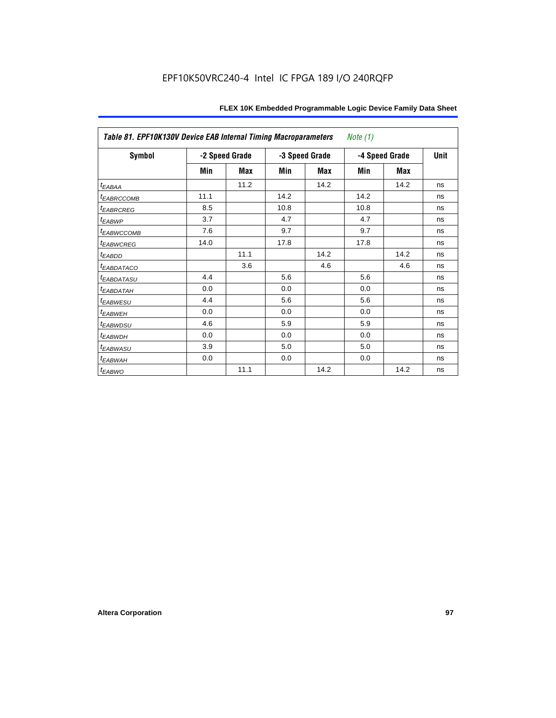| Table 81. EPF10K130V Device EAB Internal Timing Macroparameters |      |                |      |                | Note $(1)$ |                |    |
|-----------------------------------------------------------------|------|----------------|------|----------------|------------|----------------|----|
| <b>Symbol</b>                                                   |      | -2 Speed Grade |      | -3 Speed Grade |            | -4 Speed Grade |    |
|                                                                 | Min  | Max            | Min  | Max            | Min        | Max            |    |
| $t_{EABA}$                                                      |      | 11.2           |      | 14.2           |            | 14.2           | ns |
| <sup>t</sup> EABRCCOMB                                          | 11.1 |                | 14.2 |                | 14.2       |                | ns |
| <b><i>EABRCREG</i></b>                                          | 8.5  |                | 10.8 |                | 10.8       |                | ns |
| t <sub>EABWP</sub>                                              | 3.7  |                | 4.7  |                | 4.7        |                | ns |
| <sup>t</sup> EABWCCOMB                                          | 7.6  |                | 9.7  |                | 9.7        |                | ns |
| <sup>t</sup> EABWCREG                                           | 14.0 |                | 17.8 |                | 17.8       |                | ns |
| <sup>t</sup> EABDD                                              |      | 11.1           |      | 14.2           |            | 14.2           | ns |
| <i>EABDATACO</i>                                                |      | 3.6            |      | 4.6            |            | 4.6            | ns |
| <sup>t</sup> EABDATASU                                          | 4.4  |                | 5.6  |                | 5.6        |                | ns |
| <sup>t</sup> EABDATAH                                           | 0.0  |                | 0.0  |                | 0.0        |                | ns |
| <sup>t</sup> EABWESU                                            | 4.4  |                | 5.6  |                | 5.6        |                | ns |
| t <sub>EABWEH</sub>                                             | 0.0  |                | 0.0  |                | 0.0        |                | ns |
| <sup>t</sup> EABWDSU                                            | 4.6  |                | 5.9  |                | 5.9        |                | ns |
| t <sub>EABWDH</sub>                                             | 0.0  |                | 0.0  |                | 0.0        |                | ns |
| <sup>t</sup> EABWASU                                            | 3.9  |                | 5.0  |                | 5.0        |                | ns |
| <sup>t</sup> EABWAH                                             | 0.0  |                | 0.0  |                | 0.0        |                | ns |
| <sup>t</sup> EABWO                                              |      | 11.1           |      | 14.2           |            | 14.2           | ns |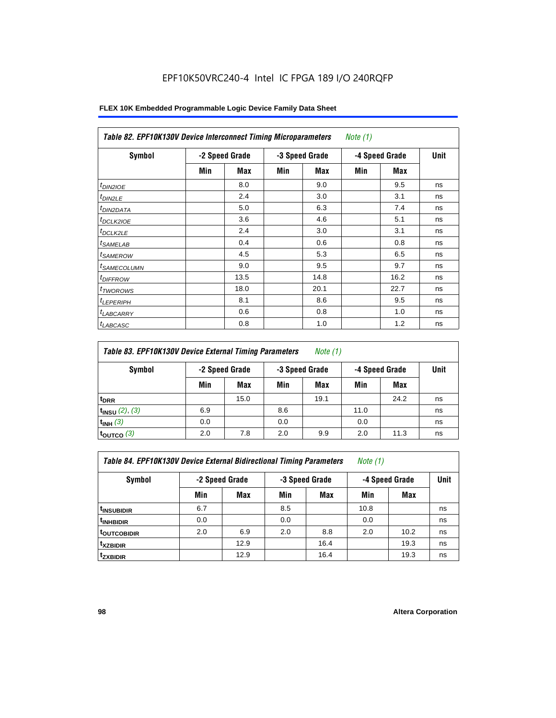| Symbol                     |     | -2 Speed Grade | -3 Speed Grade |      | -4 Speed Grade |      | Unit |
|----------------------------|-----|----------------|----------------|------|----------------|------|------|
|                            | Min | Max            | Min            | Max  | Min            | Max  |      |
| $t_{DINZIOE}$              |     | 8.0            |                | 9.0  |                | 9.5  | ns   |
| t <sub>DIN2LE</sub>        |     | 2.4            |                | 3.0  |                | 3.1  | ns   |
| <sup>t</sup> DIN2DATA      |     | 5.0            |                | 6.3  |                | 7.4  | ns   |
| <sup>t</sup> DCLK2IOE      |     | 3.6            |                | 4.6  |                | 5.1  | ns   |
| ${}^t$ DCLK2LE             |     | 2.4            |                | 3.0  |                | 3.1  | ns   |
| <sup>t</sup> SAMELAB       |     | 0.4            |                | 0.6  |                | 0.8  | ns   |
| <sup>t</sup> SAMEROW       |     | 4.5            |                | 5.3  |                | 6.5  | ns   |
| <sup>t</sup> SAMECOLUMN    |     | 9.0            |                | 9.5  |                | 9.7  | ns   |
| <i>t<sub>DIFFROW</sub></i> |     | 13.5           |                | 14.8 |                | 16.2 | ns   |
| <sup>t</sup> TWOROWS       |     | 18.0           |                | 20.1 |                | 22.7 | ns   |
| <sup>t</sup> LEPERIPH      |     | 8.1            |                | 8.6  |                | 9.5  | ns   |
| <sup>I</sup> LABCARRY      |     | 0.6            |                | 0.8  |                | 1.0  | ns   |
| <sup>t</sup> LABCASC       |     | 0.8            |                | 1.0  |                | 1.2  | ns   |

# **FLEX 10K Embedded Programmable Logic Device Family Data Sheet**

| Table 83. EPF10K130V Device External Timing Parameters | Note (1) |
|--------------------------------------------------------|----------|
|--------------------------------------------------------|----------|

| Symbol                 |     | -2 Speed Grade |     | -3 Speed Grade | -4 Speed Grade |      | Unit |
|------------------------|-----|----------------|-----|----------------|----------------|------|------|
|                        | Min | Max            | Min | Max            | Min            | Max  |      |
| t <sub>DRR</sub>       |     | 15.0           |     | 19.1           |                | 24.2 | ns   |
| $t_{INSU}$ (2), (3)    | 6.9 |                | 8.6 |                | 11.0           |      | ns   |
| $t_{INH}$ (3)          | 0.0 |                | 0.0 |                | 0.0            |      | ns   |
| $t_{\text{OUTCO}}$ (3) | 2.0 | 7.8            | 2.0 | 9.9            | 2.0            | 11.3 | ns   |

| Table 84. EPF10K130V Device External Bidirectional Timing Parameters | Note (1) |  |  |
|----------------------------------------------------------------------|----------|--|--|
|----------------------------------------------------------------------|----------|--|--|

T

T

| Symbol                  |     | -2 Speed Grade |     | -3 Speed Grade |      | -4 Speed Grade |    |
|-------------------------|-----|----------------|-----|----------------|------|----------------|----|
|                         | Min | Max            | Min | <b>Max</b>     | Min  | <b>Max</b>     |    |
| <sup>t</sup> insubidir  | 6.7 |                | 8.5 |                | 10.8 |                | ns |
| <sup>t</sup> INHBIDIR   | 0.0 |                | 0.0 |                | 0.0  |                | ns |
| <sup>t</sup> OUTCOBIDIR | 2.0 | 6.9            | 2.0 | 8.8            | 2.0  | 10.2           | ns |
| <sup>t</sup> xzbidir    |     | 12.9           |     | 16.4           |      | 19.3           | ns |
| <sup>t</sup> zxbidir    |     | 12.9           |     | 16.4           |      | 19.3           | ns |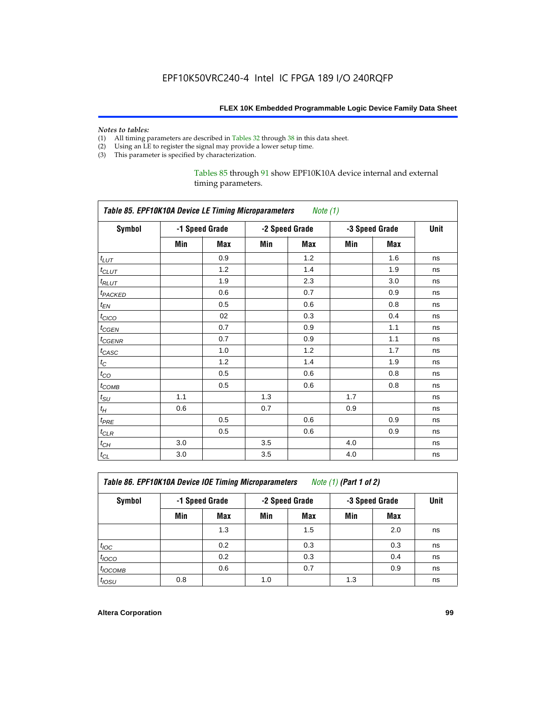# *Notes to tables:*<br>(1) All timing p

- All timing parameters are described in Tables 32 through 38 in this data sheet.
- (2) Using an LE to register the signal may provide a lower setup time.
- (3) This parameter is specified by characterization.

## Tables 85 through 91 show EPF10K10A device internal and external timing parameters.

| Table 85. EPF10K10A Device LE Timing Microparameters<br>Note (1) |     |                |     |                |                |            |    |  |  |  |
|------------------------------------------------------------------|-----|----------------|-----|----------------|----------------|------------|----|--|--|--|
| <b>Symbol</b>                                                    |     | -1 Speed Grade |     | -2 Speed Grade | -3 Speed Grade | Unit       |    |  |  |  |
|                                                                  | Min | <b>Max</b>     | Min | Max            | Min            | <b>Max</b> |    |  |  |  |
| $t_{LUT}$                                                        |     | 0.9            |     | 1.2            |                | 1.6        | ns |  |  |  |
| $t_{CLUT}$                                                       |     | 1.2            |     | 1.4            |                | 1.9        | ns |  |  |  |
| $t_{RLUT}$                                                       |     | 1.9            |     | 2.3            |                | 3.0        | ns |  |  |  |
| <b>t</b> PACKED                                                  |     | 0.6            |     | 0.7            |                | 0.9        | ns |  |  |  |
| $t_{EN}$                                                         |     | 0.5            |     | 0.6            |                | 0.8        | ns |  |  |  |
| $t_{CICO}$                                                       |     | 02             |     | 0.3            |                | 0.4        | ns |  |  |  |
| $t_{CGEN}$                                                       |     | 0.7            |     | 0.9            |                | 1.1        | ns |  |  |  |
| $t_{GENR}$                                                       |     | 0.7            |     | 0.9            |                | 1.1        | ns |  |  |  |
| $t_{CASC}$                                                       |     | 1.0            |     | 1.2            |                | 1.7        | ns |  |  |  |
| $t_{\rm C}$                                                      |     | 1.2            |     | 1.4            |                | 1.9        | ns |  |  |  |
| $t_{\rm CO}$                                                     |     | 0.5            |     | 0.6            |                | 0.8        | ns |  |  |  |
| $t_{\text{COMB}}$                                                |     | 0.5            |     | 0.6            |                | 0.8        | ns |  |  |  |
| $t_{\rm SU}$                                                     | 1.1 |                | 1.3 |                | 1.7            |            | ns |  |  |  |
| $t_H\,$                                                          | 0.6 |                | 0.7 |                | 0.9            |            | ns |  |  |  |
| $t_{PRE}$                                                        |     | 0.5            |     | 0.6            |                | 0.9        | ns |  |  |  |
| $t_{CLR}$                                                        |     | 0.5            |     | 0.6            |                | 0.9        | ns |  |  |  |
| $t_{\hbox{\small CH}}$                                           | 3.0 |                | 3.5 |                | 4.0            |            | ns |  |  |  |
| $t_{\rm CL}$                                                     | 3.0 |                | 3.5 |                | 4.0            |            | ns |  |  |  |

*Table 86. EPF10K10A Device IOE Timing Microparameters Note (1) (Part 1 of 2)*

| Symbol           |     | -1 Speed Grade |     | -2 Speed Grade | -3 Speed Grade |            | Unit |  |
|------------------|-----|----------------|-----|----------------|----------------|------------|------|--|
|                  | Min | Max            | Min | Max            | Min            | <b>Max</b> |      |  |
|                  |     | 1.3            |     | 1.5            |                | 2.0        | ns   |  |
| $t_{\text{IOC}}$ |     | 0.2            |     | 0.3            |                | 0.3        | ns   |  |
| $t_{IOCO}$       |     | 0.2            |     | 0.3            |                | 0.4        | ns   |  |
| $t_{IOCOMB}$     |     | 0.6            |     | 0.7            |                | 0.9        | ns   |  |
| $t_{IOSU}$       | 0.8 |                | 1.0 |                | 1.3            |            | ns   |  |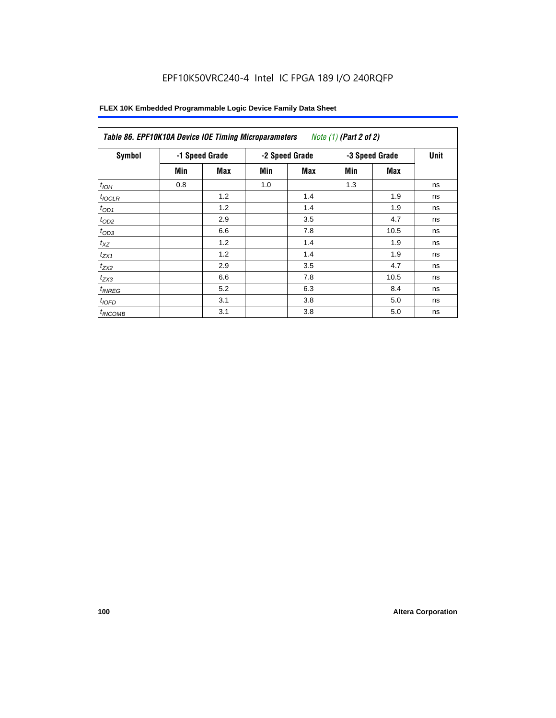| Symbol       |     | -1 Speed Grade |     | -2 Speed Grade |     | -3 Speed Grade | <b>Unit</b> |
|--------------|-----|----------------|-----|----------------|-----|----------------|-------------|
|              | Min | Max            | Min | Max            | Min | Max            |             |
| $t_{IOH}$    | 0.8 |                | 1.0 |                | 1.3 |                | ns          |
| $t_{IOCLR}$  |     | 1.2            |     | 1.4            |     | 1.9            | ns          |
| $t_{OD1}$    |     | 1.2            |     | 1.4            |     | 1.9            | ns          |
| $t_{OD2}$    |     | 2.9            |     | 3.5            |     | 4.7            | ns          |
| $t_{OD3}$    |     | 6.6            |     | 7.8            |     | 10.5           | ns          |
| $t_{XZ}$     |     | 1.2            |     | 1.4            |     | 1.9            | ns          |
| $t_{ZX1}$    |     | 1.2            |     | 1.4            |     | 1.9            | ns          |
| $t_{ZX2}$    |     | 2.9            |     | 3.5            |     | 4.7            | ns          |
| $t_{ZX3}$    |     | 6.6            |     | 7.8            |     | 10.5           | ns          |
| $t_{INREG}$  |     | 5.2            |     | 6.3            |     | 8.4            | ns          |
| $t_{IOFD}$   |     | 3.1            |     | 3.8            |     | 5.0            | ns          |
| $t_{INCOMB}$ |     | 3.1            |     | 3.8            |     | 5.0            | ns          |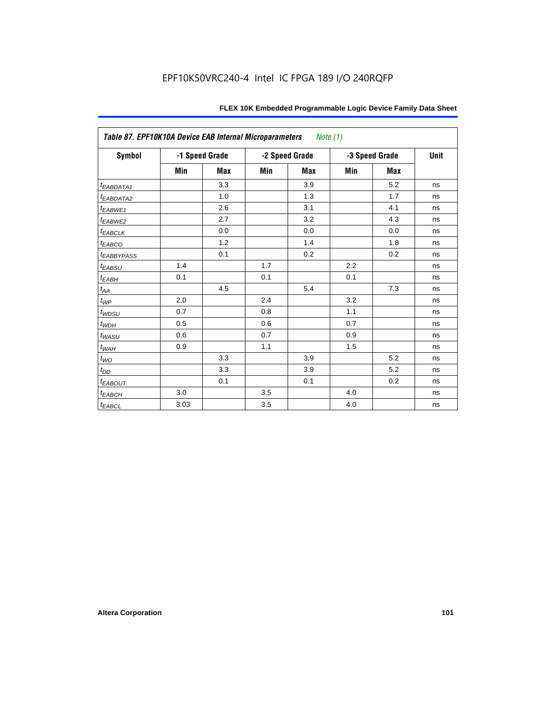| Table 87. EPF10K10A Device EAB Internal Microparameters Note (1) |      |                |     |                |     |                |      |
|------------------------------------------------------------------|------|----------------|-----|----------------|-----|----------------|------|
| <b>Symbol</b>                                                    |      | -1 Speed Grade |     | -2 Speed Grade |     | -3 Speed Grade | Unit |
|                                                                  | Min  | <b>Max</b>     | Min | <b>Max</b>     | Min | <b>Max</b>     |      |
| t <sub>EABDATA1</sub>                                            |      | 3.3            |     | 3.9            |     | 5.2            | ns   |
| t <sub>EABDATA2</sub>                                            |      | 1.0            |     | 1.3            |     | 1.7            | ns   |
| $t_{EABWE1}$                                                     |      | 2.6            |     | 3.1            |     | 4.1            | ns   |
| t <sub>EABWE2</sub>                                              |      | 2.7            |     | 3.2            |     | 4.3            | ns   |
| $t_{EABCLK}$                                                     |      | 0.0            |     | 0.0            |     | 0.0            | ns   |
| $t_{EABCO}$                                                      |      | 1.2            |     | 1.4            |     | 1.8            | ns   |
| <i><b>EABBYPASS</b></i>                                          |      | 0.1            |     | 0.2            |     | 0.2            | ns   |
| $t_{EABSU}$                                                      | 1.4  |                | 1.7 |                | 2.2 |                | ns   |
| $t_{EABH}$                                                       | 0.1  |                | 0.1 |                | 0.1 |                | ns   |
| $t_{\mathit{AA}}$                                                |      | 4.5            |     | 5.4            |     | 7.3            | ns   |
| $t_{\mathit{WP}}$                                                | 2.0  |                | 2.4 |                | 3.2 |                | ns   |
| $t_{WDSU}$                                                       | 0.7  |                | 0.8 |                | 1.1 |                | ns   |
| $t_{WDH}$                                                        | 0.5  |                | 0.6 |                | 0.7 |                | ns   |
| $t_{WASU}$                                                       | 0.6  |                | 0.7 |                | 0.9 |                | ns   |
| $t_{WAH}$                                                        | 0.9  |                | 1.1 |                | 1.5 |                | ns   |
| $t_{WO}$                                                         |      | 3.3            |     | 3.9            |     | 5.2            | ns   |
| $t_{DD}$                                                         |      | 3.3            |     | 3.9            |     | 5.2            | ns   |
| $t_{EABOUT}$                                                     |      | 0.1            |     | 0.1            |     | 0.2            | ns   |
| $t_{EABCH}$                                                      | 3.0  |                | 3.5 |                | 4.0 |                | ns   |
| $t_{EABCL}$                                                      | 3.03 |                | 3.5 |                | 4.0 |                | ns   |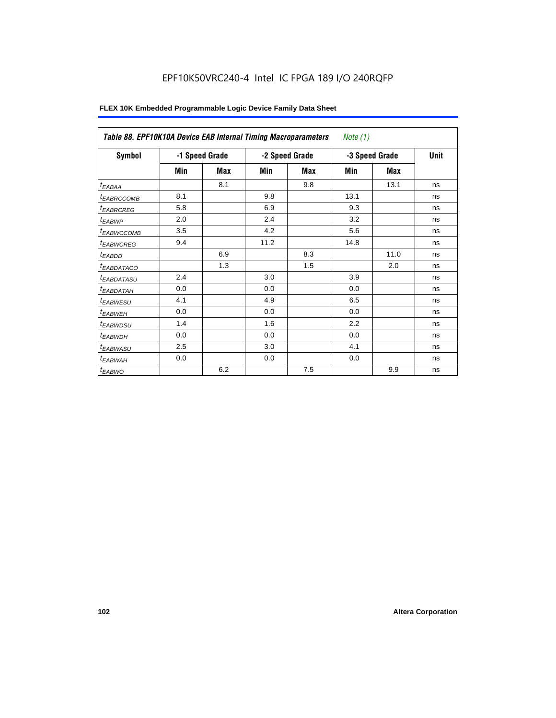| Table 88. EPF10K10A Device EAB Internal Timing Macroparameters |     |                |      |                | Note (1)       |      |    |
|----------------------------------------------------------------|-----|----------------|------|----------------|----------------|------|----|
| Symbol                                                         |     | -1 Speed Grade |      | -2 Speed Grade | -3 Speed Grade | Unit |    |
|                                                                | Min | <b>Max</b>     | Min  | Max            | Min            | Max  |    |
| $t_{EABA}$                                                     |     | 8.1            |      | 9.8            |                | 13.1 | ns |
| <sup>t</sup> EABRCCOMB                                         | 8.1 |                | 9.8  |                | 13.1           |      | ns |
| <sup>t</sup> EABRCREG                                          | 5.8 |                | 6.9  |                | 9.3            |      | ns |
| <sup>t</sup> EABWP                                             | 2.0 |                | 2.4  |                | 3.2            |      | ns |
| <sup>t</sup> EABWCCOMB                                         | 3.5 |                | 4.2  |                | 5.6            |      | ns |
| <sup>t</sup> EABWCREG                                          | 9.4 |                | 11.2 |                | 14.8           |      | ns |
| <sup>t</sup> EABDD                                             |     | 6.9            |      | 8.3            |                | 11.0 | ns |
| <sup>t</sup> EABDATACO                                         |     | 1.3            |      | 1.5            |                | 2.0  | ns |
| <sup>t</sup> EABDATASU                                         | 2.4 |                | 3.0  |                | 3.9            |      | ns |
| <sup>t</sup> EABDATAH                                          | 0.0 |                | 0.0  |                | 0.0            |      | ns |
| <sup>t</sup> EABWESU                                           | 4.1 |                | 4.9  |                | 6.5            |      | ns |
| <sup>t</sup> EABWEH                                            | 0.0 |                | 0.0  |                | 0.0            |      | ns |
| <sup>t</sup> EABWDSU                                           | 1.4 |                | 1.6  |                | 2.2            |      | ns |
| <sup>t</sup> EABWDH                                            | 0.0 |                | 0.0  |                | 0.0            |      | ns |
| <sup>t</sup> EABWASU                                           | 2.5 |                | 3.0  |                | 4.1            |      | ns |
| <sup>t</sup> EABWAH                                            | 0.0 |                | 0.0  |                | 0.0            |      | ns |
| t <sub>EABWO</sub>                                             |     | 6.2            |      | 7.5            |                | 9.9  | ns |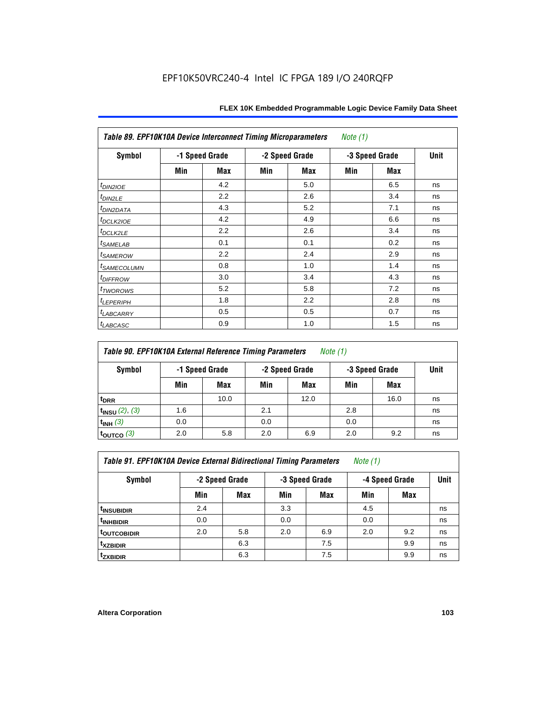| Table 89. EPF10K10A Device Interconnect Timing Microparameters<br>Note $(1)$ |                |     |                |     |                |     |      |  |  |
|------------------------------------------------------------------------------|----------------|-----|----------------|-----|----------------|-----|------|--|--|
| Symbol                                                                       | -1 Speed Grade |     | -2 Speed Grade |     | -3 Speed Grade |     | Unit |  |  |
|                                                                              | Min            | Max | Min            | Max | Min            | Max |      |  |  |
| $t_{DINZIOE}$                                                                |                | 4.2 |                | 5.0 |                | 6.5 | ns   |  |  |
| t <sub>DIN2LE</sub>                                                          |                | 2.2 |                | 2.6 |                | 3.4 | ns   |  |  |
| <sup>t</sup> DIN2DATA                                                        |                | 4.3 |                | 5.2 |                | 7.1 | ns   |  |  |
| t <sub>DCLK2IOE</sub>                                                        |                | 4.2 |                | 4.9 |                | 6.6 | ns   |  |  |
| t <sub>DCLK2LE</sub>                                                         |                | 2.2 |                | 2.6 |                | 3.4 | ns   |  |  |
| <i>t</i> SAMELAB                                                             |                | 0.1 |                | 0.1 |                | 0.2 | ns   |  |  |
| <i>t<sub>SAMEROW</sub></i>                                                   |                | 2.2 |                | 2.4 |                | 2.9 | ns   |  |  |
| <sup>t</sup> SAMECOLUMN                                                      |                | 0.8 |                | 1.0 |                | 1.4 | ns   |  |  |
| <i>t<sub>DIFFROW</sub></i>                                                   |                | 3.0 |                | 3.4 |                | 4.3 | ns   |  |  |
| <sup>t</sup> TWOROWS                                                         |                | 5.2 |                | 5.8 |                | 7.2 | ns   |  |  |
| <b><i>LEPERIPH</i></b>                                                       |                | 1.8 |                | 2.2 |                | 2.8 | ns   |  |  |
| t <sub>LABCARRY</sub>                                                        |                | 0.5 |                | 0.5 |                | 0.7 | ns   |  |  |
| t <sub>LABCASC</sub>                                                         |                | 0.9 |                | 1.0 |                | 1.5 | ns   |  |  |

| <b>Table 90. EPF10K10A External Reference Timing Parameters</b> | Note (1) |
|-----------------------------------------------------------------|----------|
|-----------------------------------------------------------------|----------|

| Symbol                   | -1 Speed Grade |      | -2 Speed Grade |      | -3 Speed Grade | <b>Unit</b> |    |
|--------------------------|----------------|------|----------------|------|----------------|-------------|----|
|                          | Min            | Max  | Min            | Max  | Min            | Max         |    |
| t <sub>DRR</sub>         |                | 10.0 |                | 12.0 |                | 16.0        | ns |
| $t_{INSU}$ (2), (3)      | 1.6            |      | 2.1            |      | 2.8            |             | ns |
| $t_{INH}$ (3)            | 0.0            |      | 0.0            |      | 0.0            |             | ns |
| $\tt_{\text{OUTCO}}$ (3) | 2.0            | 5.8  | 2.0            | 6.9  | 2.0            | 9.2         | ns |

*Table 91. EPF10K10A Device External Bidirectional Timing Parameters Note (1)*

| Symbol                  | -2 Speed Grade |     |     | -3 Speed Grade | -4 Speed Grade | Unit       |    |
|-------------------------|----------------|-----|-----|----------------|----------------|------------|----|
|                         | Min            | Max | Min | <b>Max</b>     | Min            | <b>Max</b> |    |
| <sup>t</sup> insubidir  | 2.4            |     | 3.3 |                | 4.5            |            | ns |
| <sup>T</sup> INHBIDIR   | 0.0            |     | 0.0 |                | 0.0            |            | ns |
| <sup>t</sup> OUTCOBIDIR | 2.0            | 5.8 | 2.0 | 6.9            | 2.0            | 9.2        | ns |
| <sup>t</sup> xzbidir    |                | 6.3 |     | 7.5            |                | 9.9        | ns |
| <sup>t</sup> zxbidir    |                | 6.3 |     | 7.5            |                | 9.9        | ns |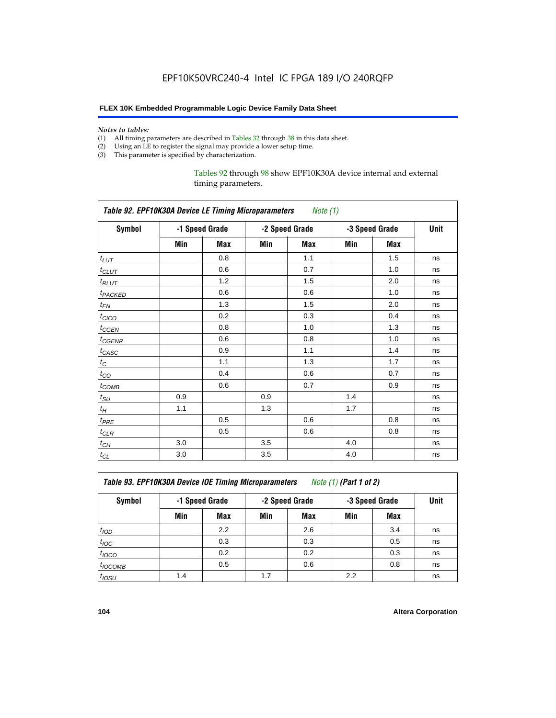#### *Notes to tables:*

- (1) All timing parameters are described in Tables 32 through 38 in this data sheet.
- (2) Using an LE to register the signal may provide a lower setup time.
- (3) This parameter is specified by characterization.

Tables 92 through 98 show EPF10K30A device internal and external timing parameters.

| Table 92. EPF10K30A Device LE Timing Microparameters Note (1) |                |     |                |     |                |     |      |  |  |
|---------------------------------------------------------------|----------------|-----|----------------|-----|----------------|-----|------|--|--|
| <b>Symbol</b>                                                 | -1 Speed Grade |     | -2 Speed Grade |     | -3 Speed Grade |     | Unit |  |  |
|                                                               | Min            | Max | Min            | Max | Min            | Max |      |  |  |
| $t_{LUT}$                                                     |                | 0.8 |                | 1.1 |                | 1.5 | ns   |  |  |
| $t_{CLUT}$                                                    |                | 0.6 |                | 0.7 |                | 1.0 | ns   |  |  |
| $t_{RLUT}$                                                    |                | 1.2 |                | 1.5 |                | 2.0 | ns   |  |  |
| <b><i>t<sub>PACKED</sub></i></b>                              |                | 0.6 |                | 0.6 |                | 1.0 | ns   |  |  |
| $t_{EN}$                                                      |                | 1.3 |                | 1.5 |                | 2.0 | ns   |  |  |
| $t_{CICO}$                                                    |                | 0.2 |                | 0.3 |                | 0.4 | ns   |  |  |
| $t_{\text{GEN}}$                                              |                | 0.8 |                | 1.0 |                | 1.3 | ns   |  |  |
| t <sub>CGENR</sub>                                            |                | 0.6 |                | 0.8 |                | 1.0 | ns   |  |  |
| $t_{CASC}$                                                    |                | 0.9 |                | 1.1 |                | 1.4 | ns   |  |  |
| $t_C$                                                         |                | 1.1 |                | 1.3 |                | 1.7 | ns   |  |  |
| $t_{CO}$                                                      |                | 0.4 |                | 0.6 |                | 0.7 | ns   |  |  |
| $t_{\text{COMB}}$                                             |                | 0.6 |                | 0.7 |                | 0.9 | ns   |  |  |
| $t_{\rm SU}$                                                  | 0.9            |     | 0.9            |     | 1.4            |     | ns   |  |  |
| $t_H$                                                         | 1.1            |     | 1.3            |     | 1.7            |     | ns   |  |  |
| $t_{PRE}$                                                     |                | 0.5 |                | 0.6 |                | 0.8 | ns   |  |  |
| $t_{CLR}$                                                     |                | 0.5 |                | 0.6 |                | 0.8 | ns   |  |  |
| $t_{CH}$                                                      | 3.0            |     | 3.5            |     | 4.0            |     | ns   |  |  |
| $t_{CL}$                                                      | 3.0            |     | 3.5            |     | 4.0            |     | ns   |  |  |

*Table 93. EPF10K30A Device IOE Timing Microparameters Note (1) (Part 1 of 2)*

| Symbol            |     | -1 Speed Grade |     | -2 Speed Grade |     | -3 Speed Grade |    |  |
|-------------------|-----|----------------|-----|----------------|-----|----------------|----|--|
|                   | Min | Max            | Min | <b>Max</b>     | Min | <b>Max</b>     |    |  |
| t <sub>IOD</sub>  |     | 2.2            |     | 2.6            |     | 3.4            | ns |  |
| $t_{\text{IOC}}$  |     | 0.3            |     | 0.3            |     | 0.5            | ns |  |
| $t_{IOCO}$        |     | 0.2            |     | 0.2            |     | 0.3            | ns |  |
| $t_{IOCOMB}$      |     | 0.5            |     | 0.6            |     | 0.8            | ns |  |
| t <sub>IOSU</sub> | 1.4 |                | 1.7 |                | 2.2 |                | ns |  |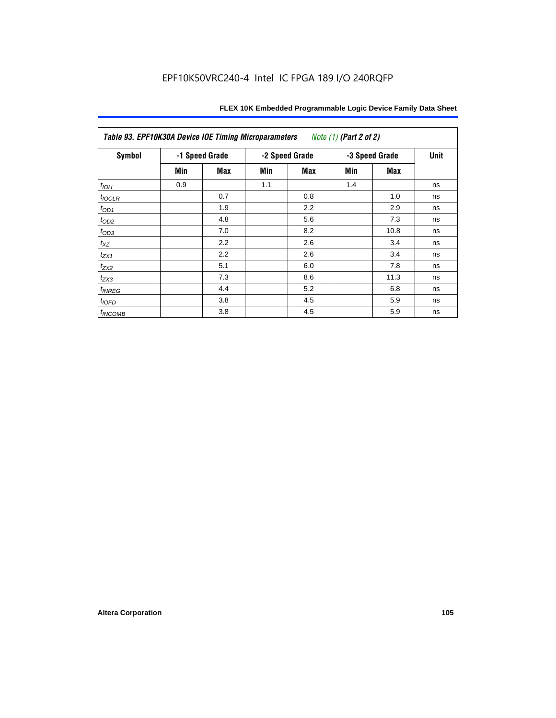| Table 93. EPF10K30A Device IOE Timing Microparameters Note (1) (Part 2 of 2) |                |     |                |     |                |      |      |  |  |
|------------------------------------------------------------------------------|----------------|-----|----------------|-----|----------------|------|------|--|--|
| <b>Symbol</b>                                                                | -1 Speed Grade |     | -2 Speed Grade |     | -3 Speed Grade |      | Unit |  |  |
|                                                                              | Min            | Max | Min            | Max | Min            | Max  |      |  |  |
| $t_{IOH}$                                                                    | 0.9            |     | 1.1            |     | 1.4            |      | ns   |  |  |
| $t_{IOCLR}$                                                                  |                | 0.7 |                | 0.8 |                | 1.0  | ns   |  |  |
| $t_{OD1}$                                                                    |                | 1.9 |                | 2.2 |                | 2.9  | ns   |  |  |
| $t_{OD2}$                                                                    |                | 4.8 |                | 5.6 |                | 7.3  | ns   |  |  |
| $t_{OD3}$                                                                    |                | 7.0 |                | 8.2 |                | 10.8 | ns   |  |  |
| $t_{\mathsf{XZ}}$                                                            |                | 2.2 |                | 2.6 |                | 3.4  | ns   |  |  |
| $t_{ZX1}$                                                                    |                | 2.2 |                | 2.6 |                | 3.4  | ns   |  |  |
| $t_{ZX2}$                                                                    |                | 5.1 |                | 6.0 |                | 7.8  | ns   |  |  |
| $t_{ZX3}$                                                                    |                | 7.3 |                | 8.6 |                | 11.3 | ns   |  |  |
| $t_{INREG}$                                                                  |                | 4.4 |                | 5.2 |                | 6.8  | ns   |  |  |
| $t_{IOFD}$                                                                   |                | 3.8 |                | 4.5 |                | 5.9  | ns   |  |  |
| $t_{INCOMB}$                                                                 |                | 3.8 |                | 4.5 |                | 5.9  | ns   |  |  |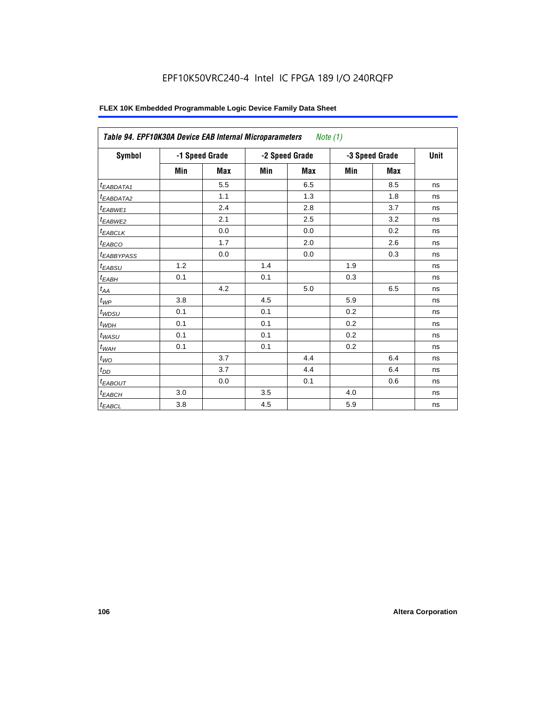| Symbol                 |         | -1 Speed Grade |     | -2 Speed Grade |     | -3 Speed Grade | Unit |
|------------------------|---------|----------------|-----|----------------|-----|----------------|------|
|                        | Min     | <b>Max</b>     | Min | Max            | Min | <b>Max</b>     |      |
| <sup>t</sup> EABDATA1  |         | 5.5            |     | 6.5            |     | 8.5            | ns   |
| <sup>t</sup> EABDATA2  |         | 1.1            |     | 1.3            |     | 1.8            | ns   |
| <sup>t</sup> EABWE1    |         | 2.4            |     | 2.8            |     | 3.7            | ns   |
| <sup>t</sup> EABWE2    |         | 2.1            |     | 2.5            |     | 3.2            | ns   |
| <sup>t</sup> EABCLK    |         | 0.0            |     | 0.0            |     | 0.2            | ns   |
| <sup>t</sup> EABCO     |         | 1.7            |     | 2.0            |     | 2.6            | ns   |
| <sup>t</sup> EABBYPASS |         | 0.0            |     | 0.0            |     | 0.3            | ns   |
| t <sub>EABSU</sub>     | 1.2     |                | 1.4 |                | 1.9 |                | ns   |
| <sup>t</sup> ЕАВН      | 0.1     |                | 0.1 |                | 0.3 |                | ns   |
| $t_{AA}$               |         | 4.2            |     | 5.0            |     | 6.5            | ns   |
| $t_{\mathcal{WP}}$     | 3.8     |                | 4.5 |                | 5.9 |                | ns   |
| t <sub>WDSU</sub>      | 0.1     |                | 0.1 |                | 0.2 |                | ns   |
| $t_{WDH}$              | 0.1     |                | 0.1 |                | 0.2 |                | ns   |
| $t_{WASU}$             | 0.1     |                | 0.1 |                | 0.2 |                | ns   |
| $t_{W{\!A} H}$         | 0.1     |                | 0.1 |                | 0.2 |                | ns   |
| $t_{WO}$               |         | 3.7            |     | 4.4            |     | 6.4            | ns   |
| $t_{DD}$               |         | 3.7            |     | 4.4            |     | 6.4            | ns   |
| <sup>t</sup> EABOUT    |         | 0.0            |     | 0.1            |     | 0.6            | ns   |
| $t_{EABCH}$            | 3.0     |                | 3.5 |                | 4.0 |                | ns   |
| $t_{EABCL}$            | $3.8\,$ |                | 4.5 |                | 5.9 |                | ns   |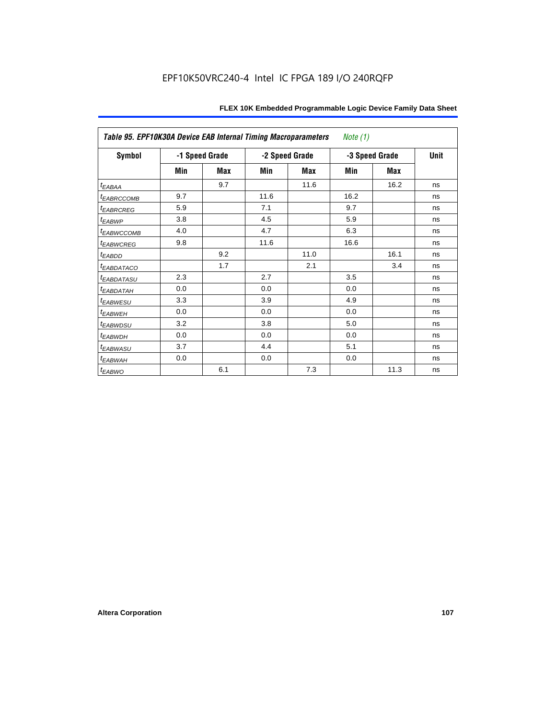| Table 95. EPF10K30A Device EAB Internal Timing Macroparameters<br>Note $(1)$ |                |            |                |      |                |      |      |  |  |
|------------------------------------------------------------------------------|----------------|------------|----------------|------|----------------|------|------|--|--|
| Symbol                                                                       | -1 Speed Grade |            | -2 Speed Grade |      | -3 Speed Grade |      | Unit |  |  |
|                                                                              | Min            | <b>Max</b> | Min            | Max  | Min            | Max  |      |  |  |
| $t_{EABA}$                                                                   |                | 9.7        |                | 11.6 |                | 16.2 | ns   |  |  |
| <sup>t</sup> EABRCCOMB                                                       | 9.7            |            | 11.6           |      | 16.2           |      | ns   |  |  |
| <b><i>EABRCREG</i></b>                                                       | 5.9            |            | 7.1            |      | 9.7            |      | ns   |  |  |
| t <sub>EABWP</sub>                                                           | 3.8            |            | 4.5            |      | 5.9            |      | ns   |  |  |
| <sup>t</sup> ЕАВWССОМВ                                                       | 4.0            |            | 4.7            |      | 6.3            |      | ns   |  |  |
| <sup>t</sup> EABWCREG                                                        | 9.8            |            | 11.6           |      | 16.6           |      | ns   |  |  |
| t <sub>EABDD</sub>                                                           |                | 9.2        |                | 11.0 |                | 16.1 | ns   |  |  |
| <i>EABDATACO</i>                                                             |                | 1.7        |                | 2.1  |                | 3.4  | ns   |  |  |
| <sup>t</sup> EABDATASU                                                       | 2.3            |            | 2.7            |      | 3.5            |      | ns   |  |  |
| t <sub>EABDATAH</sub>                                                        | 0.0            |            | 0.0            |      | 0.0            |      | ns   |  |  |
| <sup>t</sup> EABWESU                                                         | 3.3            |            | 3.9            |      | 4.9            |      | ns   |  |  |
| t <sub>EABWEH</sub>                                                          | 0.0            |            | 0.0            |      | 0.0            |      | ns   |  |  |
| t <sub>EABWDSU</sub>                                                         | 3.2            |            | 3.8            |      | 5.0            |      | ns   |  |  |
| t <sub>EABWDH</sub>                                                          | 0.0            |            | 0.0            |      | 0.0            |      | ns   |  |  |
| <sup>t</sup> EABWASU                                                         | 3.7            |            | 4.4            |      | 5.1            |      | ns   |  |  |
| <sup>t</sup> EABWAH                                                          | 0.0            |            | 0.0            |      | 0.0            |      | ns   |  |  |
| $t_{EABWO}$                                                                  |                | 6.1        |                | 7.3  |                | 11.3 | ns   |  |  |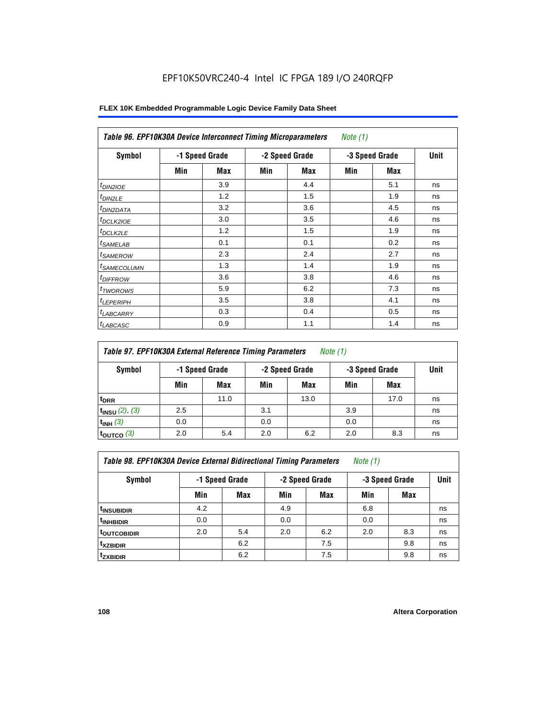| <b>Table 96. EPF10K30A Device Interconnect Timing Microparameters</b><br><i>Note</i> $(1)$ |                |     |     |                |                |      |    |  |  |
|--------------------------------------------------------------------------------------------|----------------|-----|-----|----------------|----------------|------|----|--|--|
| Symbol                                                                                     | -1 Speed Grade |     |     | -2 Speed Grade | -3 Speed Grade | Unit |    |  |  |
|                                                                                            | Min            | Max | Min | Max            | Min            | Max  |    |  |  |
| $t_{DINZIOE}$                                                                              |                | 3.9 |     | 4.4            |                | 5.1  | ns |  |  |
| $t_{DIN2LE}$                                                                               |                | 1.2 |     | 1.5            |                | 1.9  | ns |  |  |
| <sup>t</sup> DIN2DATA                                                                      |                | 3.2 |     | 3.6            |                | 4.5  | ns |  |  |
| <sup>t</sup> DCLK2IOE                                                                      |                | 3.0 |     | 3.5            |                | 4.6  | ns |  |  |
| <sup>t</sup> DCLK2LE                                                                       |                | 1.2 |     | 1.5            |                | 1.9  | ns |  |  |
| <sup>t</sup> SAMELAB                                                                       |                | 0.1 |     | 0.1            |                | 0.2  | ns |  |  |
| <sup>t</sup> SAMEROW                                                                       |                | 2.3 |     | 2.4            |                | 2.7  | ns |  |  |
| <sup>t</sup> SAMECOLUMN                                                                    |                | 1.3 |     | 1.4            |                | 1.9  | ns |  |  |
| <i>t<sub>DIFFROW</sub></i>                                                                 |                | 3.6 |     | 3.8            |                | 4.6  | ns |  |  |
| <sup>t</sup> TWOROWS                                                                       |                | 5.9 |     | 6.2            |                | 7.3  | ns |  |  |
| <sup>t</sup> LEPERIPH                                                                      |                | 3.5 |     | 3.8            |                | 4.1  | ns |  |  |
| <sup>I</sup> LABCARRY                                                                      |                | 0.3 |     | 0.4            |                | 0.5  | ns |  |  |
| <sup>t</sup> LABCASC                                                                       |                | 0.9 |     | 1.1            |                | 1.4  | ns |  |  |

# **FLEX 10K Embedded Programmable Logic Device Family Data Sheet**

| Table 97. EPF10K30A External Reference Timing Parameters<br><i>Note</i> $(1)$ |     |                |     |                |                |             |    |  |  |
|-------------------------------------------------------------------------------|-----|----------------|-----|----------------|----------------|-------------|----|--|--|
| Symbol                                                                        |     | -1 Speed Grade |     | -2 Speed Grade | -3 Speed Grade | <b>Unit</b> |    |  |  |
|                                                                               | Min | Max            | Min | Max            | Min            | Max         |    |  |  |
| t <sub>DRR</sub>                                                              |     | 11.0           |     | 13.0           |                | 17.0        | ns |  |  |
| $t_{INSU}$ (2), (3)                                                           | 2.5 |                | 3.1 |                | 3.9            |             | ns |  |  |
| $t_{INH}$ (3)                                                                 | 0.0 |                | 0.0 |                | 0.0            |             | ns |  |  |
| $t_{\text{OUTCO}}$ $(3)$                                                      | 2.0 | 5.4            | 2.0 | 6.2            | 2.0            | 8.3         | ns |  |  |

*Table 98. EPF10K30A Device External Bidirectional Timing Parameters Note (1)*

| Symbol                   |     | -1 Speed Grade |     | -2 Speed Grade |     | -3 Speed Grade |    |
|--------------------------|-----|----------------|-----|----------------|-----|----------------|----|
|                          | Min | Max            | Min | <b>Max</b>     | Min | <b>Max</b>     |    |
| I <sup>t</sup> insubidir | 4.2 |                | 4.9 |                | 6.8 |                | ns |
| <sup>I t</sup> INHBIDIR  | 0.0 |                | 0.0 |                | 0.0 |                | ns |
| <b>toutcobidir</b>       | 2.0 | 5.4            | 2.0 | 6.2            | 2.0 | 8.3            | ns |
| <b>txzbidir</b>          |     | 6.2            |     | 7.5            |     | 9.8            | ns |
| <sup>t</sup> zxbidir     |     | 6.2            |     | 7.5            |     | 9.8            | ns |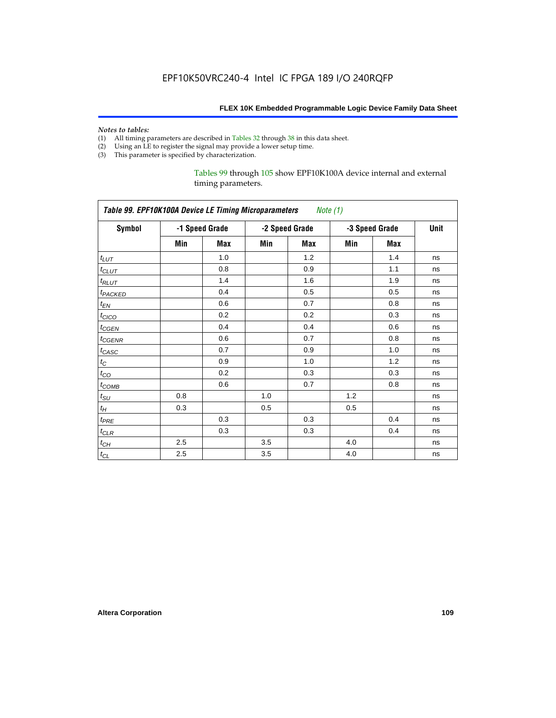#### *Notes to tables:*

- (1) All timing parameters are described in Tables 32 through 38 in this data sheet.
- (2) Using an LE to register the signal may provide a lower setup time.
- (3) This parameter is specified by characterization.

Tables 99 through 105 show EPF10K100A device internal and external timing parameters.

| Table 99. EPF10K100A Device LE Timing Microparameters Note (1) |     |                |     |                |     |                |      |  |  |
|----------------------------------------------------------------|-----|----------------|-----|----------------|-----|----------------|------|--|--|
| <b>Symbol</b>                                                  |     | -1 Speed Grade |     | -2 Speed Grade |     | -3 Speed Grade | Unit |  |  |
|                                                                | Min | Max            | Min | Max            | Min | Max            |      |  |  |
| $t_{LUT}$                                                      |     | 1.0            |     | 1.2            |     | 1.4            | ns   |  |  |
| $t_{CLUT}$                                                     |     | 0.8            |     | 0.9            |     | 1.1            | ns   |  |  |
| $t_{RLUT}$                                                     |     | 1.4            |     | 1.6            |     | 1.9            | ns   |  |  |
| t <sub>PACKED</sub>                                            |     | 0.4            |     | 0.5            |     | 0.5            | ns   |  |  |
| $t_{EN}$                                                       |     | 0.6            |     | 0.7            |     | 0.8            | ns   |  |  |
| $t_{CICO}$                                                     |     | 0.2            |     | 0.2            |     | 0.3            | ns   |  |  |
| $t_{CGEN}$                                                     |     | 0.4            |     | 0.4            |     | 0.6            | ns   |  |  |
| $t_{\text{GENR}}$                                              |     | 0.6            |     | 0.7            |     | 0.8            | ns   |  |  |
| t <sub>CASC</sub>                                              |     | 0.7            |     | 0.9            |     | 1.0            | ns   |  |  |
| $t_{\rm C}$                                                    |     | 0.9            |     | 1.0            |     | 1.2            | ns   |  |  |
| $t_{CO}$                                                       |     | 0.2            |     | 0.3            |     | 0.3            | ns   |  |  |
| $t_{COMB}$                                                     |     | 0.6            |     | 0.7            |     | 0.8            | ns   |  |  |
| $t_{\rm SU}$                                                   | 0.8 |                | 1.0 |                | 1.2 |                | ns   |  |  |
| $t_H\,$                                                        | 0.3 |                | 0.5 |                | 0.5 |                | ns   |  |  |
| $t_{PRE}$                                                      |     | 0.3            |     | 0.3            |     | 0.4            | ns   |  |  |
| $t_{CLR}$                                                      |     | 0.3            |     | 0.3            |     | 0.4            | ns   |  |  |
| $t_{CH}$                                                       | 2.5 |                | 3.5 |                | 4.0 |                | ns   |  |  |
| $t_{CL}$                                                       | 2.5 |                | 3.5 |                | 4.0 |                | ns   |  |  |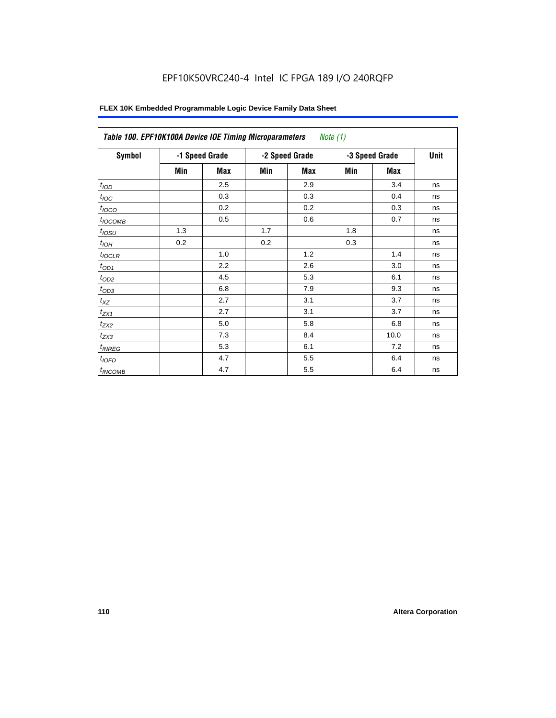| Symbol              | -1 Speed Grade |     |     | -2 Speed Grade | -3 Speed Grade | Unit |    |
|---------------------|----------------|-----|-----|----------------|----------------|------|----|
|                     | Min            | Max | Min | Max            | Min            | Max  |    |
| t <sub>IOD</sub>    |                | 2.5 |     | 2.9            |                | 3.4  | ns |
| $t_{\text{IOC}}$    |                | 0.3 |     | 0.3            |                | 0.4  | ns |
| $t_{IOCO}$          |                | 0.2 |     | 0.2            |                | 0.3  | ns |
| t <sub>IOCOMB</sub> |                | 0.5 |     | 0.6            |                | 0.7  | ns |
| t <sub>iosu</sub>   | 1.3            |     | 1.7 |                | 1.8            |      | ns |
| $t_{IOH}$           | 0.2            |     | 0.2 |                | 0.3            |      | ns |
| $t_{IOCLR}$         |                | 1.0 |     | 1.2            |                | 1.4  | ns |
| $t_{OD1}$           |                | 2.2 |     | 2.6            |                | 3.0  | ns |
| $t_{OD2}$           |                | 4.5 |     | 5.3            |                | 6.1  | ns |
| $t_{OD3}$           |                | 6.8 |     | 7.9            |                | 9.3  | ns |
| $t_{XZ}$            |                | 2.7 |     | 3.1            |                | 3.7  | ns |
| $t_{ZX1}$           |                | 2.7 |     | 3.1            |                | 3.7  | ns |
| $t_{ZX2}$           |                | 5.0 |     | 5.8            |                | 6.8  | ns |
| $t_{ZX3}$           |                | 7.3 |     | 8.4            |                | 10.0 | ns |
| $t_{INREG}$         |                | 5.3 |     | 6.1            |                | 7.2  | ns |
| $t_{IOED}$          |                | 4.7 |     | 5.5            |                | 6.4  | ns |
| <sup>t</sup> INCOMB |                | 4.7 |     | 5.5            |                | 6.4  | ns |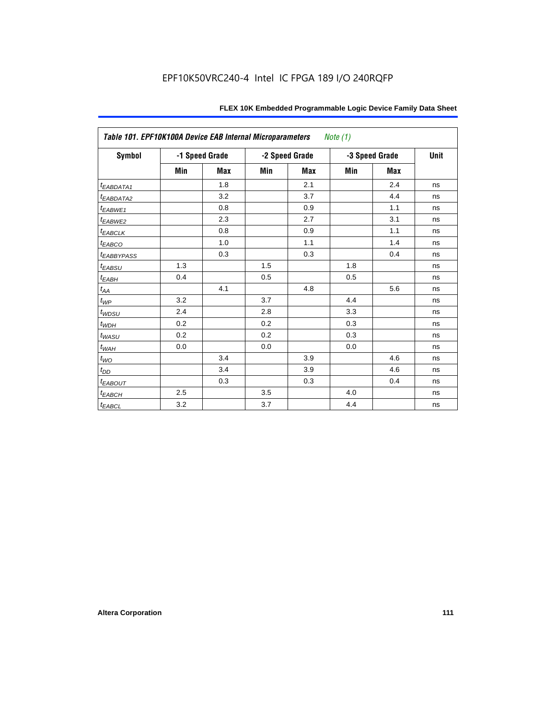| Table 101. EPF10K100A Device EAB Internal Microparameters |     |                |     |                | Note (1) |                |      |
|-----------------------------------------------------------|-----|----------------|-----|----------------|----------|----------------|------|
| <b>Symbol</b>                                             |     | -1 Speed Grade |     | -2 Speed Grade |          | -3 Speed Grade | Unit |
|                                                           | Min | <b>Max</b>     | Min | <b>Max</b>     | Min      | <b>Max</b>     |      |
| t <sub>EABDATA1</sub>                                     |     | 1.8            |     | 2.1            |          | 2.4            | ns   |
| t <sub>EABDATA2</sub>                                     |     | 3.2            |     | 3.7            |          | 4.4            | ns   |
| t <sub>EABWE1</sub>                                       |     | 0.8            |     | 0.9            |          | 1.1            | ns   |
| t <sub>EABWE2</sub>                                       |     | 2.3            |     | 2.7            |          | 3.1            | ns   |
| $t_{EABCLK}$                                              |     | 0.8            |     | 0.9            |          | 1.1            | ns   |
| $t_{EABCO}$                                               |     | 1.0            |     | 1.1            |          | 1.4            | ns   |
| <b><i>EABBYPASS</i></b>                                   |     | 0.3            |     | 0.3            |          | 0.4            | ns   |
| $t_{EABSU}$                                               | 1.3 |                | 1.5 |                | 1.8      |                | ns   |
| $t_{EABH}$                                                | 0.4 |                | 0.5 |                | 0.5      |                | ns   |
| $t_{\mathit{AA}}$                                         |     | 4.1            |     | 4.8            |          | 5.6            | ns   |
| $t_{\mathit{WP}}$                                         | 3.2 |                | 3.7 |                | 4.4      |                | ns   |
| $t_{WDSU}$                                                | 2.4 |                | 2.8 |                | 3.3      |                | ns   |
| $t_{WDH}$                                                 | 0.2 |                | 0.2 |                | 0.3      |                | ns   |
| $t_{WASU}$                                                | 0.2 |                | 0.2 |                | 0.3      |                | ns   |
| $t_{\underline{W AH}}$                                    | 0.0 |                | 0.0 |                | 0.0      |                | ns   |
| $t_{WO}$                                                  |     | 3.4            |     | 3.9            |          | 4.6            | ns   |
| $t_{DD}$                                                  |     | 3.4            |     | 3.9            |          | 4.6            | ns   |
| $t_{EABOUT}$                                              |     | 0.3            |     | 0.3            |          | 0.4            | ns   |
| $t_{EABCH}$                                               | 2.5 |                | 3.5 |                | 4.0      |                | ns   |
| $t_{EABCL}$                                               | 3.2 |                | 3.7 |                | 4.4      |                | ns   |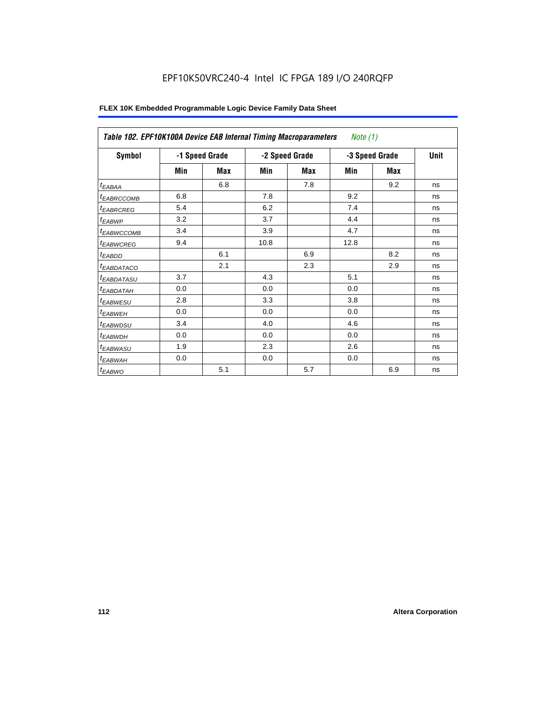| Symbol                 | -1 Speed Grade |     |      | -2 Speed Grade | -3 Speed Grade | Unit |    |
|------------------------|----------------|-----|------|----------------|----------------|------|----|
|                        | Min            | Max | Min  | Max            | Min            | Max  |    |
| $t_{EABA}$             |                | 6.8 |      | 7.8            |                | 9.2  | ns |
| <sup>t</sup> EABRCCOMB | 6.8            |     | 7.8  |                | 9.2            |      | ns |
| <sup>t</sup> EABRCREG  | 5.4            |     | 6.2  |                | 7.4            |      | ns |
| <sup>t</sup> EABWP     | 3.2            |     | 3.7  |                | 4.4            |      | ns |
| <sup>I</sup> EABWCCOMB | 3.4            |     | 3.9  |                | 4.7            |      | ns |
| <sup>t</sup> EABWCREG  | 9.4            |     | 10.8 |                | 12.8           |      | ns |
| <sup>t</sup> EABDD     |                | 6.1 |      | 6.9            |                | 8.2  | ns |
| <sup>t</sup> EABDATACO |                | 2.1 |      | 2.3            |                | 2.9  | ns |
| <sup>t</sup> EABDATASU | 3.7            |     | 4.3  |                | 5.1            |      | ns |
| <sup>t</sup> EABDATAH  | 0.0            |     | 0.0  |                | 0.0            |      | ns |
| <sup>t</sup> EABWESU   | 2.8            |     | 3.3  |                | 3.8            |      | ns |
| <sup>t</sup> EABWEH    | 0.0            |     | 0.0  |                | 0.0            |      | ns |
| <sup>t</sup> EABWDSU   | 3.4            |     | 4.0  |                | 4.6            |      | ns |
| <sup>t</sup> EABWDH    | 0.0            |     | 0.0  |                | 0.0            |      | ns |
| <sup>I</sup> EABWASU   | 1.9            |     | 2.3  |                | 2.6            |      | ns |
| <sup>t</sup> EABWAH    | 0.0            |     | 0.0  |                | 0.0            |      | ns |
| <sup>t</sup> EABWO     |                | 5.1 |      | 5.7            |                | 6.9  | ns |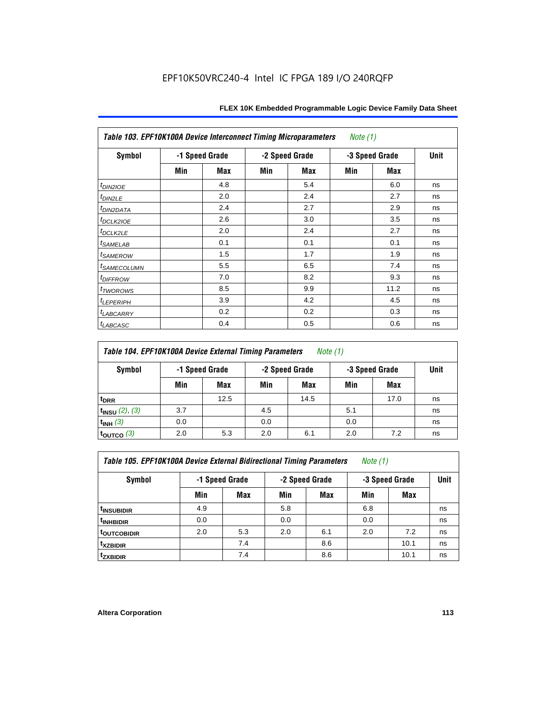| Table 103. EPF10K100A Device Interconnect Timing Microparameters<br>Note $(1)$ |     |                |     |                |     |                |      |  |  |
|--------------------------------------------------------------------------------|-----|----------------|-----|----------------|-----|----------------|------|--|--|
| Symbol                                                                         |     | -1 Speed Grade |     | -2 Speed Grade |     | -3 Speed Grade | Unit |  |  |
|                                                                                | Min | Max            | Min | Max            | Min | <b>Max</b>     |      |  |  |
| $t_{DIN2IOE}$                                                                  |     | 4.8            |     | 5.4            |     | 6.0            | ns   |  |  |
| t <sub>DIN2LE</sub>                                                            |     | 2.0            |     | 2.4            |     | 2.7            | ns   |  |  |
| <sup>t</sup> DIN2DATA                                                          |     | 2.4            |     | 2.7            |     | 2.9            | ns   |  |  |
| t <sub>DCLK2IOE</sub>                                                          |     | 2.6            |     | 3.0            |     | 3.5            | ns   |  |  |
| t <sub>DCLK2LE</sub>                                                           |     | 2.0            |     | 2.4            |     | 2.7            | ns   |  |  |
| <i>t<sub>SAMELAB</sub></i>                                                     |     | 0.1            |     | 0.1            |     | 0.1            | ns   |  |  |
| <i>t</i> SAMEROW                                                               |     | 1.5            |     | 1.7            |     | 1.9            | ns   |  |  |
| <i>t<sub>SAMECOLUMN</sub></i>                                                  |     | 5.5            |     | 6.5            |     | 7.4            | ns   |  |  |
| <i>t<sub>DIFFROW</sub></i>                                                     |     | 7.0            |     | 8.2            |     | 9.3            | ns   |  |  |
| <i>t</i> <sub>TWOROWS</sub>                                                    |     | 8.5            |     | 9.9            |     | 11.2           | ns   |  |  |
| <b><i>LEPERIPH</i></b>                                                         |     | 3.9            |     | 4.2            |     | 4.5            | ns   |  |  |
| <sup>t</sup> LABCARRY                                                          |     | 0.2            |     | 0.2            |     | 0.3            | ns   |  |  |
| t <sub>LABCASC</sub>                                                           |     | 0.4            |     | 0.5            |     | 0.6            | ns   |  |  |

| Table 104. EPF10K100A Device External Timing Parameters | Note (1) |
|---------------------------------------------------------|----------|
|---------------------------------------------------------|----------|

| Symbol                 | -1 Speed Grade |      | -2 Speed Grade |      | -3 Speed Grade |            | Unit |
|------------------------|----------------|------|----------------|------|----------------|------------|------|
|                        | Min            | Max  | Min            | Max  | Min            | <b>Max</b> |      |
| <sup>t</sup> DRR       |                | 12.5 |                | 14.5 |                | 17.0       | ns   |
| $t_{INSU}$ (2), (3)    | 3.7            |      | 4.5            |      | 5.1            |            | ns   |
| $t_{INH}$ (3)          | 0.0            |      | 0.0            |      | 0.0            |            | ns   |
| $t_{\text{OUTCO}}$ (3) | 2.0            | 5.3  | 2.0            | 6.1  | 2.0            | 7.2        | ns   |

| Table 105. EPF10K100A Device External Bidirectional Timing Parameters | Note (1) |  |  |
|-----------------------------------------------------------------------|----------|--|--|
|-----------------------------------------------------------------------|----------|--|--|

| Symbol                  |     | -1 Speed Grade |     | -2 Speed Grade |     | -3 Speed Grade | <b>Unit</b> |
|-------------------------|-----|----------------|-----|----------------|-----|----------------|-------------|
|                         | Min | Max            | Min | <b>Max</b>     | Min | Max            |             |
| <sup>t</sup> INSUBIDIR  | 4.9 |                | 5.8 |                | 6.8 |                | ns          |
| <sup>t</sup> inhbidir   | 0.0 |                | 0.0 |                | 0.0 |                | ns          |
| <sup>t</sup> OUTCOBIDIR | 2.0 | 5.3            | 2.0 | 6.1            | 2.0 | 7.2            | ns          |
| <sup>t</sup> xzbidir    |     | 7.4            |     | 8.6            |     | 10.1           | ns          |
| <sup>t</sup> zxbidir    |     | 7.4            |     | 8.6            |     | 10.1           | ns          |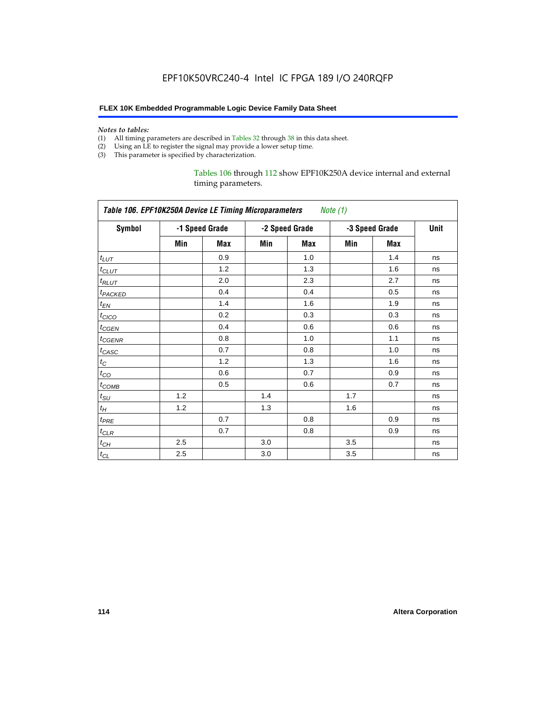#### *Notes to tables:*

- (1) All timing parameters are described in Tables 32 through 38 in this data sheet.
- (2) Using an LE to register the signal may provide a lower setup time.
- (3) This parameter is specified by characterization.

Tables 106 through 112 show EPF10K250A device internal and external timing parameters.

| Table 106. EPF10K250A Device LE Timing Microparameters<br>Note (1) |     |                |     |                |     |                |    |  |
|--------------------------------------------------------------------|-----|----------------|-----|----------------|-----|----------------|----|--|
| <b>Symbol</b>                                                      |     | -1 Speed Grade |     | -2 Speed Grade |     | -3 Speed Grade |    |  |
|                                                                    | Min | <b>Max</b>     | Min | <b>Max</b>     | Min | <b>Max</b>     |    |  |
| $t_{LUT}$                                                          |     | 0.9            |     | 1.0            |     | 1.4            | ns |  |
| $t_{CLUT}$                                                         |     | 1.2            |     | 1.3            |     | 1.6            | ns |  |
| $t_{RLUT}$                                                         |     | 2.0            |     | 2.3            |     | 2.7            | ns |  |
| t <sub>PACKED</sub>                                                |     | 0.4            |     | 0.4            |     | 0.5            | ns |  |
| $t_{EN}$                                                           |     | 1.4            |     | 1.6            |     | 1.9            | ns |  |
| $t_{CICO}$                                                         |     | 0.2            |     | 0.3            |     | 0.3            | ns |  |
| $t_{CSEN}$                                                         |     | 0.4            |     | 0.6            |     | 0.6            | ns |  |
| t <sub>CGENR</sub>                                                 |     | 0.8            |     | 1.0            |     | 1.1            | ns |  |
| $t_{CASC}$                                                         |     | 0.7            |     | 0.8            |     | 1.0            | ns |  |
| $t_C$                                                              |     | 1.2            |     | 1.3            |     | 1.6            | ns |  |
| $t_{CO}$                                                           |     | 0.6            |     | 0.7            |     | 0.9            | ns |  |
| $t_{\mathsf{COMB}}$                                                |     | 0.5            |     | 0.6            |     | 0.7            | ns |  |
| $t_{\rm SU}$                                                       | 1.2 |                | 1.4 |                | 1.7 |                | ns |  |
| $t_H$                                                              | 1.2 |                | 1.3 |                | 1.6 |                | ns |  |
| $t_{PRE}$                                                          |     | 0.7            |     | 0.8            |     | 0.9            | ns |  |
| $t_{CLR}$                                                          |     | 0.7            |     | 0.8            |     | 0.9            | ns |  |
| $t_{CH}$                                                           | 2.5 |                | 3.0 |                | 3.5 |                | ns |  |
| $t_{CL}$                                                           | 2.5 |                | 3.0 |                | 3.5 |                | ns |  |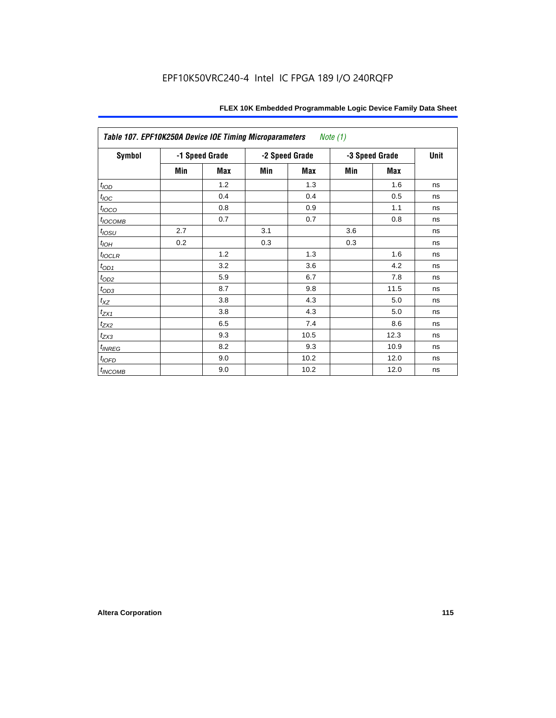| Table 107. EPF10K250A Device IOE Timing Microparameters<br>Note $(1)$ |     |                |     |                |     |                |    |  |
|-----------------------------------------------------------------------|-----|----------------|-----|----------------|-----|----------------|----|--|
| <b>Symbol</b>                                                         |     | -1 Speed Grade |     | -2 Speed Grade |     | -3 Speed Grade |    |  |
|                                                                       | Min | Max            | Min | <b>Max</b>     | Min | Max            |    |  |
| t <sub>IOD</sub>                                                      |     | 1.2            |     | 1.3            |     | 1.6            | ns |  |
| $t_{\text{loc}}$                                                      |     | 0.4            |     | 0.4            |     | 0.5            | ns |  |
| $t_{IOCO}$                                                            |     | 0.8            |     | 0.9            |     | 1.1            | ns |  |
| $t_{IOCOMB}$                                                          |     | 0.7            |     | 0.7            |     | 0.8            | ns |  |
| $t_{IOSU}$                                                            | 2.7 |                | 3.1 |                | 3.6 |                | ns |  |
| $t_{IOH}$                                                             | 0.2 |                | 0.3 |                | 0.3 |                | ns |  |
| $t_{IOCLR}$                                                           |     | 1.2            |     | 1.3            |     | 1.6            | ns |  |
| $t_{OD1}$                                                             |     | 3.2            |     | 3.6            |     | 4.2            | ns |  |
| $t_{OD2}$                                                             |     | 5.9            |     | 6.7            |     | 7.8            | ns |  |
| $t_{OD3}$                                                             |     | 8.7            |     | 9.8            |     | 11.5           | ns |  |
| $t_{\mathsf{XZ}}$                                                     |     | 3.8            |     | 4.3            |     | 5.0            | ns |  |
| $t_{ZX1}$                                                             |     | 3.8            |     | 4.3            |     | 5.0            | ns |  |
| $t_{ZX2}$                                                             |     | 6.5            |     | 7.4            |     | 8.6            | ns |  |
| $t_{ZX3}$                                                             |     | 9.3            |     | 10.5           |     | 12.3           | ns |  |
| $t_{INREG}$                                                           |     | 8.2            |     | 9.3            |     | 10.9           | ns |  |
| $t_{IOED}$                                                            |     | 9.0            |     | 10.2           |     | 12.0           | ns |  |
| $t_{INCOMB}$                                                          |     | 9.0            |     | 10.2           |     | 12.0           | ns |  |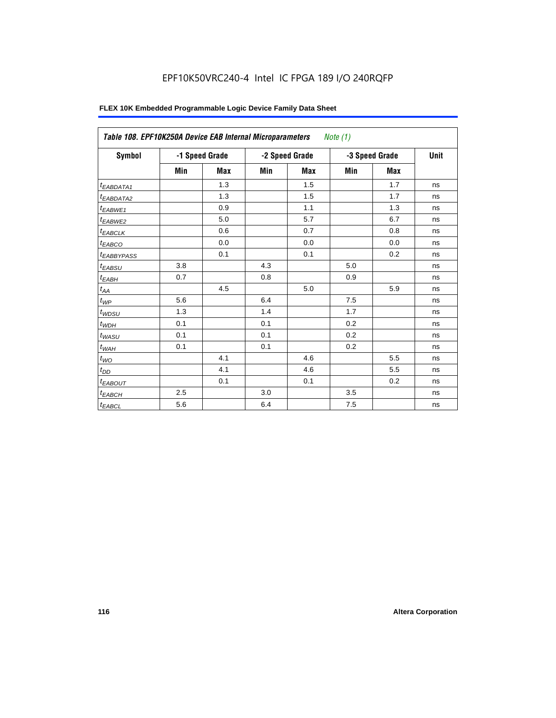| <b>Symbol</b>                |     | -1 Speed Grade |     | -2 Speed Grade | -3 Speed Grade | Unit       |    |
|------------------------------|-----|----------------|-----|----------------|----------------|------------|----|
|                              | Min | Max            | Min | <b>Max</b>     | Min            | <b>Max</b> |    |
| <sup>t</sup> EABDATA1        |     | 1.3            |     | 1.5            |                | 1.7        | ns |
| <sup>t</sup> EABDATA2        |     | 1.3            |     | 1.5            |                | 1.7        | ns |
| <sup>t</sup> EABWE1          |     | 0.9            |     | 1.1            |                | 1.3        | ns |
| <sup>t</sup> EABWE2          |     | 5.0            |     | 5.7            |                | 6.7        | ns |
| <sup>t</sup> EABCLK          |     | 0.6            |     | 0.7            |                | 0.8        | ns |
| <sup>t</sup> EABCO           |     | 0.0            |     | 0.0            |                | 0.0        | ns |
| <sup>t</sup> EABBYPASS       |     | 0.1            |     | 0.1            |                | 0.2        | ns |
| <sup>t</sup> EABSU           | 3.8 |                | 4.3 |                | 5.0            |            | ns |
| t <sub>EABH</sub>            | 0.7 |                | 0.8 |                | 0.9            |            | ns |
| $t_{\mathcal{A}\mathcal{A}}$ |     | 4.5            |     | 5.0            |                | 5.9        | ns |
| $t_{\mathcal{WP}}$           | 5.6 |                | 6.4 |                | 7.5            |            | ns |
| $t_{W\!D\!S\!U}$             | 1.3 |                | 1.4 |                | 1.7            |            | ns |
| $t_{WDH}$                    | 0.1 |                | 0.1 |                | 0.2            |            | ns |
| $t_{WASU}$                   | 0.1 |                | 0.1 |                | 0.2            |            | ns |
| $t_{W\!\!AH}$                | 0.1 |                | 0.1 |                | 0.2            |            | ns |
| $t_{WO}$                     |     | 4.1            |     | 4.6            |                | 5.5        | ns |
| $t_{DD}$                     |     | 4.1            |     | 4.6            |                | 5.5        | ns |
| <b><i>EABOUT</i></b>         |     | 0.1            |     | 0.1            |                | 0.2        | ns |
| <sup>t</sup> ЕАВСН           | 2.5 |                | 3.0 |                | 3.5            |            | ns |
| $t_{EABCL}$                  | 5.6 |                | 6.4 |                | 7.5            |            | ns |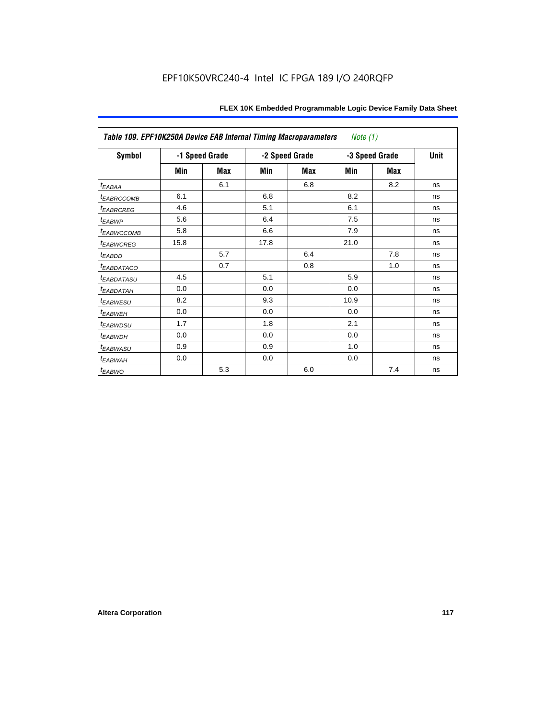| Table 109. EPF10K250A Device EAB Internal Timing Macroparameters<br>Note $(1)$ |      |                |      |                |      |                |    |
|--------------------------------------------------------------------------------|------|----------------|------|----------------|------|----------------|----|
| Symbol                                                                         |      | -1 Speed Grade |      | -2 Speed Grade |      | -3 Speed Grade |    |
|                                                                                | Min  | Max            | Min  | Max            | Min  | Max            |    |
| $t_{EABA}$                                                                     |      | 6.1            |      | 6.8            |      | 8.2            | ns |
| t <sub>EABRCCOMB</sub>                                                         | 6.1  |                | 6.8  |                | 8.2  |                | ns |
| <b><i>EABRCREG</i></b>                                                         | 4.6  |                | 5.1  |                | 6.1  |                | ns |
| t <sub>EABWP</sub>                                                             | 5.6  |                | 6.4  |                | 7.5  |                | ns |
| <sup>t</sup> ЕАВWССОМВ                                                         | 5.8  |                | 6.6  |                | 7.9  |                | ns |
| <i><b>EABWCREG</b></i>                                                         | 15.8 |                | 17.8 |                | 21.0 |                | ns |
| t <sub>EABDD</sub>                                                             |      | 5.7            |      | 6.4            |      | 7.8            | ns |
| <b><i>EABDATACO</i></b>                                                        |      | 0.7            |      | 0.8            |      | 1.0            | ns |
| <sup>t</sup> EABDATASU                                                         | 4.5  |                | 5.1  |                | 5.9  |                | ns |
| <sup>t</sup> EABDATAH                                                          | 0.0  |                | 0.0  |                | 0.0  |                | ns |
| <sup>t</sup> EABWESU                                                           | 8.2  |                | 9.3  |                | 10.9 |                | ns |
| t <sub>EABWEH</sub>                                                            | 0.0  |                | 0.0  |                | 0.0  |                | ns |
| <i>t<sub>EABWDSU</sub></i>                                                     | 1.7  |                | 1.8  |                | 2.1  |                | ns |
| t <sub>EABWDH</sub>                                                            | 0.0  |                | 0.0  |                | 0.0  |                | ns |
| t <sub>EABWASU</sub>                                                           | 0.9  |                | 0.9  |                | 1.0  |                | ns |
| <sup>t</sup> EABWAH                                                            | 0.0  |                | 0.0  |                | 0.0  |                | ns |
| $t_{EABWO}$                                                                    |      | 5.3            |      | 6.0            |      | 7.4            | ns |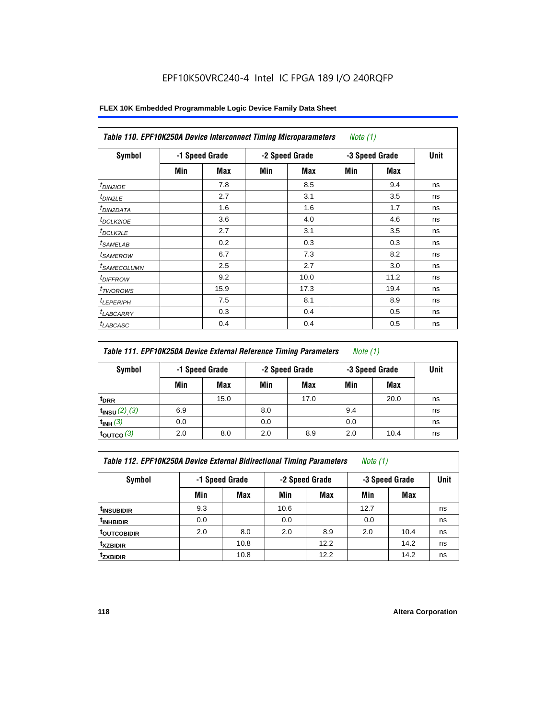| <b>Symbol</b>           |     | -1 Speed Grade |     | -2 Speed Grade |     | -3 Speed Grade | Unit |
|-------------------------|-----|----------------|-----|----------------|-----|----------------|------|
|                         | Min | Max            | Min | Max            | Min | Max            |      |
| $t_{DINZIOE}$           |     | 7.8            |     | 8.5            |     | 9.4            | ns   |
| $t_{DIN2LE}$            |     | 2.7            |     | 3.1            |     | 3.5            | ns   |
| <sup>t</sup> DIN2DATA   |     | 1.6            |     | 1.6            |     | 1.7            | ns   |
| <sup>t</sup> DCLK2IOE   |     | 3.6            |     | 4.0            |     | 4.6            | ns   |
| <sup>t</sup> DCLK2LE    |     | 2.7            |     | 3.1            |     | 3.5            | ns   |
| <sup>t</sup> SAMELAB    |     | 0.2            |     | 0.3            |     | 0.3            | ns   |
| <sup>t</sup> SAMEROW    |     | 6.7            |     | 7.3            |     | 8.2            | ns   |
| <sup>t</sup> SAMECOLUMN |     | 2.5            |     | 2.7            |     | 3.0            | ns   |
| <sup>t</sup> DIFFROW    |     | 9.2            |     | 10.0           |     | 11.2           | ns   |
| <sup>t</sup> TWOROWS    |     | 15.9           |     | 17.3           |     | 19.4           | ns   |
| <sup>t</sup> LEPERIPH   |     | 7.5            |     | 8.1            |     | 8.9            | ns   |
| <sup>t</sup> LABCARRY   |     | 0.3            |     | 0.4            |     | 0.5            | ns   |
| <sup>t</sup> LABCASC    |     | 0.4            |     | 0.4            |     | 0.5            | ns   |

| Table 111. EPF10K250A Device External Reference Timing Parameters<br><i>Note</i> $(1)$ |     |                |                |                |             |            |    |
|----------------------------------------------------------------------------------------|-----|----------------|----------------|----------------|-------------|------------|----|
| Symbol                                                                                 |     | -1 Speed Grade | -2 Speed Grade | -3 Speed Grade | <b>Unit</b> |            |    |
|                                                                                        | Min | Max            | Min            | Max            | Min         | <b>Max</b> |    |
| <sup>t</sup> DRR                                                                       |     | 15.0           |                | 17.0           |             | 20.0       | ns |
| $t_{INSU} (2) (3)$                                                                     | 6.9 |                | 8.0            |                | 9.4         |            | ns |
| $t_{INH}$ (3)                                                                          | 0.0 |                | 0.0            |                | 0.0         |            | ns |
| $t_{\rm OUTCO}$ (3)                                                                    | 2.0 | 8.0            | 2.0            | 8.9            | 2.0         | 10.4       | ns |

| Table 112. EPF10K250A Device External Bidirectional Timing Parameters |  |  | Note (1) |  |
|-----------------------------------------------------------------------|--|--|----------|--|
|-----------------------------------------------------------------------|--|--|----------|--|

| Symbol                  | -1 Speed Grade |      |      | -2 Speed Grade | -3 Speed Grade | <b>Unit</b> |    |
|-------------------------|----------------|------|------|----------------|----------------|-------------|----|
|                         | Min            | Max  | Min  | <b>Max</b>     | Min            | <b>Max</b>  |    |
| <sup>t</sup> INSUBIDIR  | 9.3            |      | 10.6 |                | 12.7           |             | ns |
| <sup>t</sup> INHBIDIR   | 0.0            |      | 0.0  |                | 0.0            |             | ns |
| <sup>t</sup> OUTCOBIDIR | 2.0            | 8.0  | 2.0  | 8.9            | 2.0            | 10.4        | ns |
| <sup>t</sup> xzbidir    |                | 10.8 |      | 12.2           |                | 14.2        | ns |
| <sup>t</sup> zxbidir    |                | 10.8 |      | 12.2           |                | 14.2        | ns |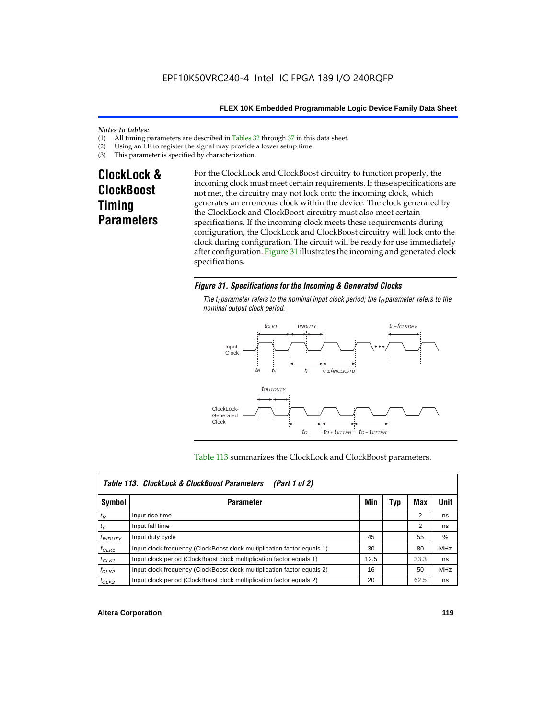#### *Notes to tables:*

- (1) All timing parameters are described in Tables  $32$  through  $37$  in this data sheet.<br>(2) Using an LE to register the signal may provide a lower setup time.
- (2) Using an LE to register the signal may provide a lower setup time.<br>(3) This parameter is specified by characterization.
- This parameter is specified by characterization.

# **ClockLock & ClockBoost Timing Parameters**

For the ClockLock and ClockBoost circuitry to function properly, the incoming clock must meet certain requirements. If these specifications are not met, the circuitry may not lock onto the incoming clock, which generates an erroneous clock within the device. The clock generated by the ClockLock and ClockBoost circuitry must also meet certain specifications. If the incoming clock meets these requirements during configuration, the ClockLock and ClockBoost circuitry will lock onto the clock during configuration. The circuit will be ready for use immediately after configuration. Figure 31 illustrates the incoming and generated clock specifications.

### *Figure 31. Specifications for the Incoming & Generated Clocks*

The  $t_i$  parameter refers to the nominal input clock period; the  $t_0$  parameter refers to the *nominal output clock period.*



#### Table 113 summarizes the ClockLock and ClockBoost parameters.

|                       | Table 113. ClockLock & ClockBoost Parameters<br>(Part 1 of 2)           |      |     |                |            |  |  |  |
|-----------------------|-------------------------------------------------------------------------|------|-----|----------------|------------|--|--|--|
| Symbol                | <b>Parameter</b>                                                        | Min  | Typ | Max            | Unit       |  |  |  |
| $t_{R}$               | Input rise time                                                         |      |     | $\overline{2}$ | ns         |  |  |  |
| $t_F$                 | Input fall time                                                         |      |     | 2              | ns         |  |  |  |
| $t$ <sub>INDUTY</sub> | Input duty cycle                                                        | 45   |     | 55             | $\%$       |  |  |  |
| $f_{CLK1}$            | Input clock frequency (ClockBoost clock multiplication factor equals 1) | 30   |     | 80             | <b>MHz</b> |  |  |  |
| $t$ CLK1              | Input clock period (ClockBoost clock multiplication factor equals 1)    | 12.5 |     | 33.3           | ns         |  |  |  |
| $f_{CLK2}$            | Input clock frequency (ClockBoost clock multiplication factor equals 2) | 16   |     | 50             | <b>MHz</b> |  |  |  |
| $t_{CLK2}$            | Input clock period (ClockBoost clock multiplication factor equals 2)    | 20   |     | 62.5           | ns         |  |  |  |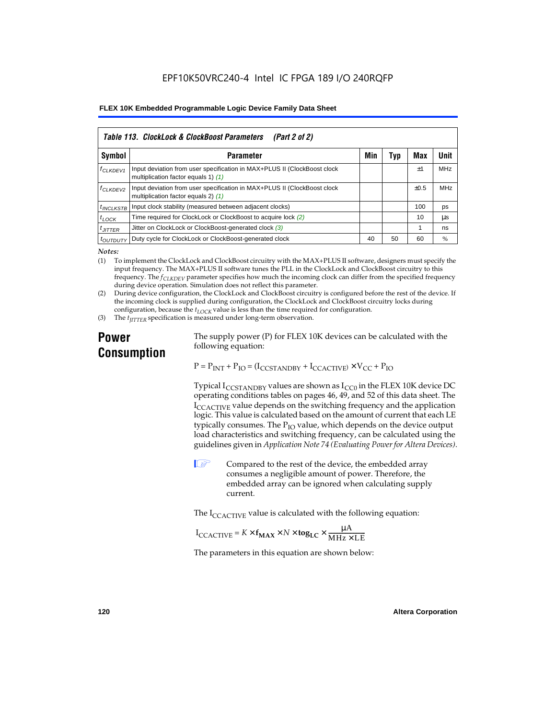|                               | Table 113. ClockLock & ClockBoost Parameters<br>(Part 2 of 2)                                                   |     |     |           |            |  |  |  |  |
|-------------------------------|-----------------------------------------------------------------------------------------------------------------|-----|-----|-----------|------------|--|--|--|--|
| Symbol                        | <b>Parameter</b>                                                                                                | Min | Typ | Max       | Unit       |  |  |  |  |
| <b><i><u>LCLKDEV1</u></i></b> | Input deviation from user specification in MAX+PLUS II (ClockBoost clock<br>multiplication factor equals 1) (1) |     |     | $\pm 1$   | <b>MHz</b> |  |  |  |  |
| <sup>f</sup> CLKDEV2          | Input deviation from user specification in MAX+PLUS II (ClockBoost clock<br>multiplication factor equals 2) (1) |     |     | $\pm 0.5$ | MHz        |  |  |  |  |
| <sup>t</sup> INCLKSTB         | Input clock stability (measured between adjacent clocks)                                                        |     |     | 100       | ps         |  |  |  |  |
| $t_{LOCK}$                    | Time required for ClockLock or ClockBoost to acquire lock (2)                                                   |     |     | 10        | μs         |  |  |  |  |
| $t_{JITTER}$                  | Jitter on ClockLock or ClockBoost-generated clock (3)                                                           |     |     |           | ns         |  |  |  |  |
| <i>toutbuty</i>               | Duty cycle for ClockLock or ClockBoost-generated clock                                                          | 40  | 50  | 60        | %          |  |  |  |  |

*Notes:*

(1) To implement the ClockLock and ClockBoost circuitry with the MAX+PLUS II software, designers must specify the input frequency. The MAX+PLUS II software tunes the PLL in the ClockLock and ClockBoost circuitry to this frequency. The *fCLKDEV* parameter specifies how much the incoming clock can differ from the specified frequency during device operation. Simulation does not reflect this parameter.

(2) During device configuration, the ClockLock and ClockBoost circuitry is configured before the rest of the device. If the incoming clock is supplied during configuration, the ClockLock and ClockBoost circuitry locks during configuration, because the  $t_{LOCK}$  value is less than the time required for configuration.

(3) The *t<sub>IITTER</sub>* specification is measured under long-term observation.

# **Power Consumption**

The supply power (P) for FLEX 10K devices can be calculated with the following equation:

 $P = P_{INT} + P_{IO} = (I_{CCSTANDBY} + I_{CCACTIVE}) \times V_{CC} + P_{IO}$ 

Typical  $I_{CCSTANDBY}$  values are shown as  $I_{CC0}$  in the FLEX 10K device DC operating conditions tables on pages 46, 49, and 52 of this data sheet. The  $I_{\text{CCACTIVE}}$  value depends on the switching frequency and the application logic. This value is calculated based on the amount of current that each LE typically consumes. The  $P_{IO}$  value, which depends on the device output load characteristics and switching frequency, can be calculated using the guidelines given in *Application Note 74 (Evaluating Power for Altera Devices)*.

 $\Box$  Compared to the rest of the device, the embedded array consumes a negligible amount of power. Therefore, the embedded array can be ignored when calculating supply current.

The  $I_{\text{CCACTIVE}}$  value is calculated with the following equation:

$$
I_{\text{CCACTIVE}} = K \times f_{\text{MAX}} \times N \times \text{tog}_{\text{LC}} \times \frac{\mu A}{\text{MHz} \times \text{LE}}
$$

The parameters in this equation are shown below: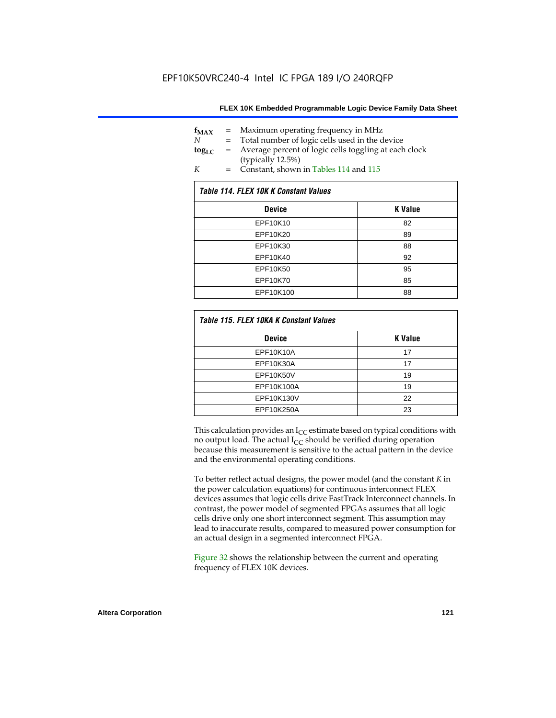| $f_{MAX}$   | $=$ | Maximum operating frequency in MHz                    |
|-------------|-----|-------------------------------------------------------|
| N           |     | Total number of logic cells used in the device        |
| $\log_{LC}$ | $=$ | Average percent of logic cells toggling at each clock |
|             |     | (typically 12.5%)                                     |
| K           | $=$ | Constant, shown in Tables 114 and 115                 |

| Table 114. FLEX 10K K Constant Values |                |  |  |  |  |
|---------------------------------------|----------------|--|--|--|--|
| <b>Device</b>                         | <b>K</b> Value |  |  |  |  |
| EPF10K10                              | 82             |  |  |  |  |
| EPF10K20                              | 89             |  |  |  |  |
| EPF10K30                              | 88             |  |  |  |  |
| EPF10K40                              | 92             |  |  |  |  |
| EPF10K50                              | 95             |  |  |  |  |
| EPF10K70                              | 85             |  |  |  |  |
| EPF10K100                             | 88             |  |  |  |  |

| Table 115. FLEX 10KA K Constant Values |                |
|----------------------------------------|----------------|
| <b>Device</b>                          | <b>K</b> Value |
| <b>EPF10K10A</b>                       | 17             |
| EPF10K30A                              | 17             |
| EPF10K50V                              | 19             |
| EPF10K100A                             | 19             |
| EPF10K130V                             | 22             |
| EPF10K250A                             | 23             |

This calculation provides an  $I_{CC}$  estimate based on typical conditions with no output load. The actual  $I_{CC}$  should be verified during operation because this measurement is sensitive to the actual pattern in the device and the environmental operating conditions.

To better reflect actual designs, the power model (and the constant *K* in the power calculation equations) for continuous interconnect FLEX devices assumes that logic cells drive FastTrack Interconnect channels. In contrast, the power model of segmented FPGAs assumes that all logic cells drive only one short interconnect segment. This assumption may lead to inaccurate results, compared to measured power consumption for an actual design in a segmented interconnect FPGA.

Figure 32 shows the relationship between the current and operating frequency of FLEX 10K devices.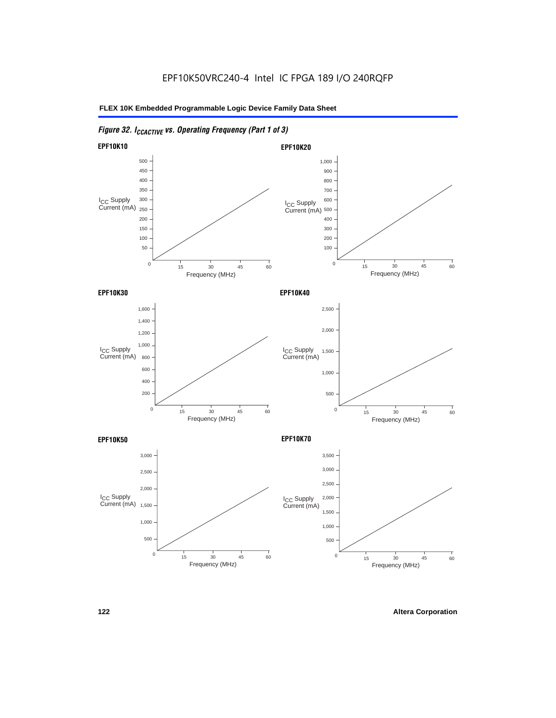# *Figure 32. ICCACTIVE vs. Operating Frequency (Part 1 of 3)*

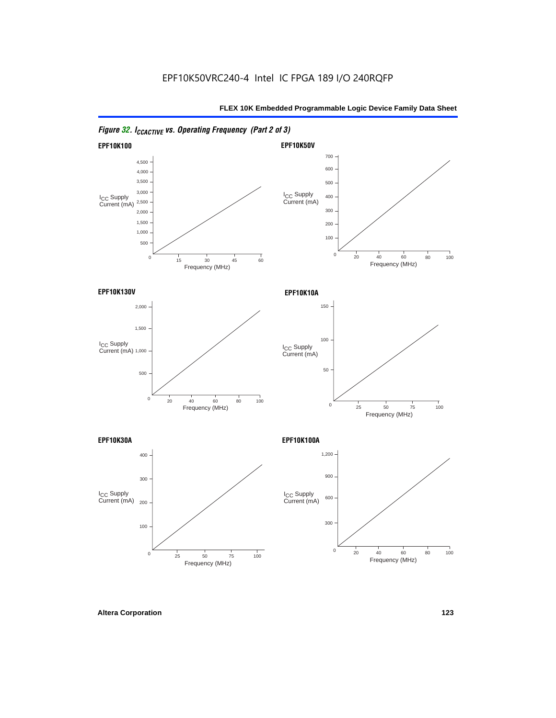



**Altera Corporation 123**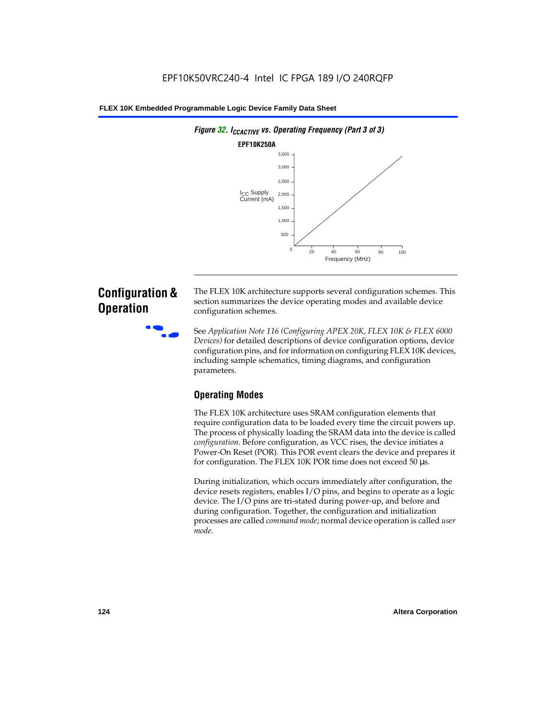

# **Configuration & Operation**

The FLEX 10K architecture supports several configuration schemes. This section summarizes the device operating modes and available device configuration schemes.

f See *Application Note 116 (Configuring APEX 20K, FLEX 10K & FLEX 6000 Devices)* for detailed descriptions of device configuration options, device configuration pins, and for information on configuring FLEX 10K devices, including sample schematics, timing diagrams, and configuration parameters.

# **Operating Modes**

The FLEX 10K architecture uses SRAM configuration elements that require configuration data to be loaded every time the circuit powers up. The process of physically loading the SRAM data into the device is called *configuration*. Before configuration, as VCC rises, the device initiates a Power-On Reset (POR). This POR event clears the device and prepares it for configuration. The FLEX 10K POR time does not exceed 50 µs.

During initialization, which occurs immediately after configuration, the device resets registers, enables I/O pins, and begins to operate as a logic device. The I/O pins are tri-stated during power-up, and before and during configuration. Together, the configuration and initialization processes are called *command mode*; normal device operation is called *user mode*.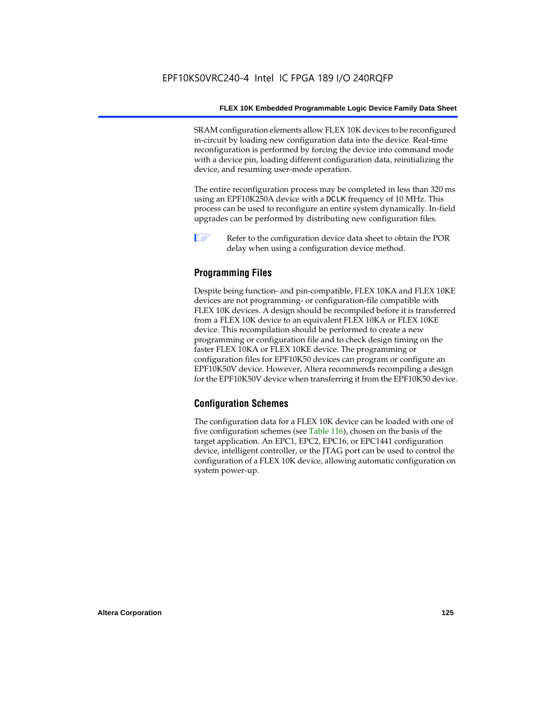SRAM configuration elements allow FLEX 10K devices to be reconfigured in-circuit by loading new configuration data into the device. Real-time reconfiguration is performed by forcing the device into command mode with a device pin, loading different configuration data, reinitializing the device, and resuming user-mode operation.

The entire reconfiguration process may be completed in less than 320 ms using an EPF10K250A device with a DCLK frequency of 10 MHz. This process can be used to reconfigure an entire system dynamically. In-field upgrades can be performed by distributing new configuration files.

 $\Box$  Refer to the configuration device data sheet to obtain the POR delay when using a configuration device method.

# **Programming Files**

Despite being function- and pin-compatible, FLEX 10KA and FLEX 10KE devices are not programming- or configuration-file compatible with FLEX 10K devices. A design should be recompiled before it is transferred from a FLEX 10K device to an equivalent FLEX 10KA or FLEX 10KE device. This recompilation should be performed to create a new programming or configuration file and to check design timing on the faster FLEX 10KA or FLEX 10KE device. The programming or configuration files for EPF10K50 devices can program or configure an EPF10K50V device. However, Altera recommends recompiling a design for the EPF10K50V device when transferring it from the EPF10K50 device.

## **Configuration Schemes**

The configuration data for a FLEX 10K device can be loaded with one of five configuration schemes (see Table 116), chosen on the basis of the target application. An EPC1, EPC2, EPC16, or EPC1441 configuration device, intelligent controller, or the JTAG port can be used to control the configuration of a FLEX 10K device, allowing automatic configuration on system power-up.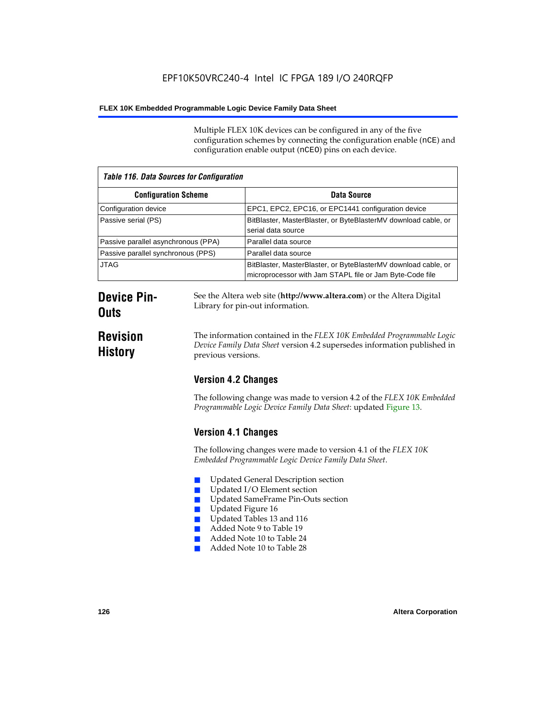Multiple FLEX 10K devices can be configured in any of the five configuration schemes by connecting the configuration enable (nCE) and configuration enable output (nCEO) pins on each device.

| <b>Table 116. Data Sources for Configuration</b> |                                                                                                                            |  |
|--------------------------------------------------|----------------------------------------------------------------------------------------------------------------------------|--|
| <b>Configuration Scheme</b>                      | Data Source                                                                                                                |  |
| Configuration device                             | EPC1, EPC2, EPC16, or EPC1441 configuration device                                                                         |  |
| Passive serial (PS)                              | BitBlaster, MasterBlaster, or ByteBlasterMV download cable, or<br>serial data source                                       |  |
| Passive parallel asynchronous (PPA)              | Parallel data source                                                                                                       |  |
| Passive parallel synchronous (PPS)               | Parallel data source                                                                                                       |  |
| <b>JTAG</b>                                      | BitBlaster, MasterBlaster, or ByteBlasterMV download cable, or<br>microprocessor with Jam STAPL file or Jam Byte-Code file |  |

# **Device Pin-Outs**

**Revision History**

See the Altera web site (**http://www.altera.com**) or the Altera Digital Library for pin-out information.

The information contained in the *FLEX 10K Embedded Programmable Logic Device Family Data Sheet* version 4.2 supersedes information published in previous versions.

# **Version 4.2 Changes**

The following change was made to version 4.2 of the *FLEX 10K Embedded Programmable Logic Device Family Data Sheet*: updated Figure 13.

# **Version 4.1 Changes**

The following changes were made to version 4.1 of the *FLEX 10K Embedded Programmable Logic Device Family Data Sheet*.

- Updated General Description section
- Updated I/O Element section
- Updated SameFrame Pin-Outs section
- Updated Figure 16
- Updated Tables 13 and 116
- Added Note 9 to Table 19
- Added Note 10 to Table 24
- Added Note 10 to Table 28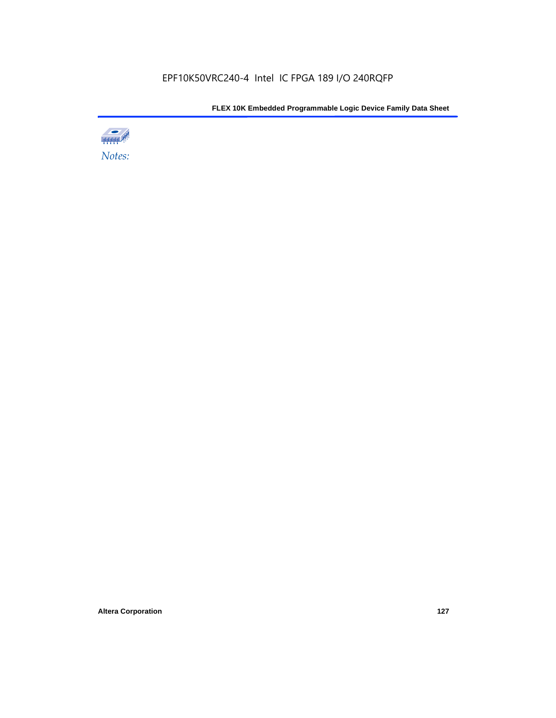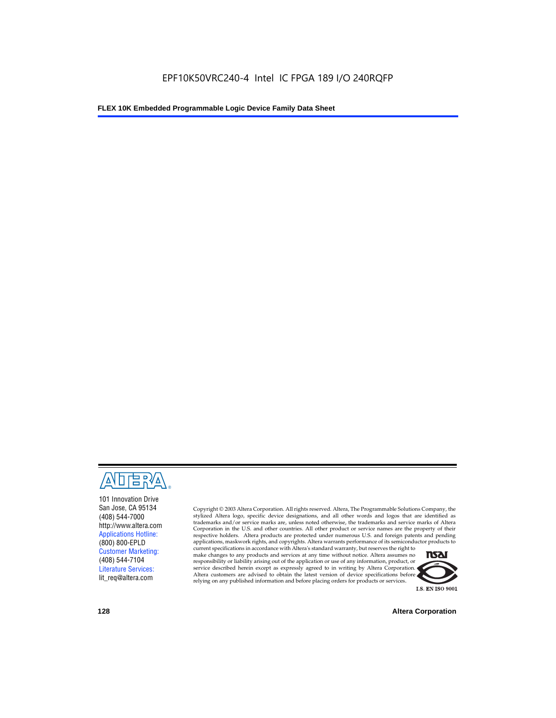

101 Innovation Drive San Jose, CA 95134 (408) 544-7000 http://www.altera.com Applications Hotline: (800) 800-EPLD Customer Marketing: (408) 544-7104 Literature Services: lit\_req@altera.com

Copyright © 2003 Altera Corporation. All rights reserved. Altera, The Programmable Solutions Company, the stylized Altera logo, specific device designations, and all other words and logos that are identified as trademarks and/or service marks are, unless noted otherwise, the trademarks and service marks of Altera Corporation in the U.S. and other countries. All other product or service names are the property of their respective holders. Altera products are protected under numerous U.S. and foreign patents and pending applications, maskwork rights, and copyrights. Altera warrants performance of its semiconductor products to

current specifications in accordance with Altera's standard warranty, but reserves the right to make changes to any products and services at any time without notice. Altera assumes no responsibility or liability arising out of the application or use of any information, product, or service described herein except as expressly agreed to in writing by Altera Corporation. Altera customers are advised to obtain the latest version of device specifications before relying on any published information and before placing orders for products or services.



#### **128 Altera Corporation**